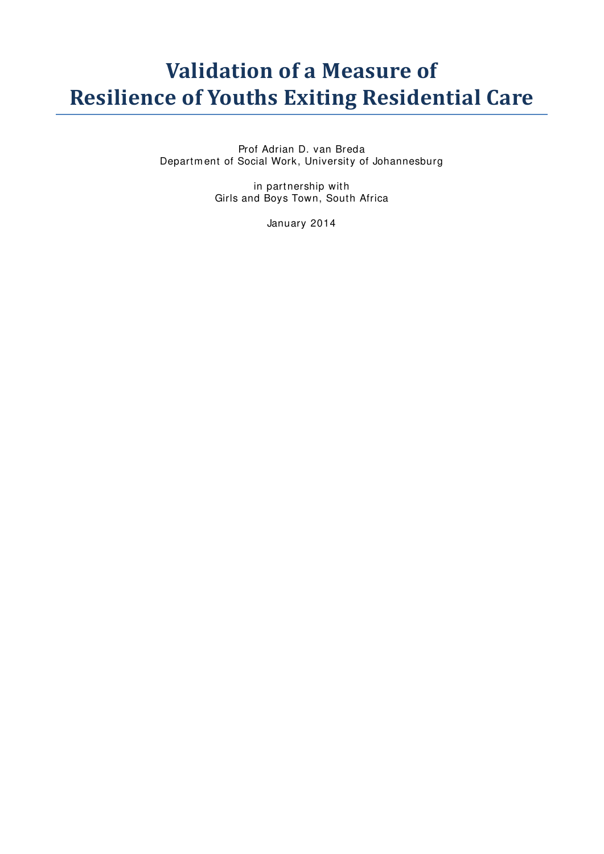# **Validation of a Measure of Resilience of Youths Exiting Residential Care**

Prof Adrian D. van Breda Departm ent of Social Work, University of Johannesburg

> in partnership with Girls and Boys Town, South Africa

> > January 2014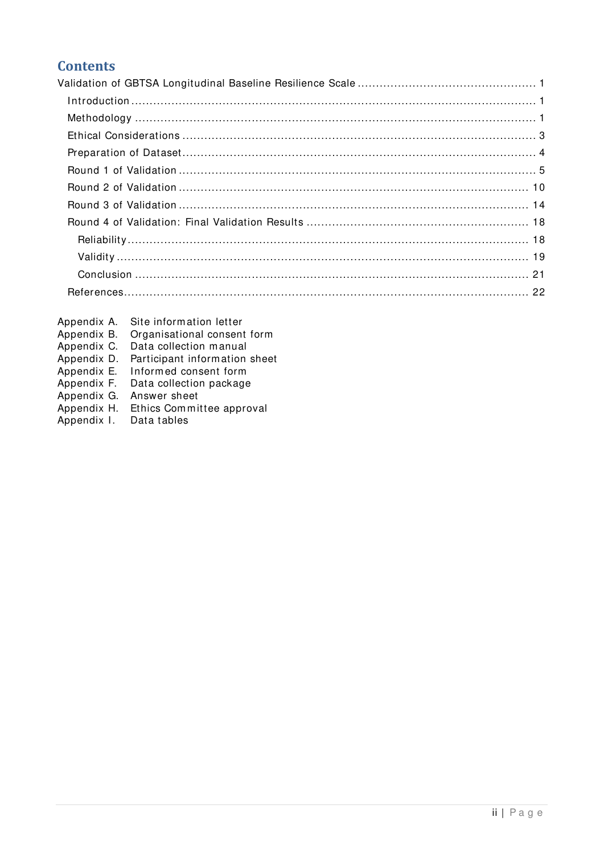# **Contents**

- Appendix A. Site information letter
- 
- 
- Appendix B. Organisational consent form<br>Appendix C. Data collection manual<br>Appendix D. Participant information sheet
- Appendix E. Informed consent form
- Appendix F. Data collection package
- Appendix G. Answer sheet
- Appendix H. Ethics Committee approval
- Appendix I. Data tables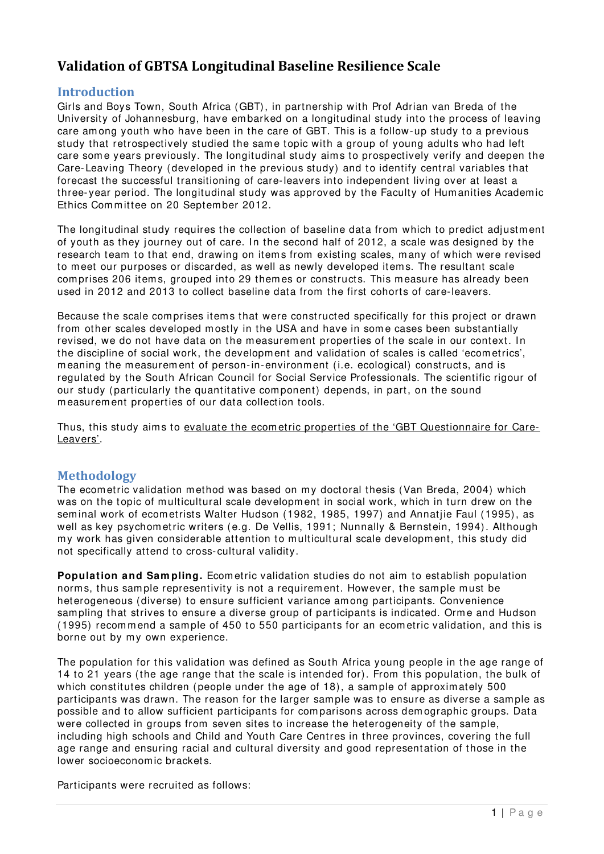# <span id="page-2-0"></span>**Validation of GBTSA Longitudinal Baseline Resilience Scale**

### <span id="page-2-1"></span>**Introduction**

Girls and Boys Town, South Africa (GBT), in partnership with Prof Adrian van Breda of the University of Johannesburg, have em barked on a longitudinal study into the process of leaving care am ong youth who have been in the care of GBT. This is a follow-up study to a previous study that retrospectively studied the same topic with a group of young adults who had left care some years previously. The longitudinal study aims to prospectively verify and deepen the Care-Leaving Theory (developed in the previous study) and to identify central variables that forecast the successful transitioning of care-leavers into independent living over at least a three- year period. The longitudinal study was approved by the Faculty of Hum anities Academ ic Ethics Com m ittee on 20 Septem ber 2012.

The longitudinal study requires the collection of baseline data from which to predict adjustment of youth as they journey out of care. In the second half of 2012, a scale was designed by the research team to that end, drawing on items from existing scales, many of which were revised to meet our purposes or discarded, as well as newly developed items. The resultant scale com prises 206 item s, grouped into 29 them es or constructs. This m easure has already been used in 2012 and 2013 to collect baseline data from the first cohorts of care-leavers.

Because the scale comprises items that were constructed specifically for this project or drawn from other scales developed mostly in the USA and have in some cases been substantially revised, we do not have data on the measurement properties of the scale in our context. In the discipline of social work, the development and validation of scales is called 'ecom etrics', m eaning the m easurem ent of person-in-environm ent (i.e. ecological) constructs, and is regulated by the South African Council for Social Service Professionals. The scientific rigour of our study (particularly the quantitative com ponent) depends, in part, on the sound m easurem ent properties of our data collection tools.

Thus, this study aims to evaluate the ecometric properties of the 'GBT Questionnaire for Care-Leavers'.

### <span id="page-2-2"></span>**Methodology**

The ecometric validation method was based on my doctoral thesis [\(Van Breda, 2004\)](#page-23-1) which was on the topic of multicultural scale development in social work, which in turn drew on the sem inal work of ecom etrists Walter Hudson [\(1982,](#page-23-2) [1985,](#page-23-3) [1997\)](#page-23-4) and Annatjie Faul [\(1995\)](#page-23-5), as well as key psychom etric writers [\(e.g. De Vellis, 1991;](#page-23-6) [Nunnally & Bernstein, 1994\)](#page-23-7). Although m y work has given considerable attention to m ulticultural scale developm ent, this study did not specifically attend to cross- cultural validity.

**Population and Sampling.** Ecometric validation studies do not aim to establish population norm s, thus sam ple representivity is not a requirem ent. However, the sam ple m ust be heterogeneous (diverse) to ensure sufficient variance am ong participants. Convenience sampling that strives to ensure a diverse group of participants is indicated. Orme and Hudson [\(1995\)](#page-23-8) recom m end a sam ple of 450 to 550 participants for an ecom etric validation, and this is borne out by my own experience.

The population for this validation was defined as South Africa young people in the age range of 14 to 21 years (the age range that the scale is intended for). From this population, the bulk of which constitutes children (people under the age of 18), a sample of approximately 500 participants was drawn. The reason for the larger sample was to ensure as diverse a sample as possible and to allow sufficient participants for com parisons across dem ographic groups. Data were collected in groups from seven sites to increase the heterogeneity of the sample, including high schools and Child and Youth Care Centres in three provinces, covering the full age range and ensuring racial and cultural diversity and good representation of those in the lower socioeconom ic brackets.

Participants were recruited as follows: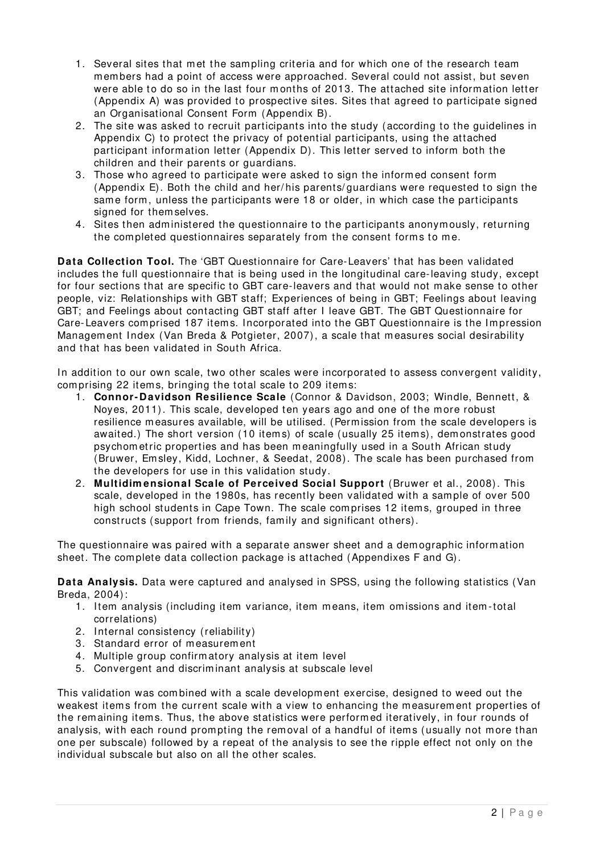- 1. Several sites that met the sampling criteria and for which one of the research team members had a point of access were approached. Several could not assist, but seven were able to do so in the last four months of 2013. The attached site information letter (Appendix A) was provided to prospective sites. Sites that agreed to participate signed an Organisational Consent Form (Appendix B).
- 2. The site was asked to recruit participants into the study (according to the guidelines in Appendix C) to protect the privacy of potential participants, using the attached participant inform ation letter (Appendix D). This letter served to inform both the children and their parents or guardians.
- 3. Those who agreed to participate were asked to sign the inform ed consent form (Appendix E). Both the child and her/ his parents/ guardians were requested to sign the sam e form , unless the participants were 18 or older, in which case the participants signed for them selves.
- 4. Sites then administered the questionnaire to the participants anonymously, returning the completed questionnaires separately from the consent forms to me.

**Data Collection Tool.** The 'GBT Questionnaire for Care-Leavers' that has been validated includes the full questionnaire that is being used in the longitudinal care-leaving study, except for four sections that are specific to GBT care-leavers and that would not m ake sense to other people, viz: Relationships with GBT staff; Experiences of being in GBT; Feelings about leaving GBT; and Feelings about contacting GBT staff after I leave GBT. The GBT Questionnaire for Care-Leavers comprised 187 items. Incorporated into the GBT Questionnaire is the Impression Management Index [\(Van Breda & Potgieter, 2007\)](#page-23-9), a scale that measures social desirability and that has been validated in South Africa.

In addition to our own scale, two other scales were incorporated to assess convergent validity, comprising 22 items, bringing the total scale to 209 items:

- 1. **Connor- Davidson Resilience Scale** [\(Connor & Davidson, 2003;](#page-23-10) [Windle, Bennett, &](#page-23-11)  [Noyes, 2011\)](#page-23-11). This scale, developed ten years ago and one of the m ore robust resilience m easures available, will be utilised. (Perm ission from the scale developers is awaited.) The short version (10 items) of scale (usually 25 items), demonstrates good psychom etric properties and has been m eaningfully used in a South African study [\(Bruwer, Em sley, Kidd, Lochner, & Seedat, 2008\)](#page-23-12). The scale has been purchased from the developers for use in this validation study.
- 2. **Multidim ensional Scale of Perceived Social Support** [\(Bruwer et al., 2008\)](#page-23-12). This scale, developed in the 1980s, has recently been validated with a sample of over 500 high school students in Cape Town. The scale comprises 12 items, grouped in three constructs (support from friends, fam ily and significant others).

The questionnaire was paired with a separate answer sheet and a dem ographic inform ation sheet. The com plete data collection package is attached (Appendixes F and G).

**Data Analysis.** Data were captured and analysed in SPSS, using the following statistics [\(Van](#page-23-1)  [Breda, 2004\)](#page-23-1):

- 1. Item analysis (including item variance, item m eans, item omissions and item -total correlations)
- 2. Internal consistency (reliability)
- 3. Standard error of measurement
- 4. Multiple group confirm atory analysis at item level
- 5. Convergent and discrim inant analysis at subscale level

This validation was combined with a scale development exercise, designed to weed out the weakest items from the current scale with a view to enhancing the measurement properties of the rem aining item s. Thus, the above statistics were perform ed iteratively, in four rounds of analysis, with each round prompting the removal of a handful of items (usually not m ore than one per subscale) followed by a repeat of the analysis to see the ripple effect not only on the individual subscale but also on all the other scales.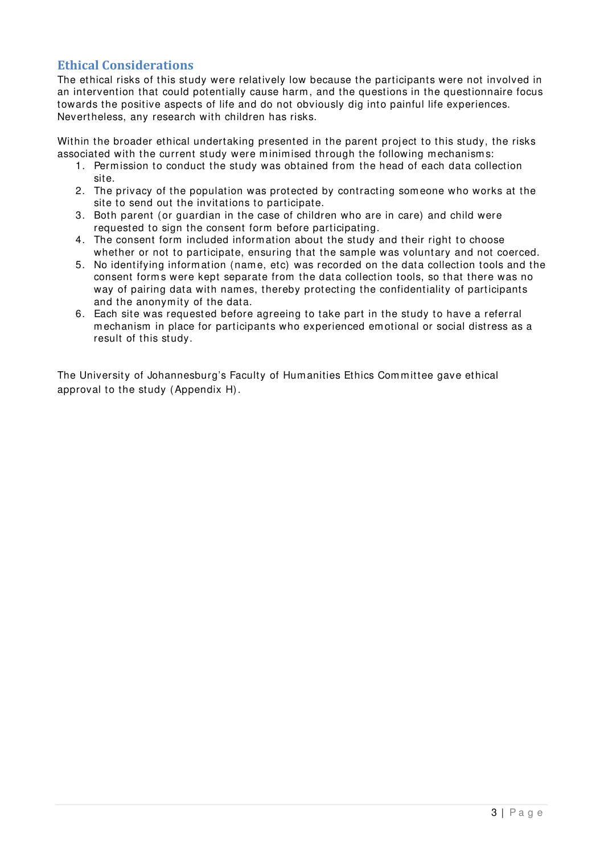## <span id="page-4-0"></span>**Ethical Considerations**

The ethical risks of this study were relatively low because the participants were not involved in an intervention that could potentially cause harm, and the questions in the questionnaire focus towards the positive aspects of life and do not obviously dig into painful life experiences. Nevertheless, any research with children has risks.

Within the broader ethical undertaking presented in the parent project to this study, the risks associated with the current study were minimised through the following mechanisms:

- 1. Perm ission to conduct the study was obtained from the head of each data collection site.
- 2. The privacy of the population was protected by contracting som eone who works at the site to send out the invitations to participate.
- 3. Both parent (or guardian in the case of children who are in care) and child were requested to sign the consent form before participating.
- 4. The consent form included inform ation about the study and their right to choose whether or not to participate, ensuring that the sample was voluntary and not coerced.
- 5. No identifying inform ation (nam e, etc) was recorded on the data collection tools and the consent form s were kept separate from the data collection tools, so that there was no way of pairing data with names, thereby protecting the confidentiality of participants and the anonym ity of the data.
- 6. Each site was requested before agreeing to take part in the study to have a referral m echanism in place for participants who experienced em otional or social distress as a result of this study.

The University of Johannesburg's Faculty of Humanities Ethics Committee gave ethical approval to the study (Appendix H).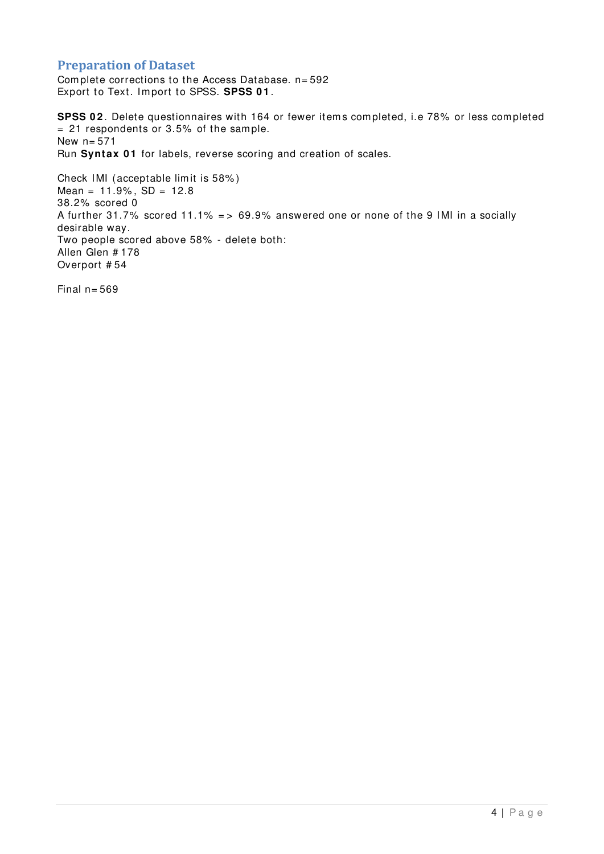### <span id="page-5-0"></span>**Preparation of Dataset**

Complete corrections to the Access Database. n= 592 Export to Text. Im port to SPSS. **SPSS 0 1** .

**SPSS 02**. Delete questionnaires with 164 or fewer items completed, i.e 78% or less completed  $= 21$  respondents or 3.5% of the sample. New  $n = 571$ Run Syntax 01 for labels, reverse scoring and creation of scales.

Check IMI (acceptable lim it is 58% )  $Mean = 11.9\%$ ,  $SD = 12.8$ 38.2% scored 0 A further 31.7% scored 11.1% = > 69.9% answered one or none of the 9 IMI in a socially desirable way. Two people scored above 58% - delete both: Allen Glen # 178 Overport # 54

Final  $n = 569$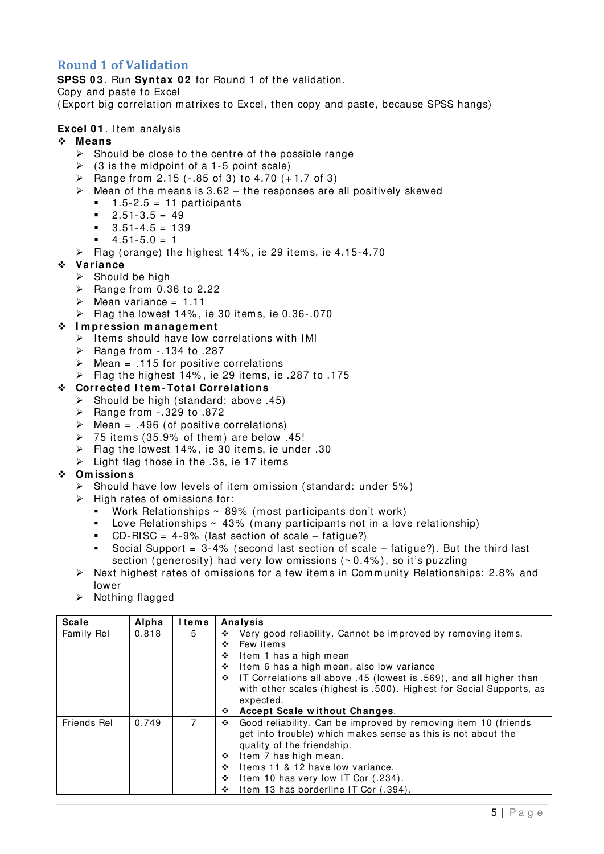## <span id="page-6-0"></span>**Round 1 of Validation**

**SPSS 03. Run Syntax 02 for Round 1 of the validation.** 

Copy and paste to Excel

(Export big correlation m atrixes to Excel, then copy and paste, because SPSS hangs)

#### **Excel 01.** Item analysis

#### **Means**

- $\triangleright$  Should be close to the centre of the possible range
- $\geq$  (3 is the midpoint of a 1-5 point scale)
- $\triangleright$  Range from 2.15 (-.85 of 3) to 4.70 (+1.7 of 3)
- $\triangleright$  Mean of the means is 3.62 the responses are all positively skewed
	- $1.5 2.5 = 11$  participants
	- $-2.51-3.5 = 49$
	- $-3.51-4.5 = 139$
	- $4.51 5.0 = 1$
- $\triangleright$  Flag (orange) the highest 14%, ie 29 items, ie 4.15-4.70

#### **Variance**

- $\triangleright$  Should be high
- $\triangleright$  Range from 0.36 to 2.22
- $\triangleright$  Mean variance = 1.11
- $\triangleright$  Flag the lowest 14%, ie 30 items, ie 0.36-.070

#### **I m pression m anagem ent**

- $\triangleright$  Items should have low correlations with IMI
- $\triangleright$  Range from -.134 to .287
- $\triangleright$  Mean = .115 for positive correlations
- Flag the highest  $14\%$ , ie 29 items, ie .287 to .175

#### **Corrected I tem -Total Correlations**

- $\triangleright$  Should be high (standard: above .45)
- $\triangleright$  Range from -.329 to .872
- $\triangleright$  Mean = .496 (of positive correlations)
- $\geq$  75 items (35.9% of them) are below .45!
- $\triangleright$  Flag the lowest 14%, ie 30 items, ie under .30
- $\triangleright$  Light flag those in the .3s, ie 17 items

#### **Om issions**

- $\triangleright$  Should have low levels of item omission (standard: under 5%)
- $\triangleright$  High rates of omissions for:
	- Work Relationships ~ 89% (m ost participants don't work)
	- **Love Relationships**  $\sim$  43% (many participants not in a love relationship)
	- $CD-RISC = 4-9%$  (last section of scale fatigue?)
	- Social Support  $= 3-4%$  (second last section of scale fatigue?). But the third last section (generosity) had very low omissions  $(0.4\%)$ , so it's puzzling
- $\triangleright$  Next highest rates of omissions for a few items in Community Relationships: 2.8% and lower
- $\triangleright$  Nothing flagged

| <b>Scale</b>       | Alpha | <b>Items</b> | <b>Analysis</b>                                                          |
|--------------------|-------|--------------|--------------------------------------------------------------------------|
| Family Rel         | 0.818 | 5            | Very good reliability. Cannot be improved by removing items.<br>❖        |
|                    |       |              | Few items<br>❖                                                           |
|                    |       |              | Item 1 has a high mean<br>❖                                              |
|                    |       |              | Item 6 has a high mean, also low variance<br>❖                           |
|                    |       |              | IT Correlations all above .45 (lowest is .569), and all higher than<br>❖ |
|                    |       |              | with other scales (highest is .500). Highest for Social Supports, as     |
|                    |       |              | expected.                                                                |
|                    |       |              | Accept Scale without Changes.<br>❖                                       |
| <b>Friends Rel</b> | 0.749 | 7            | Good reliability. Can be improved by removing item 10 (friends<br>❖      |
|                    |       |              | get into trouble) which makes sense as this is not about the             |
|                    |       |              | quality of the friendship.                                               |
|                    |       |              | Item 7 has high mean.<br>❖                                               |
|                    |       |              | Items 11 & 12 have low variance.<br>❖                                    |
|                    |       |              | Item 10 has very low IT Cor (.234).<br>❖                                 |
|                    |       |              | Item 13 has borderline IT Cor (.394).<br>❖                               |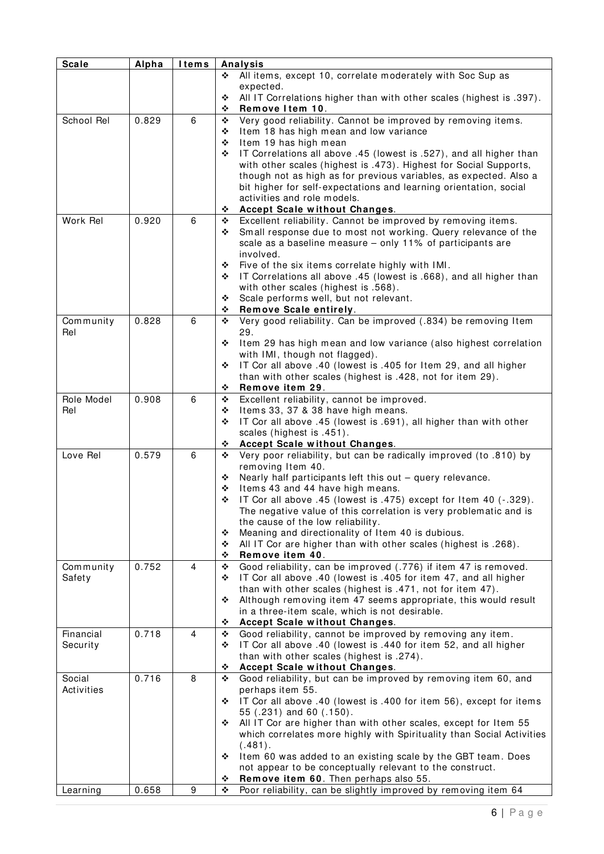| All items, except 10, correlate moderately with Soc Sup as<br>❖<br>expected.<br>All IT Correlations higher than with other scales (highest is .397).<br>❖<br>Remove Item 10.<br>❖<br>Very good reliability. Cannot be improved by removing items.<br>School Rel<br>6<br>0.829<br>❖<br>Item 18 has high mean and low variance<br>❖<br>Item 19 has high mean<br>❖<br>IT Correlations all above .45 (lowest is .527), and all higher than<br>❖<br>with other scales (highest is .473). Highest for Social Supports,<br>though not as high as for previous variables, as expected. Also a<br>bit higher for self-expectations and learning orientation, social<br>activities and role models.<br>Accept Scale without Changes.<br>❖<br>Excellent reliability. Cannot be improved by removing items.<br>0.920<br>Work Rel<br>6<br>❖<br>Small response due to most not working. Query relevance of the<br>❖<br>scale as a baseline measure - only 11% of participants are<br>involved.<br>Five of the six items correlate highly with IMI.<br>❖<br>IT Correlations all above .45 (lowest is .668), and all higher than<br>❖<br>with other scales (highest is .568).<br>Scale performs well, but not relevant.<br>❖<br>Remove Scale entirely.<br>❖<br>Very good reliability. Can be improved (.834) be removing Item<br>Community<br>0.828<br>6<br>❖<br>Rel<br>29.<br>Item 29 has high mean and low variance (also highest correlation<br>❖<br>with IMI, though not flagged).<br>IT Cor all above .40 (lowest is .405 for Item 29, and all higher<br>❖<br>than with other scales (highest is .428, not for item 29).<br>Remove item 29.<br>❖<br>0.908<br>Excellent reliability, cannot be improved.<br>Role Model<br>6<br>❖<br>Rel<br>Items 33, 37 & 38 have high means.<br>❖<br>IT Cor all above .45 (lowest is .691), all higher than with other<br>❖<br>scales (highest is .451).<br><b>Accept Scale without Changes.</b><br>❖<br>Very poor reliability, but can be radically improved (to .810) by<br>Love Rel<br>0.579<br>6<br>❖<br>removing Item 40.<br>Nearly half participants left this out - query relevance.<br>❖<br>Items 43 and 44 have high means.<br>❖<br>IT Cor all above .45 (lowest is .475) except for Item 40 (-.329).<br>❖<br>The negative value of this correlation is very problematic and is<br>the cause of the low reliability.<br>Meaning and directionality of Item 40 is dubious.<br>❖<br>All IT Cor are higher than with other scales (highest is .268).<br>❖<br>Remove item 40.<br>❖<br>Good reliability, can be improved (.776) if item 47 is removed.<br>0.752<br>Community<br>4<br>❖<br>IT Cor all above .40 (lowest is .405 for item 47, and all higher<br>Safety<br>❖<br>than with other scales (highest is .471, not for item 47).<br>Although removing item 47 seems appropriate, this would result<br>❖<br>in a three-item scale, which is not desirable.<br>Accept Scale without Changes.<br>❖<br>0.718<br>Good reliability, cannot be improved by removing any item.<br>4<br>Financial<br>❖<br>IT Cor all above .40 (lowest is .440 for item 52, and all higher<br>Security<br>❖<br>than with other scales (highest is .274).<br>Accept Scale without Changes.<br>❖<br>0.716<br>8<br>Good reliability, but can be improved by removing item 60, and<br>Social<br>❖<br>Activities<br>perhaps item 55.<br>IT Cor all above .40 (lowest is .400 for item 56), except for items<br>❖<br>55 (.231) and 60 (.150).<br>All IT Cor are higher than with other scales, except for Item 55<br>❖<br>which correlates more highly with Spirituality than Social Activities<br>(.481).<br>Item 60 was added to an existing scale by the GBT team. Does<br>❖<br>not appear to be conceptually relevant to the construct. | <b>Scale</b> | Alpha | <b>Items</b> |   | Analysis                              |
|----------------------------------------------------------------------------------------------------------------------------------------------------------------------------------------------------------------------------------------------------------------------------------------------------------------------------------------------------------------------------------------------------------------------------------------------------------------------------------------------------------------------------------------------------------------------------------------------------------------------------------------------------------------------------------------------------------------------------------------------------------------------------------------------------------------------------------------------------------------------------------------------------------------------------------------------------------------------------------------------------------------------------------------------------------------------------------------------------------------------------------------------------------------------------------------------------------------------------------------------------------------------------------------------------------------------------------------------------------------------------------------------------------------------------------------------------------------------------------------------------------------------------------------------------------------------------------------------------------------------------------------------------------------------------------------------------------------------------------------------------------------------------------------------------------------------------------------------------------------------------------------------------------------------------------------------------------------------------------------------------------------------------------------------------------------------------------------------------------------------------------------------------------------------------------------------------------------------------------------------------------------------------------------------------------------------------------------------------------------------------------------------------------------------------------------------------------------------------------------------------------------------------------------------------------------------------------------------------------------------------------------------------------------------------------------------------------------------------------------------------------------------------------------------------------------------------------------------------------------------------------------------------------------------------------------------------------------------------------------------------------------------------------------------------------------------------------------------------------------------------------------------------------------------------------------------------------------------------------------------------------------------------------------------------------------------------------------------------------------------------------------------------------------------------------------------------------------------------------------------------------------------------------------------------------------------------------------------------------------------------------------------------------------------------------------------------------------------------------------------|--------------|-------|--------------|---|---------------------------------------|
|                                                                                                                                                                                                                                                                                                                                                                                                                                                                                                                                                                                                                                                                                                                                                                                                                                                                                                                                                                                                                                                                                                                                                                                                                                                                                                                                                                                                                                                                                                                                                                                                                                                                                                                                                                                                                                                                                                                                                                                                                                                                                                                                                                                                                                                                                                                                                                                                                                                                                                                                                                                                                                                                                                                                                                                                                                                                                                                                                                                                                                                                                                                                                                                                                                                                                                                                                                                                                                                                                                                                                                                                                                                                                                                                              |              |       |              |   |                                       |
|                                                                                                                                                                                                                                                                                                                                                                                                                                                                                                                                                                                                                                                                                                                                                                                                                                                                                                                                                                                                                                                                                                                                                                                                                                                                                                                                                                                                                                                                                                                                                                                                                                                                                                                                                                                                                                                                                                                                                                                                                                                                                                                                                                                                                                                                                                                                                                                                                                                                                                                                                                                                                                                                                                                                                                                                                                                                                                                                                                                                                                                                                                                                                                                                                                                                                                                                                                                                                                                                                                                                                                                                                                                                                                                                              |              |       |              |   |                                       |
|                                                                                                                                                                                                                                                                                                                                                                                                                                                                                                                                                                                                                                                                                                                                                                                                                                                                                                                                                                                                                                                                                                                                                                                                                                                                                                                                                                                                                                                                                                                                                                                                                                                                                                                                                                                                                                                                                                                                                                                                                                                                                                                                                                                                                                                                                                                                                                                                                                                                                                                                                                                                                                                                                                                                                                                                                                                                                                                                                                                                                                                                                                                                                                                                                                                                                                                                                                                                                                                                                                                                                                                                                                                                                                                                              |              |       |              |   |                                       |
|                                                                                                                                                                                                                                                                                                                                                                                                                                                                                                                                                                                                                                                                                                                                                                                                                                                                                                                                                                                                                                                                                                                                                                                                                                                                                                                                                                                                                                                                                                                                                                                                                                                                                                                                                                                                                                                                                                                                                                                                                                                                                                                                                                                                                                                                                                                                                                                                                                                                                                                                                                                                                                                                                                                                                                                                                                                                                                                                                                                                                                                                                                                                                                                                                                                                                                                                                                                                                                                                                                                                                                                                                                                                                                                                              |              |       |              |   |                                       |
|                                                                                                                                                                                                                                                                                                                                                                                                                                                                                                                                                                                                                                                                                                                                                                                                                                                                                                                                                                                                                                                                                                                                                                                                                                                                                                                                                                                                                                                                                                                                                                                                                                                                                                                                                                                                                                                                                                                                                                                                                                                                                                                                                                                                                                                                                                                                                                                                                                                                                                                                                                                                                                                                                                                                                                                                                                                                                                                                                                                                                                                                                                                                                                                                                                                                                                                                                                                                                                                                                                                                                                                                                                                                                                                                              |              |       |              |   |                                       |
|                                                                                                                                                                                                                                                                                                                                                                                                                                                                                                                                                                                                                                                                                                                                                                                                                                                                                                                                                                                                                                                                                                                                                                                                                                                                                                                                                                                                                                                                                                                                                                                                                                                                                                                                                                                                                                                                                                                                                                                                                                                                                                                                                                                                                                                                                                                                                                                                                                                                                                                                                                                                                                                                                                                                                                                                                                                                                                                                                                                                                                                                                                                                                                                                                                                                                                                                                                                                                                                                                                                                                                                                                                                                                                                                              |              |       |              |   |                                       |
|                                                                                                                                                                                                                                                                                                                                                                                                                                                                                                                                                                                                                                                                                                                                                                                                                                                                                                                                                                                                                                                                                                                                                                                                                                                                                                                                                                                                                                                                                                                                                                                                                                                                                                                                                                                                                                                                                                                                                                                                                                                                                                                                                                                                                                                                                                                                                                                                                                                                                                                                                                                                                                                                                                                                                                                                                                                                                                                                                                                                                                                                                                                                                                                                                                                                                                                                                                                                                                                                                                                                                                                                                                                                                                                                              |              |       |              |   |                                       |
|                                                                                                                                                                                                                                                                                                                                                                                                                                                                                                                                                                                                                                                                                                                                                                                                                                                                                                                                                                                                                                                                                                                                                                                                                                                                                                                                                                                                                                                                                                                                                                                                                                                                                                                                                                                                                                                                                                                                                                                                                                                                                                                                                                                                                                                                                                                                                                                                                                                                                                                                                                                                                                                                                                                                                                                                                                                                                                                                                                                                                                                                                                                                                                                                                                                                                                                                                                                                                                                                                                                                                                                                                                                                                                                                              |              |       |              |   |                                       |
|                                                                                                                                                                                                                                                                                                                                                                                                                                                                                                                                                                                                                                                                                                                                                                                                                                                                                                                                                                                                                                                                                                                                                                                                                                                                                                                                                                                                                                                                                                                                                                                                                                                                                                                                                                                                                                                                                                                                                                                                                                                                                                                                                                                                                                                                                                                                                                                                                                                                                                                                                                                                                                                                                                                                                                                                                                                                                                                                                                                                                                                                                                                                                                                                                                                                                                                                                                                                                                                                                                                                                                                                                                                                                                                                              |              |       |              |   |                                       |
|                                                                                                                                                                                                                                                                                                                                                                                                                                                                                                                                                                                                                                                                                                                                                                                                                                                                                                                                                                                                                                                                                                                                                                                                                                                                                                                                                                                                                                                                                                                                                                                                                                                                                                                                                                                                                                                                                                                                                                                                                                                                                                                                                                                                                                                                                                                                                                                                                                                                                                                                                                                                                                                                                                                                                                                                                                                                                                                                                                                                                                                                                                                                                                                                                                                                                                                                                                                                                                                                                                                                                                                                                                                                                                                                              |              |       |              |   |                                       |
|                                                                                                                                                                                                                                                                                                                                                                                                                                                                                                                                                                                                                                                                                                                                                                                                                                                                                                                                                                                                                                                                                                                                                                                                                                                                                                                                                                                                                                                                                                                                                                                                                                                                                                                                                                                                                                                                                                                                                                                                                                                                                                                                                                                                                                                                                                                                                                                                                                                                                                                                                                                                                                                                                                                                                                                                                                                                                                                                                                                                                                                                                                                                                                                                                                                                                                                                                                                                                                                                                                                                                                                                                                                                                                                                              |              |       |              |   |                                       |
|                                                                                                                                                                                                                                                                                                                                                                                                                                                                                                                                                                                                                                                                                                                                                                                                                                                                                                                                                                                                                                                                                                                                                                                                                                                                                                                                                                                                                                                                                                                                                                                                                                                                                                                                                                                                                                                                                                                                                                                                                                                                                                                                                                                                                                                                                                                                                                                                                                                                                                                                                                                                                                                                                                                                                                                                                                                                                                                                                                                                                                                                                                                                                                                                                                                                                                                                                                                                                                                                                                                                                                                                                                                                                                                                              |              |       |              |   |                                       |
|                                                                                                                                                                                                                                                                                                                                                                                                                                                                                                                                                                                                                                                                                                                                                                                                                                                                                                                                                                                                                                                                                                                                                                                                                                                                                                                                                                                                                                                                                                                                                                                                                                                                                                                                                                                                                                                                                                                                                                                                                                                                                                                                                                                                                                                                                                                                                                                                                                                                                                                                                                                                                                                                                                                                                                                                                                                                                                                                                                                                                                                                                                                                                                                                                                                                                                                                                                                                                                                                                                                                                                                                                                                                                                                                              |              |       |              |   |                                       |
|                                                                                                                                                                                                                                                                                                                                                                                                                                                                                                                                                                                                                                                                                                                                                                                                                                                                                                                                                                                                                                                                                                                                                                                                                                                                                                                                                                                                                                                                                                                                                                                                                                                                                                                                                                                                                                                                                                                                                                                                                                                                                                                                                                                                                                                                                                                                                                                                                                                                                                                                                                                                                                                                                                                                                                                                                                                                                                                                                                                                                                                                                                                                                                                                                                                                                                                                                                                                                                                                                                                                                                                                                                                                                                                                              |              |       |              |   |                                       |
|                                                                                                                                                                                                                                                                                                                                                                                                                                                                                                                                                                                                                                                                                                                                                                                                                                                                                                                                                                                                                                                                                                                                                                                                                                                                                                                                                                                                                                                                                                                                                                                                                                                                                                                                                                                                                                                                                                                                                                                                                                                                                                                                                                                                                                                                                                                                                                                                                                                                                                                                                                                                                                                                                                                                                                                                                                                                                                                                                                                                                                                                                                                                                                                                                                                                                                                                                                                                                                                                                                                                                                                                                                                                                                                                              |              |       |              |   |                                       |
|                                                                                                                                                                                                                                                                                                                                                                                                                                                                                                                                                                                                                                                                                                                                                                                                                                                                                                                                                                                                                                                                                                                                                                                                                                                                                                                                                                                                                                                                                                                                                                                                                                                                                                                                                                                                                                                                                                                                                                                                                                                                                                                                                                                                                                                                                                                                                                                                                                                                                                                                                                                                                                                                                                                                                                                                                                                                                                                                                                                                                                                                                                                                                                                                                                                                                                                                                                                                                                                                                                                                                                                                                                                                                                                                              |              |       |              |   |                                       |
|                                                                                                                                                                                                                                                                                                                                                                                                                                                                                                                                                                                                                                                                                                                                                                                                                                                                                                                                                                                                                                                                                                                                                                                                                                                                                                                                                                                                                                                                                                                                                                                                                                                                                                                                                                                                                                                                                                                                                                                                                                                                                                                                                                                                                                                                                                                                                                                                                                                                                                                                                                                                                                                                                                                                                                                                                                                                                                                                                                                                                                                                                                                                                                                                                                                                                                                                                                                                                                                                                                                                                                                                                                                                                                                                              |              |       |              |   |                                       |
|                                                                                                                                                                                                                                                                                                                                                                                                                                                                                                                                                                                                                                                                                                                                                                                                                                                                                                                                                                                                                                                                                                                                                                                                                                                                                                                                                                                                                                                                                                                                                                                                                                                                                                                                                                                                                                                                                                                                                                                                                                                                                                                                                                                                                                                                                                                                                                                                                                                                                                                                                                                                                                                                                                                                                                                                                                                                                                                                                                                                                                                                                                                                                                                                                                                                                                                                                                                                                                                                                                                                                                                                                                                                                                                                              |              |       |              |   |                                       |
|                                                                                                                                                                                                                                                                                                                                                                                                                                                                                                                                                                                                                                                                                                                                                                                                                                                                                                                                                                                                                                                                                                                                                                                                                                                                                                                                                                                                                                                                                                                                                                                                                                                                                                                                                                                                                                                                                                                                                                                                                                                                                                                                                                                                                                                                                                                                                                                                                                                                                                                                                                                                                                                                                                                                                                                                                                                                                                                                                                                                                                                                                                                                                                                                                                                                                                                                                                                                                                                                                                                                                                                                                                                                                                                                              |              |       |              |   |                                       |
|                                                                                                                                                                                                                                                                                                                                                                                                                                                                                                                                                                                                                                                                                                                                                                                                                                                                                                                                                                                                                                                                                                                                                                                                                                                                                                                                                                                                                                                                                                                                                                                                                                                                                                                                                                                                                                                                                                                                                                                                                                                                                                                                                                                                                                                                                                                                                                                                                                                                                                                                                                                                                                                                                                                                                                                                                                                                                                                                                                                                                                                                                                                                                                                                                                                                                                                                                                                                                                                                                                                                                                                                                                                                                                                                              |              |       |              |   |                                       |
|                                                                                                                                                                                                                                                                                                                                                                                                                                                                                                                                                                                                                                                                                                                                                                                                                                                                                                                                                                                                                                                                                                                                                                                                                                                                                                                                                                                                                                                                                                                                                                                                                                                                                                                                                                                                                                                                                                                                                                                                                                                                                                                                                                                                                                                                                                                                                                                                                                                                                                                                                                                                                                                                                                                                                                                                                                                                                                                                                                                                                                                                                                                                                                                                                                                                                                                                                                                                                                                                                                                                                                                                                                                                                                                                              |              |       |              |   |                                       |
|                                                                                                                                                                                                                                                                                                                                                                                                                                                                                                                                                                                                                                                                                                                                                                                                                                                                                                                                                                                                                                                                                                                                                                                                                                                                                                                                                                                                                                                                                                                                                                                                                                                                                                                                                                                                                                                                                                                                                                                                                                                                                                                                                                                                                                                                                                                                                                                                                                                                                                                                                                                                                                                                                                                                                                                                                                                                                                                                                                                                                                                                                                                                                                                                                                                                                                                                                                                                                                                                                                                                                                                                                                                                                                                                              |              |       |              |   |                                       |
|                                                                                                                                                                                                                                                                                                                                                                                                                                                                                                                                                                                                                                                                                                                                                                                                                                                                                                                                                                                                                                                                                                                                                                                                                                                                                                                                                                                                                                                                                                                                                                                                                                                                                                                                                                                                                                                                                                                                                                                                                                                                                                                                                                                                                                                                                                                                                                                                                                                                                                                                                                                                                                                                                                                                                                                                                                                                                                                                                                                                                                                                                                                                                                                                                                                                                                                                                                                                                                                                                                                                                                                                                                                                                                                                              |              |       |              |   |                                       |
|                                                                                                                                                                                                                                                                                                                                                                                                                                                                                                                                                                                                                                                                                                                                                                                                                                                                                                                                                                                                                                                                                                                                                                                                                                                                                                                                                                                                                                                                                                                                                                                                                                                                                                                                                                                                                                                                                                                                                                                                                                                                                                                                                                                                                                                                                                                                                                                                                                                                                                                                                                                                                                                                                                                                                                                                                                                                                                                                                                                                                                                                                                                                                                                                                                                                                                                                                                                                                                                                                                                                                                                                                                                                                                                                              |              |       |              |   |                                       |
|                                                                                                                                                                                                                                                                                                                                                                                                                                                                                                                                                                                                                                                                                                                                                                                                                                                                                                                                                                                                                                                                                                                                                                                                                                                                                                                                                                                                                                                                                                                                                                                                                                                                                                                                                                                                                                                                                                                                                                                                                                                                                                                                                                                                                                                                                                                                                                                                                                                                                                                                                                                                                                                                                                                                                                                                                                                                                                                                                                                                                                                                                                                                                                                                                                                                                                                                                                                                                                                                                                                                                                                                                                                                                                                                              |              |       |              |   |                                       |
|                                                                                                                                                                                                                                                                                                                                                                                                                                                                                                                                                                                                                                                                                                                                                                                                                                                                                                                                                                                                                                                                                                                                                                                                                                                                                                                                                                                                                                                                                                                                                                                                                                                                                                                                                                                                                                                                                                                                                                                                                                                                                                                                                                                                                                                                                                                                                                                                                                                                                                                                                                                                                                                                                                                                                                                                                                                                                                                                                                                                                                                                                                                                                                                                                                                                                                                                                                                                                                                                                                                                                                                                                                                                                                                                              |              |       |              |   |                                       |
|                                                                                                                                                                                                                                                                                                                                                                                                                                                                                                                                                                                                                                                                                                                                                                                                                                                                                                                                                                                                                                                                                                                                                                                                                                                                                                                                                                                                                                                                                                                                                                                                                                                                                                                                                                                                                                                                                                                                                                                                                                                                                                                                                                                                                                                                                                                                                                                                                                                                                                                                                                                                                                                                                                                                                                                                                                                                                                                                                                                                                                                                                                                                                                                                                                                                                                                                                                                                                                                                                                                                                                                                                                                                                                                                              |              |       |              |   |                                       |
|                                                                                                                                                                                                                                                                                                                                                                                                                                                                                                                                                                                                                                                                                                                                                                                                                                                                                                                                                                                                                                                                                                                                                                                                                                                                                                                                                                                                                                                                                                                                                                                                                                                                                                                                                                                                                                                                                                                                                                                                                                                                                                                                                                                                                                                                                                                                                                                                                                                                                                                                                                                                                                                                                                                                                                                                                                                                                                                                                                                                                                                                                                                                                                                                                                                                                                                                                                                                                                                                                                                                                                                                                                                                                                                                              |              |       |              |   |                                       |
|                                                                                                                                                                                                                                                                                                                                                                                                                                                                                                                                                                                                                                                                                                                                                                                                                                                                                                                                                                                                                                                                                                                                                                                                                                                                                                                                                                                                                                                                                                                                                                                                                                                                                                                                                                                                                                                                                                                                                                                                                                                                                                                                                                                                                                                                                                                                                                                                                                                                                                                                                                                                                                                                                                                                                                                                                                                                                                                                                                                                                                                                                                                                                                                                                                                                                                                                                                                                                                                                                                                                                                                                                                                                                                                                              |              |       |              |   |                                       |
|                                                                                                                                                                                                                                                                                                                                                                                                                                                                                                                                                                                                                                                                                                                                                                                                                                                                                                                                                                                                                                                                                                                                                                                                                                                                                                                                                                                                                                                                                                                                                                                                                                                                                                                                                                                                                                                                                                                                                                                                                                                                                                                                                                                                                                                                                                                                                                                                                                                                                                                                                                                                                                                                                                                                                                                                                                                                                                                                                                                                                                                                                                                                                                                                                                                                                                                                                                                                                                                                                                                                                                                                                                                                                                                                              |              |       |              |   |                                       |
|                                                                                                                                                                                                                                                                                                                                                                                                                                                                                                                                                                                                                                                                                                                                                                                                                                                                                                                                                                                                                                                                                                                                                                                                                                                                                                                                                                                                                                                                                                                                                                                                                                                                                                                                                                                                                                                                                                                                                                                                                                                                                                                                                                                                                                                                                                                                                                                                                                                                                                                                                                                                                                                                                                                                                                                                                                                                                                                                                                                                                                                                                                                                                                                                                                                                                                                                                                                                                                                                                                                                                                                                                                                                                                                                              |              |       |              |   |                                       |
|                                                                                                                                                                                                                                                                                                                                                                                                                                                                                                                                                                                                                                                                                                                                                                                                                                                                                                                                                                                                                                                                                                                                                                                                                                                                                                                                                                                                                                                                                                                                                                                                                                                                                                                                                                                                                                                                                                                                                                                                                                                                                                                                                                                                                                                                                                                                                                                                                                                                                                                                                                                                                                                                                                                                                                                                                                                                                                                                                                                                                                                                                                                                                                                                                                                                                                                                                                                                                                                                                                                                                                                                                                                                                                                                              |              |       |              |   |                                       |
|                                                                                                                                                                                                                                                                                                                                                                                                                                                                                                                                                                                                                                                                                                                                                                                                                                                                                                                                                                                                                                                                                                                                                                                                                                                                                                                                                                                                                                                                                                                                                                                                                                                                                                                                                                                                                                                                                                                                                                                                                                                                                                                                                                                                                                                                                                                                                                                                                                                                                                                                                                                                                                                                                                                                                                                                                                                                                                                                                                                                                                                                                                                                                                                                                                                                                                                                                                                                                                                                                                                                                                                                                                                                                                                                              |              |       |              |   |                                       |
|                                                                                                                                                                                                                                                                                                                                                                                                                                                                                                                                                                                                                                                                                                                                                                                                                                                                                                                                                                                                                                                                                                                                                                                                                                                                                                                                                                                                                                                                                                                                                                                                                                                                                                                                                                                                                                                                                                                                                                                                                                                                                                                                                                                                                                                                                                                                                                                                                                                                                                                                                                                                                                                                                                                                                                                                                                                                                                                                                                                                                                                                                                                                                                                                                                                                                                                                                                                                                                                                                                                                                                                                                                                                                                                                              |              |       |              |   |                                       |
|                                                                                                                                                                                                                                                                                                                                                                                                                                                                                                                                                                                                                                                                                                                                                                                                                                                                                                                                                                                                                                                                                                                                                                                                                                                                                                                                                                                                                                                                                                                                                                                                                                                                                                                                                                                                                                                                                                                                                                                                                                                                                                                                                                                                                                                                                                                                                                                                                                                                                                                                                                                                                                                                                                                                                                                                                                                                                                                                                                                                                                                                                                                                                                                                                                                                                                                                                                                                                                                                                                                                                                                                                                                                                                                                              |              |       |              |   |                                       |
|                                                                                                                                                                                                                                                                                                                                                                                                                                                                                                                                                                                                                                                                                                                                                                                                                                                                                                                                                                                                                                                                                                                                                                                                                                                                                                                                                                                                                                                                                                                                                                                                                                                                                                                                                                                                                                                                                                                                                                                                                                                                                                                                                                                                                                                                                                                                                                                                                                                                                                                                                                                                                                                                                                                                                                                                                                                                                                                                                                                                                                                                                                                                                                                                                                                                                                                                                                                                                                                                                                                                                                                                                                                                                                                                              |              |       |              |   |                                       |
|                                                                                                                                                                                                                                                                                                                                                                                                                                                                                                                                                                                                                                                                                                                                                                                                                                                                                                                                                                                                                                                                                                                                                                                                                                                                                                                                                                                                                                                                                                                                                                                                                                                                                                                                                                                                                                                                                                                                                                                                                                                                                                                                                                                                                                                                                                                                                                                                                                                                                                                                                                                                                                                                                                                                                                                                                                                                                                                                                                                                                                                                                                                                                                                                                                                                                                                                                                                                                                                                                                                                                                                                                                                                                                                                              |              |       |              |   |                                       |
|                                                                                                                                                                                                                                                                                                                                                                                                                                                                                                                                                                                                                                                                                                                                                                                                                                                                                                                                                                                                                                                                                                                                                                                                                                                                                                                                                                                                                                                                                                                                                                                                                                                                                                                                                                                                                                                                                                                                                                                                                                                                                                                                                                                                                                                                                                                                                                                                                                                                                                                                                                                                                                                                                                                                                                                                                                                                                                                                                                                                                                                                                                                                                                                                                                                                                                                                                                                                                                                                                                                                                                                                                                                                                                                                              |              |       |              |   |                                       |
|                                                                                                                                                                                                                                                                                                                                                                                                                                                                                                                                                                                                                                                                                                                                                                                                                                                                                                                                                                                                                                                                                                                                                                                                                                                                                                                                                                                                                                                                                                                                                                                                                                                                                                                                                                                                                                                                                                                                                                                                                                                                                                                                                                                                                                                                                                                                                                                                                                                                                                                                                                                                                                                                                                                                                                                                                                                                                                                                                                                                                                                                                                                                                                                                                                                                                                                                                                                                                                                                                                                                                                                                                                                                                                                                              |              |       |              |   |                                       |
|                                                                                                                                                                                                                                                                                                                                                                                                                                                                                                                                                                                                                                                                                                                                                                                                                                                                                                                                                                                                                                                                                                                                                                                                                                                                                                                                                                                                                                                                                                                                                                                                                                                                                                                                                                                                                                                                                                                                                                                                                                                                                                                                                                                                                                                                                                                                                                                                                                                                                                                                                                                                                                                                                                                                                                                                                                                                                                                                                                                                                                                                                                                                                                                                                                                                                                                                                                                                                                                                                                                                                                                                                                                                                                                                              |              |       |              |   |                                       |
|                                                                                                                                                                                                                                                                                                                                                                                                                                                                                                                                                                                                                                                                                                                                                                                                                                                                                                                                                                                                                                                                                                                                                                                                                                                                                                                                                                                                                                                                                                                                                                                                                                                                                                                                                                                                                                                                                                                                                                                                                                                                                                                                                                                                                                                                                                                                                                                                                                                                                                                                                                                                                                                                                                                                                                                                                                                                                                                                                                                                                                                                                                                                                                                                                                                                                                                                                                                                                                                                                                                                                                                                                                                                                                                                              |              |       |              |   |                                       |
|                                                                                                                                                                                                                                                                                                                                                                                                                                                                                                                                                                                                                                                                                                                                                                                                                                                                                                                                                                                                                                                                                                                                                                                                                                                                                                                                                                                                                                                                                                                                                                                                                                                                                                                                                                                                                                                                                                                                                                                                                                                                                                                                                                                                                                                                                                                                                                                                                                                                                                                                                                                                                                                                                                                                                                                                                                                                                                                                                                                                                                                                                                                                                                                                                                                                                                                                                                                                                                                                                                                                                                                                                                                                                                                                              |              |       |              |   |                                       |
|                                                                                                                                                                                                                                                                                                                                                                                                                                                                                                                                                                                                                                                                                                                                                                                                                                                                                                                                                                                                                                                                                                                                                                                                                                                                                                                                                                                                                                                                                                                                                                                                                                                                                                                                                                                                                                                                                                                                                                                                                                                                                                                                                                                                                                                                                                                                                                                                                                                                                                                                                                                                                                                                                                                                                                                                                                                                                                                                                                                                                                                                                                                                                                                                                                                                                                                                                                                                                                                                                                                                                                                                                                                                                                                                              |              |       |              |   |                                       |
|                                                                                                                                                                                                                                                                                                                                                                                                                                                                                                                                                                                                                                                                                                                                                                                                                                                                                                                                                                                                                                                                                                                                                                                                                                                                                                                                                                                                                                                                                                                                                                                                                                                                                                                                                                                                                                                                                                                                                                                                                                                                                                                                                                                                                                                                                                                                                                                                                                                                                                                                                                                                                                                                                                                                                                                                                                                                                                                                                                                                                                                                                                                                                                                                                                                                                                                                                                                                                                                                                                                                                                                                                                                                                                                                              |              |       |              |   |                                       |
|                                                                                                                                                                                                                                                                                                                                                                                                                                                                                                                                                                                                                                                                                                                                                                                                                                                                                                                                                                                                                                                                                                                                                                                                                                                                                                                                                                                                                                                                                                                                                                                                                                                                                                                                                                                                                                                                                                                                                                                                                                                                                                                                                                                                                                                                                                                                                                                                                                                                                                                                                                                                                                                                                                                                                                                                                                                                                                                                                                                                                                                                                                                                                                                                                                                                                                                                                                                                                                                                                                                                                                                                                                                                                                                                              |              |       |              |   |                                       |
|                                                                                                                                                                                                                                                                                                                                                                                                                                                                                                                                                                                                                                                                                                                                                                                                                                                                                                                                                                                                                                                                                                                                                                                                                                                                                                                                                                                                                                                                                                                                                                                                                                                                                                                                                                                                                                                                                                                                                                                                                                                                                                                                                                                                                                                                                                                                                                                                                                                                                                                                                                                                                                                                                                                                                                                                                                                                                                                                                                                                                                                                                                                                                                                                                                                                                                                                                                                                                                                                                                                                                                                                                                                                                                                                              |              |       |              |   |                                       |
|                                                                                                                                                                                                                                                                                                                                                                                                                                                                                                                                                                                                                                                                                                                                                                                                                                                                                                                                                                                                                                                                                                                                                                                                                                                                                                                                                                                                                                                                                                                                                                                                                                                                                                                                                                                                                                                                                                                                                                                                                                                                                                                                                                                                                                                                                                                                                                                                                                                                                                                                                                                                                                                                                                                                                                                                                                                                                                                                                                                                                                                                                                                                                                                                                                                                                                                                                                                                                                                                                                                                                                                                                                                                                                                                              |              |       |              |   |                                       |
|                                                                                                                                                                                                                                                                                                                                                                                                                                                                                                                                                                                                                                                                                                                                                                                                                                                                                                                                                                                                                                                                                                                                                                                                                                                                                                                                                                                                                                                                                                                                                                                                                                                                                                                                                                                                                                                                                                                                                                                                                                                                                                                                                                                                                                                                                                                                                                                                                                                                                                                                                                                                                                                                                                                                                                                                                                                                                                                                                                                                                                                                                                                                                                                                                                                                                                                                                                                                                                                                                                                                                                                                                                                                                                                                              |              |       |              |   |                                       |
|                                                                                                                                                                                                                                                                                                                                                                                                                                                                                                                                                                                                                                                                                                                                                                                                                                                                                                                                                                                                                                                                                                                                                                                                                                                                                                                                                                                                                                                                                                                                                                                                                                                                                                                                                                                                                                                                                                                                                                                                                                                                                                                                                                                                                                                                                                                                                                                                                                                                                                                                                                                                                                                                                                                                                                                                                                                                                                                                                                                                                                                                                                                                                                                                                                                                                                                                                                                                                                                                                                                                                                                                                                                                                                                                              |              |       |              |   |                                       |
|                                                                                                                                                                                                                                                                                                                                                                                                                                                                                                                                                                                                                                                                                                                                                                                                                                                                                                                                                                                                                                                                                                                                                                                                                                                                                                                                                                                                                                                                                                                                                                                                                                                                                                                                                                                                                                                                                                                                                                                                                                                                                                                                                                                                                                                                                                                                                                                                                                                                                                                                                                                                                                                                                                                                                                                                                                                                                                                                                                                                                                                                                                                                                                                                                                                                                                                                                                                                                                                                                                                                                                                                                                                                                                                                              |              |       |              |   |                                       |
|                                                                                                                                                                                                                                                                                                                                                                                                                                                                                                                                                                                                                                                                                                                                                                                                                                                                                                                                                                                                                                                                                                                                                                                                                                                                                                                                                                                                                                                                                                                                                                                                                                                                                                                                                                                                                                                                                                                                                                                                                                                                                                                                                                                                                                                                                                                                                                                                                                                                                                                                                                                                                                                                                                                                                                                                                                                                                                                                                                                                                                                                                                                                                                                                                                                                                                                                                                                                                                                                                                                                                                                                                                                                                                                                              |              |       |              |   |                                       |
|                                                                                                                                                                                                                                                                                                                                                                                                                                                                                                                                                                                                                                                                                                                                                                                                                                                                                                                                                                                                                                                                                                                                                                                                                                                                                                                                                                                                                                                                                                                                                                                                                                                                                                                                                                                                                                                                                                                                                                                                                                                                                                                                                                                                                                                                                                                                                                                                                                                                                                                                                                                                                                                                                                                                                                                                                                                                                                                                                                                                                                                                                                                                                                                                                                                                                                                                                                                                                                                                                                                                                                                                                                                                                                                                              |              |       |              |   |                                       |
|                                                                                                                                                                                                                                                                                                                                                                                                                                                                                                                                                                                                                                                                                                                                                                                                                                                                                                                                                                                                                                                                                                                                                                                                                                                                                                                                                                                                                                                                                                                                                                                                                                                                                                                                                                                                                                                                                                                                                                                                                                                                                                                                                                                                                                                                                                                                                                                                                                                                                                                                                                                                                                                                                                                                                                                                                                                                                                                                                                                                                                                                                                                                                                                                                                                                                                                                                                                                                                                                                                                                                                                                                                                                                                                                              |              |       |              |   |                                       |
|                                                                                                                                                                                                                                                                                                                                                                                                                                                                                                                                                                                                                                                                                                                                                                                                                                                                                                                                                                                                                                                                                                                                                                                                                                                                                                                                                                                                                                                                                                                                                                                                                                                                                                                                                                                                                                                                                                                                                                                                                                                                                                                                                                                                                                                                                                                                                                                                                                                                                                                                                                                                                                                                                                                                                                                                                                                                                                                                                                                                                                                                                                                                                                                                                                                                                                                                                                                                                                                                                                                                                                                                                                                                                                                                              |              |       |              |   |                                       |
|                                                                                                                                                                                                                                                                                                                                                                                                                                                                                                                                                                                                                                                                                                                                                                                                                                                                                                                                                                                                                                                                                                                                                                                                                                                                                                                                                                                                                                                                                                                                                                                                                                                                                                                                                                                                                                                                                                                                                                                                                                                                                                                                                                                                                                                                                                                                                                                                                                                                                                                                                                                                                                                                                                                                                                                                                                                                                                                                                                                                                                                                                                                                                                                                                                                                                                                                                                                                                                                                                                                                                                                                                                                                                                                                              |              |       |              |   |                                       |
|                                                                                                                                                                                                                                                                                                                                                                                                                                                                                                                                                                                                                                                                                                                                                                                                                                                                                                                                                                                                                                                                                                                                                                                                                                                                                                                                                                                                                                                                                                                                                                                                                                                                                                                                                                                                                                                                                                                                                                                                                                                                                                                                                                                                                                                                                                                                                                                                                                                                                                                                                                                                                                                                                                                                                                                                                                                                                                                                                                                                                                                                                                                                                                                                                                                                                                                                                                                                                                                                                                                                                                                                                                                                                                                                              |              |       |              | ❖ | Remove item 60. Then perhaps also 55. |
| Poor reliability, can be slightly improved by removing item 64<br>0.658<br>9<br>Learning<br>❖                                                                                                                                                                                                                                                                                                                                                                                                                                                                                                                                                                                                                                                                                                                                                                                                                                                                                                                                                                                                                                                                                                                                                                                                                                                                                                                                                                                                                                                                                                                                                                                                                                                                                                                                                                                                                                                                                                                                                                                                                                                                                                                                                                                                                                                                                                                                                                                                                                                                                                                                                                                                                                                                                                                                                                                                                                                                                                                                                                                                                                                                                                                                                                                                                                                                                                                                                                                                                                                                                                                                                                                                                                                |              |       |              |   |                                       |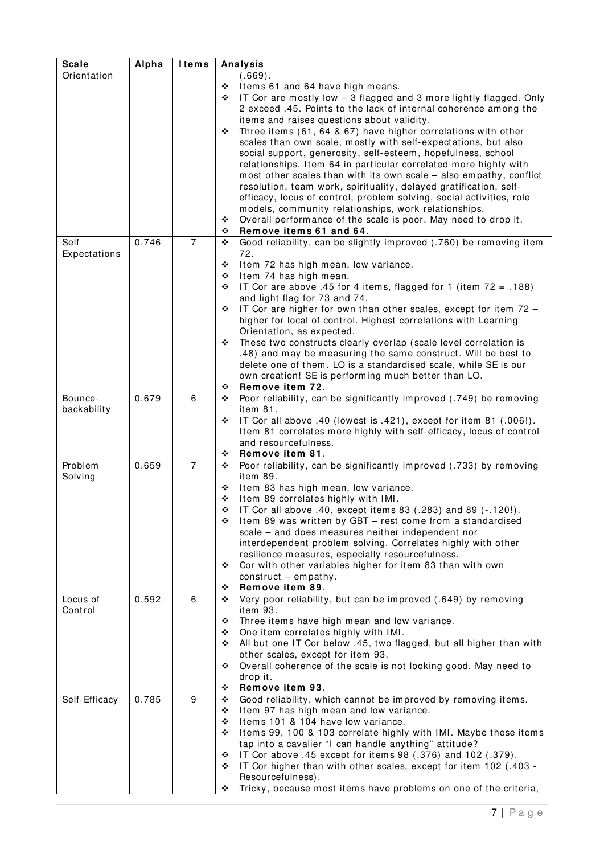| Orientation<br>(.669).<br>Items 61 and 64 have high means.<br>❖<br>IT Cor are mostly low - 3 flagged and 3 more lightly flagged. Only<br>❖<br>2 exceed .45. Points to the lack of internal coherence among the<br>items and raises questions about validity.<br>Three items (61, 64 & 67) have higher correlations with other<br>❖<br>scales than own scale, mostly with self-expectations, but also<br>social support, generosity, self-esteem, hopefulness, school<br>relationships. Item 64 in particular correlated more highly with<br>most other scales than with its own scale - also empathy, conflict<br>resolution, team work, spirituality, delayed gratification, self-<br>efficacy, locus of control, problem solving, social activities, role<br>models, community relationships, work relationships.<br>Overall performance of the scale is poor. May need to drop it.<br>❖<br>Remove items 61 and 64.<br>❖<br>$\overline{7}$<br>0.746<br>Self<br>Good reliability, can be slightly improved (.760) be removing item<br>❖<br>72.<br>Expectations<br>Item 72 has high mean, low variance.<br>❖<br>Item 74 has high mean.<br>❖<br>IT Cor are above .45 for 4 items, flagged for 1 (item $72 = .188$ )<br>❖<br>and light flag for 73 and 74.<br>IT Cor are higher for own than other scales, except for item 72 -<br>❖<br>higher for local of control. Highest correlations with Learning<br>Orientation, as expected.<br>These two constructs clearly overlap (scale level correlation is<br>❖<br>.48) and may be measuring the same construct. Will be best to<br>delete one of them. LO is a standardised scale, while SE is our<br>own creation! SE is performing much better than LO.<br>Remove item 72.<br>❖<br>0.679<br>6<br>Poor reliability, can be significantly improved (.749) be removing<br>Bounce-<br>❖<br>item 81.<br>backability<br>IT Cor all above .40 (lowest is .421), except for item 81 (.006!).<br>❖<br>Item 81 correlates more highly with self-efficacy, locus of control<br>and resourcefulness.<br>Remove item 81.<br>❖<br>Poor reliability, can be significantly improved (.733) by removing<br>Problem<br>0.659<br>7<br>❖<br>Solving<br>item 89.<br>Item 83 has high mean, low variance.<br>❖<br>Item 89 correlates highly with IMI.<br>❖<br>IT Cor all above .40, except items 83 (.283) and 89 (-.120!).<br>❖<br>Item 89 was written by GBT - rest come from a standardised<br>❖<br>scale - and does measures neither independent nor<br>interdependent problem solving. Correlates highly with other<br>resilience measures, especially resourcefulness.<br>Cor with other variables higher for item 83 than with own<br>❖<br>construct $-$ empathy.<br>Remove item 89.<br>❖<br>0.592<br>Very poor reliability, but can be improved (.649) by removing<br>6<br>Locus of<br>❖<br>Control<br>item 93.<br>Three items have high mean and low variance.<br>❖<br>One item correlates highly with IMI.<br>❖<br>All but one IT Cor below .45, two flagged, but all higher than with<br>❖<br>other scales, except for item 93.<br>Overall coherence of the scale is not looking good. May need to<br>❖<br>drop it.<br>Remove item 93.<br>❖<br>0.785<br>9<br>Good reliability, which cannot be improved by removing items.<br>Self-Efficacy<br>❖<br>Item 97 has high mean and low variance.<br>❖<br>Items 101 & 104 have low variance.<br>❖<br>Items 99, 100 & 103 correlate highly with IMI. Maybe these items<br>❖<br>tap into a cavalier "I can handle anything" attitude?<br>IT Cor above .45 except for items 98 (.376) and 102 (.379).<br>❖<br>IT Cor higher than with other scales, except for item 102 (.403 -<br>❖<br>Resourcefulness). | <b>Scale</b> | Alpha | ltems |   | Analysis                                                         |
|--------------------------------------------------------------------------------------------------------------------------------------------------------------------------------------------------------------------------------------------------------------------------------------------------------------------------------------------------------------------------------------------------------------------------------------------------------------------------------------------------------------------------------------------------------------------------------------------------------------------------------------------------------------------------------------------------------------------------------------------------------------------------------------------------------------------------------------------------------------------------------------------------------------------------------------------------------------------------------------------------------------------------------------------------------------------------------------------------------------------------------------------------------------------------------------------------------------------------------------------------------------------------------------------------------------------------------------------------------------------------------------------------------------------------------------------------------------------------------------------------------------------------------------------------------------------------------------------------------------------------------------------------------------------------------------------------------------------------------------------------------------------------------------------------------------------------------------------------------------------------------------------------------------------------------------------------------------------------------------------------------------------------------------------------------------------------------------------------------------------------------------------------------------------------------------------------------------------------------------------------------------------------------------------------------------------------------------------------------------------------------------------------------------------------------------------------------------------------------------------------------------------------------------------------------------------------------------------------------------------------------------------------------------------------------------------------------------------------------------------------------------------------------------------------------------------------------------------------------------------------------------------------------------------------------------------------------------------------------------------------------------------------------------------------------------------------------------------------------------------------------------------------------------------------------------------------------------------------------------------------------------------------------------------------------------------------------------------------------------------------------------------------------------------------------------------------------------------------------------------------------------------------------------------------------------------------------------------------------------------------------------------------------------------------------------|--------------|-------|-------|---|------------------------------------------------------------------|
|                                                                                                                                                                                                                                                                                                                                                                                                                                                                                                                                                                                                                                                                                                                                                                                                                                                                                                                                                                                                                                                                                                                                                                                                                                                                                                                                                                                                                                                                                                                                                                                                                                                                                                                                                                                                                                                                                                                                                                                                                                                                                                                                                                                                                                                                                                                                                                                                                                                                                                                                                                                                                                                                                                                                                                                                                                                                                                                                                                                                                                                                                                                                                                                                                                                                                                                                                                                                                                                                                                                                                                                                                                                                                      |              |       |       |   |                                                                  |
|                                                                                                                                                                                                                                                                                                                                                                                                                                                                                                                                                                                                                                                                                                                                                                                                                                                                                                                                                                                                                                                                                                                                                                                                                                                                                                                                                                                                                                                                                                                                                                                                                                                                                                                                                                                                                                                                                                                                                                                                                                                                                                                                                                                                                                                                                                                                                                                                                                                                                                                                                                                                                                                                                                                                                                                                                                                                                                                                                                                                                                                                                                                                                                                                                                                                                                                                                                                                                                                                                                                                                                                                                                                                                      |              |       |       |   |                                                                  |
|                                                                                                                                                                                                                                                                                                                                                                                                                                                                                                                                                                                                                                                                                                                                                                                                                                                                                                                                                                                                                                                                                                                                                                                                                                                                                                                                                                                                                                                                                                                                                                                                                                                                                                                                                                                                                                                                                                                                                                                                                                                                                                                                                                                                                                                                                                                                                                                                                                                                                                                                                                                                                                                                                                                                                                                                                                                                                                                                                                                                                                                                                                                                                                                                                                                                                                                                                                                                                                                                                                                                                                                                                                                                                      |              |       |       |   |                                                                  |
|                                                                                                                                                                                                                                                                                                                                                                                                                                                                                                                                                                                                                                                                                                                                                                                                                                                                                                                                                                                                                                                                                                                                                                                                                                                                                                                                                                                                                                                                                                                                                                                                                                                                                                                                                                                                                                                                                                                                                                                                                                                                                                                                                                                                                                                                                                                                                                                                                                                                                                                                                                                                                                                                                                                                                                                                                                                                                                                                                                                                                                                                                                                                                                                                                                                                                                                                                                                                                                                                                                                                                                                                                                                                                      |              |       |       |   |                                                                  |
|                                                                                                                                                                                                                                                                                                                                                                                                                                                                                                                                                                                                                                                                                                                                                                                                                                                                                                                                                                                                                                                                                                                                                                                                                                                                                                                                                                                                                                                                                                                                                                                                                                                                                                                                                                                                                                                                                                                                                                                                                                                                                                                                                                                                                                                                                                                                                                                                                                                                                                                                                                                                                                                                                                                                                                                                                                                                                                                                                                                                                                                                                                                                                                                                                                                                                                                                                                                                                                                                                                                                                                                                                                                                                      |              |       |       |   |                                                                  |
|                                                                                                                                                                                                                                                                                                                                                                                                                                                                                                                                                                                                                                                                                                                                                                                                                                                                                                                                                                                                                                                                                                                                                                                                                                                                                                                                                                                                                                                                                                                                                                                                                                                                                                                                                                                                                                                                                                                                                                                                                                                                                                                                                                                                                                                                                                                                                                                                                                                                                                                                                                                                                                                                                                                                                                                                                                                                                                                                                                                                                                                                                                                                                                                                                                                                                                                                                                                                                                                                                                                                                                                                                                                                                      |              |       |       |   |                                                                  |
|                                                                                                                                                                                                                                                                                                                                                                                                                                                                                                                                                                                                                                                                                                                                                                                                                                                                                                                                                                                                                                                                                                                                                                                                                                                                                                                                                                                                                                                                                                                                                                                                                                                                                                                                                                                                                                                                                                                                                                                                                                                                                                                                                                                                                                                                                                                                                                                                                                                                                                                                                                                                                                                                                                                                                                                                                                                                                                                                                                                                                                                                                                                                                                                                                                                                                                                                                                                                                                                                                                                                                                                                                                                                                      |              |       |       |   |                                                                  |
|                                                                                                                                                                                                                                                                                                                                                                                                                                                                                                                                                                                                                                                                                                                                                                                                                                                                                                                                                                                                                                                                                                                                                                                                                                                                                                                                                                                                                                                                                                                                                                                                                                                                                                                                                                                                                                                                                                                                                                                                                                                                                                                                                                                                                                                                                                                                                                                                                                                                                                                                                                                                                                                                                                                                                                                                                                                                                                                                                                                                                                                                                                                                                                                                                                                                                                                                                                                                                                                                                                                                                                                                                                                                                      |              |       |       |   |                                                                  |
|                                                                                                                                                                                                                                                                                                                                                                                                                                                                                                                                                                                                                                                                                                                                                                                                                                                                                                                                                                                                                                                                                                                                                                                                                                                                                                                                                                                                                                                                                                                                                                                                                                                                                                                                                                                                                                                                                                                                                                                                                                                                                                                                                                                                                                                                                                                                                                                                                                                                                                                                                                                                                                                                                                                                                                                                                                                                                                                                                                                                                                                                                                                                                                                                                                                                                                                                                                                                                                                                                                                                                                                                                                                                                      |              |       |       |   |                                                                  |
|                                                                                                                                                                                                                                                                                                                                                                                                                                                                                                                                                                                                                                                                                                                                                                                                                                                                                                                                                                                                                                                                                                                                                                                                                                                                                                                                                                                                                                                                                                                                                                                                                                                                                                                                                                                                                                                                                                                                                                                                                                                                                                                                                                                                                                                                                                                                                                                                                                                                                                                                                                                                                                                                                                                                                                                                                                                                                                                                                                                                                                                                                                                                                                                                                                                                                                                                                                                                                                                                                                                                                                                                                                                                                      |              |       |       |   |                                                                  |
|                                                                                                                                                                                                                                                                                                                                                                                                                                                                                                                                                                                                                                                                                                                                                                                                                                                                                                                                                                                                                                                                                                                                                                                                                                                                                                                                                                                                                                                                                                                                                                                                                                                                                                                                                                                                                                                                                                                                                                                                                                                                                                                                                                                                                                                                                                                                                                                                                                                                                                                                                                                                                                                                                                                                                                                                                                                                                                                                                                                                                                                                                                                                                                                                                                                                                                                                                                                                                                                                                                                                                                                                                                                                                      |              |       |       |   |                                                                  |
|                                                                                                                                                                                                                                                                                                                                                                                                                                                                                                                                                                                                                                                                                                                                                                                                                                                                                                                                                                                                                                                                                                                                                                                                                                                                                                                                                                                                                                                                                                                                                                                                                                                                                                                                                                                                                                                                                                                                                                                                                                                                                                                                                                                                                                                                                                                                                                                                                                                                                                                                                                                                                                                                                                                                                                                                                                                                                                                                                                                                                                                                                                                                                                                                                                                                                                                                                                                                                                                                                                                                                                                                                                                                                      |              |       |       |   |                                                                  |
|                                                                                                                                                                                                                                                                                                                                                                                                                                                                                                                                                                                                                                                                                                                                                                                                                                                                                                                                                                                                                                                                                                                                                                                                                                                                                                                                                                                                                                                                                                                                                                                                                                                                                                                                                                                                                                                                                                                                                                                                                                                                                                                                                                                                                                                                                                                                                                                                                                                                                                                                                                                                                                                                                                                                                                                                                                                                                                                                                                                                                                                                                                                                                                                                                                                                                                                                                                                                                                                                                                                                                                                                                                                                                      |              |       |       |   |                                                                  |
|                                                                                                                                                                                                                                                                                                                                                                                                                                                                                                                                                                                                                                                                                                                                                                                                                                                                                                                                                                                                                                                                                                                                                                                                                                                                                                                                                                                                                                                                                                                                                                                                                                                                                                                                                                                                                                                                                                                                                                                                                                                                                                                                                                                                                                                                                                                                                                                                                                                                                                                                                                                                                                                                                                                                                                                                                                                                                                                                                                                                                                                                                                                                                                                                                                                                                                                                                                                                                                                                                                                                                                                                                                                                                      |              |       |       |   |                                                                  |
|                                                                                                                                                                                                                                                                                                                                                                                                                                                                                                                                                                                                                                                                                                                                                                                                                                                                                                                                                                                                                                                                                                                                                                                                                                                                                                                                                                                                                                                                                                                                                                                                                                                                                                                                                                                                                                                                                                                                                                                                                                                                                                                                                                                                                                                                                                                                                                                                                                                                                                                                                                                                                                                                                                                                                                                                                                                                                                                                                                                                                                                                                                                                                                                                                                                                                                                                                                                                                                                                                                                                                                                                                                                                                      |              |       |       |   |                                                                  |
|                                                                                                                                                                                                                                                                                                                                                                                                                                                                                                                                                                                                                                                                                                                                                                                                                                                                                                                                                                                                                                                                                                                                                                                                                                                                                                                                                                                                                                                                                                                                                                                                                                                                                                                                                                                                                                                                                                                                                                                                                                                                                                                                                                                                                                                                                                                                                                                                                                                                                                                                                                                                                                                                                                                                                                                                                                                                                                                                                                                                                                                                                                                                                                                                                                                                                                                                                                                                                                                                                                                                                                                                                                                                                      |              |       |       |   |                                                                  |
|                                                                                                                                                                                                                                                                                                                                                                                                                                                                                                                                                                                                                                                                                                                                                                                                                                                                                                                                                                                                                                                                                                                                                                                                                                                                                                                                                                                                                                                                                                                                                                                                                                                                                                                                                                                                                                                                                                                                                                                                                                                                                                                                                                                                                                                                                                                                                                                                                                                                                                                                                                                                                                                                                                                                                                                                                                                                                                                                                                                                                                                                                                                                                                                                                                                                                                                                                                                                                                                                                                                                                                                                                                                                                      |              |       |       |   |                                                                  |
|                                                                                                                                                                                                                                                                                                                                                                                                                                                                                                                                                                                                                                                                                                                                                                                                                                                                                                                                                                                                                                                                                                                                                                                                                                                                                                                                                                                                                                                                                                                                                                                                                                                                                                                                                                                                                                                                                                                                                                                                                                                                                                                                                                                                                                                                                                                                                                                                                                                                                                                                                                                                                                                                                                                                                                                                                                                                                                                                                                                                                                                                                                                                                                                                                                                                                                                                                                                                                                                                                                                                                                                                                                                                                      |              |       |       |   |                                                                  |
|                                                                                                                                                                                                                                                                                                                                                                                                                                                                                                                                                                                                                                                                                                                                                                                                                                                                                                                                                                                                                                                                                                                                                                                                                                                                                                                                                                                                                                                                                                                                                                                                                                                                                                                                                                                                                                                                                                                                                                                                                                                                                                                                                                                                                                                                                                                                                                                                                                                                                                                                                                                                                                                                                                                                                                                                                                                                                                                                                                                                                                                                                                                                                                                                                                                                                                                                                                                                                                                                                                                                                                                                                                                                                      |              |       |       |   |                                                                  |
|                                                                                                                                                                                                                                                                                                                                                                                                                                                                                                                                                                                                                                                                                                                                                                                                                                                                                                                                                                                                                                                                                                                                                                                                                                                                                                                                                                                                                                                                                                                                                                                                                                                                                                                                                                                                                                                                                                                                                                                                                                                                                                                                                                                                                                                                                                                                                                                                                                                                                                                                                                                                                                                                                                                                                                                                                                                                                                                                                                                                                                                                                                                                                                                                                                                                                                                                                                                                                                                                                                                                                                                                                                                                                      |              |       |       |   |                                                                  |
|                                                                                                                                                                                                                                                                                                                                                                                                                                                                                                                                                                                                                                                                                                                                                                                                                                                                                                                                                                                                                                                                                                                                                                                                                                                                                                                                                                                                                                                                                                                                                                                                                                                                                                                                                                                                                                                                                                                                                                                                                                                                                                                                                                                                                                                                                                                                                                                                                                                                                                                                                                                                                                                                                                                                                                                                                                                                                                                                                                                                                                                                                                                                                                                                                                                                                                                                                                                                                                                                                                                                                                                                                                                                                      |              |       |       |   |                                                                  |
|                                                                                                                                                                                                                                                                                                                                                                                                                                                                                                                                                                                                                                                                                                                                                                                                                                                                                                                                                                                                                                                                                                                                                                                                                                                                                                                                                                                                                                                                                                                                                                                                                                                                                                                                                                                                                                                                                                                                                                                                                                                                                                                                                                                                                                                                                                                                                                                                                                                                                                                                                                                                                                                                                                                                                                                                                                                                                                                                                                                                                                                                                                                                                                                                                                                                                                                                                                                                                                                                                                                                                                                                                                                                                      |              |       |       |   |                                                                  |
|                                                                                                                                                                                                                                                                                                                                                                                                                                                                                                                                                                                                                                                                                                                                                                                                                                                                                                                                                                                                                                                                                                                                                                                                                                                                                                                                                                                                                                                                                                                                                                                                                                                                                                                                                                                                                                                                                                                                                                                                                                                                                                                                                                                                                                                                                                                                                                                                                                                                                                                                                                                                                                                                                                                                                                                                                                                                                                                                                                                                                                                                                                                                                                                                                                                                                                                                                                                                                                                                                                                                                                                                                                                                                      |              |       |       |   |                                                                  |
|                                                                                                                                                                                                                                                                                                                                                                                                                                                                                                                                                                                                                                                                                                                                                                                                                                                                                                                                                                                                                                                                                                                                                                                                                                                                                                                                                                                                                                                                                                                                                                                                                                                                                                                                                                                                                                                                                                                                                                                                                                                                                                                                                                                                                                                                                                                                                                                                                                                                                                                                                                                                                                                                                                                                                                                                                                                                                                                                                                                                                                                                                                                                                                                                                                                                                                                                                                                                                                                                                                                                                                                                                                                                                      |              |       |       |   |                                                                  |
|                                                                                                                                                                                                                                                                                                                                                                                                                                                                                                                                                                                                                                                                                                                                                                                                                                                                                                                                                                                                                                                                                                                                                                                                                                                                                                                                                                                                                                                                                                                                                                                                                                                                                                                                                                                                                                                                                                                                                                                                                                                                                                                                                                                                                                                                                                                                                                                                                                                                                                                                                                                                                                                                                                                                                                                                                                                                                                                                                                                                                                                                                                                                                                                                                                                                                                                                                                                                                                                                                                                                                                                                                                                                                      |              |       |       |   |                                                                  |
|                                                                                                                                                                                                                                                                                                                                                                                                                                                                                                                                                                                                                                                                                                                                                                                                                                                                                                                                                                                                                                                                                                                                                                                                                                                                                                                                                                                                                                                                                                                                                                                                                                                                                                                                                                                                                                                                                                                                                                                                                                                                                                                                                                                                                                                                                                                                                                                                                                                                                                                                                                                                                                                                                                                                                                                                                                                                                                                                                                                                                                                                                                                                                                                                                                                                                                                                                                                                                                                                                                                                                                                                                                                                                      |              |       |       |   |                                                                  |
|                                                                                                                                                                                                                                                                                                                                                                                                                                                                                                                                                                                                                                                                                                                                                                                                                                                                                                                                                                                                                                                                                                                                                                                                                                                                                                                                                                                                                                                                                                                                                                                                                                                                                                                                                                                                                                                                                                                                                                                                                                                                                                                                                                                                                                                                                                                                                                                                                                                                                                                                                                                                                                                                                                                                                                                                                                                                                                                                                                                                                                                                                                                                                                                                                                                                                                                                                                                                                                                                                                                                                                                                                                                                                      |              |       |       |   |                                                                  |
|                                                                                                                                                                                                                                                                                                                                                                                                                                                                                                                                                                                                                                                                                                                                                                                                                                                                                                                                                                                                                                                                                                                                                                                                                                                                                                                                                                                                                                                                                                                                                                                                                                                                                                                                                                                                                                                                                                                                                                                                                                                                                                                                                                                                                                                                                                                                                                                                                                                                                                                                                                                                                                                                                                                                                                                                                                                                                                                                                                                                                                                                                                                                                                                                                                                                                                                                                                                                                                                                                                                                                                                                                                                                                      |              |       |       |   |                                                                  |
|                                                                                                                                                                                                                                                                                                                                                                                                                                                                                                                                                                                                                                                                                                                                                                                                                                                                                                                                                                                                                                                                                                                                                                                                                                                                                                                                                                                                                                                                                                                                                                                                                                                                                                                                                                                                                                                                                                                                                                                                                                                                                                                                                                                                                                                                                                                                                                                                                                                                                                                                                                                                                                                                                                                                                                                                                                                                                                                                                                                                                                                                                                                                                                                                                                                                                                                                                                                                                                                                                                                                                                                                                                                                                      |              |       |       |   |                                                                  |
|                                                                                                                                                                                                                                                                                                                                                                                                                                                                                                                                                                                                                                                                                                                                                                                                                                                                                                                                                                                                                                                                                                                                                                                                                                                                                                                                                                                                                                                                                                                                                                                                                                                                                                                                                                                                                                                                                                                                                                                                                                                                                                                                                                                                                                                                                                                                                                                                                                                                                                                                                                                                                                                                                                                                                                                                                                                                                                                                                                                                                                                                                                                                                                                                                                                                                                                                                                                                                                                                                                                                                                                                                                                                                      |              |       |       |   |                                                                  |
|                                                                                                                                                                                                                                                                                                                                                                                                                                                                                                                                                                                                                                                                                                                                                                                                                                                                                                                                                                                                                                                                                                                                                                                                                                                                                                                                                                                                                                                                                                                                                                                                                                                                                                                                                                                                                                                                                                                                                                                                                                                                                                                                                                                                                                                                                                                                                                                                                                                                                                                                                                                                                                                                                                                                                                                                                                                                                                                                                                                                                                                                                                                                                                                                                                                                                                                                                                                                                                                                                                                                                                                                                                                                                      |              |       |       |   |                                                                  |
|                                                                                                                                                                                                                                                                                                                                                                                                                                                                                                                                                                                                                                                                                                                                                                                                                                                                                                                                                                                                                                                                                                                                                                                                                                                                                                                                                                                                                                                                                                                                                                                                                                                                                                                                                                                                                                                                                                                                                                                                                                                                                                                                                                                                                                                                                                                                                                                                                                                                                                                                                                                                                                                                                                                                                                                                                                                                                                                                                                                                                                                                                                                                                                                                                                                                                                                                                                                                                                                                                                                                                                                                                                                                                      |              |       |       |   |                                                                  |
|                                                                                                                                                                                                                                                                                                                                                                                                                                                                                                                                                                                                                                                                                                                                                                                                                                                                                                                                                                                                                                                                                                                                                                                                                                                                                                                                                                                                                                                                                                                                                                                                                                                                                                                                                                                                                                                                                                                                                                                                                                                                                                                                                                                                                                                                                                                                                                                                                                                                                                                                                                                                                                                                                                                                                                                                                                                                                                                                                                                                                                                                                                                                                                                                                                                                                                                                                                                                                                                                                                                                                                                                                                                                                      |              |       |       |   |                                                                  |
|                                                                                                                                                                                                                                                                                                                                                                                                                                                                                                                                                                                                                                                                                                                                                                                                                                                                                                                                                                                                                                                                                                                                                                                                                                                                                                                                                                                                                                                                                                                                                                                                                                                                                                                                                                                                                                                                                                                                                                                                                                                                                                                                                                                                                                                                                                                                                                                                                                                                                                                                                                                                                                                                                                                                                                                                                                                                                                                                                                                                                                                                                                                                                                                                                                                                                                                                                                                                                                                                                                                                                                                                                                                                                      |              |       |       |   |                                                                  |
|                                                                                                                                                                                                                                                                                                                                                                                                                                                                                                                                                                                                                                                                                                                                                                                                                                                                                                                                                                                                                                                                                                                                                                                                                                                                                                                                                                                                                                                                                                                                                                                                                                                                                                                                                                                                                                                                                                                                                                                                                                                                                                                                                                                                                                                                                                                                                                                                                                                                                                                                                                                                                                                                                                                                                                                                                                                                                                                                                                                                                                                                                                                                                                                                                                                                                                                                                                                                                                                                                                                                                                                                                                                                                      |              |       |       |   |                                                                  |
|                                                                                                                                                                                                                                                                                                                                                                                                                                                                                                                                                                                                                                                                                                                                                                                                                                                                                                                                                                                                                                                                                                                                                                                                                                                                                                                                                                                                                                                                                                                                                                                                                                                                                                                                                                                                                                                                                                                                                                                                                                                                                                                                                                                                                                                                                                                                                                                                                                                                                                                                                                                                                                                                                                                                                                                                                                                                                                                                                                                                                                                                                                                                                                                                                                                                                                                                                                                                                                                                                                                                                                                                                                                                                      |              |       |       |   |                                                                  |
|                                                                                                                                                                                                                                                                                                                                                                                                                                                                                                                                                                                                                                                                                                                                                                                                                                                                                                                                                                                                                                                                                                                                                                                                                                                                                                                                                                                                                                                                                                                                                                                                                                                                                                                                                                                                                                                                                                                                                                                                                                                                                                                                                                                                                                                                                                                                                                                                                                                                                                                                                                                                                                                                                                                                                                                                                                                                                                                                                                                                                                                                                                                                                                                                                                                                                                                                                                                                                                                                                                                                                                                                                                                                                      |              |       |       |   |                                                                  |
|                                                                                                                                                                                                                                                                                                                                                                                                                                                                                                                                                                                                                                                                                                                                                                                                                                                                                                                                                                                                                                                                                                                                                                                                                                                                                                                                                                                                                                                                                                                                                                                                                                                                                                                                                                                                                                                                                                                                                                                                                                                                                                                                                                                                                                                                                                                                                                                                                                                                                                                                                                                                                                                                                                                                                                                                                                                                                                                                                                                                                                                                                                                                                                                                                                                                                                                                                                                                                                                                                                                                                                                                                                                                                      |              |       |       |   |                                                                  |
|                                                                                                                                                                                                                                                                                                                                                                                                                                                                                                                                                                                                                                                                                                                                                                                                                                                                                                                                                                                                                                                                                                                                                                                                                                                                                                                                                                                                                                                                                                                                                                                                                                                                                                                                                                                                                                                                                                                                                                                                                                                                                                                                                                                                                                                                                                                                                                                                                                                                                                                                                                                                                                                                                                                                                                                                                                                                                                                                                                                                                                                                                                                                                                                                                                                                                                                                                                                                                                                                                                                                                                                                                                                                                      |              |       |       |   |                                                                  |
|                                                                                                                                                                                                                                                                                                                                                                                                                                                                                                                                                                                                                                                                                                                                                                                                                                                                                                                                                                                                                                                                                                                                                                                                                                                                                                                                                                                                                                                                                                                                                                                                                                                                                                                                                                                                                                                                                                                                                                                                                                                                                                                                                                                                                                                                                                                                                                                                                                                                                                                                                                                                                                                                                                                                                                                                                                                                                                                                                                                                                                                                                                                                                                                                                                                                                                                                                                                                                                                                                                                                                                                                                                                                                      |              |       |       |   |                                                                  |
|                                                                                                                                                                                                                                                                                                                                                                                                                                                                                                                                                                                                                                                                                                                                                                                                                                                                                                                                                                                                                                                                                                                                                                                                                                                                                                                                                                                                                                                                                                                                                                                                                                                                                                                                                                                                                                                                                                                                                                                                                                                                                                                                                                                                                                                                                                                                                                                                                                                                                                                                                                                                                                                                                                                                                                                                                                                                                                                                                                                                                                                                                                                                                                                                                                                                                                                                                                                                                                                                                                                                                                                                                                                                                      |              |       |       |   |                                                                  |
|                                                                                                                                                                                                                                                                                                                                                                                                                                                                                                                                                                                                                                                                                                                                                                                                                                                                                                                                                                                                                                                                                                                                                                                                                                                                                                                                                                                                                                                                                                                                                                                                                                                                                                                                                                                                                                                                                                                                                                                                                                                                                                                                                                                                                                                                                                                                                                                                                                                                                                                                                                                                                                                                                                                                                                                                                                                                                                                                                                                                                                                                                                                                                                                                                                                                                                                                                                                                                                                                                                                                                                                                                                                                                      |              |       |       |   |                                                                  |
|                                                                                                                                                                                                                                                                                                                                                                                                                                                                                                                                                                                                                                                                                                                                                                                                                                                                                                                                                                                                                                                                                                                                                                                                                                                                                                                                                                                                                                                                                                                                                                                                                                                                                                                                                                                                                                                                                                                                                                                                                                                                                                                                                                                                                                                                                                                                                                                                                                                                                                                                                                                                                                                                                                                                                                                                                                                                                                                                                                                                                                                                                                                                                                                                                                                                                                                                                                                                                                                                                                                                                                                                                                                                                      |              |       |       |   |                                                                  |
|                                                                                                                                                                                                                                                                                                                                                                                                                                                                                                                                                                                                                                                                                                                                                                                                                                                                                                                                                                                                                                                                                                                                                                                                                                                                                                                                                                                                                                                                                                                                                                                                                                                                                                                                                                                                                                                                                                                                                                                                                                                                                                                                                                                                                                                                                                                                                                                                                                                                                                                                                                                                                                                                                                                                                                                                                                                                                                                                                                                                                                                                                                                                                                                                                                                                                                                                                                                                                                                                                                                                                                                                                                                                                      |              |       |       |   |                                                                  |
|                                                                                                                                                                                                                                                                                                                                                                                                                                                                                                                                                                                                                                                                                                                                                                                                                                                                                                                                                                                                                                                                                                                                                                                                                                                                                                                                                                                                                                                                                                                                                                                                                                                                                                                                                                                                                                                                                                                                                                                                                                                                                                                                                                                                                                                                                                                                                                                                                                                                                                                                                                                                                                                                                                                                                                                                                                                                                                                                                                                                                                                                                                                                                                                                                                                                                                                                                                                                                                                                                                                                                                                                                                                                                      |              |       |       |   |                                                                  |
|                                                                                                                                                                                                                                                                                                                                                                                                                                                                                                                                                                                                                                                                                                                                                                                                                                                                                                                                                                                                                                                                                                                                                                                                                                                                                                                                                                                                                                                                                                                                                                                                                                                                                                                                                                                                                                                                                                                                                                                                                                                                                                                                                                                                                                                                                                                                                                                                                                                                                                                                                                                                                                                                                                                                                                                                                                                                                                                                                                                                                                                                                                                                                                                                                                                                                                                                                                                                                                                                                                                                                                                                                                                                                      |              |       |       |   |                                                                  |
|                                                                                                                                                                                                                                                                                                                                                                                                                                                                                                                                                                                                                                                                                                                                                                                                                                                                                                                                                                                                                                                                                                                                                                                                                                                                                                                                                                                                                                                                                                                                                                                                                                                                                                                                                                                                                                                                                                                                                                                                                                                                                                                                                                                                                                                                                                                                                                                                                                                                                                                                                                                                                                                                                                                                                                                                                                                                                                                                                                                                                                                                                                                                                                                                                                                                                                                                                                                                                                                                                                                                                                                                                                                                                      |              |       |       |   |                                                                  |
|                                                                                                                                                                                                                                                                                                                                                                                                                                                                                                                                                                                                                                                                                                                                                                                                                                                                                                                                                                                                                                                                                                                                                                                                                                                                                                                                                                                                                                                                                                                                                                                                                                                                                                                                                                                                                                                                                                                                                                                                                                                                                                                                                                                                                                                                                                                                                                                                                                                                                                                                                                                                                                                                                                                                                                                                                                                                                                                                                                                                                                                                                                                                                                                                                                                                                                                                                                                                                                                                                                                                                                                                                                                                                      |              |       |       |   |                                                                  |
|                                                                                                                                                                                                                                                                                                                                                                                                                                                                                                                                                                                                                                                                                                                                                                                                                                                                                                                                                                                                                                                                                                                                                                                                                                                                                                                                                                                                                                                                                                                                                                                                                                                                                                                                                                                                                                                                                                                                                                                                                                                                                                                                                                                                                                                                                                                                                                                                                                                                                                                                                                                                                                                                                                                                                                                                                                                                                                                                                                                                                                                                                                                                                                                                                                                                                                                                                                                                                                                                                                                                                                                                                                                                                      |              |       |       |   |                                                                  |
|                                                                                                                                                                                                                                                                                                                                                                                                                                                                                                                                                                                                                                                                                                                                                                                                                                                                                                                                                                                                                                                                                                                                                                                                                                                                                                                                                                                                                                                                                                                                                                                                                                                                                                                                                                                                                                                                                                                                                                                                                                                                                                                                                                                                                                                                                                                                                                                                                                                                                                                                                                                                                                                                                                                                                                                                                                                                                                                                                                                                                                                                                                                                                                                                                                                                                                                                                                                                                                                                                                                                                                                                                                                                                      |              |       |       |   |                                                                  |
|                                                                                                                                                                                                                                                                                                                                                                                                                                                                                                                                                                                                                                                                                                                                                                                                                                                                                                                                                                                                                                                                                                                                                                                                                                                                                                                                                                                                                                                                                                                                                                                                                                                                                                                                                                                                                                                                                                                                                                                                                                                                                                                                                                                                                                                                                                                                                                                                                                                                                                                                                                                                                                                                                                                                                                                                                                                                                                                                                                                                                                                                                                                                                                                                                                                                                                                                                                                                                                                                                                                                                                                                                                                                                      |              |       |       |   |                                                                  |
|                                                                                                                                                                                                                                                                                                                                                                                                                                                                                                                                                                                                                                                                                                                                                                                                                                                                                                                                                                                                                                                                                                                                                                                                                                                                                                                                                                                                                                                                                                                                                                                                                                                                                                                                                                                                                                                                                                                                                                                                                                                                                                                                                                                                                                                                                                                                                                                                                                                                                                                                                                                                                                                                                                                                                                                                                                                                                                                                                                                                                                                                                                                                                                                                                                                                                                                                                                                                                                                                                                                                                                                                                                                                                      |              |       |       |   |                                                                  |
|                                                                                                                                                                                                                                                                                                                                                                                                                                                                                                                                                                                                                                                                                                                                                                                                                                                                                                                                                                                                                                                                                                                                                                                                                                                                                                                                                                                                                                                                                                                                                                                                                                                                                                                                                                                                                                                                                                                                                                                                                                                                                                                                                                                                                                                                                                                                                                                                                                                                                                                                                                                                                                                                                                                                                                                                                                                                                                                                                                                                                                                                                                                                                                                                                                                                                                                                                                                                                                                                                                                                                                                                                                                                                      |              |       |       |   |                                                                  |
|                                                                                                                                                                                                                                                                                                                                                                                                                                                                                                                                                                                                                                                                                                                                                                                                                                                                                                                                                                                                                                                                                                                                                                                                                                                                                                                                                                                                                                                                                                                                                                                                                                                                                                                                                                                                                                                                                                                                                                                                                                                                                                                                                                                                                                                                                                                                                                                                                                                                                                                                                                                                                                                                                                                                                                                                                                                                                                                                                                                                                                                                                                                                                                                                                                                                                                                                                                                                                                                                                                                                                                                                                                                                                      |              |       |       |   |                                                                  |
|                                                                                                                                                                                                                                                                                                                                                                                                                                                                                                                                                                                                                                                                                                                                                                                                                                                                                                                                                                                                                                                                                                                                                                                                                                                                                                                                                                                                                                                                                                                                                                                                                                                                                                                                                                                                                                                                                                                                                                                                                                                                                                                                                                                                                                                                                                                                                                                                                                                                                                                                                                                                                                                                                                                                                                                                                                                                                                                                                                                                                                                                                                                                                                                                                                                                                                                                                                                                                                                                                                                                                                                                                                                                                      |              |       |       |   |                                                                  |
|                                                                                                                                                                                                                                                                                                                                                                                                                                                                                                                                                                                                                                                                                                                                                                                                                                                                                                                                                                                                                                                                                                                                                                                                                                                                                                                                                                                                                                                                                                                                                                                                                                                                                                                                                                                                                                                                                                                                                                                                                                                                                                                                                                                                                                                                                                                                                                                                                                                                                                                                                                                                                                                                                                                                                                                                                                                                                                                                                                                                                                                                                                                                                                                                                                                                                                                                                                                                                                                                                                                                                                                                                                                                                      |              |       |       |   |                                                                  |
|                                                                                                                                                                                                                                                                                                                                                                                                                                                                                                                                                                                                                                                                                                                                                                                                                                                                                                                                                                                                                                                                                                                                                                                                                                                                                                                                                                                                                                                                                                                                                                                                                                                                                                                                                                                                                                                                                                                                                                                                                                                                                                                                                                                                                                                                                                                                                                                                                                                                                                                                                                                                                                                                                                                                                                                                                                                                                                                                                                                                                                                                                                                                                                                                                                                                                                                                                                                                                                                                                                                                                                                                                                                                                      |              |       |       |   |                                                                  |
|                                                                                                                                                                                                                                                                                                                                                                                                                                                                                                                                                                                                                                                                                                                                                                                                                                                                                                                                                                                                                                                                                                                                                                                                                                                                                                                                                                                                                                                                                                                                                                                                                                                                                                                                                                                                                                                                                                                                                                                                                                                                                                                                                                                                                                                                                                                                                                                                                                                                                                                                                                                                                                                                                                                                                                                                                                                                                                                                                                                                                                                                                                                                                                                                                                                                                                                                                                                                                                                                                                                                                                                                                                                                                      |              |       |       |   |                                                                  |
|                                                                                                                                                                                                                                                                                                                                                                                                                                                                                                                                                                                                                                                                                                                                                                                                                                                                                                                                                                                                                                                                                                                                                                                                                                                                                                                                                                                                                                                                                                                                                                                                                                                                                                                                                                                                                                                                                                                                                                                                                                                                                                                                                                                                                                                                                                                                                                                                                                                                                                                                                                                                                                                                                                                                                                                                                                                                                                                                                                                                                                                                                                                                                                                                                                                                                                                                                                                                                                                                                                                                                                                                                                                                                      |              |       |       |   |                                                                  |
|                                                                                                                                                                                                                                                                                                                                                                                                                                                                                                                                                                                                                                                                                                                                                                                                                                                                                                                                                                                                                                                                                                                                                                                                                                                                                                                                                                                                                                                                                                                                                                                                                                                                                                                                                                                                                                                                                                                                                                                                                                                                                                                                                                                                                                                                                                                                                                                                                                                                                                                                                                                                                                                                                                                                                                                                                                                                                                                                                                                                                                                                                                                                                                                                                                                                                                                                                                                                                                                                                                                                                                                                                                                                                      |              |       |       |   |                                                                  |
|                                                                                                                                                                                                                                                                                                                                                                                                                                                                                                                                                                                                                                                                                                                                                                                                                                                                                                                                                                                                                                                                                                                                                                                                                                                                                                                                                                                                                                                                                                                                                                                                                                                                                                                                                                                                                                                                                                                                                                                                                                                                                                                                                                                                                                                                                                                                                                                                                                                                                                                                                                                                                                                                                                                                                                                                                                                                                                                                                                                                                                                                                                                                                                                                                                                                                                                                                                                                                                                                                                                                                                                                                                                                                      |              |       |       | ❖ | Tricky, because most items have problems on one of the criteria, |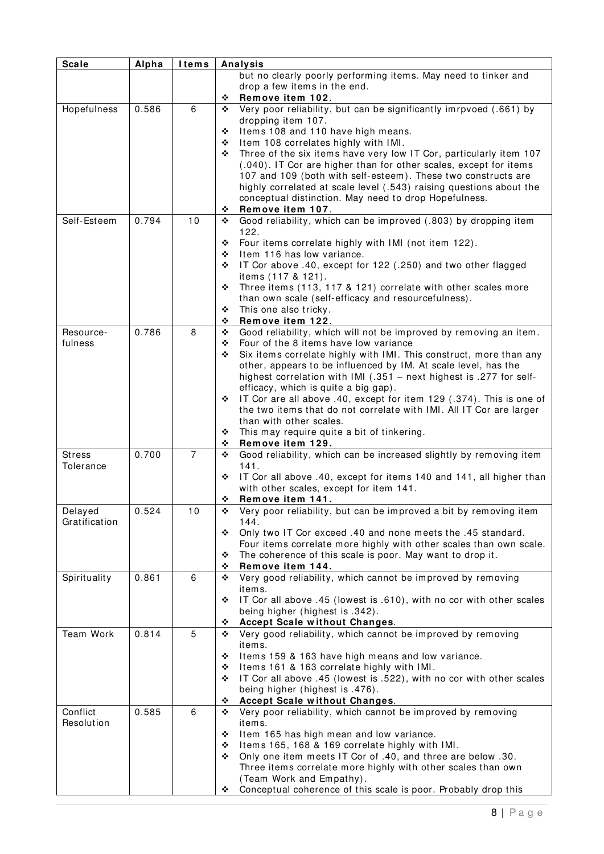| <b>Scale</b>  | Alpha | <b>I</b> tems |   | <b>Analysis</b>                                                                                                      |
|---------------|-------|---------------|---|----------------------------------------------------------------------------------------------------------------------|
|               |       |               |   | but no clearly poorly performing items. May need to tinker and                                                       |
|               |       |               |   | drop a few items in the end.                                                                                         |
|               |       |               | ❖ | Remove item 102.                                                                                                     |
| Hopefulness   | 0.586 | 6             | ❖ | Very poor reliability, but can be significantly imrpvoed (.661) by                                                   |
|               |       |               |   | dropping item 107.                                                                                                   |
|               |       |               | ❖ | Items 108 and 110 have high means.                                                                                   |
|               |       |               | ❖ | Item 108 correlates highly with IMI.                                                                                 |
|               |       |               | ❖ | Three of the six items have very low IT Cor, particularly item 107                                                   |
|               |       |               |   | (.040). IT Cor are higher than for other scales, except for items                                                    |
|               |       |               |   | 107 and 109 (both with self-esteem). These two constructs are                                                        |
|               |       |               |   | highly correlated at scale level (.543) raising questions about the                                                  |
|               |       |               |   | conceptual distinction. May need to drop Hopefulness.                                                                |
|               |       |               | ❖ | Remove item 107.                                                                                                     |
| Self-Esteem   | 0.794 | 10            | ❖ | Good reliability, which can be improved (.803) by dropping item                                                      |
|               |       |               |   | 122.                                                                                                                 |
|               |       |               | ❖ | Four items correlate highly with IMI (not item 122).                                                                 |
|               |       |               | ❖ | Item 116 has low variance.                                                                                           |
|               |       |               | ❖ | IT Cor above .40, except for 122 (.250) and two other flagged                                                        |
|               |       |               | ❖ | items (117 & 121).                                                                                                   |
|               |       |               |   | Three items (113, 117 & 121) correlate with other scales more<br>than own scale (self-efficacy and resourcefulness). |
|               |       |               | ❖ | This one also tricky.                                                                                                |
|               |       |               | ❖ | Remove item 122.                                                                                                     |
| Resource-     | 0.786 | 8             | ❖ | Good reliability, which will not be improved by removing an item.                                                    |
| fulness       |       |               | ❖ | Four of the 8 items have low variance                                                                                |
|               |       |               | ❖ | Six items correlate highly with IMI. This construct, more than any                                                   |
|               |       |               |   | other, appears to be influenced by IM. At scale level, has the                                                       |
|               |       |               |   | highest correlation with IMI (.351 - next highest is .277 for self-                                                  |
|               |       |               |   | efficacy, which is quite a big gap).                                                                                 |
|               |       |               | ❖ | IT Cor are all above .40, except for item 129 (.374). This is one of                                                 |
|               |       |               |   | the two items that do not correlate with IMI. All IT Cor are larger                                                  |
|               |       |               |   | than with other scales.                                                                                              |
|               |       |               | ❖ | This may require quite a bit of tinkering.                                                                           |
|               |       |               | ❖ | Remove item 129.                                                                                                     |
| <b>Stress</b> | 0.700 | 7             | ❖ | Good reliability, which can be increased slightly by removing item                                                   |
| Tolerance     |       |               |   | 141.                                                                                                                 |
|               |       |               | ❖ | IT Cor all above .40, except for items 140 and 141, all higher than                                                  |
|               |       |               |   | with other scales, except for item 141.                                                                              |
|               |       |               | ❖ | Remove item 141.                                                                                                     |
| Delayed       | 0.524 | 10            | ÷ | Very poor reliability, but can be improved a bit by removing item                                                    |
| Gratification |       |               |   | 144.                                                                                                                 |
|               |       |               | ❖ | Only two IT Cor exceed .40 and none meets the .45 standard.                                                          |
|               |       |               |   | Four items correlate more highly with other scales than own scale.                                                   |
|               |       |               | ❖ | The coherence of this scale is poor. May want to drop it.                                                            |
|               | 0.861 | 6             | ❖ | Remove item 144.                                                                                                     |
| Spirituality  |       |               | ❖ | Very good reliability, which cannot be improved by removing<br>items.                                                |
|               |       |               | ❖ | IT Cor all above .45 (lowest is .610), with no cor with other scales                                                 |
|               |       |               |   | being higher (highest is .342).                                                                                      |
|               |       |               | ❖ | Accept Scale without Changes.                                                                                        |
| Team Work     | 0.814 | 5             | ❖ | Very good reliability, which cannot be improved by removing                                                          |
|               |       |               |   | items.                                                                                                               |
|               |       |               | ❖ | Items 159 & 163 have high means and low variance.                                                                    |
|               |       |               | ❖ | Items 161 & 163 correlate highly with IMI.                                                                           |
|               |       |               | ❖ | IT Cor all above .45 (lowest is .522), with no cor with other scales                                                 |
|               |       |               |   | being higher (highest is .476).                                                                                      |
|               |       |               | ❖ | <b>Accept Scale without Changes.</b>                                                                                 |
| Conflict      | 0.585 | 6             | ❖ | Very poor reliability, which cannot be improved by removing                                                          |
| Resolution    |       |               |   | items.                                                                                                               |
|               |       |               | ❖ | Item 165 has high mean and low variance.                                                                             |
|               |       |               | ❖ | Items 165, 168 & 169 correlate highly with IMI.                                                                      |
|               |       |               | ❖ | Only one item meets IT Cor of .40, and three are below .30.                                                          |
|               |       |               |   | Three items correlate more highly with other scales than own                                                         |
|               |       |               |   | (Team Work and Empathy).                                                                                             |
|               |       |               | ❖ | Conceptual coherence of this scale is poor. Probably drop this                                                       |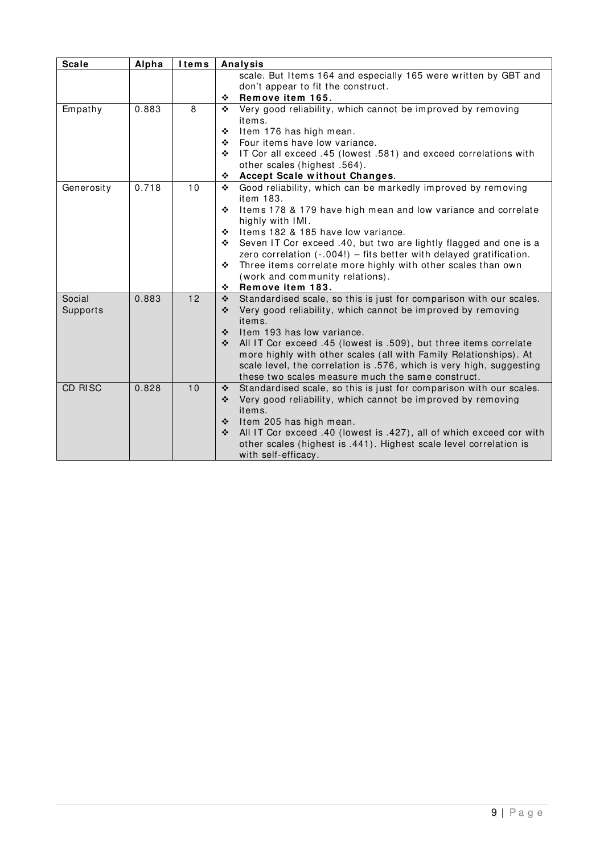| <b>Scale</b> | Alpha | <b>Items</b> | Analysis                                                                                                                               |
|--------------|-------|--------------|----------------------------------------------------------------------------------------------------------------------------------------|
|              |       |              | scale. But Items 164 and especially 165 were written by GBT and                                                                        |
|              |       |              | don't appear to fit the construct.                                                                                                     |
|              |       |              | Remove item 165.<br>❖                                                                                                                  |
| Empathy      | 0.883 | 8            | Very good reliability, which cannot be improved by removing<br>❖                                                                       |
|              |       |              | items.                                                                                                                                 |
|              |       |              | Item 176 has high mean.<br>❖                                                                                                           |
|              |       |              | Four items have low variance.<br>❖                                                                                                     |
|              |       |              | IT Cor all exceed .45 (lowest .581) and exceed correlations with<br>❖                                                                  |
|              |       |              | other scales (highest .564).                                                                                                           |
|              |       |              | Accept Scale without Changes.<br>❖                                                                                                     |
| Generosity   | 0.718 | 10           | Good reliability, which can be markedly improved by removing<br>❖                                                                      |
|              |       |              | item 183.                                                                                                                              |
|              |       |              | Items 178 & 179 have high mean and low variance and correlate<br>❖                                                                     |
|              |       |              | highly with IMI.                                                                                                                       |
|              |       |              | Items 182 & 185 have low variance.<br>❖                                                                                                |
|              |       |              | Seven IT Cor exceed .40, but two are lightly flagged and one is a<br>❖                                                                 |
|              |       |              | zero correlation (-.004!) - fits better with delayed gratification.                                                                    |
|              |       |              | Three items correlate more highly with other scales than own<br>❖                                                                      |
|              |       |              | (work and community relations).                                                                                                        |
|              |       |              | Remove item 183.<br>❖                                                                                                                  |
| Social       | 0.883 | 12           | Standardised scale, so this is just for comparison with our scales.<br>$\frac{1}{2}$                                                   |
| Supports     |       |              | Very good reliability, which cannot be improved by removing<br>❖<br>items.                                                             |
|              |       |              | Item 193 has low variance.<br>❖                                                                                                        |
|              |       |              | ❖                                                                                                                                      |
|              |       |              | All IT Cor exceed .45 (lowest is .509), but three items correlate<br>more highly with other scales (all with Family Relationships). At |
|              |       |              | scale level, the correlation is .576, which is very high, suggesting                                                                   |
|              |       |              | these two scales measure much the same construct.                                                                                      |
| CD RISC      | 0.828 | 10           | Standardised scale, so this is just for comparison with our scales.<br>$\frac{1}{2}$                                                   |
|              |       |              | Very good reliability, which cannot be improved by removing<br>❖                                                                       |
|              |       |              | items.                                                                                                                                 |
|              |       |              | ❖<br>Item 205 has high mean.                                                                                                           |
|              |       |              | All IT Cor exceed .40 (lowest is .427), all of which exceed cor with<br>$\ddot{\bullet}$                                               |
|              |       |              | other scales (highest is .441). Highest scale level correlation is                                                                     |
|              |       |              | with self-efficacy.                                                                                                                    |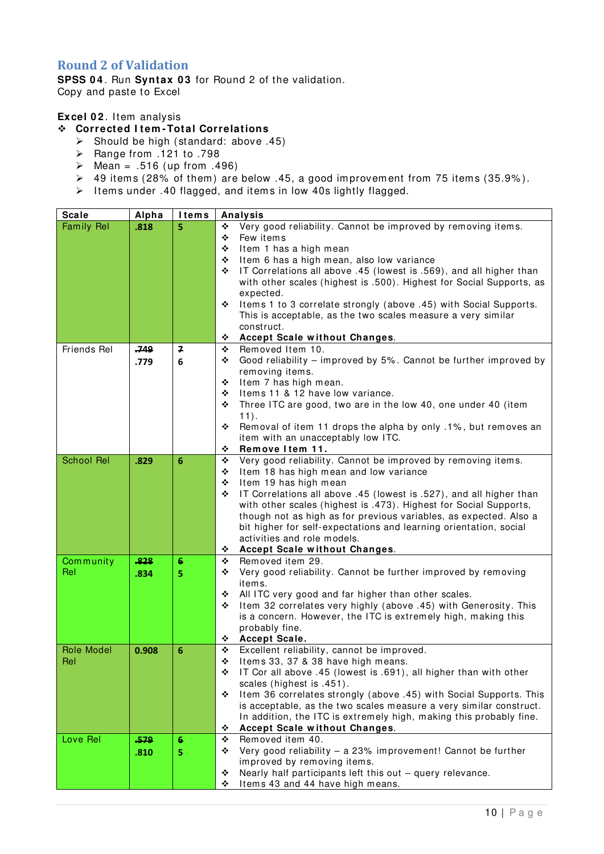### <span id="page-11-0"></span>**Round 2 of Validation**

**SPSS 0 4** . Run **Syntax 0 3** for Round 2 of the validation. Copy and paste to Excel

**Excel 0 2** . Item analysis

#### **Corrected I tem -Total Correlations**

- $\geq$  Should be high (standard: above .45)
- $\triangleright$  Range from .121 to .798
- $\triangleright$  Mean = .516 (up from .496)
- $\triangleright$  49 items (28% of them) are below .45, a good improvement from 75 items (35.9%).
- $\geq$  Items under .40 flagged, and items in low 40s lightly flagged.

| <b>Scale</b>      | Alpha | <b>I</b> tems | Analysis                                                                                                                               |  |  |
|-------------------|-------|---------------|----------------------------------------------------------------------------------------------------------------------------------------|--|--|
| <b>Family Rel</b> | .818  | 5             | Very good reliability. Cannot be improved by removing items.<br>❖                                                                      |  |  |
|                   |       |               | Few items<br>❖                                                                                                                         |  |  |
|                   |       |               | Item 1 has a high mean<br>❖                                                                                                            |  |  |
|                   |       |               | Item 6 has a high mean, also low variance<br>❖                                                                                         |  |  |
|                   |       |               | IT Correlations all above .45 (lowest is .569), and all higher than<br>❖                                                               |  |  |
|                   |       |               | with other scales (highest is .500). Highest for Social Supports, as                                                                   |  |  |
|                   |       |               | expected.                                                                                                                              |  |  |
|                   |       |               | Items 1 to 3 correlate strongly (above .45) with Social Supports.<br>❖                                                                 |  |  |
|                   |       |               | This is acceptable, as the two scales measure a very similar                                                                           |  |  |
|                   |       |               | construct.                                                                                                                             |  |  |
|                   |       |               | Accept Scale without Changes.<br>❖                                                                                                     |  |  |
| Friends Rel       | 749،  | 7             | Removed Item 10.<br>٠                                                                                                                  |  |  |
|                   | .779  | 6             | Good reliability - improved by 5%. Cannot be further improved by<br>❖                                                                  |  |  |
|                   |       |               | removing items.                                                                                                                        |  |  |
|                   |       |               | Item 7 has high mean.<br>❖                                                                                                             |  |  |
|                   |       |               | Items 11 & 12 have low variance.<br>❖                                                                                                  |  |  |
|                   |       |               | Three ITC are good, two are in the low 40, one under 40 (item<br>❖                                                                     |  |  |
|                   |       |               | $11$ .                                                                                                                                 |  |  |
|                   |       |               | Removal of item 11 drops the alpha by only .1%, but removes an<br>❖                                                                    |  |  |
|                   |       |               | item with an unacceptably low ITC.                                                                                                     |  |  |
|                   |       |               | Remove Item 11.<br>❖                                                                                                                   |  |  |
| <b>School Rel</b> | .829  | 6             | Very good reliability. Cannot be improved by removing items.<br>❖                                                                      |  |  |
|                   |       |               | Item 18 has high mean and low variance<br>❖                                                                                            |  |  |
|                   |       |               | Item 19 has high mean<br>❖                                                                                                             |  |  |
|                   |       |               | IT Correlations all above .45 (lowest is .527), and all higher than<br>❖                                                               |  |  |
|                   |       |               | with other scales (highest is .473). Highest for Social Supports,<br>though not as high as for previous variables, as expected. Also a |  |  |
|                   |       |               | bit higher for self-expectations and learning orientation, social                                                                      |  |  |
|                   |       |               | activities and role models.                                                                                                            |  |  |
|                   |       |               | <b>Accept Scale without Changes.</b><br>❖                                                                                              |  |  |
| Community         | .828  | 6             | Removed item 29.<br>٠                                                                                                                  |  |  |
| Rel               |       |               | Very good reliability. Cannot be further improved by removing<br>❖                                                                     |  |  |
|                   | .834  | 5             | items.                                                                                                                                 |  |  |
|                   |       |               | All ITC very good and far higher than other scales.<br>٠                                                                               |  |  |
|                   |       |               | Item 32 correlates very highly (above .45) with Generosity. This<br>❖                                                                  |  |  |
|                   |       |               | is a concern. However, the ITC is extremely high, making this                                                                          |  |  |
|                   |       |               | probably fine.                                                                                                                         |  |  |
|                   |       |               | Accept Scale.<br>❖                                                                                                                     |  |  |
| Role Model        | 0.908 | 6             | Excellent reliability, cannot be improved.<br>❖                                                                                        |  |  |
| Rel               |       |               | Items 33, 37 & 38 have high means.<br>❖                                                                                                |  |  |
|                   |       |               | IT Cor all above .45 (lowest is .691), all higher than with other<br>❖                                                                 |  |  |
|                   |       |               | scales (highest is .451).                                                                                                              |  |  |
|                   |       |               | Item 36 correlates strongly (above .45) with Social Supports. This<br>❖                                                                |  |  |
|                   |       |               | is acceptable, as the two scales measure a very similar construct.                                                                     |  |  |
|                   |       |               | In addition, the ITC is extremely high, making this probably fine.                                                                     |  |  |
|                   |       |               | Accept Scale without Changes.<br>❖                                                                                                     |  |  |
| Love Rel          | .579  | 6             | Removed item 40.<br>٠                                                                                                                  |  |  |
|                   | .810  | 5             | Very good reliability - a 23% improvement! Cannot be further<br>❖                                                                      |  |  |
|                   |       |               | improved by removing items.                                                                                                            |  |  |
|                   |       |               | Nearly half participants left this out - query relevance.<br>❖                                                                         |  |  |
|                   |       |               | Items 43 and 44 have high means.<br>❖                                                                                                  |  |  |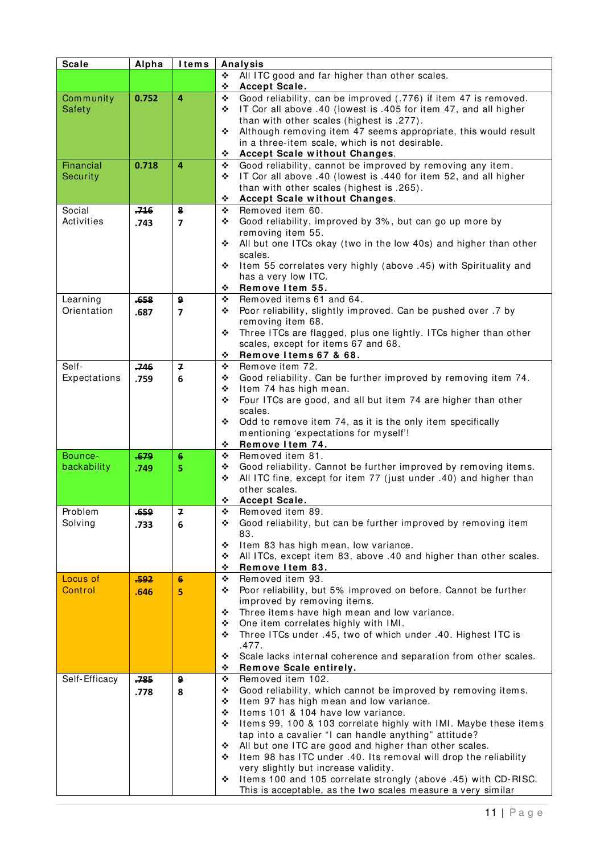| <b>Scale</b>        | Alpha  | <b>Items</b>            | Analysis |                                                                                                                           |
|---------------------|--------|-------------------------|----------|---------------------------------------------------------------------------------------------------------------------------|
|                     |        |                         | ❖        | All ITC good and far higher than other scales.                                                                            |
|                     |        |                         | ٠        | Accept Scale.                                                                                                             |
| Community           | 0.752  | $\overline{a}$          | ❖        | Good reliability, can be improved (.776) if item 47 is removed.                                                           |
| Safety              |        |                         | ❖        | IT Cor all above .40 (lowest is .405 for item 47, and all higher                                                          |
|                     |        |                         |          | than with other scales (highest is .277).                                                                                 |
|                     |        |                         | ❖        | Although removing item 47 seems appropriate, this would result                                                            |
|                     |        |                         | ❖        | in a three-item scale, which is not desirable.<br><b>Accept Scale without Changes.</b>                                    |
| Financial           | 0.718  | 4                       | ❖        | Good reliability, cannot be improved by removing any item.                                                                |
| Security            |        |                         | ❖        | IT Cor all above .40 (lowest is .440 for item 52, and all higher                                                          |
|                     |        |                         |          | than with other scales (highest is .265).                                                                                 |
|                     |        |                         | ❖        | Accept Scale without Changes.                                                                                             |
| Social              | $-716$ | 8                       | ❖        | Removed item 60.                                                                                                          |
| Activities          | .743   | $\overline{ }$          | ❖        | Good reliability, improved by 3%, but can go up more by                                                                   |
|                     |        |                         |          | removing item 55.                                                                                                         |
|                     |        |                         | ❖        | All but one ITCs okay (two in the low 40s) and higher than other                                                          |
|                     |        |                         |          | scales.                                                                                                                   |
|                     |        |                         | ❖        | Item 55 correlates very highly (above .45) with Spirituality and                                                          |
|                     |        |                         |          | has a very low ITC.                                                                                                       |
| Learning            | .658   | 9                       | ❖<br>❖   | Remove Item 55.<br>Removed items 61 and 64.                                                                               |
| Orientation         | .687   | $\overline{\mathbf{z}}$ | ❖        | Poor reliability, slightly improved. Can be pushed over .7 by                                                             |
|                     |        |                         |          | removing item 68.                                                                                                         |
|                     |        |                         | ❖        | Three ITCs are flagged, plus one lightly. ITCs higher than other                                                          |
|                     |        |                         |          | scales, except for items 67 and 68.                                                                                       |
|                     |        |                         | ❖        | Remove Items 67 & 68.                                                                                                     |
| Self-               | .746   | $\overline{ }$          | ❖        | Remove item 72.                                                                                                           |
| Expectations        | .759   | 6                       | ❖        | Good reliability. Can be further improved by removing item 74.                                                            |
|                     |        |                         | ❖        | Item 74 has high mean.                                                                                                    |
|                     |        |                         | ❖        | Four ITCs are good, and all but item 74 are higher than other                                                             |
|                     |        |                         |          | scales.                                                                                                                   |
|                     |        |                         | ❖        | Odd to remove item 74, as it is the only item specifically                                                                |
|                     |        |                         | ❖        | mentioning 'expectations for myself'!<br>Remove Item 74.                                                                  |
| Bounce-             | .679   | 6                       | ❖        | Removed item 81.                                                                                                          |
| backability         | .749   | 5                       | ❖        | Good reliability. Cannot be further improved by removing items.                                                           |
|                     |        |                         | ❖        | All ITC fine, except for item 77 (just under .40) and higher than                                                         |
|                     |        |                         |          | other scales.                                                                                                             |
|                     |        |                         | ❖        | Accept Scale.                                                                                                             |
| Problem             | .659   | 7                       | ÷.       | Removed item 89.                                                                                                          |
| Solving             | .733   | 6                       | ❖        | Good reliability, but can be further improved by removing item                                                            |
|                     |        |                         |          | 83.                                                                                                                       |
|                     |        |                         | ❖        | Item 83 has high mean, low variance.                                                                                      |
|                     |        |                         | ❖        | All ITCs, except item 83, above .40 and higher than other scales.                                                         |
|                     |        |                         | ❖        | Remove Item 83.                                                                                                           |
| Locus of<br>Control | .592   | 6                       | ❖<br>❖   | Removed item 93.<br>Poor reliability, but 5% improved on before. Cannot be further                                        |
|                     | .646   | 5                       |          | improved by removing items.                                                                                               |
|                     |        |                         | ❖        | Three items have high mean and low variance.                                                                              |
|                     |        |                         | ❖        | One item correlates highly with IMI.                                                                                      |
|                     |        |                         | ❖        | Three ITCs under .45, two of which under .40. Highest ITC is                                                              |
|                     |        |                         |          | .477.                                                                                                                     |
|                     |        |                         | ٠        | Scale lacks internal coherence and separation from other scales.                                                          |
|                     |        |                         | ❖        | Remove Scale entirely.                                                                                                    |
| Self-Efficacy       | .785   | 9                       | ❖        | Removed item 102.                                                                                                         |
|                     | .778   | 8                       | ❖        | Good reliability, which cannot be improved by removing items.                                                             |
|                     |        |                         | ❖        | Item 97 has high mean and low variance.                                                                                   |
|                     |        |                         | ❖<br>❖   | Items 101 & 104 have low variance.                                                                                        |
|                     |        |                         |          | Items 99, 100 & 103 correlate highly with IMI. Maybe these items<br>tap into a cavalier "I can handle anything" attitude? |
|                     |        |                         | ❖        | All but one ITC are good and higher than other scales.                                                                    |
|                     |        |                         | ❖        | Item 98 has ITC under .40. Its removal will drop the reliability                                                          |
|                     |        |                         |          | very slightly but increase validity.                                                                                      |
|                     |        |                         | ❖        | Items 100 and 105 correlate strongly (above .45) with CD-RISC.                                                            |
|                     |        |                         |          | This is acceptable, as the two scales measure a very similar                                                              |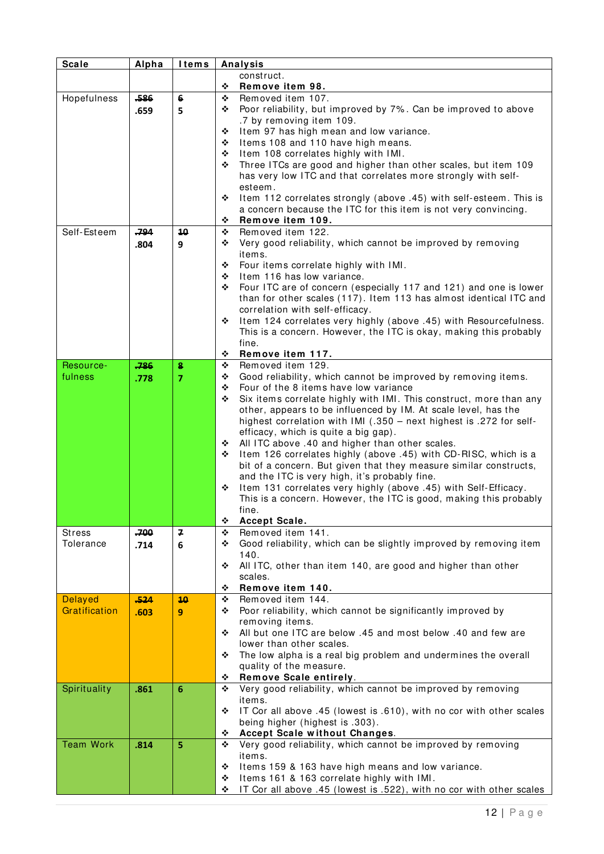| <b>Scale</b>     | Alpha | <b>Items</b>    |        | <b>Analysis</b>                                                                                                                      |
|------------------|-------|-----------------|--------|--------------------------------------------------------------------------------------------------------------------------------------|
|                  |       |                 |        | construct.                                                                                                                           |
|                  |       |                 | ❖      | Remove item 98.                                                                                                                      |
| Hopefulness      | .586  | 6               | ❖      | Removed item 107.                                                                                                                    |
|                  | .659  | 5               | ❖      | Poor reliability, but improved by 7%. Can be improved to above                                                                       |
|                  |       |                 |        | .7 by removing item 109.                                                                                                             |
|                  |       |                 | ❖      | Item 97 has high mean and low variance.                                                                                              |
|                  |       |                 | ❖<br>❖ | Items 108 and 110 have high means.<br>Item 108 correlates highly with IMI.                                                           |
|                  |       |                 | ❖      | Three ITCs are good and higher than other scales, but item 109                                                                       |
|                  |       |                 |        | has very low ITC and that correlates more strongly with self-                                                                        |
|                  |       |                 |        | esteem.                                                                                                                              |
|                  |       |                 | ❖      | Item 112 correlates strongly (above .45) with self-esteem. This is                                                                   |
|                  |       |                 |        | a concern because the ITC for this item is not very convincing.                                                                      |
|                  |       |                 | ❖      | Remove item 109.                                                                                                                     |
| Self-Esteem      | ,794  | 10              | ❖      | Removed item 122.                                                                                                                    |
|                  | .804  | 9               | ❖      | Very good reliability, which cannot be improved by removing                                                                          |
|                  |       |                 |        | items.                                                                                                                               |
|                  |       |                 | ❖      | Four items correlate highly with IMI.                                                                                                |
|                  |       |                 | ❖<br>❖ | Item 116 has low variance.<br>Four ITC are of concern (especially 117 and 121) and one is lower                                      |
|                  |       |                 |        | than for other scales (117). Item 113 has almost identical ITC and                                                                   |
|                  |       |                 |        | correlation with self-efficacy.                                                                                                      |
|                  |       |                 | ❖      | Item 124 correlates very highly (above .45) with Resourcefulness.                                                                    |
|                  |       |                 |        | This is a concern. However, the ITC is okay, making this probably                                                                    |
|                  |       |                 |        | fine.                                                                                                                                |
|                  |       |                 | ❖      | Remove item 117.                                                                                                                     |
| Resource-        | 786   | 8               | ❖      | Removed item 129.                                                                                                                    |
| fulness          | .778  | $\overline{7}$  | ❖      | Good reliability, which cannot be improved by removing items.                                                                        |
|                  |       |                 | ❖      | Four of the 8 items have low variance                                                                                                |
|                  |       |                 | ❖      | Six items correlate highly with IMI. This construct, more than any<br>other, appears to be influenced by IM. At scale level, has the |
|                  |       |                 |        | highest correlation with IMI (.350 - next highest is .272 for self-                                                                  |
|                  |       |                 |        | efficacy, which is quite a big gap).                                                                                                 |
|                  |       |                 | ❖      | All ITC above .40 and higher than other scales.                                                                                      |
|                  |       |                 | ❖      | Item 126 correlates highly (above .45) with CD-RISC, which is a                                                                      |
|                  |       |                 |        | bit of a concern. But given that they measure similar constructs,                                                                    |
|                  |       |                 |        | and the ITC is very high, it's probably fine.                                                                                        |
|                  |       |                 | ❖      | Item 131 correlates very highly (above .45) with Self-Efficacy.                                                                      |
|                  |       |                 |        | This is a concern. However, the ITC is good, making this probably                                                                    |
|                  |       |                 |        | fine.                                                                                                                                |
| Stress           | .700  | 7               | ❖<br>❖ | Accept Scale.<br>Removed item 141.                                                                                                   |
| Tolerance        | .714  | 6               | ❖      | Good reliability, which can be slightly improved by removing item                                                                    |
|                  |       |                 |        | 140.                                                                                                                                 |
|                  |       |                 | ❖      | All ITC, other than item 140, are good and higher than other                                                                         |
|                  |       |                 |        | scales.                                                                                                                              |
|                  |       |                 | ❖      | Remove item 140.                                                                                                                     |
| <b>Delayed</b>   | ,524  | 10              | ❖      | Removed item 144.                                                                                                                    |
| Gratification    | .603  | 9               | ❖      | Poor reliability, which cannot be significantly improved by                                                                          |
|                  |       |                 | ❖      | removing items.<br>All but one ITC are below .45 and most below .40 and few are                                                      |
|                  |       |                 |        | lower than other scales.                                                                                                             |
|                  |       |                 | ❖      | The low alpha is a real big problem and undermines the overall                                                                       |
|                  |       |                 |        | quality of the measure.                                                                                                              |
|                  |       |                 | ❖      | Remove Scale entirely.                                                                                                               |
| Spirituality     | .861  | $6\phantom{1}6$ | ❖      | Very good reliability, which cannot be improved by removing                                                                          |
|                  |       |                 |        | items.                                                                                                                               |
|                  |       |                 | ❖      | IT Cor all above .45 (lowest is .610), with no cor with other scales                                                                 |
|                  |       |                 |        | being higher (highest is .303).                                                                                                      |
|                  |       |                 | ❖      | Accept Scale without Changes.                                                                                                        |
| <b>Team Work</b> | .814  | 5               | ❖      | Very good reliability, which cannot be improved by removing                                                                          |
|                  |       |                 |        | items.                                                                                                                               |
|                  |       |                 | ❖<br>❖ | Items 159 & 163 have high means and low variance.<br>Items 161 & 163 correlate highly with IMI.                                      |
|                  |       |                 | ❖      | IT Cor all above .45 (lowest is .522), with no cor with other scales                                                                 |
|                  |       |                 |        |                                                                                                                                      |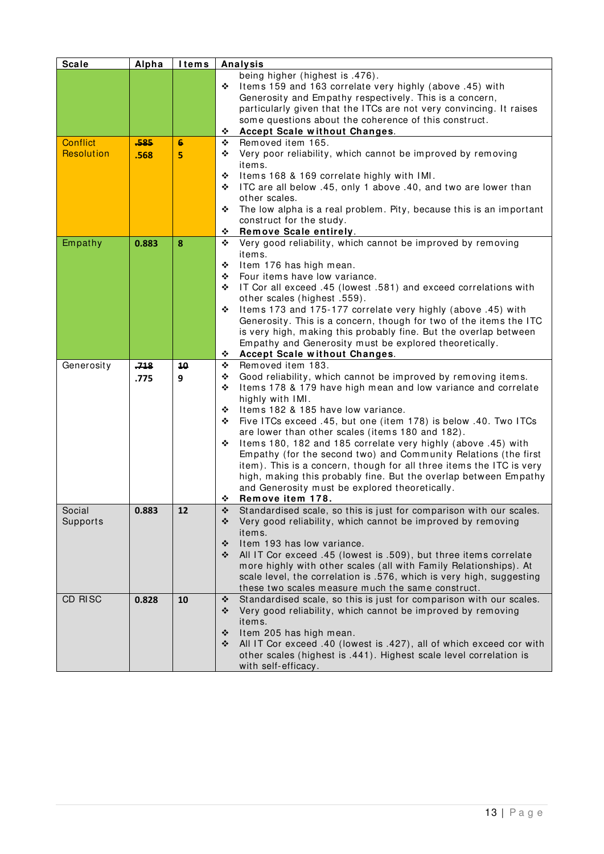| <b>Scale</b>      | Alpha | <b>Items</b> | Analysis                                                                                                                              |
|-------------------|-------|--------------|---------------------------------------------------------------------------------------------------------------------------------------|
|                   |       |              | being higher (highest is .476).                                                                                                       |
|                   |       |              | Items 159 and 163 correlate very highly (above .45) with<br>❖                                                                         |
|                   |       |              | Generosity and Empathy respectively. This is a concern,                                                                               |
|                   |       |              | particularly given that the ITCs are not very convincing. It raises                                                                   |
|                   |       |              | some questions about the coherence of this construct.                                                                                 |
|                   |       |              | Accept Scale without Changes.<br>❖                                                                                                    |
| <b>Conflict</b>   | -585  | 6            | Removed item 165.<br>❖                                                                                                                |
| <b>Resolution</b> | .568  | 5            | Very poor reliability, which cannot be improved by removing<br>❖                                                                      |
|                   |       |              | items.                                                                                                                                |
|                   |       |              | ❖<br>Items 168 & 169 correlate highly with IMI.                                                                                       |
|                   |       |              | ITC are all below .45, only 1 above .40, and two are lower than<br>❖                                                                  |
|                   |       |              | other scales.                                                                                                                         |
|                   |       |              | The low alpha is a real problem. Pity, because this is an important<br>❖                                                              |
|                   |       |              | construct for the study.<br>Remove Scale entirely.<br>❖                                                                               |
| Empathy           | 0.883 | 8            | Very good reliability, which cannot be improved by removing<br>❖                                                                      |
|                   |       |              | items.                                                                                                                                |
|                   |       |              | Item 176 has high mean.<br>❖                                                                                                          |
|                   |       |              | Four items have low variance.<br>❖                                                                                                    |
|                   |       |              | IT Cor all exceed .45 (lowest .581) and exceed correlations with<br>❖                                                                 |
|                   |       |              | other scales (highest .559).                                                                                                          |
|                   |       |              | Items 173 and 175-177 correlate very highly (above .45) with<br>❖                                                                     |
|                   |       |              | Generosity. This is a concern, though for two of the items the ITC                                                                    |
|                   |       |              | is very high, making this probably fine. But the overlap between                                                                      |
|                   |       |              | Empathy and Generosity must be explored theoretically.                                                                                |
|                   |       |              | Accept Scale without Changes.<br>❖                                                                                                    |
| Generosity        | .718  | 10           | Removed item 183.<br>❖                                                                                                                |
|                   | .775  | 9            | Good reliability, which cannot be improved by removing items.<br>❖                                                                    |
|                   |       |              | Items 178 & 179 have high mean and low variance and correlate<br>❖                                                                    |
|                   |       |              | highly with IMI.                                                                                                                      |
|                   |       |              | Items 182 & 185 have low variance.<br>❖                                                                                               |
|                   |       |              | Five ITCs exceed .45, but one (item 178) is below .40. Two ITCs<br>❖                                                                  |
|                   |       |              | are lower than other scales (items 180 and 182).                                                                                      |
|                   |       |              | Items 180, 182 and 185 correlate very highly (above .45) with<br>❖<br>Empathy (for the second two) and Community Relations (the first |
|                   |       |              | item). This is a concern, though for all three items the ITC is very                                                                  |
|                   |       |              | high, making this probably fine. But the overlap between Empathy                                                                      |
|                   |       |              | and Generosity must be explored theoretically.                                                                                        |
|                   |       |              | Remove item 178.<br>❖                                                                                                                 |
| Social            | 0.883 | 12           | $\bullet^{\bullet}_{\bullet}$<br>Standardised scale, so this is just for comparison with our scales.                                  |
| Supports          |       |              | Very good reliability, which cannot be improved by removing<br>❖                                                                      |
|                   |       |              | items.                                                                                                                                |
|                   |       |              | Item 193 has low variance.<br>❖                                                                                                       |
|                   |       |              | All IT Cor exceed .45 (lowest is .509), but three items correlate<br>❖                                                                |
|                   |       |              | more highly with other scales (all with Family Relationships). At                                                                     |
|                   |       |              | scale level, the correlation is .576, which is very high, suggesting                                                                  |
|                   |       |              | these two scales measure much the same construct.                                                                                     |
| CD RISC           | 0.828 | 10           | Standardised scale, so this is just for comparison with our scales.<br>❖                                                              |
|                   |       |              | Very good reliability, which cannot be improved by removing<br>❖                                                                      |
|                   |       |              | items.                                                                                                                                |
|                   |       |              | Item 205 has high mean.<br>❖                                                                                                          |
|                   |       |              | All IT Cor exceed .40 (lowest is .427), all of which exceed cor with<br>❖                                                             |
|                   |       |              | other scales (highest is .441). Highest scale level correlation is<br>with self-efficacy.                                             |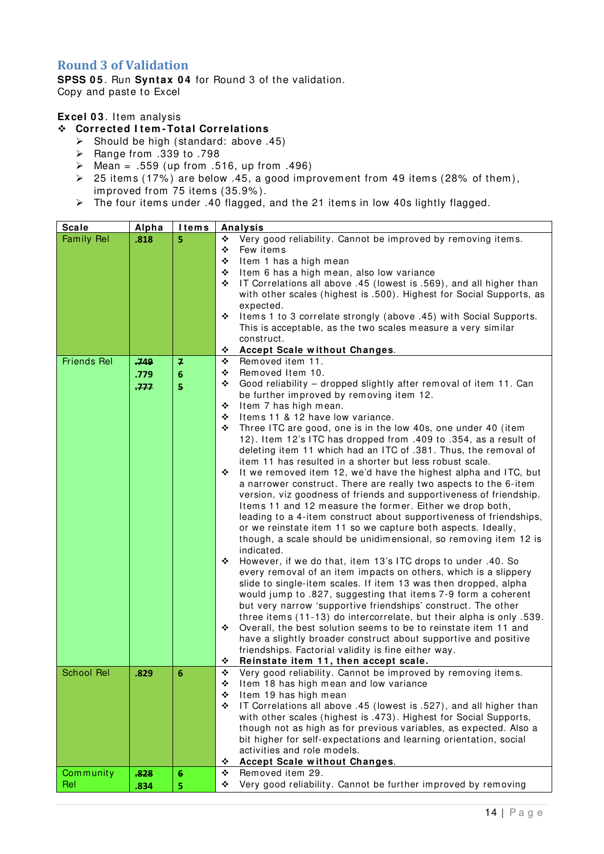### <span id="page-15-0"></span>**Round 3 of Validation**

**SPSS 05**. Run **Syntax 04** for Round 3 of the validation. Copy and paste to Excel

#### **Excel 0 3** . Item analysis

#### **Corrected I tem -Total Correlations**

- $\geq$  Should be high (standard: above .45)
- $\triangleright$  Range from .339 to .798
- $\geq$  Mean = .559 (up from .516, up from .496)
- $\geq$  25 items (17%) are below .45, a good improvement from 49 items (28% of them), improved from 75 items (35.9%).
- $\triangleright$  The four items under .40 flagged, and the 21 items in low 40s lightly flagged.

| <b>Scale</b>       | Alpha | <b>I</b> tems   | <b>Analysis</b>                                                                                                                  |
|--------------------|-------|-----------------|----------------------------------------------------------------------------------------------------------------------------------|
| <b>Family Rel</b>  | .818  | 5               | Very good reliability. Cannot be improved by removing items.<br>❖                                                                |
|                    |       |                 | ❖<br>Few items                                                                                                                   |
|                    |       |                 | Item 1 has a high mean<br>❖                                                                                                      |
|                    |       |                 | Item 6 has a high mean, also low variance<br>❖                                                                                   |
|                    |       |                 | IT Correlations all above .45 (lowest is .569), and all higher than<br>❖                                                         |
|                    |       |                 | with other scales (highest is .500). Highest for Social Supports, as                                                             |
|                    |       |                 | expected.                                                                                                                        |
|                    |       |                 | Items 1 to 3 correlate strongly (above .45) with Social Supports.<br>❖                                                           |
|                    |       |                 | This is acceptable, as the two scales measure a very similar                                                                     |
|                    |       |                 | construct.                                                                                                                       |
|                    |       |                 | <b>Accept Scale without Changes.</b><br>❖                                                                                        |
| <b>Friends Rel</b> | .749  | 7               | Removed item 11.<br>❖                                                                                                            |
|                    | .779  | 6               | Removed Item 10.<br>❖                                                                                                            |
|                    | 777   | $\overline{5}$  | Good reliability - dropped slightly after removal of item 11. Can<br>❖                                                           |
|                    |       |                 | be further improved by removing item 12.                                                                                         |
|                    |       |                 | Item 7 has high mean.<br>❖                                                                                                       |
|                    |       |                 | Items 11 & 12 have low variance.<br>❖                                                                                            |
|                    |       |                 | Three ITC are good, one is in the low 40s, one under 40 (item<br>❖                                                               |
|                    |       |                 | 12). Item 12's ITC has dropped from .409 to .354, as a result of                                                                 |
|                    |       |                 | deleting item 11 which had an ITC of .381. Thus, the removal of                                                                  |
|                    |       |                 | item 11 has resulted in a shorter but less robust scale.                                                                         |
|                    |       |                 | It we removed item 12, we'd have the highest alpha and ITC, but<br>❖                                                             |
|                    |       |                 | a narrower construct. There are really two aspects to the 6-item                                                                 |
|                    |       |                 | version, viz goodness of friends and supportiveness of friendship.                                                               |
|                    |       |                 | Items 11 and 12 measure the former. Either we drop both,                                                                         |
|                    |       |                 | leading to a 4-item construct about supportiveness of friendships,                                                               |
|                    |       |                 | or we reinstate item 11 so we capture both aspects. Ideally,                                                                     |
|                    |       |                 | though, a scale should be unidimensional, so removing item 12 is                                                                 |
|                    |       |                 | indicated.                                                                                                                       |
|                    |       |                 | However, if we do that, item 13's ITC drops to under .40. So<br>❖                                                                |
|                    |       |                 | every removal of an item impacts on others, which is a slippery                                                                  |
|                    |       |                 | slide to single-item scales. If item 13 was then dropped, alpha<br>would jump to .827, suggesting that items 7-9 form a coherent |
|                    |       |                 | but very narrow 'supportive friendships' construct. The other                                                                    |
|                    |       |                 | three items (11-13) do intercorrelate, but their alpha is only .539.                                                             |
|                    |       |                 | Overall, the best solution seems to be to reinstate item 11 and<br>❖                                                             |
|                    |       |                 | have a slightly broader construct about supportive and positive                                                                  |
|                    |       |                 | friendships. Factorial validity is fine either way.                                                                              |
|                    |       |                 | Reinstate item 11, then accept scale.<br>❖                                                                                       |
| <b>School Rel</b>  | .829  | 6               | ٠<br>Very good reliability. Cannot be improved by removing items.                                                                |
|                    |       |                 | Item 18 has high mean and low variance<br>❖                                                                                      |
|                    |       |                 | Item 19 has high mean<br>❖                                                                                                       |
|                    |       |                 | IT Correlations all above .45 (lowest is .527), and all higher than<br>❖                                                         |
|                    |       |                 | with other scales (highest is .473). Highest for Social Supports,                                                                |
|                    |       |                 | though not as high as for previous variables, as expected. Also a                                                                |
|                    |       |                 | bit higher for self-expectations and learning orientation, social                                                                |
|                    |       |                 | activities and role models.                                                                                                      |
|                    |       |                 | Accept Scale without Changes.<br>❖                                                                                               |
| Community          | .828  | $6\phantom{1}6$ | Removed item 29.<br>❖                                                                                                            |
| Rel                | .834  | 5               | Very good reliability. Cannot be further improved by removing<br>❖                                                               |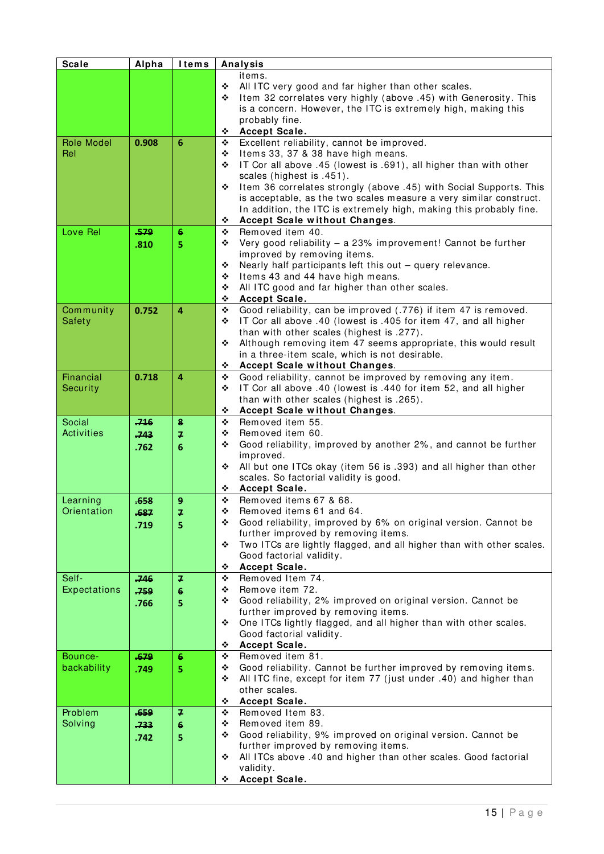| <b>Scale</b>      | Alpha          | <b>Items</b>     | Analysis                                                                                                                                 |
|-------------------|----------------|------------------|------------------------------------------------------------------------------------------------------------------------------------------|
|                   |                |                  | items.                                                                                                                                   |
|                   |                |                  | All ITC very good and far higher than other scales.<br>❖                                                                                 |
|                   |                |                  | Item 32 correlates very highly (above .45) with Generosity. This<br>❖                                                                    |
|                   |                |                  | is a concern. However, the ITC is extremely high, making this                                                                            |
|                   |                |                  | probably fine.                                                                                                                           |
|                   |                |                  | Accept Scale.<br>❖                                                                                                                       |
| <b>Role Model</b> | 0.908          | 6                | Excellent reliability, cannot be improved.<br>❖                                                                                          |
| Rel               |                |                  | Items 33, 37 & 38 have high means.<br>❖                                                                                                  |
|                   |                |                  | IT Cor all above .45 (lowest is .691), all higher than with other<br>❖                                                                   |
|                   |                |                  | scales (highest is .451).                                                                                                                |
|                   |                |                  | Item 36 correlates strongly (above .45) with Social Supports. This<br>❖                                                                  |
|                   |                |                  | is acceptable, as the two scales measure a very similar construct.<br>In addition, the ITC is extremely high, making this probably fine. |
|                   |                |                  | Accept Scale without Changes.<br>❖                                                                                                       |
| Love Rel          | .579           | 6                | Removed item 40.<br>❖                                                                                                                    |
|                   | .810           | 5                | Very good reliability - a 23% improvement! Cannot be further<br>❖                                                                        |
|                   |                |                  | improved by removing items.                                                                                                              |
|                   |                |                  | Nearly half participants left this out - query relevance.<br>❖                                                                           |
|                   |                |                  | Items 43 and 44 have high means.<br>❖                                                                                                    |
|                   |                |                  | All ITC good and far higher than other scales.<br>❖                                                                                      |
|                   |                |                  | ❖<br>Accept Scale.                                                                                                                       |
| Community         | 0.752          | 4                | Good reliability, can be improved (.776) if item 47 is removed.<br>❖                                                                     |
| Safety            |                |                  | IT Cor all above .40 (lowest is .405 for item 47, and all higher<br>❖                                                                    |
|                   |                |                  | than with other scales (highest is .277).                                                                                                |
|                   |                |                  | Although removing item 47 seems appropriate, this would result<br>❖                                                                      |
|                   |                |                  | in a three-item scale, which is not desirable.                                                                                           |
|                   |                |                  | ٠<br>Accept Scale without Changes.                                                                                                       |
| Financial         | 0.718          | $\overline{a}$   | Good reliability, cannot be improved by removing any item.<br>❖                                                                          |
| Security          |                |                  | IT Cor all above .40 (lowest is .440 for item 52, and all higher<br>❖                                                                    |
|                   |                |                  | than with other scales (highest is .265).<br>Accept Scale without Changes.<br>❖                                                          |
| Social            | 716            | $\bf{8}$         | Removed item 55.<br>❖                                                                                                                    |
| <b>Activities</b> | .743           | $\overline{f}$   | Removed item 60.<br>❖                                                                                                                    |
|                   |                |                  | Good reliability, improved by another 2%, and cannot be further<br>❖                                                                     |
|                   | .762           | 6                | improved.                                                                                                                                |
|                   |                |                  | All but one ITCs okay (item 56 is .393) and all higher than other<br>❖                                                                   |
|                   |                |                  | scales. So factorial validity is good.                                                                                                   |
|                   |                |                  | Accept Scale.<br>❖                                                                                                                       |
| Learning          | .658           | $\boldsymbol{9}$ | Removed items 67 & 68.<br>❖                                                                                                              |
| Orientation       | .687           | 7                | ❖<br>Removed items 61 and 64.                                                                                                            |
|                   | .719           | 5                | Good reliability, improved by 6% on original version. Cannot be<br>❖                                                                     |
|                   |                |                  | further improved by removing items.                                                                                                      |
|                   |                |                  | Two ITCs are lightly flagged, and all higher than with other scales.<br>❖                                                                |
|                   |                |                  | Good factorial validity.                                                                                                                 |
| Self-             |                | $\overline{f}$   | Accept Scale.<br>❖<br>Removed Item 74.<br>❖                                                                                              |
| Expectations      | $-746$<br>.759 | 6                | Remove item 72.<br>❖                                                                                                                     |
|                   |                |                  | Good reliability, 2% improved on original version. Cannot be<br>❖                                                                        |
|                   | .766           | 5                | further improved by removing items.                                                                                                      |
|                   |                |                  | One ITCs lightly flagged, and all higher than with other scales.<br>❖                                                                    |
|                   |                |                  | Good factorial validity.                                                                                                                 |
|                   |                |                  | Accept Scale.<br>❖                                                                                                                       |
| Bounce-           | .679           | 6                | Removed item 81.<br>❖                                                                                                                    |
| backability       | .749           | 5                | Good reliability. Cannot be further improved by removing items.<br>❖                                                                     |
|                   |                |                  | All ITC fine, except for item 77 (just under .40) and higher than<br>❖                                                                   |
|                   |                |                  | other scales.                                                                                                                            |
|                   |                |                  | Accept Scale.<br>❖                                                                                                                       |
| Problem           | .659           | $\overline{f}$   | Removed Item 83.<br>❖                                                                                                                    |
| Solving           | 733            | 6                | Removed item 89.<br>❖                                                                                                                    |
|                   | .742           | 5                | Good reliability, 9% improved on original version. Cannot be<br>❖                                                                        |
|                   |                |                  | further improved by removing items.<br>All ITCs above .40 and higher than other scales. Good factorial<br>❖                              |
|                   |                |                  | validity.                                                                                                                                |
|                   |                |                  | Accept Scale.<br>❖                                                                                                                       |
|                   |                |                  |                                                                                                                                          |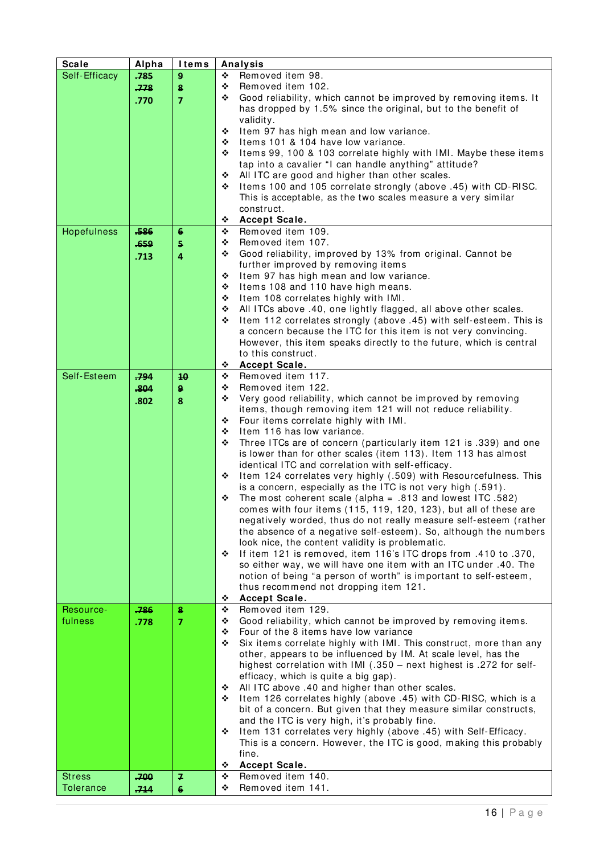| <b>Scale</b>     | Alpha | <b>Items</b>   |                       | Analysis                                                                                                                            |  |
|------------------|-------|----------------|-----------------------|-------------------------------------------------------------------------------------------------------------------------------------|--|
| Self-Efficacy    | .785  | 9              | Removed item 98.<br>❖ |                                                                                                                                     |  |
|                  | .778  | 8              | ❖                     | Removed item 102.                                                                                                                   |  |
|                  | .770  | $\overline{7}$ | ❖                     | Good reliability, which cannot be improved by removing items. It                                                                    |  |
|                  |       |                |                       | has dropped by 1.5% since the original, but to the benefit of                                                                       |  |
|                  |       |                |                       | validity.                                                                                                                           |  |
|                  |       |                | ❖                     | Item 97 has high mean and low variance.                                                                                             |  |
|                  |       |                | ❖<br>❖                | Items 101 & 104 have low variance.                                                                                                  |  |
|                  |       |                |                       | Items 99, 100 & 103 correlate highly with IMI. Maybe these items<br>tap into a cavalier "I can handle anything" attitude?           |  |
|                  |       |                | ❖                     | All ITC are good and higher than other scales.                                                                                      |  |
|                  |       |                | ❖                     | Items 100 and 105 correlate strongly (above .45) with CD-RISC.                                                                      |  |
|                  |       |                |                       | This is acceptable, as the two scales measure a very similar                                                                        |  |
|                  |       |                |                       | construct.                                                                                                                          |  |
|                  |       |                | ❖                     | Accept Scale.                                                                                                                       |  |
| Hopefulness      | .586  | $6\phantom{1}$ | ❖                     | Removed item 109.                                                                                                                   |  |
|                  | .659  | 5              | ❖                     | Removed item 107.                                                                                                                   |  |
|                  | .713  | $\overline{4}$ | ❖                     | Good reliability, improved by 13% from original. Cannot be                                                                          |  |
|                  |       |                |                       | further improved by removing items                                                                                                  |  |
|                  |       |                | ❖                     | Item 97 has high mean and low variance.                                                                                             |  |
|                  |       |                | ❖                     | Items 108 and 110 have high means.                                                                                                  |  |
|                  |       |                | ❖<br>❖                | Item 108 correlates highly with IMI.<br>All ITCs above .40, one lightly flagged, all above other scales.                            |  |
|                  |       |                | ❖                     | Item 112 correlates strongly (above .45) with self-esteem. This is                                                                  |  |
|                  |       |                |                       | a concern because the ITC for this item is not very convincing.                                                                     |  |
|                  |       |                |                       | However, this item speaks directly to the future, which is central                                                                  |  |
|                  |       |                |                       | to this construct.                                                                                                                  |  |
|                  |       |                | ❖                     | Accept Scale.                                                                                                                       |  |
| Self-Esteem      | ,794  | 10             | ❖                     | Removed item 117.                                                                                                                   |  |
|                  | .804  | 9 <sup>°</sup> | ❖                     | Removed item 122.                                                                                                                   |  |
|                  | .802  | 8              | ❖                     | Very good reliability, which cannot be improved by removing                                                                         |  |
|                  |       |                |                       | items, though removing item 121 will not reduce reliability.                                                                        |  |
|                  |       |                | ❖                     | Four items correlate highly with IMI.                                                                                               |  |
|                  |       |                | ❖<br>❖                | Item 116 has low variance.                                                                                                          |  |
|                  |       |                |                       | Three ITCs are of concern (particularly item 121 is .339) and one<br>is lower than for other scales (item 113). Item 113 has almost |  |
|                  |       |                |                       | identical ITC and correlation with self-efficacy.                                                                                   |  |
|                  |       |                | ❖                     | Item 124 correlates very highly (.509) with Resourcefulness. This                                                                   |  |
|                  |       |                |                       | is a concern, especially as the ITC is not very high (.591).                                                                        |  |
|                  |       |                | ❖                     | The most coherent scale (alpha = $.813$ and lowest ITC $.582$ )                                                                     |  |
|                  |       |                |                       | comes with four items (115, 119, 120, 123), but all of these are                                                                    |  |
|                  |       |                |                       | negatively worded, thus do not really measure self-esteem (rather                                                                   |  |
|                  |       |                |                       | the absence of a negative self-esteem). So, although the numbers                                                                    |  |
|                  |       |                |                       | look nice, the content validity is problematic.                                                                                     |  |
|                  |       |                | ❖                     | If item 121 is removed, item 116's ITC drops from .410 to .370,                                                                     |  |
|                  |       |                |                       | so either way, we will have one item with an ITC under .40. The                                                                     |  |
|                  |       |                |                       | notion of being "a person of worth" is important to self-esteem,<br>thus recommend not dropping item 121.                           |  |
|                  |       |                | ❖                     | Accept Scale.                                                                                                                       |  |
| Resource-        | .786  | 8              | ❖                     | Removed item 129.                                                                                                                   |  |
| fulness          | .778  | $\overline{7}$ | ❖                     | Good reliability, which cannot be improved by removing items.                                                                       |  |
|                  |       |                | ❖                     | Four of the 8 items have low variance                                                                                               |  |
|                  |       |                | ❖                     | Six items correlate highly with IMI. This construct, more than any                                                                  |  |
|                  |       |                |                       | other, appears to be influenced by IM. At scale level, has the                                                                      |  |
|                  |       |                |                       | highest correlation with IMI (.350 - next highest is .272 for self-                                                                 |  |
|                  |       |                |                       | efficacy, which is quite a big gap).                                                                                                |  |
|                  |       |                | ❖<br>❖                | All ITC above .40 and higher than other scales.<br>Item 126 correlates highly (above .45) with CD-RISC, which is a                  |  |
|                  |       |                |                       | bit of a concern. But given that they measure similar constructs,                                                                   |  |
|                  |       |                |                       | and the ITC is very high, it's probably fine.                                                                                       |  |
|                  |       |                | ❖                     | Item 131 correlates very highly (above .45) with Self-Efficacy.                                                                     |  |
|                  |       |                |                       | This is a concern. However, the ITC is good, making this probably                                                                   |  |
|                  |       |                | fine.                 |                                                                                                                                     |  |
|                  |       |                | ❖                     | Accept Scale.                                                                                                                       |  |
| <b>Stress</b>    | .700  | $\overline{ }$ | ❖                     | Removed item 140.                                                                                                                   |  |
| <b>Tolerance</b> | .714  | $6\phantom{1}$ | ❖                     | Removed item 141.                                                                                                                   |  |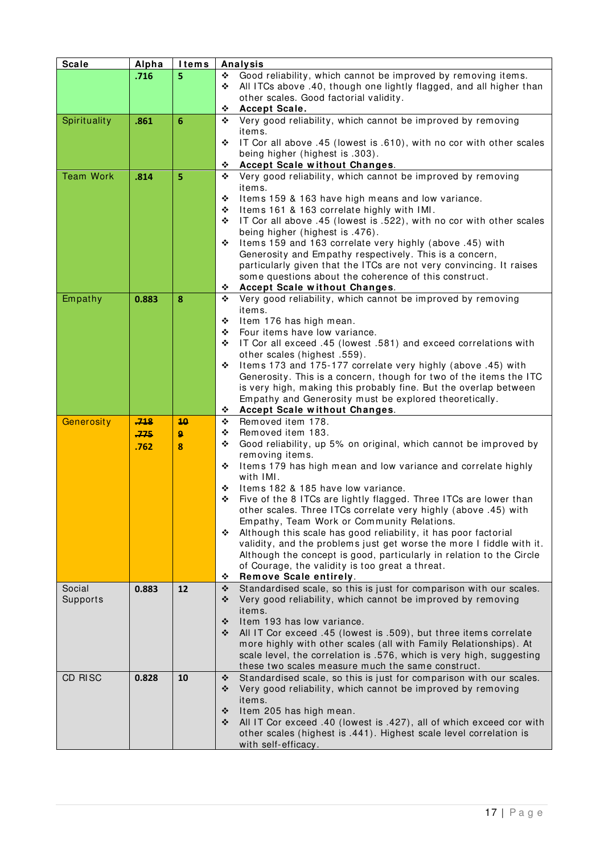| <b>Scale</b>     | Alpha | <b>Items</b>     | <b>Analysis</b>                                                                 |  |  |
|------------------|-------|------------------|---------------------------------------------------------------------------------|--|--|
|                  | .716  | 5                | Good reliability, which cannot be improved by removing items.<br>❖              |  |  |
|                  |       |                  | All ITCs above .40, though one lightly flagged, and all higher than<br>❖        |  |  |
|                  |       |                  | other scales. Good factorial validity.                                          |  |  |
|                  |       |                  | Accept Scale.<br>❖                                                              |  |  |
| Spirituality     | .861  | $6\phantom{1}6$  | Very good reliability, which cannot be improved by removing<br>❖                |  |  |
|                  |       |                  | items.                                                                          |  |  |
|                  |       |                  | IT Cor all above .45 (lowest is .610), with no cor with other scales<br>❖       |  |  |
|                  |       |                  | being higher (highest is .303).                                                 |  |  |
|                  |       |                  | Accept Scale without Changes.<br>❖                                              |  |  |
| <b>Team Work</b> | .814  | 5                | Very good reliability, which cannot be improved by removing<br>❖                |  |  |
|                  |       |                  | items.                                                                          |  |  |
|                  |       |                  | Items 159 & 163 have high means and low variance.<br>❖                          |  |  |
|                  |       |                  | Items 161 & 163 correlate highly with IMI.<br>❖                                 |  |  |
|                  |       |                  | IT Cor all above .45 (lowest is .522), with no cor with other scales<br>❖       |  |  |
|                  |       |                  | being higher (highest is .476).                                                 |  |  |
|                  |       |                  | Items 159 and 163 correlate very highly (above .45) with<br>❖                   |  |  |
|                  |       |                  | Generosity and Empathy respectively. This is a concern,                         |  |  |
|                  |       |                  | particularly given that the ITCs are not very convincing. It raises             |  |  |
|                  |       |                  | some questions about the coherence of this construct.                           |  |  |
|                  |       |                  | Accept Scale without Changes.<br>❖                                              |  |  |
| Empathy          | 0.883 | 8                | Very good reliability, which cannot be improved by removing<br>❖                |  |  |
|                  |       |                  | items.                                                                          |  |  |
|                  |       |                  | Item 176 has high mean.<br>❖                                                    |  |  |
|                  |       |                  | Four items have low variance.<br>❖                                              |  |  |
|                  |       |                  | IT Cor all exceed .45 (lowest .581) and exceed correlations with<br>❖           |  |  |
|                  |       |                  | other scales (highest .559).                                                    |  |  |
|                  |       |                  | Items 173 and 175-177 correlate very highly (above .45) with<br>❖               |  |  |
|                  |       |                  | Generosity. This is a concern, though for two of the items the ITC              |  |  |
|                  |       |                  | is very high, making this probably fine. But the overlap between                |  |  |
|                  |       |                  | Empathy and Generosity must be explored theoretically.                          |  |  |
|                  |       |                  | Accept Scale without Changes.<br>❖                                              |  |  |
| Generosity       | .748  | 40               | Removed item 178.<br>❖                                                          |  |  |
|                  | 775   | $\boldsymbol{9}$ | Removed item 183.<br>❖                                                          |  |  |
|                  | .762  | 8                | Good reliability, up 5% on original, which cannot be improved by<br>❖           |  |  |
|                  |       |                  | removing items.                                                                 |  |  |
|                  |       |                  | Items 179 has high mean and low variance and correlate highly<br>❖<br>with IMI. |  |  |
|                  |       |                  | Items 182 & 185 have low variance.<br>❖                                         |  |  |
|                  |       |                  | Five of the 8 ITCs are lightly flagged. Three ITCs are lower than<br>❖          |  |  |
|                  |       |                  | other scales. Three ITCs correlate very highly (above .45) with                 |  |  |
|                  |       |                  | Empathy, Team Work or Community Relations.                                      |  |  |
|                  |       |                  | Although this scale has good reliability, it has poor factorial<br>❖            |  |  |
|                  |       |                  | validity, and the problems just get worse the more I fiddle with it.            |  |  |
|                  |       |                  | Although the concept is good, particularly in relation to the Circle            |  |  |
|                  |       |                  | of Courage, the validity is too great a threat.                                 |  |  |
|                  |       |                  | Remove Scale entirely.<br>❖                                                     |  |  |
| Social           | 0.883 | 12               | Standardised scale, so this is just for comparison with our scales.<br>❖        |  |  |
| Supports         |       |                  | Very good reliability, which cannot be improved by removing<br>❖                |  |  |
|                  |       |                  | items.                                                                          |  |  |
|                  |       |                  | Item 193 has low variance.<br>❖                                                 |  |  |
|                  |       |                  | All IT Cor exceed .45 (lowest is .509), but three items correlate<br>❖          |  |  |
|                  |       |                  | more highly with other scales (all with Family Relationships). At               |  |  |
|                  |       |                  | scale level, the correlation is .576, which is very high, suggesting            |  |  |
|                  |       |                  | these two scales measure much the same construct.                               |  |  |
| CD RISC          | 0.828 | 10               | Standardised scale, so this is just for comparison with our scales.<br>❖        |  |  |
|                  |       |                  | Very good reliability, which cannot be improved by removing<br>❖                |  |  |
|                  |       |                  | items.                                                                          |  |  |
|                  |       |                  | Item 205 has high mean.<br>❖                                                    |  |  |
|                  |       |                  | All IT Cor exceed .40 (lowest is .427), all of which exceed cor with<br>❖       |  |  |
|                  |       |                  | other scales (highest is .441). Highest scale level correlation is              |  |  |
|                  |       |                  | with self-efficacy.                                                             |  |  |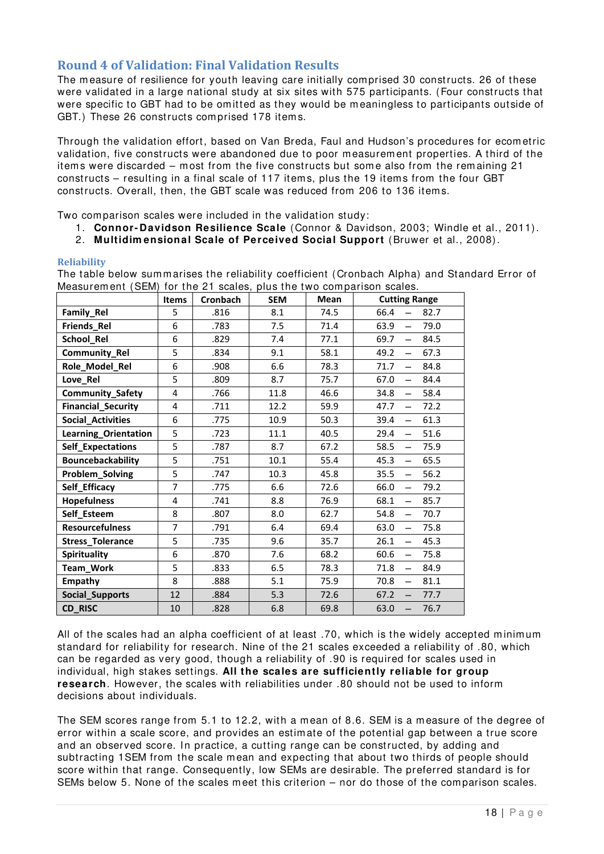# <span id="page-19-0"></span>**Round 4 of Validation: Final Validation Results**

The measure of resilience for youth leaving care initially comprised 30 constructs. 26 of these were validated in a large national study at six sites with 575 participants. (Four constructs that were specific to GBT had to be omitted as they would be meaningless to participants outside of GBT.) These 26 constructs com prised 178 item s.

Through the validation effort, based on Van Breda, Faul and Hudson's procedures for ecom etric validation, five constructs were abandoned due to poor m easurem ent properties. A third of the items were discarded – most from the five constructs but some also from the remaining 21 constructs – resulting in a final scale of 117 items, plus the 19 items from the four GBT constructs. Overall, then, the GBT scale was reduced from 206 to 136 item s.

Two comparison scales were included in the validation study:

- 1. **Connor- Davidson Resilience Scale** [\(Connor & Davidson, 2003;](#page-23-10) [Windle et al., 2011\)](#page-23-11).
- 2. **Multidim ensional Scale of Perceived Social Support** [\(Bruwer et al., 2008\)](#page-23-12).

#### <span id="page-19-1"></span>**Reliability**

The table below summarises the reliability coefficient (Cronbach Alpha) and Standard Error of Measurement (SEM) for the 21 scales, plus the two comparison scales.

|                           | <b>Items</b>   | Cronbach | <b>SEM</b> | Mean | <b>Cutting Range</b>                     |
|---------------------------|----------------|----------|------------|------|------------------------------------------|
| Family_Rel                | 5              | .816     | 8.1        | 74.5 | 66.4<br>82.7                             |
| Friends_Rel               | 6              | .783     | 7.5        | 71.4 | 63.9<br>79.0<br>$\equiv$                 |
| School_Rel                | 6              | .829     | 7.4        | 77.1 | 69.7<br>84.5<br>$\equiv$                 |
| Community_Rel             | 5              | .834     | 9.1        | 58.1 | 49.2<br>67.3<br>$\overline{\phantom{0}}$ |
| Role_Model_Rel            | 6              | .908     | 6.6        | 78.3 | 71.7<br>84.8<br>$\overline{\phantom{0}}$ |
| Love_Rel                  | 5              | .809     | 8.7        | 75.7 | 84.4<br>67.0<br>$\overline{\phantom{0}}$ |
| Community_Safety          | 4              | .766     | 11.8       | 46.6 | 58.4<br>34.8<br>$\overline{\phantom{0}}$ |
| <b>Financial_Security</b> | 4              | .711     | 12.2       | 59.9 | 47.7<br>72.2<br>$\overline{\phantom{m}}$ |
| <b>Social_Activities</b>  | 6              | .775     | 10.9       | 50.3 | 61.3<br>39.4<br>$\overline{\phantom{0}}$ |
| Learning_Orientation      | 5              | .723     | 11.1       | 40.5 | 29.4<br>51.6<br>$\overline{\phantom{0}}$ |
| <b>Self_Expectations</b>  | 5              | .787     | 8.7        | 67.2 | 58.5<br>75.9<br>$\equiv$                 |
| Bouncebackability         | 5              | .751     | 10.1       | 55.4 | 45.3<br>65.5<br>$\equiv$                 |
| Problem_Solving           | 5              | .747     | 10.3       | 45.8 | 35.5<br>56.2<br>$\overline{\phantom{0}}$ |
| Self_Efficacy             | $\overline{7}$ | .775     | 6.6        | 72.6 | 66.0<br>79.2<br>$\overline{\phantom{0}}$ |
| <b>Hopefulness</b>        | 4              | .741     | 8.8        | 76.9 | 68.1<br>85.7<br>$\overline{\phantom{0}}$ |
| Self_Esteem               | 8              | .807     | 8.0        | 62.7 | 54.8<br>70.7<br>$\overline{\phantom{0}}$ |
| <b>Resourcefulness</b>    | $\overline{7}$ | .791     | 6.4        | 69.4 | 63.0<br>75.8<br>$\overline{\phantom{0}}$ |
| <b>Stress_Tolerance</b>   | 5              | .735     | 9.6        | 35.7 | 26.1<br>45.3<br>$\overline{\phantom{0}}$ |
| <b>Spirituality</b>       | 6              | .870     | 7.6        | 68.2 | 60.6<br>75.8<br>$\overline{\phantom{0}}$ |
| Team_Work                 | 5              | .833     | 6.5        | 78.3 | 71.8<br>84.9<br>$\overline{\phantom{0}}$ |
| Empathy                   | 8              | .888     | 5.1        | 75.9 | 70.8<br>81.1<br>$\overline{\phantom{0}}$ |
| Social_Supports           | 12             | .884     | 5.3        | 72.6 | 67.2<br>77.7<br>$\overline{\phantom{0}}$ |
| CD_RISC                   | 10             | .828     | 6.8        | 69.8 | 76.7<br>63.0<br>$\overline{\phantom{0}}$ |

All of the scales had an alpha coefficient of at least .70, which is the widely accepted minimum standard for reliability for research. Nine of the 21 scales exceeded a reliability of .80, which can be regarded as very good, though a reliability of .90 is required for scales used in individual, high stakes settings. **All the scales are sufficiently reliable for group research**. However, the scales with reliabilities under .80 should not be used to inform decisions about individuals.

The SEM scores range from 5.1 to 12.2, with a mean of 8.6. SEM is a measure of the degree of error within a scale score, and provides an estim ate of the potential gap between a true score and an observed score. In practice, a cutting range can be constructed, by adding and subtracting 1SEM from the scale mean and expecting that about two thirds of people should score within that range. Consequently, low SEMs are desirable. The preferred standard is for SEMs below 5. None of the scales meet this criterion – nor do those of the comparison scales.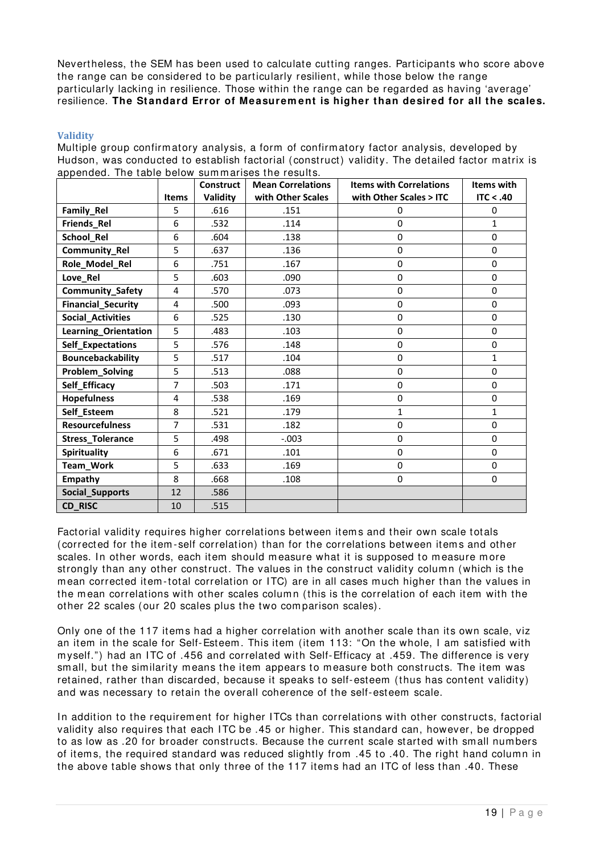Nevertheless, the SEM has been used to calculate cutting ranges. Participants who score above the range can be considered to be particularly resilient, while those below the range particularly lacking in resilience. Those within the range can be regarded as having 'average' resilience. **The Standard Error of Measurem ent is higher than desired for all the scales.**

#### <span id="page-20-0"></span>**Validity**

Multiple group confirm atory analysis, a form of confirm atory factor analysis, developed by Hudson, was conducted to establish factorial (construct) validity. The detailed factor m atrix is appended. The table below sum m arises the results.

|                           |              | <b>Construct</b> | <b>Mean Correlations</b> | <b>Items with Correlations</b> | <b>Items with</b> |
|---------------------------|--------------|------------------|--------------------------|--------------------------------|-------------------|
|                           | <b>Items</b> | Validity         | with Other Scales        | with Other Scales > ITC        | ITC < .40         |
| Family_Rel                | 5            | .616             | .151                     | 0                              | 0                 |
| Friends_Rel               | 6            | .532             | .114                     | $\mathbf 0$                    | $\mathbf{1}$      |
| School Rel                | 6            | .604             | .138                     | $\mathbf 0$                    | $\Omega$          |
| Community_Rel             | 5            | .637             | .136                     | 0                              | 0                 |
| Role_Model_Rel            | 6            | .751             | .167                     | $\mathbf 0$                    | 0                 |
| Love_Rel                  | 5            | .603             | .090                     | 0                              | 0                 |
| Community_Safety          | 4            | .570             | .073                     | $\mathbf 0$                    | 0                 |
| <b>Financial_Security</b> | 4            | .500             | .093                     | $\mathbf 0$                    | 0                 |
| <b>Social_Activities</b>  | 6            | .525             | .130                     | $\pmb{0}$                      | 0                 |
| Learning_Orientation      | 5            | .483             | .103                     | $\mathbf 0$                    | 0                 |
| Self_Expectations         | 5            | .576             | .148                     | $\mathbf 0$                    | 0                 |
| Bouncebackability         | 5            | .517             | .104                     | $\mathbf 0$                    | $\mathbf{1}$      |
| Problem_Solving           | 5            | .513             | .088                     | $\pmb{0}$                      | $\pmb{0}$         |
| Self_Efficacy             | 7            | .503             | .171                     | $\mathbf 0$                    | 0                 |
| <b>Hopefulness</b>        | 4            | .538             | .169                     | $\mathbf 0$                    | 0                 |
| Self_Esteem               | 8            | .521             | .179                     | $\mathbf{1}$                   | $\mathbf{1}$      |
| <b>Resourcefulness</b>    | 7            | .531             | .182                     | $\mathbf 0$                    | 0                 |
| <b>Stress_Tolerance</b>   | 5            | .498             | $-.003$                  | $\pmb{0}$                      | 0                 |
| Spirituality              | 6            | .671             | .101                     | $\mathbf 0$                    | 0                 |
| Team_Work                 | 5            | .633             | .169                     | $\pmb{0}$                      | 0                 |
| <b>Empathy</b>            | 8            | .668             | .108                     | $\mathbf 0$                    | 0                 |
| Social_Supports           | 12           | .586             |                          |                                |                   |
| CD_RISC                   | 10           | .515             |                          |                                |                   |

Factorial validity requires higher correlations between items and their own scale totals (corrected for the item - self correlation) than for the correlations between item s and other scales. In other words, each item should measure what it is supposed to measure more strongly than any other construct. The values in the construct validity column (which is the m ean corrected item -total correlation or ITC) are in all cases m uch higher than the values in the mean correlations with other scales column (this is the correlation of each item with the other 22 scales (our 20 scales plus the two comparison scales).

Only one of the 117 items had a higher correlation with another scale than its own scale, viz an item in the scale for Self-Esteem. This item (item 113: "On the whole, I am satisfied with m yself.") had an ITC of .456 and correlated with Self-Efficacy at .459. The difference is very small, but the similarity means the item appears to measure both constructs. The item was retained, rather than discarded, because it speaks to self-esteem (thus has content validity) and was necessary to retain the overall coherence of the self-esteem scale.

In addition to the requirement for higher ITCs than correlations with other constructs, factorial validity also requires that each ITC be .45 or higher. This standard can, however, be dropped to as low as .20 for broader constructs. Because the current scale started with sm all num bers of item s, the required standard was reduced slightly from .45 to .40. The right hand column in the above table shows that only three of the 117 items had an ITC of less than .40. These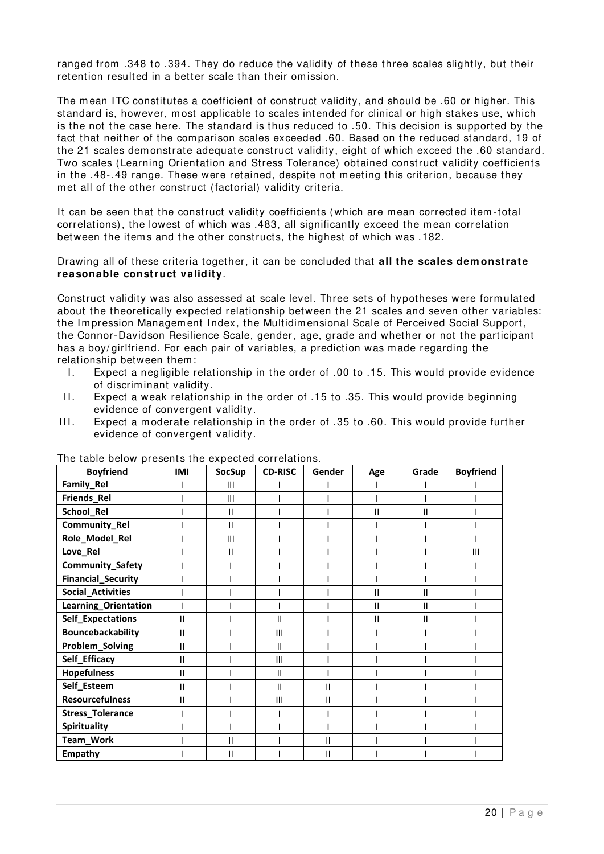ranged from .348 to .394. They do reduce the validity of these three scales slightly, but their retention resulted in a better scale than their omission.

The mean ITC constitutes a coefficient of construct validity, and should be .60 or higher. This standard is, however, m ost applicable to scales intended for clinical or high stakes use, which is the not the case here. The standard is thus reduced to .50. This decision is supported by the fact that neither of the com parison scales exceeded .60. Based on the reduced standard, 19 of the 21 scales dem onstrate adequate construct validity, eight of which exceed the .60 standard. Two scales (Learning Orientation and Stress Tolerance) obtained construct validity coefficients in the .48-.49 range. These were retained, despite not m eeting this criterion, because they m et all of the other construct (factorial) validity criteria.

It can be seen that the construct validity coefficients (which are mean corrected item-total correlations), the lowest of which was .483, all significantly exceed the mean correlation between the items and the other constructs, the highest of which was .182.

Drawing all of these criteria together, it can be concluded that **all the scales dem onstrate reasonable construct validity**.

Construct validity was also assessed at scale level. Three sets of hypotheses were form ulated about the theoretically expected relationship between the 21 scales and seven other variables: the Impression Management Index, the Multidimensional Scale of Perceived Social Support, the Connor-Davidson Resilience Scale, gender, age, grade and whether or not the participant has a boy/ girlfriend. For each pair of variables, a prediction was m ade regarding the relationship between them :

- I. Expect a negligible relationship in the order of .00 to .15. This would provide evidence of discriminant validity.
- II. Expect a weak relationship in the order of .15 to .35. This would provide beginning evidence of convergent validity.
- III. Expect a moderate relationship in the order of .35 to .60. This would provide further evidence of convergent validity.

| <b>Boyfriend</b>          | IMI | <b>SocSup</b>  | <b>CD-RISC</b> | Gender        | Age          | Grade | <b>Boyfriend</b> |
|---------------------------|-----|----------------|----------------|---------------|--------------|-------|------------------|
| Family_Rel                |     | Ш              |                |               |              |       |                  |
| Friends_Rel               |     | III            |                |               |              |       |                  |
| School_Rel                |     | Ш              |                |               | Ш            | Ш     |                  |
| Community_Rel             |     | Ш              |                |               |              |       |                  |
| Role_Model_Rel            |     | $\mathsf{III}$ |                |               |              |       |                  |
| Love_Rel                  |     | Ш              |                |               |              |       | Ш                |
| <b>Community_Safety</b>   |     |                |                |               |              |       |                  |
| <b>Financial_Security</b> |     |                |                |               |              |       |                  |
| <b>Social_Activities</b>  |     |                |                |               | Ш            | Ш     |                  |
| Learning_Orientation      |     |                |                |               | $\mathbf{I}$ | Ш     |                  |
| Self_Expectations         | Ш   |                | П              |               | Ш            | Ш     |                  |
| Bouncebackability         | Ш   |                | Ш              |               |              |       |                  |
| Problem_Solving           | Ш   |                | Ш              |               |              |       |                  |
| Self_Efficacy             | Ш   |                | Ш              |               |              |       |                  |
| <b>Hopefulness</b>        | Ш   |                | П              |               |              |       |                  |
| Self_Esteem               | Ш   |                | П              | $\mathsf{II}$ |              |       |                  |
| <b>Resourcefulness</b>    | н   |                | Ш              | Ш             |              |       |                  |
| <b>Stress_Tolerance</b>   |     |                |                |               |              |       |                  |
| <b>Spirituality</b>       |     |                |                |               |              |       |                  |
| Team_Work                 |     | Ш              |                | Ш             |              |       |                  |
| <b>Empathy</b>            |     | Ш              |                | Ш             |              |       |                  |

The table below presents the expected correlations.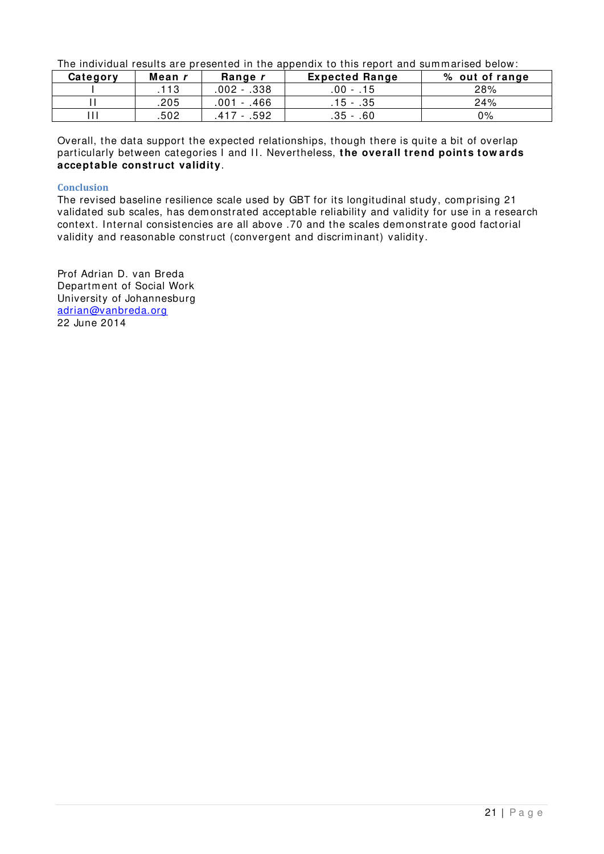The individual results are presented in the appendix to this report and summarised below:

| Category | Mean r | Range r     | <b>Expected Range</b>                  | % out of range |
|----------|--------|-------------|----------------------------------------|----------------|
|          | .113   | .002 - .338 | $.00 - .15$                            | 28%            |
|          | .205   | .001 - .466 | .15 - .35                              | 24%            |
|          | .502   | .592<br>41  | .35<br>.60<br>$\overline{\phantom{0}}$ | 0%             |

Overall, the data support the expected relationships, though there is quite a bit of overlap particularly between categories I and II. Nevertheless, the overall trend points tow ards **acceptable construct validity**.

#### <span id="page-22-0"></span>**Conclusion**

The revised baseline resilience scale used by GBT for its longitudinal study, comprising 21 validated sub scales, has dem onstrated acceptable reliability and validity for use in a research context. Internal consistencies are all above .70 and the scales dem onstrate good factorial validity and reasonable construct (convergent and discriminant) validity.

Prof Adrian D. van Breda Departm ent of Social Work University of Johannesburg [adrian@vanbreda.org](mailto:adrian@vanbreda.org) 22 June 2014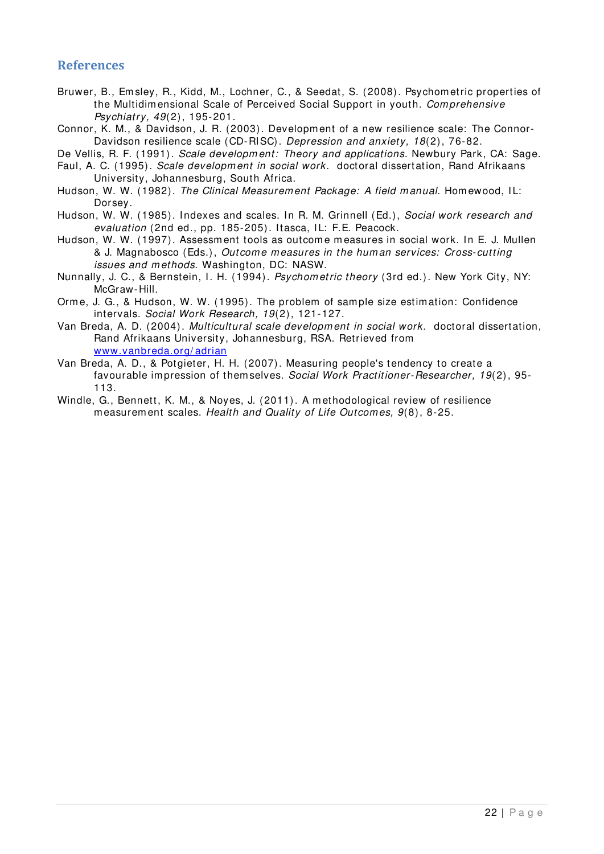### <span id="page-23-0"></span>**References**

<span id="page-23-12"></span>Bruwer, B., Em sley, R., Kidd, M., Lochner, C., & Seedat, S. (2008). Psychom etric properties of the Multidim ensional Scale of Perceived Social Support in youth. *Com prehensive Psychiatry, 49*(2), 195-201.

<span id="page-23-10"></span>Connor, K. M., & Davidson, J. R. (2003). Developm ent of a new resilience scale: The Connor-Davidson resilience scale (CD-RISC). *Depression and anxiety, 18*(2), 76-82.

<span id="page-23-6"></span>De Vellis, R. F. (1991). *Scale developm ent: Theory and applications*. Newbury Park, CA: Sage.

- <span id="page-23-5"></span>Faul, A. C. (1995). *Scale developm ent in social work.* doctoral dissertation, Rand Afrikaans University, Johannesburg, South Africa.
- <span id="page-23-2"></span>Hudson, W. W. (1982). *The Clinical Measurem ent Package: A field m anual*. Hom ewood, I L: Dorsey.

<span id="page-23-3"></span>Hudson, W. W. (1985). Indexes and scales. In R. M. Grinnell (Ed.), *Social work research and evaluation* (2nd ed., pp. 185-205). Itasca, IL: F.E. Peacock.

- <span id="page-23-4"></span>Hudson, W. W. (1997). Assessment tools as outcome measures in social work. In E. J. Mullen & J. Magnabosco (Eds.), *Outcom e m easures in the hum an services: Cross- cutting issues and m ethods*. Washington, DC: NASW.
- <span id="page-23-7"></span>Nunnally, J. C., & Bernstein, I. H. (1994). *Psychom etric theory* (3rd ed.). New York City, NY: McGraw-Hill.
- <span id="page-23-8"></span>Orm e, J. G., & Hudson, W. W. (1995). The problem of sam ple size estim ation: Confidence intervals. *Social Work Research, 19*(2), 121-127.
- <span id="page-23-1"></span>Van Breda, A. D. (2004). *Multicultural scale developm ent in social work.* doctoral dissertation, Rand Afrikaans University, Johannesburg, RSA. Retrieved from [www.vanbreda.org/ adrian](http://www.vanbreda.org/adrian)
- <span id="page-23-9"></span>Van Breda, A. D., & Potgieter, H. H. (2007). Measuring people's tendency to create a favourable im pression of them selves. *Social Work Practitioner-Researcher, 19*(2), 95- 113.
- <span id="page-23-11"></span>Windle, G., Bennett, K. M., & Noyes, J. (2011). A m ethodological review of resilience m easurem ent scales. *Health and Quality of Life Outcom es, 9*(8), 8-25.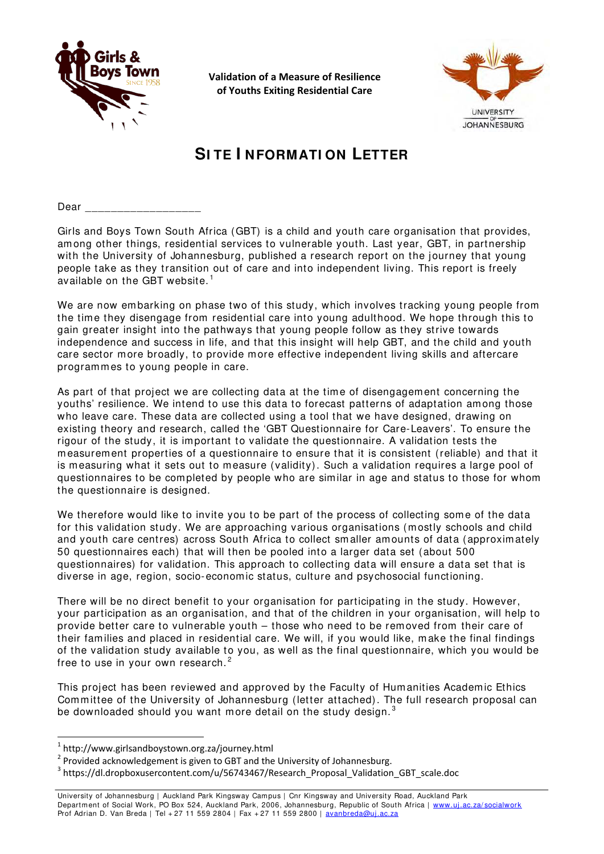

**Validation of a Measure of Resilience of Youths Exiting Residential Care**



# **SI TE I NFORMATI ON LETTER**

Dear \_\_\_\_\_\_\_\_\_\_\_\_\_\_\_\_\_\_

Girls and Boys Town South Africa (GBT) is a child and youth care organisation that provides, among other things, residential services to vulnerable youth. Last year, GBT, in partnership with the University of Johannesburg, published a research report on the journey that young people take as they transition out of care and into independent living. This report is freely available on the GBT website. $^{\rm 1}$  $^{\rm 1}$  $^{\rm 1}$ 

We are now embarking on phase two of this study, which involves tracking young people from the time they disengage from residential care into young adulthood. We hope through this to gain greater insight into the pathways that young people follow as they strive towards independence and success in life, and that this insight will help GBT, and the child and youth care sector more broadly, to provide more effective independent living skills and aftercare programmes to young people in care.

As part of that project we are collecting data at the time of disengagement concerning the youths' resilience. We intend to use this data to forecast patterns of adaptation among those who leave care. These data are collected using a tool that we have designed, drawing on existing theory and research, called the 'GBT Questionnaire for Care-Leavers'. To ensure the rigour of the study, it is important to validate the questionnaire. A validation tests the measurement properties of a questionnaire to ensure that it is consistent (reliable) and that it is measuring what it sets out to measure (validity). Such a validation requires a large pool of questionnaires to be completed by people who are similar in age and status to those for whom the questionnaire is designed.

We therefore would like to invite you to be part of the process of collecting some of the data for this validation study. We are approaching various organisations (mostly schools and child and youth care centres) across South Africa to collect smaller amounts of data (approximately 50 questionnaires each) that will then be pooled into a larger data set (about 500 questionnaires) for validation. This approach to collecting data will ensure a data set that is diverse in age, region, socio-economic status, culture and psychosocial functioning.

There will be no direct benefit to your organisation for participating in the study. However, your participation as an organisation, and that of the children in your organisation, will help to provide better care to vulnerable youth – those who need to be removed from their care of their families and placed in residential care. We will, if you would like, make the final findings of the validation study available to you, as well as the final questionnaire, which you would be free to use in your own research.<sup>[2](#page-24-1)</sup>

This project has been reviewed and approved by the Faculty of Humanities Academic Ethics Committee of the University of Johannesburg (letter attached). The full research proposal can be downloaded should you want more detail on the study design. $3$ 

1

<span id="page-24-0"></span><sup>&</sup>lt;sup>1</sup> http://www.girlsandboystown.org.za/journey.html

<span id="page-24-1"></span> $2$  Provided acknowledgement is given to GBT and the University of Johannesburg.

<span id="page-24-2"></span><sup>3</sup> https://dl.dropboxusercontent.com/u/56743467/Research\_Proposal\_Validation\_GBT\_scale.doc

University of Johannesburg | Auckland Park Kingsway Campus | Cnr Kingsway and University Road, Auckland Park Department of Social Work, PO Box 524, Auckland Park, 2006, Johannesburg, Republic of South Africa | www.uj.ac.za/socialwork Prof Adrian D. Van Breda | Tel + 27 11 559 2804 | Fax + 27 11 559 2800 | avanbreda@uj.ac.za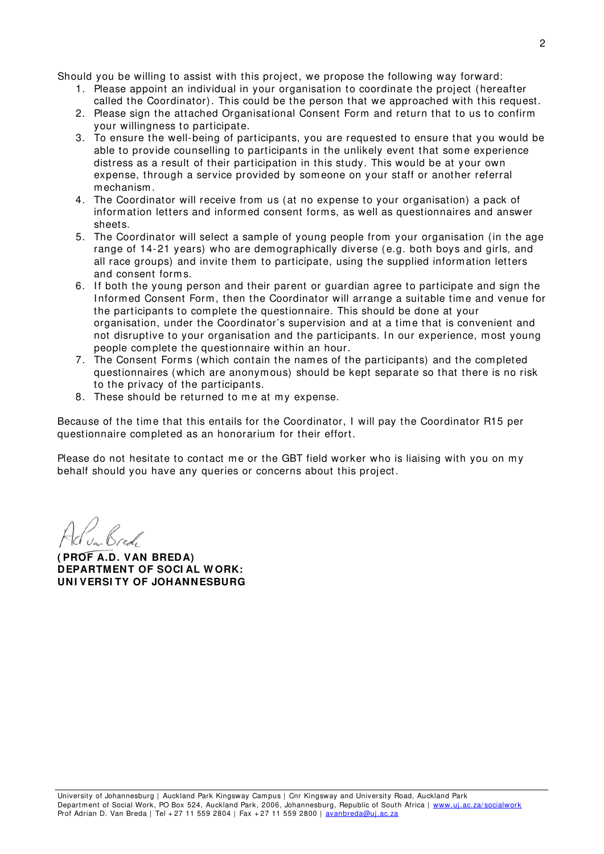Should you be willing to assist with this project, we propose the following way forward:

- 1. Please appoint an individual in your organisation to coordinate the project (hereafter called the Coordinator). This could be the person that we approached with this request.
- 2. Please sign the attached Organisational Consent Form and return that to us to confirm your willingness to participate.
- 3. To ensure the well-being of participants, you are requested to ensure that you would be able to provide counselling to participants in the unlikely event that some experience distress as a result of their participation in this study. This would be at your own expense, through a service provided by someone on your staff or another referral mechanism.
- 4. The Coordinator will receive from us (at no expense to your organisation) a pack of information letters and informed consent forms, as well as questionnaires and answer sheets.
- 5. The Coordinator will select a sample of young people from your organisation (in the age range of 14-21 years) who are demographically diverse (e.g. both boys and girls, and all race groups) and invite them to participate, using the supplied information letters and consent forms.
- 6. If both the young person and their parent or guardian agree to participate and sign the I nformed Consent Form, then the Coordinator will arrange a suitable time and venue for the participants to complete the questionnaire. This should be done at your organisation, under the Coordinator's supervision and at a time that is convenient and not disruptive to your organisation and the participants. In our experience, most young people com plete the questionnaire within an hour.
- 7. The Consent Forms (which contain the names of the participants) and the completed questionnaires (which are anonymous) should be kept separate so that there is no risk to the privacy of the participants.
- 8. These should be returned to me at my expense.

Because of the time that this entails for the Coordinator, I will pay the Coordinator R15 per questionnaire completed as an honorarium for their effort.

Please do not hesitate to contact me or the GBT field worker who is liaising with you on my behalf should you have any queries or concerns about this project.

**( PROF A.D. VAN BREDA) DEPARTMENT OF SOCI AL W ORK: UNI VERSI TY OF JOHANNESBURG**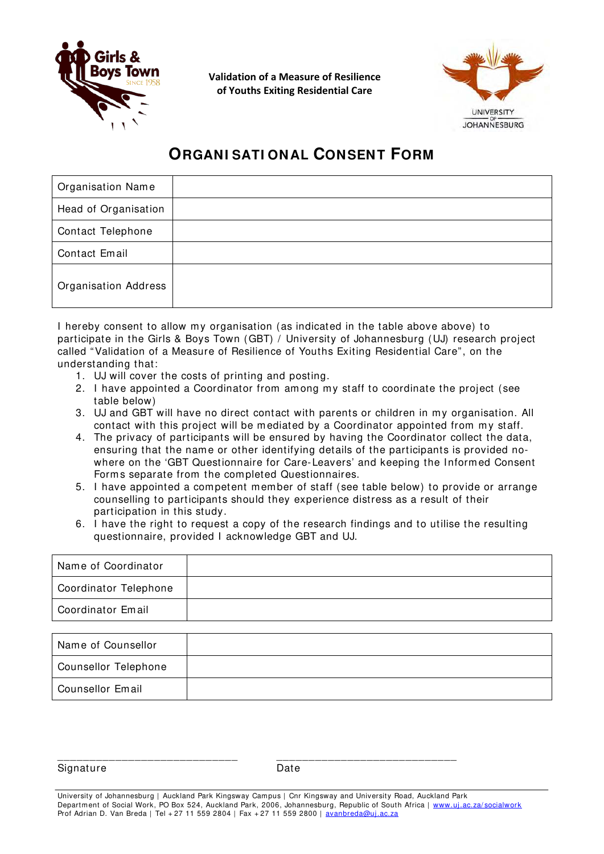

**Validation of a Measure of Resilience of Youths Exiting Residential Care**



# **ORGANI SATI ONAL CONSENT FORM**

| <b>Organisation Name</b>    |  |
|-----------------------------|--|
| Head of Organisation        |  |
| Contact Telephone           |  |
| Contact Email               |  |
| <b>Organisation Address</b> |  |

I hereby consent to allow my organisation (as indicated in the table above above) to participate in the Girls & Boys Town (GBT) / University of Johannesburg (UJ) research project called "Validation of a Measure of Resilience of Youths Exiting Residential Care", on the understanding that:

- 1. UJ will cover the costs of printing and posting.
- 2. I have appointed a Coordinator from among my staff to coordinate the project (see table below)
- 3. UJ and GBT will have no direct contact with parents or children in my organisation. All contact with this project will be mediated by a Coordinator appointed from my staff.
- 4. The privacy of participants will be ensured by having the Coordinator collect the data, ensuring that the name or other identifying details of the participants is provided nowhere on the 'GBT Questionnaire for Care-Leavers' and keeping the Informed Consent Forms separate from the completed Questionnaires.
- 5. I have appointed a competent member of staff (see table below) to provide or arrange counselling to participants should they experience distress as a result of their participation in this study.
- 6. I have the right to request a copy of the research findings and to utilise the resulting questionnaire, provided I acknowledge GBT and UJ.

| Name of Coordinator   |  |
|-----------------------|--|
| Coordinator Telephone |  |
| Coordinator Email     |  |
|                       |  |

| Name of Counsellor   |  |
|----------------------|--|
| Counsellor Telephone |  |
| Counsellor Email     |  |

Signature Date

\_\_\_\_\_\_\_\_\_\_\_\_\_\_\_\_\_\_\_\_\_\_\_\_\_\_\_\_ \_\_\_\_\_\_\_\_\_\_\_\_\_\_\_\_\_\_\_\_\_\_\_\_\_\_\_\_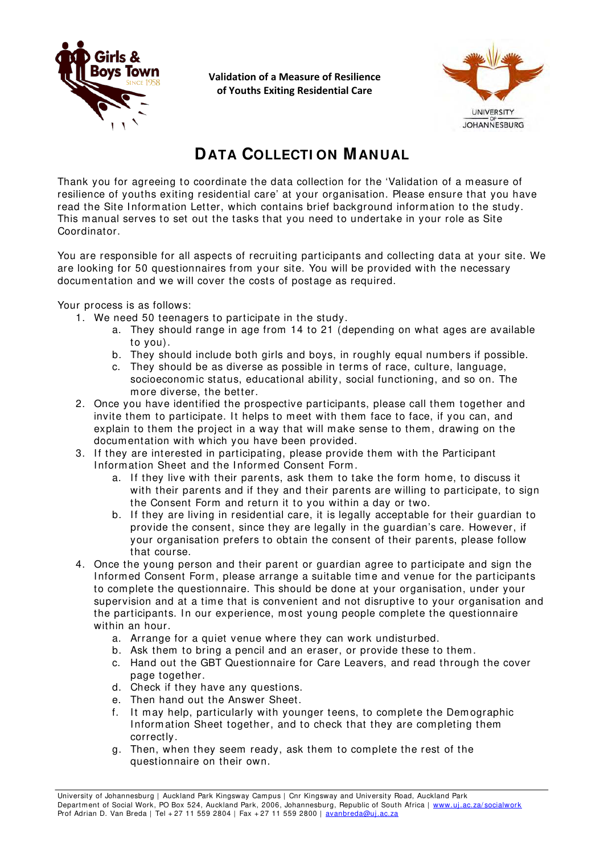

**Validation of a Measure of Resilience of Youths Exiting Residential Care**



# **DATA COLLECTI ON MANUAL**

Thank you for agreeing to coordinate the data collection for the 'Validation of a measure of resilience of youths exiting residential care' at your organisation. Please ensure that you have read the Site Information Letter, which contains brief background information to the study. This manual serves to set out the tasks that you need to undertake in your role as Site Coordinator.

You are responsible for all aspects of recruiting participants and collecting data at your site. We are looking for 50 questionnaires from your site. You will be provided with the necessary documentation and we will cover the costs of postage as required.

Your process is as follows:

- 1. We need 50 teenagers to participate in the study.
	- a. They should range in age from 14 to 21 (depending on what ages are available to you).
	- b. They should include both girls and boys, in roughly equal numbers if possible.
	- c. They should be as diverse as possible in terms of race, culture, language, socioeconomic status, educational ability, social functioning, and so on. The more diverse, the better.
- 2. Once you have identified the prospective participants, please call them together and invite them to participate. It helps to meet with them face to face, if you can, and explain to them the project in a way that will make sense to them, drawing on the documentation with which you have been provided.
- 3. If they are interested in participating, please provide them with the Participant Information Sheet and the Informed Consent Form.
	- a. If they live with their parents, ask them to take the form home, to discuss it with their parents and if they and their parents are willing to participate, to sign the Consent Form and return it to you within a day or two.
	- b. If they are living in residential care, it is legally acceptable for their quardian to provide the consent, since they are legally in the guardian's care. However, if your organisation prefers to obtain the consent of their parents, please follow that course.
- 4. Once the young person and their parent or guardian agree to participate and sign the I nformed Consent Form, please arrange a suitable time and venue for the participants to complete the questionnaire. This should be done at your organisation, under your supervision and at a time that is convenient and not disruptive to your organisation and the participants. In our experience, most young people complete the questionnaire within an hour.
	- a. Arrange for a quiet venue where they can work undisturbed.
	- b. Ask them to bring a pencil and an eraser, or provide these to them.
	- c. Hand out the GBT Questionnaire for Care Leavers, and read through the cover page together.
	- d. Check if they have any questions.
	- e. Then hand out the Answer Sheet.
	- f. It may help, particularly with younger teens, to complete the Demographic Information Sheet together, and to check that they are completing them correctly.
	- g. Then, when they seem ready, ask them to complete the rest of the questionnaire on their own.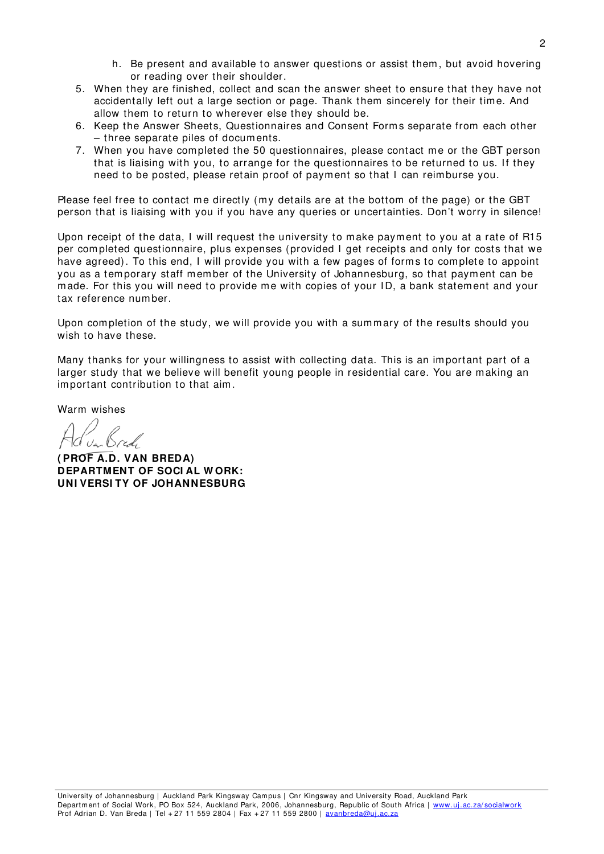- h. Be present and available to answer questions or assist them, but avoid hovering or reading over their shoulder.
- 5. When they are finished, collect and scan the answer sheet to ensure that they have not accidentally left out a large section or page. Thank them sincerely for their time. And allow them to return to wherever else they should be.
- 6. Keep the Answer Sheets, Questionnaires and Consent Forms separate from each other – three separate piles of documents.
- 7. When you have completed the 50 questionnaires, please contact me or the GBT person that is liaising with you, to arrange for the questionnaires to be returned to us. If they need to be posted, please retain proof of payment so that I can reimburse you.

Please feel free to contact me directly (my details are at the bottom of the page) or the GBT person that is liaising with you if you have any queries or uncertainties. Don't worry in silence!

Upon receipt of the data, I will request the university to make payment to you at a rate of R15 per completed questionnaire, plus expenses (provided I get receipts and only for costs that we have agreed). To this end, I will provide you with a few pages of forms to complete to appoint you as a temporary staff member of the University of Johannesburg, so that payment can be made. For this you will need to provide me with copies of your ID, a bank statement and your tax reference number.

Upon completion of the study, we will provide you with a summary of the results should you wish to have these.

Many thanks for your willingness to assist with collecting data. This is an important part of a larger study that we believe will benefit young people in residential care. You are making an important contribution to that aim.

Warm wishes

**( PROF A.D. VAN BREDA) DEPARTMENT OF SOCI AL W ORK: UNI VERSI TY OF JOHANNESBURG**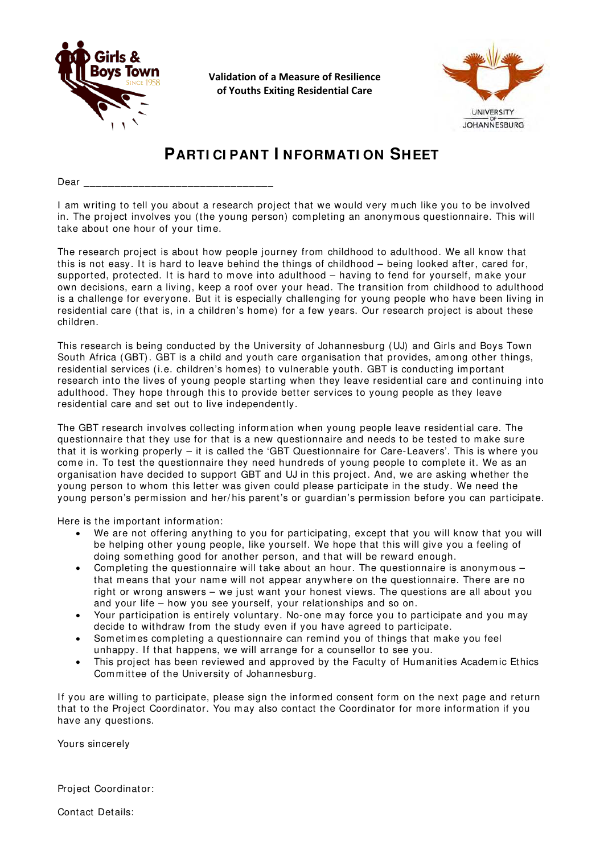

**Validation of a Measure of Resilience of Youths Exiting Residential Care**



# **PARTI CI PANT I NFORMATI ON SHEET**

Dear

I am writing to tell you about a research project that we would very m uch like you to be involved in. The project involves you (the young person) com pleting an anonym ous questionnaire. This will take about one hour of your tim e.

The research project is about how people journey from childhood to adulthood. We all know that this is not easy. It is hard to leave behind the things of childhood – being looked after, cared for, supported, protected. It is hard to move into adulthood – having to fend for yourself, make your own decisions, earn a living, keep a roof over your head. The transition from childhood to adulthood is a challenge for everyone. But it is especially challenging for young people who have been living in residential care (that is, in a children's home) for a few years. Our research project is about these children.

This research is being conducted by the University of Johannesburg (UJ) and Girls and Boys Town South Africa (GBT). GBT is a child and youth care organisation that provides, am ong other things, residential services (i.e. children's homes) to vulnerable youth. GBT is conducting important research into the lives of young people starting when they leave residential care and continuing into adulthood. They hope through this to provide better services to young people as they leave residential care and set out to live independently.

The GBT research involves collecting inform ation when young people leave residential care. The questionnaire that they use for that is a new questionnaire and needs to be tested to m ake sure that it is working properly – it is called the 'GBT Questionnaire for Care-Leavers'. This is where you come in. To test the questionnaire they need hundreds of young people to complete it. We as an organisation have decided to support GBT and UJ in this project. And, we are asking whether the young person to whom this letter was given could please participate in the study. We need the young person's perm ission and her/ his parent's or guardian's perm ission before you can participate.

Here is the im portant inform ation:

- We are not offering anything to you for participating, except that you will know that you will be helping other young people, like yourself. We hope that this will give you a feeling of doing som ething good for another person, and that will be reward enough.
- Completing the questionnaire will take about an hour. The questionnaire is anonymous that means that your name will not appear anywhere on the questionnaire. There are no right or wrong answers – we just want your honest views. The questions are all about you and your life – how you see yourself, your relationships and so on.
- Your participation is entirely voluntary. No-one may force you to participate and you may decide to withdraw from the study even if you have agreed to participate.
- Sometimes completing a questionnaire can remind you of things that make you feel unhappy. If that happens, we will arrange for a counsellor to see you.
- This project has been reviewed and approved by the Faculty of Humanities Academic Ethics Committee of the University of Johannesburg.

If you are willing to participate, please sign the informed consent form on the next page and return that to the Project Coordinator. You may also contact the Coordinator for more information if you have any questions.

Yours sincerely

Project Coordinator:

Contact Details: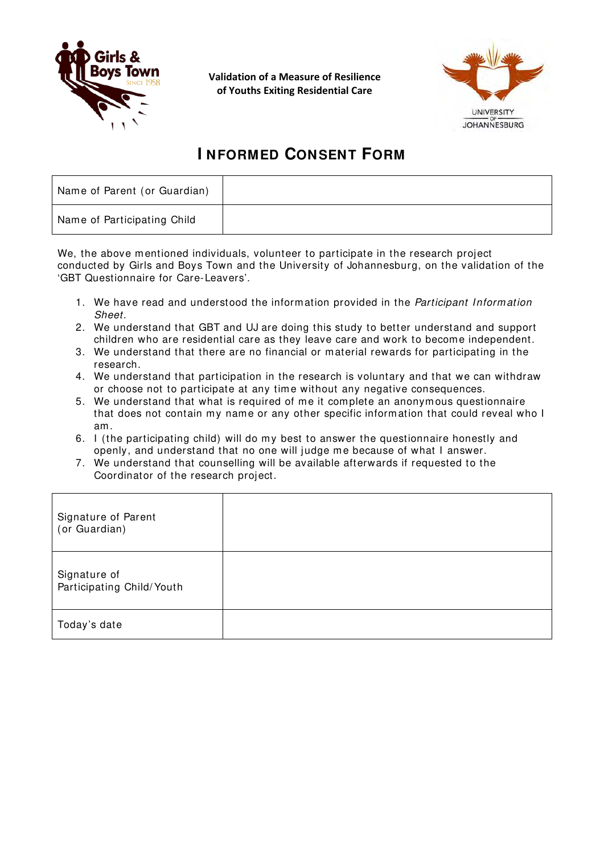

**Validation of a Measure of Resilience of Youths Exiting Residential Care**



# **I NFORMED CONSENT FORM**

| Name of Parent (or Guardian) |  |
|------------------------------|--|
| Name of Participating Child  |  |

We, the above mentioned individuals, volunteer to participate in the research project conducted by Girls and Boys Town and the University of Johannesburg, on the validation of the 'GBT Questionnaire for Care-Leavers'.

- 1. We have read and understood the information provided in the *Participant Inform ation Sheet*.
- 2. We understand that GBT and UJ are doing this study to better understand and support children who are residential care as they leave care and work to become independent.
- 3. We understand that there are no financial or material rewards for participating in the research.
- 4. We understand that participation in the research is voluntary and that we can withdraw or choose not to participate at any time without any negative consequences.
- 5. We understand that what is required of me it complete an anonymous questionnaire that does not contain my name or any other specific information that could reveal who I am.
- 6. I (the participating child) will do my best to answer the questionnaire honestly and openly, and understand that no one will judge me because of what I answer.
- 7. We understand that counselling will be available afterwards if requested to the Coordinator of the research project.

| Signature of Parent<br>(or Guardian)      |  |
|-------------------------------------------|--|
| Signature of<br>Participating Child/Youth |  |
| Today's date                              |  |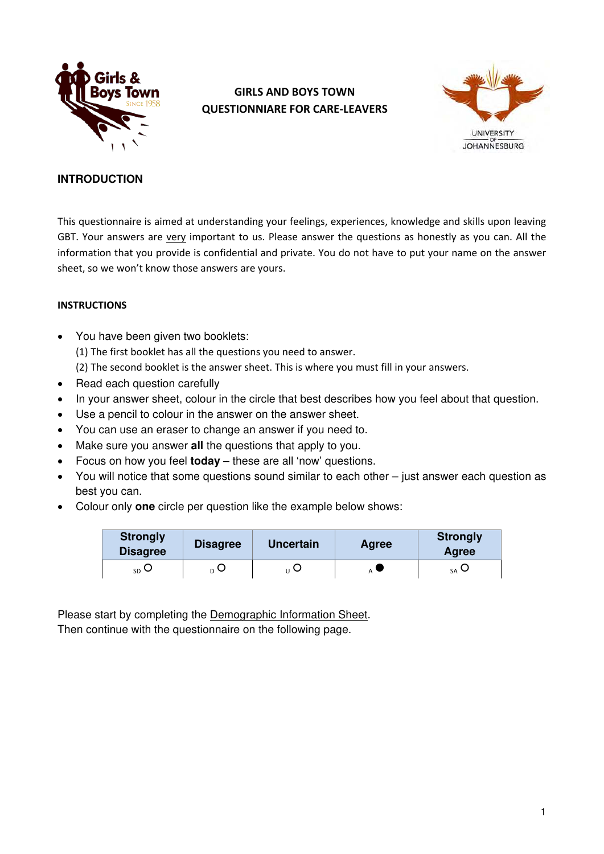

# **GIRLS AND BOYS TOWN QUESTIONNIARE FOR CARE-LEAVERS**



### **INTRODUCTION**

This questionnaire is aimed at understanding your feelings, experiences, knowledge and skills upon leaving GBT. Your answers are very important to us. Please answer the questions as honestly as you can. All the information that you provide is confidential and private. You do not have to put your name on the answer sheet, so we won't know those answers are yours.

#### **INSTRUCTIONS**

• You have been given two booklets: (1) The first booklet has all the questions you need to answer.

(2) The second booklet is the answer sheet. This is where you must fill in your answers.

- Read each question carefully
- In your answer sheet, colour in the circle that best describes how you feel about that question.
- Use a pencil to colour in the answer on the answer sheet.
- You can use an eraser to change an answer if you need to.
- Make sure you answer **all** the questions that apply to you.
- Focus on how you feel **today** these are all 'now' questions.
- You will notice that some questions sound similar to each other just answer each question as best you can.
- Colour only **one** circle per question like the example below shows:

| <b>Strongly</b><br><b>Disagree</b> | <b>Disagree</b> | <b>Uncertain</b> | <b>Agree</b> | <b>Strongly</b><br>Agree |
|------------------------------------|-----------------|------------------|--------------|--------------------------|
| $_{SD}$ $\cup$                     | ո O             | ╰                |              | $_{SA}$ $\cup$           |

Please start by completing the Demographic Information Sheet. Then continue with the questionnaire on the following page.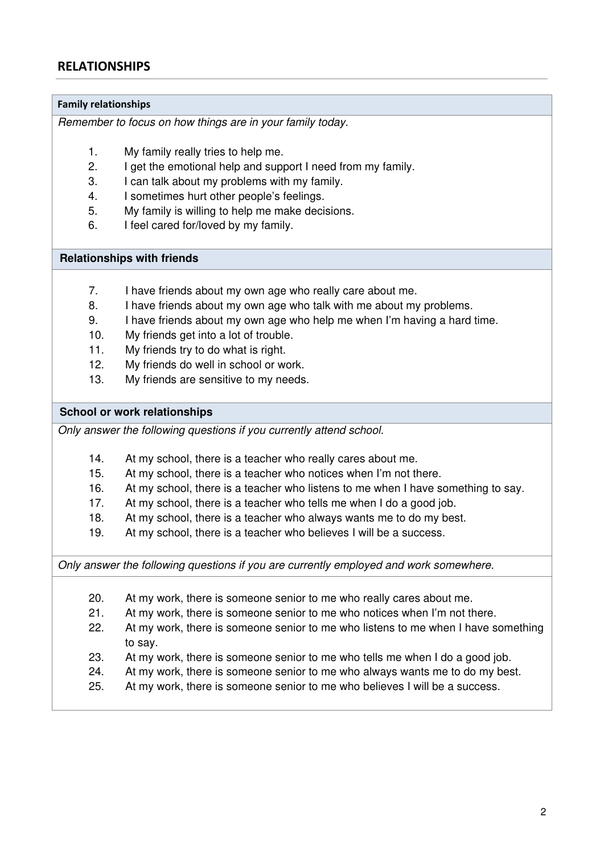# **RELATIONSHIPS**

#### **Family relationships**

*Remember to focus on how things are in your family today.*

- 1. My family really tries to help me.
- 2. I get the emotional help and support I need from my family.
- 3. I can talk about my problems with my family.
- 4. I sometimes hurt other people's feelings.
- 5. My family is willing to help me make decisions.
- 6. I feel cared for/loved by my family.

#### **Relationships with friends**

- 7. I have friends about my own age who really care about me.
- 8. I have friends about my own age who talk with me about my problems.
- 9. I have friends about my own age who help me when I'm having a hard time.
- 10. My friends get into a lot of trouble.
- 11. My friends try to do what is right.
- 12. My friends do well in school or work.
- 13. My friends are sensitive to my needs.

#### **School or work relationships**

*Only answer the following questions if you currently attend school.*

- 14. At my school, there is a teacher who really cares about me.
- 15. At my school, there is a teacher who notices when I'm not there.
- 16. At my school, there is a teacher who listens to me when I have something to say.
- 17. At my school, there is a teacher who tells me when I do a good job.
- 18. At my school, there is a teacher who always wants me to do my best.
- 19. At my school, there is a teacher who believes I will be a success.

*Only answer the following questions if you are currently employed and work somewhere.* 

- 20. At my work, there is someone senior to me who really cares about me.
- 21. At my work, there is someone senior to me who notices when I'm not there.
- 22. At my work, there is someone senior to me who listens to me when I have something to say.
- 23. At my work, there is someone senior to me who tells me when I do a good job.
- 24. At my work, there is someone senior to me who always wants me to do my best.
- 25. At my work, there is someone senior to me who believes I will be a success.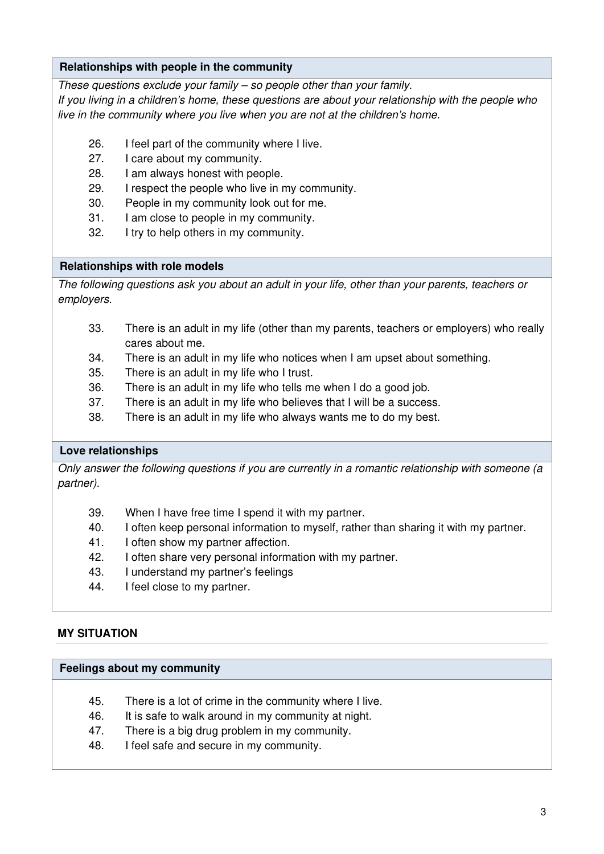### **Relationships with people in the community**

*These questions exclude your family – so people other than your family.*

*If you living in a children's home, these questions are about your relationship with the people who live in the community where you live when you are not at the children's home.*

- 26. I feel part of the community where I live.
- 27. I care about my community.
- 28. I am always honest with people.
- 29. I respect the people who live in my community.
- 30. People in my community look out for me.
- 31. I am close to people in my community.
- 32. I try to help others in my community.

#### **Relationships with role models**

*The following questions ask you about an adult in your life, other than your parents, teachers or employers.*

- 33. There is an adult in my life (other than my parents, teachers or employers) who really cares about me.
- 34. There is an adult in my life who notices when I am upset about something.
- 35. There is an adult in my life who I trust.
- 36. There is an adult in my life who tells me when I do a good job.
- 37. There is an adult in my life who believes that I will be a success.
- 38. There is an adult in my life who always wants me to do my best.

#### **Love relationships**

*Only answer the following questions if you are currently in a romantic relationship with someone (a partner).*

- 39. When I have free time I spend it with my partner.
- 40. I often keep personal information to myself, rather than sharing it with my partner.
- 41. I often show my partner affection.
- 42. I often share very personal information with my partner.
- 43. I understand my partner's feelings
- 44. I feel close to my partner.

#### **MY SITUATION**

#### **Feelings about my community**

- 45. There is a lot of crime in the community where I live.
- 46. It is safe to walk around in my community at night.
- 47. There is a big drug problem in my community.
- 48. I feel safe and secure in my community.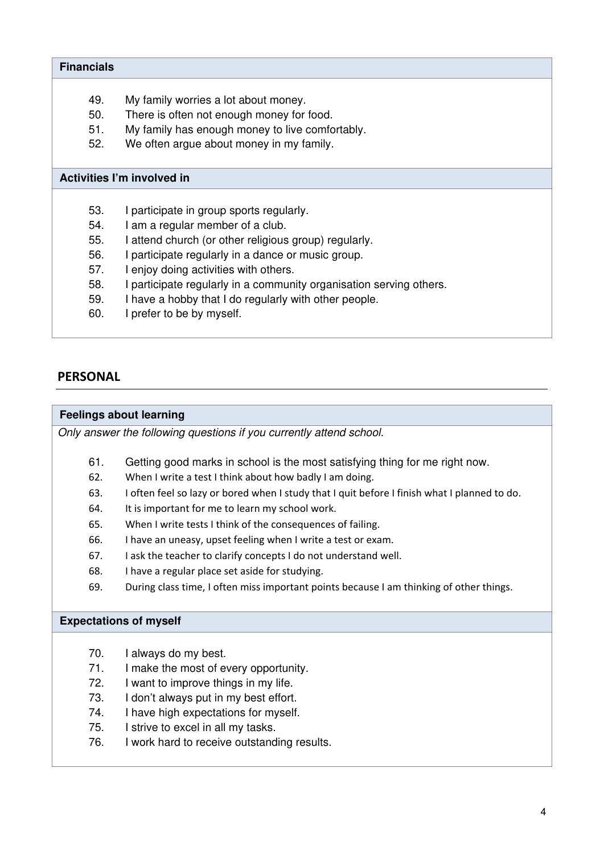#### **Financials**

- 49. My family worries a lot about money.
- 50. There is often not enough money for food.
- 51. My family has enough money to live comfortably.
- 52. We often argue about money in my family.

#### **Activities I'm involved in**

- 53. I participate in group sports regularly.
- 54. I am a regular member of a club.
- 55. I attend church (or other religious group) regularly.
- 56. I participate regularly in a dance or music group.
- 57. I enjoy doing activities with others.
- 58. I participate regularly in a community organisation serving others.
- 59. I have a hobby that I do regularly with other people.
- 60. I prefer to be by myself.

# **PERSONAL**

#### **Feelings about learning**

*Only answer the following questions if you currently attend school.*

- 61. Getting good marks in school is the most satisfying thing for me right now.
- 62. When I write a test I think about how badly I am doing.
- 63. I often feel so lazy or bored when I study that I quit before I finish what I planned to do.
- 64. It is important for me to learn my school work.
- 65. When I write tests I think of the consequences of failing.
- 66. I have an uneasy, upset feeling when I write a test or exam.
- 67. I ask the teacher to clarify concepts I do not understand well.
- 68. I have a regular place set aside for studying.
- 69. During class time, I often miss important points because I am thinking of other things.

#### **Expectations of myself**

- 70. I always do my best.
- 71. I make the most of every opportunity.
- 72. I want to improve things in my life.
- 73. I don't always put in my best effort.
- 74. I have high expectations for myself.
- 75. I strive to excel in all my tasks.
- 76. I work hard to receive outstanding results.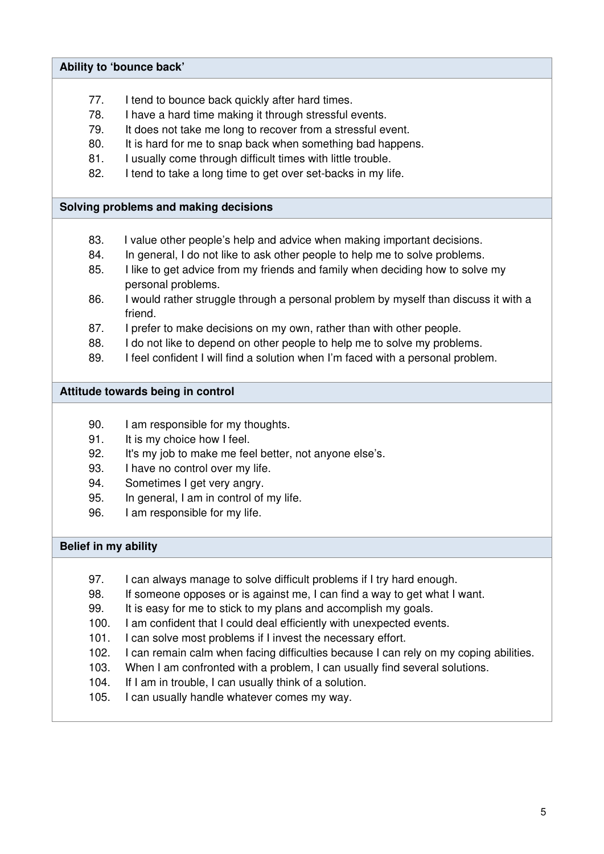#### **Ability to 'bounce back'**

- 77. I tend to bounce back quickly after hard times.
- 78. I have a hard time making it through stressful events.
- 79. It does not take me long to recover from a stressful event.
- 80. It is hard for me to snap back when something bad happens.
- 81. I usually come through difficult times with little trouble.
- 82. I tend to take a long time to get over set-backs in my life.

#### **Solving problems and making decisions**

- 83. I value other people's help and advice when making important decisions.
- 84. In general, I do not like to ask other people to help me to solve problems.
- 85. I like to get advice from my friends and family when deciding how to solve my personal problems.
- 86. I would rather struggle through a personal problem by myself than discuss it with a friend.
- 87. I prefer to make decisions on my own, rather than with other people.
- 88. I do not like to depend on other people to help me to solve my problems.
- 89. I feel confident I will find a solution when I'm faced with a personal problem.

#### **Attitude towards being in control**

- 90. I am responsible for my thoughts.
- 91. It is my choice how I feel.
- 92. It's my job to make me feel better, not anyone else's.
- 93. I have no control over my life.
- 94. Sometimes I get very angry.
- 95. In general, I am in control of my life.
- 96. I am responsible for my life.

#### **Belief in my ability**

- 97. I can always manage to solve difficult problems if I try hard enough.
- 98. If someone opposes or is against me, I can find a way to get what I want.
- 99. It is easy for me to stick to my plans and accomplish my goals.
- 100. I am confident that I could deal efficiently with unexpected events.
- 101. I can solve most problems if I invest the necessary effort.
- 102. I can remain calm when facing difficulties because I can rely on my coping abilities.
- 103. When I am confronted with a problem, I can usually find several solutions.
- 104. If I am in trouble, I can usually think of a solution.
- 105. I can usually handle whatever comes my way.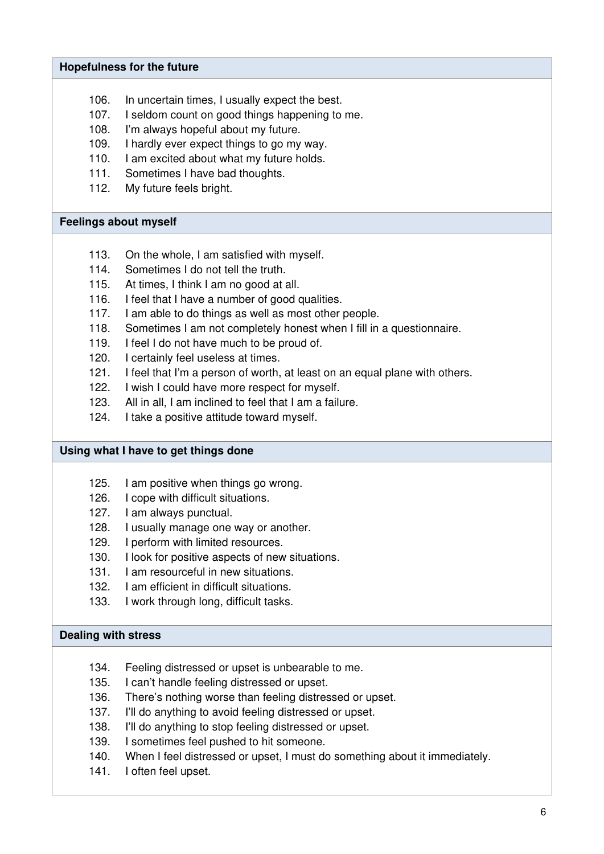#### **Hopefulness for the future**

- 106. In uncertain times, I usually expect the best.
- 107. I seldom count on good things happening to me.
- 108. I'm always hopeful about my future.
- 109. I hardly ever expect things to go my way.
- 110. I am excited about what my future holds.
- 111. Sometimes I have bad thoughts.
- 112. My future feels bright.

#### **Feelings about myself**

- 113. On the whole, I am satisfied with myself.
- 114. Sometimes I do not tell the truth.
- 115. At times, I think I am no good at all.
- 116. I feel that I have a number of good qualities.
- 117. I am able to do things as well as most other people.
- 118. Sometimes I am not completely honest when I fill in a questionnaire.
- 119. I feel I do not have much to be proud of.
- 120. I certainly feel useless at times.
- 121. I feel that I'm a person of worth, at least on an equal plane with others.
- 122. I wish I could have more respect for myself.
- 123. All in all, I am inclined to feel that I am a failure.
- 124. I take a positive attitude toward myself.

#### **Using what I have to get things done**

- 125. I am positive when things go wrong.
- 126. I cope with difficult situations.
- 127. I am always punctual.
- 128. I usually manage one way or another.
- 129. I perform with limited resources.
- 130. I look for positive aspects of new situations.
- 131. I am resourceful in new situations.
- 132. I am efficient in difficult situations.
- 133. I work through long, difficult tasks.

#### **Dealing with stress**

- 134. Feeling distressed or upset is unbearable to me.
- 135. I can't handle feeling distressed or upset.
- 136. There's nothing worse than feeling distressed or upset.
- 137. I'll do anything to avoid feeling distressed or upset.
- 138. I'll do anything to stop feeling distressed or upset.
- 139. I sometimes feel pushed to hit someone.
- 140. When I feel distressed or upset, I must do something about it immediately.
- 141. I often feel upset.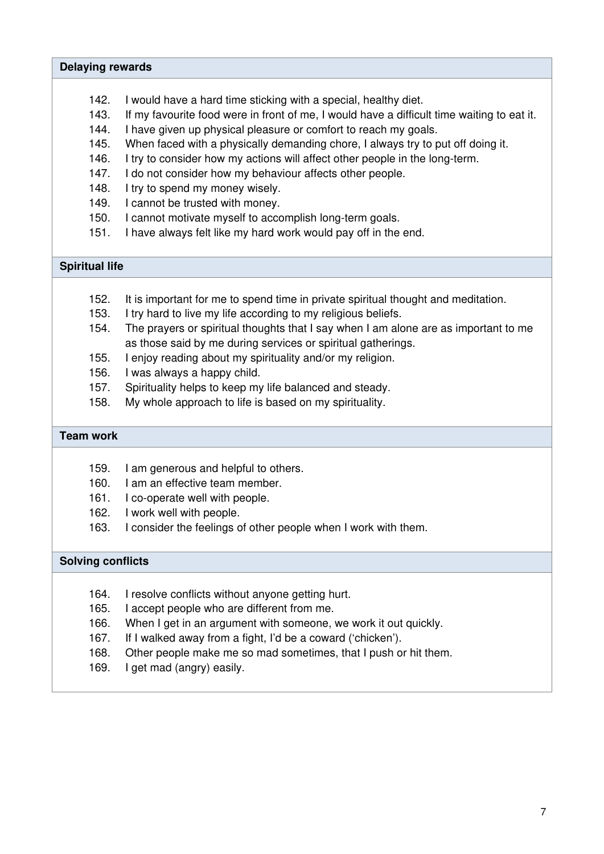#### **Delaying rewards**

- 142. I would have a hard time sticking with a special, healthy diet.
- 143. If my favourite food were in front of me, I would have a difficult time waiting to eat it.
- 144. I have given up physical pleasure or comfort to reach my goals.
- 145. When faced with a physically demanding chore, I always try to put off doing it.
- 146. I try to consider how my actions will affect other people in the long-term.
- 147. I do not consider how my behaviour affects other people.
- 148. I try to spend my money wisely.
- 149. I cannot be trusted with money.
- 150. I cannot motivate myself to accomplish long-term goals.
- 151. I have always felt like my hard work would pay off in the end.

## **Spiritual life**

- 152. It is important for me to spend time in private spiritual thought and meditation.
- 153. I try hard to live my life according to my religious beliefs.
- 154. The prayers or spiritual thoughts that I say when I am alone are as important to me as those said by me during services or spiritual gatherings.
- 155. I enjoy reading about my spirituality and/or my religion.
- 156. I was always a happy child.
- 157. Spirituality helps to keep my life balanced and steady.
- 158. My whole approach to life is based on my spirituality.

#### **Team work**

- 159. I am generous and helpful to others.
- 160. I am an effective team member.
- 161. I co-operate well with people.
- 162. I work well with people.
- 163. I consider the feelings of other people when I work with them.

#### **Solving conflicts**

- 164. I resolve conflicts without anyone getting hurt.
- 165. I accept people who are different from me.
- 166. When I get in an argument with someone, we work it out quickly.
- 167. If I walked away from a fight, I'd be a coward ('chicken').
- 168. Other people make me so mad sometimes, that I push or hit them.
- 169. I get mad (angry) easily.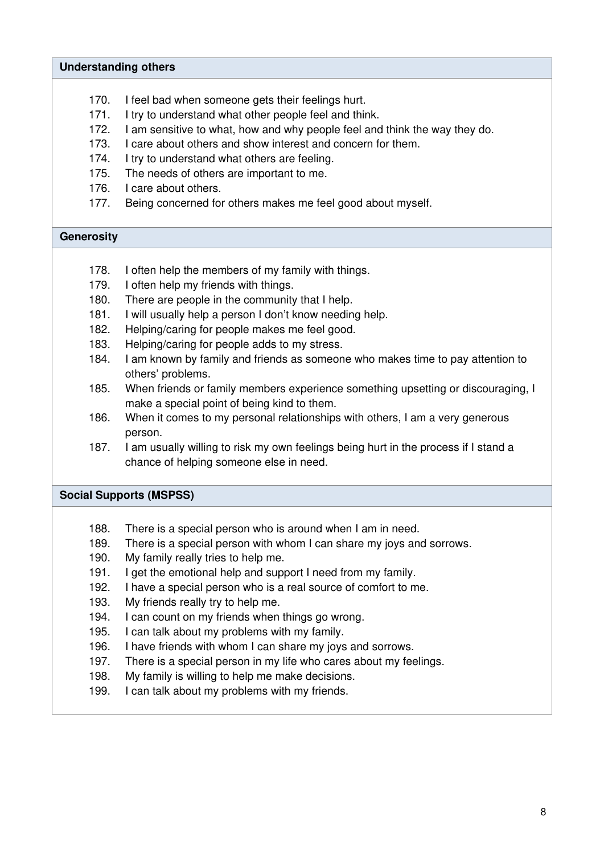#### **Understanding others**

- 170. I feel bad when someone gets their feelings hurt.
- 171. I try to understand what other people feel and think.
- 172. I am sensitive to what, how and why people feel and think the way they do.
- 173. I care about others and show interest and concern for them.
- 174. I try to understand what others are feeling.
- 175. The needs of others are important to me.
- 176. I care about others.
- 177. Being concerned for others makes me feel good about myself.

#### **Generosity**

- 178. I often help the members of my family with things.
- 179. I often help my friends with things.
- 180. There are people in the community that I help.
- 181. I will usually help a person I don't know needing help.
- 182. Helping/caring for people makes me feel good.
- 183. Helping/caring for people adds to my stress.
- 184. I am known by family and friends as someone who makes time to pay attention to others' problems.
- 185. When friends or family members experience something upsetting or discouraging, I make a special point of being kind to them.
- 186. When it comes to my personal relationships with others, I am a very generous person.
- 187. I am usually willing to risk my own feelings being hurt in the process if I stand a chance of helping someone else in need.

#### **Social Supports (MSPSS)**

- 188. There is a special person who is around when I am in need.
- 189. There is a special person with whom I can share my joys and sorrows.
- 190. My family really tries to help me.
- 191. I get the emotional help and support I need from my family.
- 192. I have a special person who is a real source of comfort to me.
- 193. My friends really try to help me.
- 194. I can count on my friends when things go wrong.
- 195. I can talk about my problems with my family.
- 196. I have friends with whom I can share my joys and sorrows.
- 197. There is a special person in my life who cares about my feelings.
- 198. My family is willing to help me make decisions.
- 199. I can talk about my problems with my friends.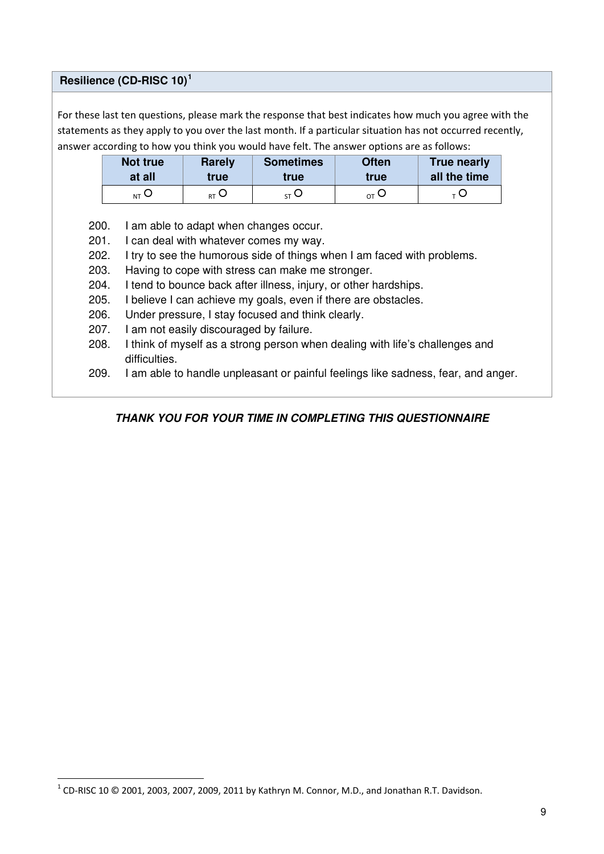#### **Resilience (CD-RISC 10)[1](#page-39-0)**

l

For these last ten questions, please mark the response that best indicates how much you agree with the statements as they apply to you over the last month. If a particular situation has not occurred recently, answer according to how you think you would have felt. The answer options are as follows:

| Not true        | <b>Rarely</b>      | <b>Sometimes</b> | <b>Often</b>                | <b>True nearly</b> |
|-----------------|--------------------|------------------|-----------------------------|--------------------|
| at all          | true               | true             | true                        | all the time       |
| <sub>NT</sub> ∪ | $_{\rm RT}$ $\cup$ | 57 U             | $_{\mathsf{O}\mathsf{T}}$ O |                    |

200. I am able to adapt when changes occur.

- 201. I can deal with whatever comes my way.
- 202. I try to see the humorous side of things when I am faced with problems.
- 203. Having to cope with stress can make me stronger.
- 204. I tend to bounce back after illness, injury, or other hardships.
- 205. I believe I can achieve my goals, even if there are obstacles.
- 206. Under pressure, I stay focused and think clearly.
- 207. I am not easily discouraged by failure.
- 208. I think of myself as a strong person when dealing with life's challenges and difficulties.
- 209. I am able to handle unpleasant or painful feelings like sadness, fear, and anger.

### **THANK YOU FOR YOUR TIME IN COMPLETING THIS QUESTIONNAIRE**

<span id="page-39-0"></span> $^1$  CD-RISC 10 © 2001, 2003, 2007, 2009, 2011 by Kathryn M. Connor, M.D., and Jonathan R.T. Davidson.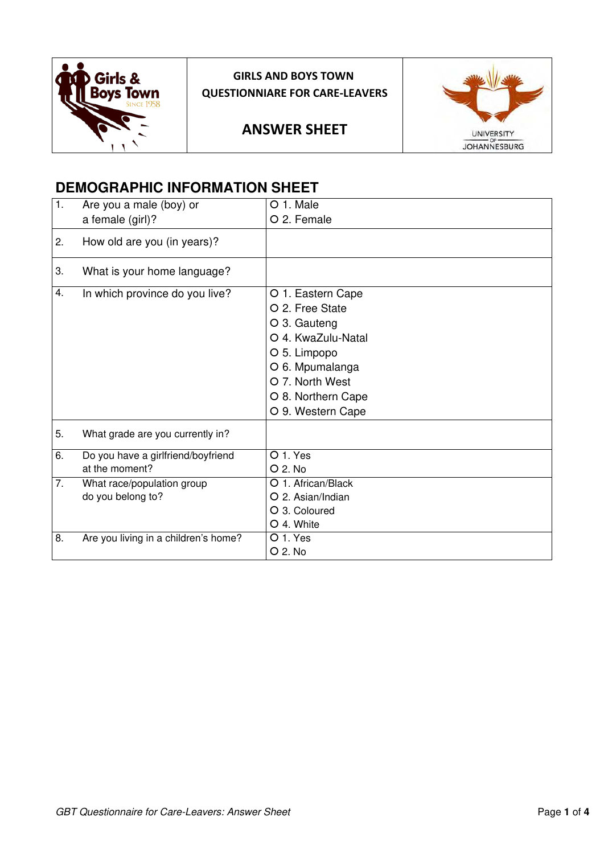

# **GIRLS AND BOYS TOWN QUESTIONNIARE FOR CARE-LEAVERS**

# **ANSWER SHEET**



# **DEMOGRAPHIC INFORMATION SHEET**

| 1. | Are you a male (boy) or                              | O 1. Male                                                                                                                                                                   |
|----|------------------------------------------------------|-----------------------------------------------------------------------------------------------------------------------------------------------------------------------------|
|    | a female (girl)?                                     | O 2. Female                                                                                                                                                                 |
| 2. | How old are you (in years)?                          |                                                                                                                                                                             |
| 3. | What is your home language?                          |                                                                                                                                                                             |
| 4. | In which province do you live?                       | O 1. Eastern Cape<br>O 2. Free State<br>O 3. Gauteng<br>O 4. KwaZulu-Natal<br>O 5. Limpopo<br>O 6. Mpumalanga<br>O 7. North West<br>O 8. Northern Cape<br>O 9. Western Cape |
| 5. | What grade are you currently in?                     |                                                                                                                                                                             |
| 6. | Do you have a girlfriend/boyfriend<br>at the moment? | $O1$ . Yes<br>O 2. No                                                                                                                                                       |
| 7. | What race/population group                           | O 1. African/Black                                                                                                                                                          |
|    | do you belong to?                                    | O 2. Asian/Indian                                                                                                                                                           |
|    |                                                      | O 3. Coloured                                                                                                                                                               |
|    |                                                      | O 4. White                                                                                                                                                                  |
| 8. | Are you living in a children's home?                 | O 1. Yes                                                                                                                                                                    |
|    |                                                      | O 2. No                                                                                                                                                                     |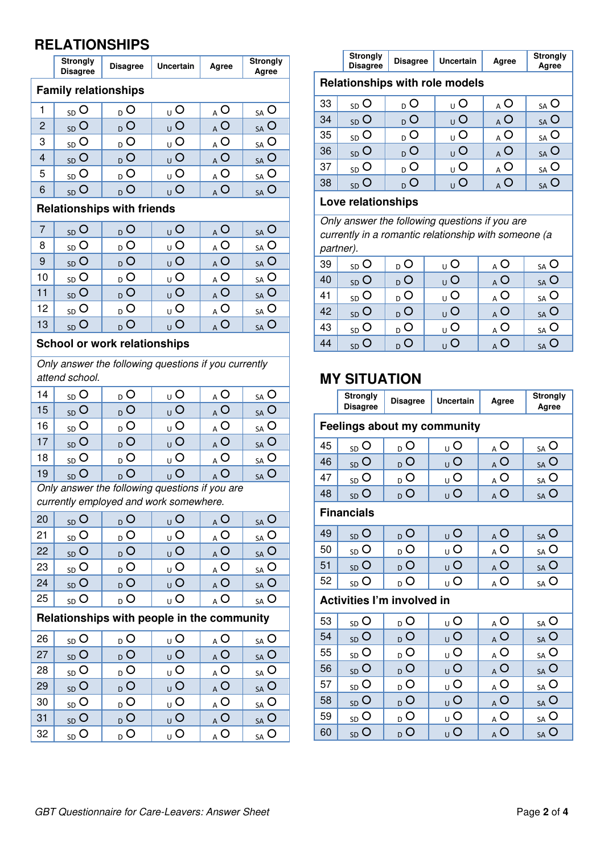# **RELATIONSHIPS**

|                | <b>Strongly</b><br><b>Disagree</b> | <b>Disagree</b>                                      | <b>Uncertain</b>           | Agree             | <b>Strongly</b><br>Agree    |  |
|----------------|------------------------------------|------------------------------------------------------|----------------------------|-------------------|-----------------------------|--|
|                | <b>Family relationships</b>        |                                                      |                            |                   |                             |  |
| 1              | $_{SD}$ O                          | D O                                                  | υO                         | A O               | $_{SA}$ O                   |  |
| $\overline{c}$ | <sub>SD</sub> O                    | $D_{D}$                                              | <sub>υ</sub> Ο             | A O               | $_{SA}$ O                   |  |
| 3              | $SD$ $O$                           | D <sub>D</sub>                                       | υO                         | A O               | $_{SA}$ O                   |  |
| $\overline{4}$ | $SD$ $O$                           | $D_{D}$                                              | <sub>⊍</sub> O             | A O               | $_{SA}$ O                   |  |
| 5              | $SD$ O                             | $D_{D}$                                              | $\underline{\cup}$ O       | $\overline{A}$ O  | $_{SA}$ O                   |  |
| 6              | <sub>SD</sub> O                    | $\overline{D}$ O                                     | $\overline{O}$             | $\overline{A}$ O  | SA O                        |  |
|                |                                    | <b>Relationships with friends</b>                    |                            |                   |                             |  |
| 7              | $SD$ $O$                           | $\overline{D}$ O                                     | <sub>⊍</sub> O             | A O               | $SA$ $O$                    |  |
| 8              | $SD$ $O$                           | D <sub>D</sub>                                       | υO                         | A O               | $_{SA}$ O                   |  |
| 9              | $SD$ $O$                           | $D_{D}$                                              | <sub>υ</sub> Ο             | A O               | SA O                        |  |
| 10             | $SD$ $O$                           | $D$ O                                                | $\overline{\mathsf{U}}$ O  | A O               | $_{SA}$ O                   |  |
| 11             | <sub>SD</sub> O                    | $D$ O                                                | $\overline{O}$             | $\overline{A}$ O  | $_{SA}$ O                   |  |
| 12             | $SD$ O                             | $_{D}$ O                                             | υO                         | $_{\mathsf{A}}$ O | $_{SA}$ O                   |  |
| 13             | <sub>SD</sub> O                    | D <sub>D</sub>                                       | <sub>υ</sub> Ο             | A O               | $_{SA}$ O                   |  |
|                |                                    | <b>School or work relationships</b>                  |                            |                   |                             |  |
|                |                                    | Only answer the following questions if you currently |                            |                   |                             |  |
|                | attend school.                     |                                                      |                            |                   |                             |  |
| 14             | $_{SD}$ O                          | D O                                                  | υO                         | $\wedge$ O        | $_{SA}$ O                   |  |
| 15             | $SD$ $O$                           | $_{D}$ O                                             | υO                         | $\overline{A}$ O  | $_{SA}$ O                   |  |
| 16             | $SD$ $O$                           | D <sub>D</sub>                                       | $\overline{U}$ O           | A O               | $_{SA}$ O                   |  |
| 17             | $SD$ $O$                           | $D_{D}$                                              | υO                         | A O               | SA O                        |  |
| 18             | $SD$ O                             | $D$ O                                                | υO                         | A O               | $_{SA}$ O                   |  |
| 19             | $SD$ $O$                           | $_{\text{D}}$ O                                      | <sub>u</sub> O             | $_{\rm A}$ O      | $_{\mathsf{SA}}$ O          |  |
|                |                                    | Only answer the following questions if you are       |                            |                   |                             |  |
|                |                                    | currently employed and work somewhere.               |                            |                   |                             |  |
| 20             | $SD$ <sup>O</sup>                  | $_{\text{D}}$ O                                      | $\mathsf{U} \, \mathsf{O}$ | A O               | $SA$ O                      |  |
| 21             | $_{SD}$ O                          | D <sub>0</sub>                                       | $\underline{\cup}$ O       | $_\mathrm{A}$ O   | $_{SA}$ O                   |  |
| 22             | $SD$ O                             | D <sub>D</sub>                                       | $\overline{\mathsf{C}}$    | AC                | $_{SA}$ O                   |  |
| 23             | $_{SD}$ O                          | D O                                                  | $\cup$ O                   | A O               | $\underline{\mathsf{SA}}$ O |  |
| 24             | $SD$ $O$                           | $_{\sf D}$ O                                         | $\overline{O}$             | A O               | $_{SA}$ O                   |  |
| 25             | $_{SD}$ O                          | D <sub>D</sub>                                       | υO                         | $_{\Delta}$ O     | $\underline{\mathsf{SA}}$ O |  |
|                |                                    | Relationships with people in the community           |                            |                   |                             |  |
| 26             | $_{SD}$ O                          | D O                                                  | υO                         | A O               | $_{SA}$ O                   |  |
| 27             | $SD$ O                             | $D$ <sup>O</sup>                                     | $\overline{\mathsf{U}}$ O  | $\overline{A}$ O  | $_{SA}$ O                   |  |
| 28             | $_{SD}$ O                          | $_{\sf D}$ O                                         | $\cup$ O                   | $\wedge$          | $\underline{\mathsf{SA}}$ O |  |
| 29             | $SD$ O                             | D <sub>D</sub>                                       | $\overline{O}$             | $\wedge$ O        | $_{SA}$ O                   |  |
| 30             | $_{SD}$ O                          | $_{\text{D}}$ O                                      | υO                         | A O               | $\underline{\mathsf{SA}}$ O |  |
| 31             | $SD$ O                             | $D$ O                                                | $\overline{O}$             | $\overline{A}$ O  | $SA$ $O$                    |  |
| 32             | $_{SD}$ O                          | $\overline{O}$                                       | $\overline{\mathsf{U}}$ O  | $\overline{A}$ O  | $\underline{\mathsf{SA}}$ O |  |
|                |                                    |                                                      |                            |                   |                             |  |

|                                                               | <b>Strongly</b><br>Disagree<br>Uncertain<br><b>Disagree</b><br>Agree |  |  |  |  |  |  |  |  |  |
|---------------------------------------------------------------|----------------------------------------------------------------------|--|--|--|--|--|--|--|--|--|
|                                                               | <b>Relationships with role models</b>                                |  |  |  |  |  |  |  |  |  |
| 33<br>. C<br>$_{SD}$ O<br>$\bullet$<br>∩ O<br>пU<br><b>SA</b> |                                                                      |  |  |  |  |  |  |  |  |  |
| $\sim$ $\lambda$                                              |                                                                      |  |  |  |  |  |  |  |  |  |

| 34 | $_{SD}$ O      | $\overline{O}$ | O                | AO             | $SA$ <sup>O</sup> |
|----|----------------|----------------|------------------|----------------|-------------------|
| 35 | $_{SD}$ O      | O<br>D.        | $\Omega$         | O              | $_{SA}$ O         |
| 36 | $_{SD}$ O      | $\circ$<br>D.  | O                | A O            | $_{SA}$ O         |
| 37 | $_{SD}$ O      | O<br>D         | $\cap$           | A O            | SA O              |
| 38 | $\overline{O}$ | O              | $\left( \right)$ | <sub>A</sub> O | $SA$ <sup>O</sup> |

#### **Love relationships**

*Only answer the following questions if you are currently in a romantic relationship with someone (a partner).*

| 39 | $_{SD}$ O | $D_{D}$         | $_{\cup}$ O    | $_{\mathsf{A}}$ O | $_{SA}$ O                      |
|----|-----------|-----------------|----------------|-------------------|--------------------------------|
| 40 | $_{SD}$ O | D O             | $\overline{U}$ | <sub>A</sub> O    | $SA$ <sup><math>O</math></sup> |
| 41 | $_{SD}$ O | <sub>D</sub> О  | $_{\cup}$ O    | <sub>A</sub> O    | $_{SA}$ O                      |
| 42 | $SD$ O    | $_{\text{D}}$ O | U              | $_{\mathsf{A}}$ O | $SA$ O                         |
| 43 | $_{SD}$ O | $_{\text{D}}$ O | $\overline{O}$ | $_{\mathsf{A}}$ O | $_{SA}$ O                      |
| 44 | $SD$ $O$  | $D$ O           | $\overline{U}$ | <sub>A</sub> O    | $SA$ $O$                       |
|    |           |                 |                |                   |                                |

# **MY SITUATION**

|    | Strongly<br><b>Disagree</b>       | <b>Disagree</b> | <b>Uncertain</b>                   | Agree                     | <b>Strongly</b><br>Agree    |
|----|-----------------------------------|-----------------|------------------------------------|---------------------------|-----------------------------|
|    |                                   |                 | <b>Feelings about my community</b> |                           |                             |
| 45 | $_{SD}$ O                         | $_{\text{D}}$ O | υO                                 | A O                       | $_{SA}$ O                   |
| 46 | $SD$ O                            | $D$ O           | $\overline{O}$                     | A O                       | $_{SA}$ O                   |
| 47 | $SD$ $O$                          | <sub>D</sub> О  | υO                                 | AC                        | $\underline{\mathsf{SA}}$ O |
| 48 | $SD$ $O$                          | $\overline{O}$  | $\overline{\mathsf{U}}$ O          | $_{\mathsf{A}}$ O         | $_{SA}$ O                   |
|    | <b>Financials</b>                 |                 |                                    |                           |                             |
| 49 | $_{SD}$ O                         | $_{\text{D}}$ O | $\overline{\mathsf{C}}$            | $\overline{A}$ O          | $_{SA}$ O                   |
| 50 | $_{SD}$ O                         | $D_{D}$         | υO                                 | $_{\Delta}$ O             | $_{SA}$ O                   |
| 51 | $SD$ $O$                          | $_{\text{D}}$ O | υO                                 | A O                       | $SA$ O                      |
| 52 | $_{SD}$ O                         | $_{\text{D}}$ O | υO                                 | A O                       | $_{SA}$ O                   |
|    | <b>Activities I'm involved in</b> |                 |                                    |                           |                             |
| 53 | $_{SD}$ O                         | $_{\text{D}}$ O | υO                                 | A O                       | $_{SA}$ O                   |
| 54 | $_{SD}$ O                         | $_{\sf D}$ O    | <sub>⊍</sub> O                     | A O                       | $_{SA}$ O                   |
| 55 | $SD$ O                            | D <sub>D</sub>  | υO                                 | A O                       | $_{SA}$ O                   |
| 56 | $SD$ $O$                          | $\overline{O}$  | $_{\cup}$ O                        | A O                       | SA O                        |
| 57 | $SD$ $O$                          | $D_{D}$         | υO                                 | A O                       | $_{SA}$ O                   |
| 58 | $SD$ O                            | $\overline{O}$  | $\overline{\mathsf{U}}$ O          | A O                       | $_{SA}$ O                   |
| 59 | $_{SD}$ O                         | D <sub>0</sub>  | υO                                 | $\mathbf{A}^{\mathbf{O}}$ | $_{SA}$ O                   |
| 60 | $SD$ $O$                          | $D_{D}$         | $\overline{O}$                     | A O                       | SA O                        |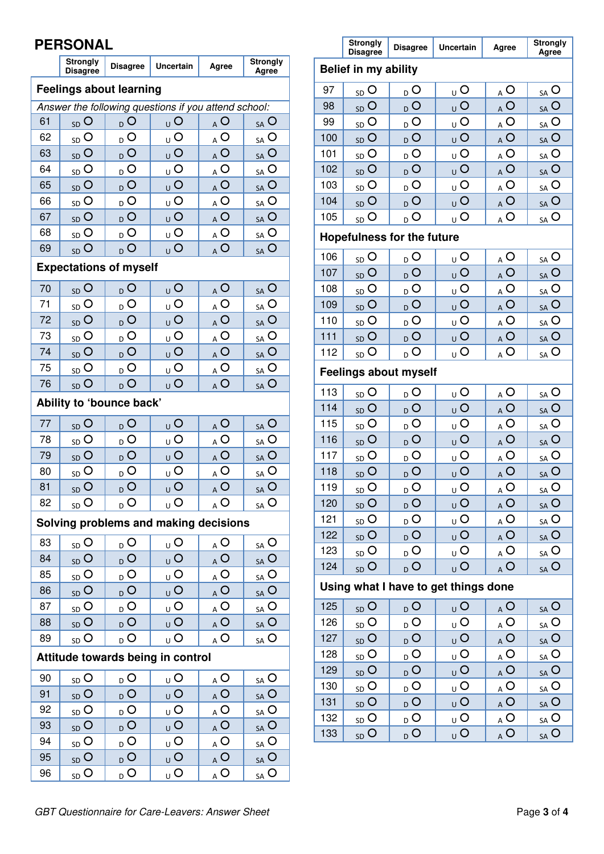# **PERSONAL**

|    | IUINAI                             |                  |                                                      |                         |                             |  |  |  |  |  |
|----|------------------------------------|------------------|------------------------------------------------------|-------------------------|-----------------------------|--|--|--|--|--|
|    | <b>Strongly</b><br><b>Disagree</b> | <b>Disagree</b>  | Uncertain                                            | Agree                   | <b>Strongly</b><br>Agree    |  |  |  |  |  |
|    | <b>Feelings about learning</b>     |                  |                                                      |                         |                             |  |  |  |  |  |
|    |                                    |                  | Answer the following questions if you attend school: |                         |                             |  |  |  |  |  |
| 61 | <sub>SD</sub> O                    | $\overline{O}$   | <sub>υ</sub> Ο                                       | AO                      | SA O                        |  |  |  |  |  |
| 62 | $SD$ $O$                           | <sub>D</sub> O   | υO                                                   | A O                     | $_{SA}$ O                   |  |  |  |  |  |
| 63 | <sub>SD</sub> O                    | D <sub>0</sub>   | $\overline{O}$                                       | AO                      | $_{SA}$ O                   |  |  |  |  |  |
| 64 | $SD$ $O$                           | D                | υO                                                   | $_{A}$ O                | $_{SA}$ O                   |  |  |  |  |  |
| 65 | SD <sub>O</sub>                    | $D$ O            | $\overline{O}$                                       | A O                     | SA O                        |  |  |  |  |  |
| 66 | $SD$ O                             | $\overline{O}$   | $\cup$ O                                             | A O                     | $_{SA}$ O                   |  |  |  |  |  |
| 67 | $SD$ $O$                           | $\overline{O}$   | <sub>υ</sub> Ο                                       | A O                     | SA O                        |  |  |  |  |  |
| 68 | $SD$ $O$                           | D                | $\cup$ O                                             | $\overline{A}$ O        | $_{SA}$ O                   |  |  |  |  |  |
| 69 | $SD$ $O$                           | $D$ O            | $\overline{O}$                                       | AC                      | SA O                        |  |  |  |  |  |
|    | <b>Expectations of myself</b>      |                  |                                                      |                         |                             |  |  |  |  |  |
| 70 | $SD$ $O$                           | <sub>D</sub> O   | $\overline{O}$                                       | A O                     | $_{SA}$ O                   |  |  |  |  |  |
| 71 | <sub>SD</sub> O                    | D <sub>D</sub>   | <sub>U</sub> O                                       | AO                      | $_{SA}$ O                   |  |  |  |  |  |
| 72 | $SD$ $O$                           | $_{\sf D}$ O     | $\overline{O}$                                       | AO                      | SA O                        |  |  |  |  |  |
| 73 | $SD$ O                             | $\overline{O}$   | $\cup$ O                                             | $_{\mathbb{A}}$ O       | $_{SA}$ O                   |  |  |  |  |  |
| 74 | <sub>SD</sub> O                    | $D$ O            |                                                      |                         | SA O                        |  |  |  |  |  |
| 75 | $SD$ $O$                           | $\overline{O}$   | $\overline{O}$<br>$_{A}$ O                           |                         |                             |  |  |  |  |  |
| 76 | <sub>SD</sub> O                    | D <sub>D</sub>   | υO<br>$\overline{O}$                                 | $_{\mathsf{A}}$ O<br>AO | $_{SA}$ O<br>$SA$ $O$       |  |  |  |  |  |
|    |                                    |                  |                                                      |                         |                             |  |  |  |  |  |
|    | Ability to 'bounce back'           |                  |                                                      |                         |                             |  |  |  |  |  |
| 77 | $SD$ $O$                           | D Q              | $\overline{O}$                                       | A O                     | SA O                        |  |  |  |  |  |
| 78 | $SD$ O                             | $D$ O            | $\overline{U}$ O                                     | $_{A}$ O                | $_{SA}$ O                   |  |  |  |  |  |
| 79 | SD <sub>O</sub>                    | $D$ O            | $\overline{O}$                                       | A O                     | $SA$ O                      |  |  |  |  |  |
| 80 | $SD$ O                             | $D$ O            | $\cup$ O                                             | A O                     | $_{SA}$ O                   |  |  |  |  |  |
| 81 | <sub>SD</sub> O                    | $\overline{D}$ O | $_{\sf U}$ O                                         | A O                     | $_{SA}$ O                   |  |  |  |  |  |
| 82 | $_{SD}$ O                          | $_{\text{D}}$ O  | <sub>U</sub> O                                       | $_{\mathsf{A}}$ O       | $_{SA}$ O                   |  |  |  |  |  |
|    |                                    |                  | Solving problems and making decisions                |                         |                             |  |  |  |  |  |
| 83 | $_{SD}$ O                          | $\overline{O}$   | $\underline{\cup}$                                   | A O                     | $\underline{\mathsf{SA}}$ O |  |  |  |  |  |
| 84 | $SD$ $O$                           | D <sub>0</sub>   | υO                                                   | $\overline{A}$ O        | $SA$ O                      |  |  |  |  |  |
| 85 | $_{SD}$ O                          | $_{D}$ O         | $\cup$ O                                             | $_{\mathbb{A}}$ O       | $_{SA}$ O                   |  |  |  |  |  |
| 86 | $SD$ O                             | $_{\text{D}}$ O  | $\cup$ O                                             | A O                     | $SA$ <sup>O</sup>           |  |  |  |  |  |
| 87 | $_{SD}$ O                          | $\overline{D}$ O | $\cup$ O                                             | $\overline{A}$ O        | $S_A$ O                     |  |  |  |  |  |
| 88 | $SD$ O                             | $\overline{O}$   | $\overline{O}$                                       | $\overline{A}$ O        | $SA$ O                      |  |  |  |  |  |
| 89 | $_{SD}$ O                          | $D$ O            | υO                                                   | $\overline{A}$ O        | $\underline{\mathsf{SA}}$ O |  |  |  |  |  |
|    |                                    |                  | Attitude towards being in control                    |                         |                             |  |  |  |  |  |
| 90 | $_{SD}$ O                          | D O              | υO                                                   | A O                     | $_{SA}$ O                   |  |  |  |  |  |
| 91 | $SD$ $O$                           | D <sub>0</sub>   | υO                                                   | $\overline{A}$ O        | $_{SA}$ O                   |  |  |  |  |  |
| 92 | $_{SD}$ O                          | $_{\text{D}}$ O  | $\overline{U}$ O                                     | $\overline{A}$ O        | $\underline{\mathsf{SA}}$ O |  |  |  |  |  |
| 93 | <sub>SD</sub> O                    | D <sub>D</sub>   | $\overline{\mathsf{C}}$                              | $\overline{A}$ O        | $SA$ O                      |  |  |  |  |  |
| 94 | $_{SD}$ O                          | $D$ O            | $\cup$ O                                             | $\overline{A}$ O        | $\underline{\mathsf{SA}}$ O |  |  |  |  |  |
| 95 | $SD$ O                             | D <sub>D</sub>   | $\overline{O}$                                       | $\overline{A}$ O        | $_{SA}$ O                   |  |  |  |  |  |
| 96 | $\underline{\mathsf{SD}}$ O        | $_{\text{D}}$ O  | $\overline{\mathsf{C}}$                              | $\overline{A}$ O        | $\underline{\mathsf{SA}}$ O |  |  |  |  |  |
|    |                                    |                  |                                                      |                         |                             |  |  |  |  |  |

|       | <b>Strongly</b><br><b>Disagree</b> | <b>Disagree</b>     | <b>Uncertain</b>                     | Agree                          | <b>Strongly</b><br>Agree    |
|-------|------------------------------------|---------------------|--------------------------------------|--------------------------------|-----------------------------|
|       | <b>Belief in my ability</b>        |                     |                                      |                                |                             |
| 97    | $SD$ O                             | $\overline{D}$ O    | $\overline{\mathsf{U}}$ O            | AC                             | $_{SA}$ O                   |
| 98    | $SD$ $O$                           | $D$ O               | $\overline{O}$                       | $\overline{A}$ O               | $_{SA}$ O                   |
| 99    | $SD$ O                             | D <sub>D</sub>      | $_{\rm U}$ O                         | A O                            | $_{SA}$ O                   |
| 100   | $SD$ $O$                           | D <sub>D</sub>      | $\overline{O}$                       | AC                             | $SA$ O                      |
| 101   | $SD$ O                             | $\overline{O}$      | $\overline{U}$ O                     | $\overline{A}$ O               | $_{SA}$ O                   |
| 102   | $SD$ O                             | $D$ O               | $\overline{O}$                       | $\overline{A}$ O               | $SA$ $O$                    |
| 103   | $SD$ O                             | $_{D}$ O            | $\cup$ O                             | $_{\mathbb{A}}$ O              | $\underline{\mathsf{SA}}$ O |
| 104   | $SD$ O                             | O <sub>0</sub>      | $\overline{O}$                       | $\wedge$ O                     | $_{SA}$ O                   |
| 105   | $_{SD}$ O                          | D <sub>D</sub>      | $\overline{O}$                       | $\underline{A}$ O              | $\underline{\mathsf{SA}}$ O |
|       | <b>Hopefulness for the future</b>  |                     |                                      |                                |                             |
| 106   | $SD$ $O$                           | $\overline{D}$ O    | $\overline{U}$ O                     | $\overline{A}$ O               | $S_A$ <sup>O</sup>          |
| 107   | $SD$ O                             | $D$ O               | $\overline{O}$                       | $\overline{A}$ O               | $SA$ O                      |
| 108   | $SD$ O                             | $D$ O               | $\overline{O}$                       | $_{\mathsf{A}}$ O              | $\underline{\mathsf{SA}}$ O |
| 109   | $SD$ O                             | D <sub>0</sub>      | $\overline{O}$                       | A O                            | $_{SA}$ O                   |
| 110   | $SD$ O                             | D <sub>D</sub>      | $\overline{U}$ O                     | $\overline{A}$ O               | $\underline{\mathsf{SA}}$ O |
| $111$ | $SD$ O                             | $D$ O               | $\overline{O}$                       | $\overline{A}$ O               | $_{SA}$ O                   |
| 112   | $SD$ O                             | $D$ O               | $\overline{\mathsf{C}}$              | $\underline{A}$ $\overline{O}$ | $\underline{\mathsf{SA}}$ O |
|       | <b>Feelings about myself</b>       |                     |                                      |                                |                             |
| 113   | $SD$ O                             | D <sub>D</sub>      | $\cup$ O                             | $\overline{A}$ O               | $\underline{\mathsf{SA}}$ O |
| 114   | $SD$ O                             | D <sub>0</sub>      | $\overline{O}$                       | A O                            | $SA$ O                      |
| 115   | $SD$ O                             | D <sub>D</sub>      | $\overline{U}$ O                     | $_{\underline{A}}$ O           | $\underline{\mathsf{SA}}$ O |
| 116   | $SD$ O                             | $D$ O               | $\overline{O}$                       | $\overline{A}$ O               | $SA$ O                      |
| 117   | $SD$ O                             | D <sub>D</sub>      | $\cup$ O                             | $_{A}$ O                       | $\underline{\mathsf{SA}}$ O |
| 118   | <sub>SD</sub> O                    | $\overline{O}$      | $\overline{O}$                       | A O                            | SA O                        |
| 119   | $SD$ <sup>O</sup>                  | $D$ O               | $\cup$ O                             | AC                             | $S_A$ O                     |
| 120   | $SD$ O                             | $\overline{O}$      | $\overline{O}$                       | $\overline{A}$ O               | $SA$ $O$                    |
| 121   | $\underline{\mathsf{SD}}$ O        | $D_{D}$             | $\overline{\mathsf{C}}$              | $\overline{A}$ O               | $_{SA}$ O                   |
| 122   | $SD$ O                             | $\overline{D}$ O    | $\overline{O}$                       | AC                             | $SA$ O                      |
| 123   | $_{SD}$ O                          | $_{\text{D}}$ O     | υO                                   | $Q_{\mathbf{A}}$               | $\underline{\mathsf{SA}}$ O |
| 124   | $SD$ O                             | $D_{D}$             | $\overline{O}$                       | $\overline{A}$ $\overline{O}$  | $SA$ O                      |
|       |                                    |                     | Using what I have to get things done |                                |                             |
| 125   | $_{SD}$ O                          | $_{\text{D}}$ O     | $\mathsf{U} \mathsf{O}$              | $\overline{A}$ O               | $_{SA}$ O                   |
| 126   | $\underline{\mathsf{SD}}$ O        | $\overline{D}$ O    | $\cup$ O                             | A O                            | $\underline{\mathsf{SA}}$ O |
| 127   | $SD$ O                             | $\overline{O}$      | $\overline{O}$                       | $\overline{A}$ O               | $_{SA}$ O                   |
| 128   | $\underline{\mathsf{SD}}$ O        | $_{\text{D}}$ O     | υO                                   | $\overline{A}$ O               | $S_A$ O                     |
| 129   | $SD$ O                             | $D_{\underline{0}}$ | $\overline{O}$                       | $\overline{A}$ O               | $_{SA}$ O                   |
| 130   | $_{SD}$ O                          | $_{\text{D}}$ O     | υO                                   | $_{\Delta}$ O                  | $\underline{\mathsf{SA}}$ O |
| 131   | $SD$ O                             | $_{\text{D}}$ O     | $\overline{O}$                       | $\overline{A}$ O               | $SA$ $O$                    |
| 132   | $_{SD}$ O                          | $_{\sf D}$ O        | υO                                   | $\overline{A}$ O               | $S_A O$                     |
| 133   | $_{SD}$ O                          | D <sub>0</sub>      | $\overline{O}$                       | $\overline{A}$ O               | $SA$ O                      |

Г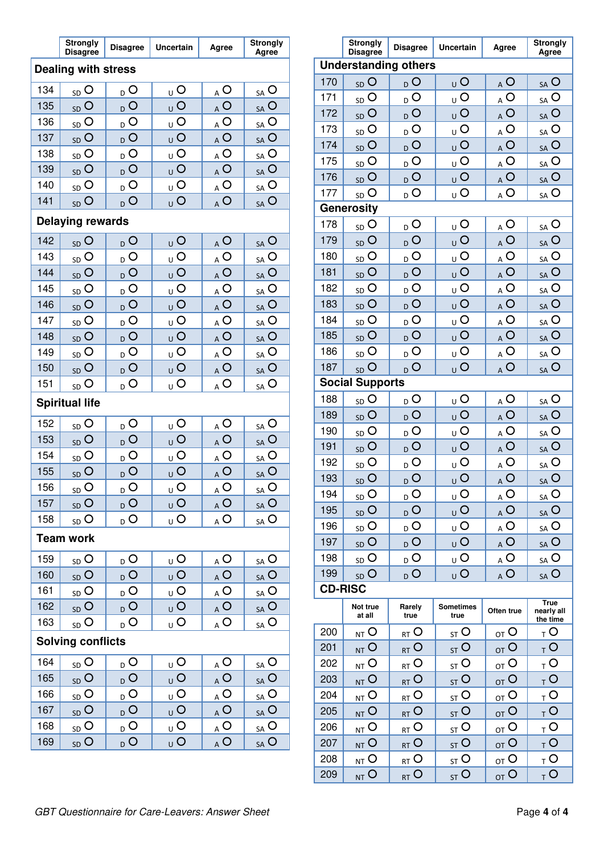|                                                                                                                 | <b>Strongly</b><br><b>Disagree</b> | <b>Disagree</b> | Uncertain                        | Agree                       | <b>Strongly</b><br>Agree                |                | <b>Strongly</b><br><b>Disagree</b> | <b>Disagree</b>             | Uncertain                | Agree                       | <b>Strongly</b><br>Agree                |
|-----------------------------------------------------------------------------------------------------------------|------------------------------------|-----------------|----------------------------------|-----------------------------|-----------------------------------------|----------------|------------------------------------|-----------------------------|--------------------------|-----------------------------|-----------------------------------------|
|                                                                                                                 | <b>Dealing with stress</b>         |                 |                                  |                             |                                         |                |                                    | <b>Understanding others</b> |                          |                             |                                         |
| 134                                                                                                             |                                    |                 |                                  |                             |                                         | 170            | $SD$ <sup>O</sup>                  | $D_{D}$                     | U                        | A O                         | SA O                                    |
| 135                                                                                                             | $SD$ O                             | D               | U                                | $_\mathrm{A}$ O             | $_{SA}$ O                               | 171            | $SD$ O                             | D <sub>D</sub>              | $_{\cup}$ O              | $_{\underline{A}}$ O        | $\underline{\mathsf{SA}}$ O             |
| 136                                                                                                             | $SD$ $O$<br>$SD$ O                 | D<br>D          | $\overline{O}$<br>$\overline{O}$ | $\overline{A}$ O            | $SA$ O                                  | 172            | $SD$ O                             | $D$ O                       | U                        | $\overline{A}$ O            | $SA$ O                                  |
| 137                                                                                                             | $SD$ <sup>O</sup>                  | D               | U                                | A O<br>AC                   | SA O<br>$SA$ O                          | 173            | $_{\rm SD}$ O                      | $_{\rm D}$ O                | $\overline{U}$           | $_{\mbox{\scriptsize A}}$ O | $_{SA}$ O                               |
| 138                                                                                                             | $SD$ O                             | $D$ O           | $_{\rm U}$ O                     | $_{\underline{A}}$ O        | $\underline{\mathsf{SA}}$ O             | 174            | $SD$ <sup>O</sup>                  | D <sub>0</sub>              | U                        | A O                         | $SA$ O                                  |
| 139                                                                                                             | $SD$ <sup>O</sup>                  | $D$ O           | U                                | A O                         | $SA$ O                                  | 175            | $_{SD}$ O                          | $D_{D}$                     | $U_{\cup}$               | $_{A}$ O                    | $\underline{\mathsf{SA}}$ O             |
| 140                                                                                                             | $SD$ O                             | D               | $\overline{O}$                   | $_{A}$ O                    | $\underline{\mathsf{SA}}$ O             | 176            | $SD$ $O$                           | $D$ O                       | U                        | $_{A}$ O                    | $SA$ O                                  |
| 141                                                                                                             | <sub>SD</sub> O                    | $D$ O           | U                                | $\overline{A}$ O            | $SA$ O                                  | 177            | $_{\rm SD}$ O                      | $D_0$                       | <sub>U</sub> O           | $_{\underline{A}}$ O        | $\underline{\mathsf{SA}}$ O             |
|                                                                                                                 |                                    |                 |                                  |                             |                                         |                | <b>Generosity</b>                  |                             |                          |                             |                                         |
|                                                                                                                 | <b>Delaying rewards</b>            |                 |                                  |                             |                                         | 178            | $SD$ O                             | D                           | $\overline{O}$           | $\underline{\mathsf{A}}$ O  | $\underline{\mathsf{SA}}$ O             |
| 142                                                                                                             | <sub>SD</sub> O                    | $D_{D}$         | U                                | A O                         | $SA$ O                                  | 179            | $SD$ $O$                           | D                           | $_{U}$ O                 | AC                          | $SA$ O                                  |
| 143                                                                                                             | $SD$ O                             | D               | U                                | $_{\mbox{\scriptsize A}}$ O | SA O                                    | 180            | $SD$ O                             | D <sub>0</sub>              | $_{\cup}$ O              | $_{A}$ O                    | $\underline{\mathsf{SA}}$ O             |
| 144                                                                                                             | $SD$ <sup>O</sup>                  | D               | U                                | $\overline{A}$ O            | $SA$ O                                  | 181            | $SD$ <sup>O</sup>                  | D                           | U                        | $\overline{A}$ O            | $SA$ O                                  |
| 145                                                                                                             | $SD$ O                             | D               | $\overline{O}$                   | $_{\mbox{\scriptsize A}}$ O | $\underline{\mathsf{SA}}$ O             | 182            | $_{SD}$ O                          | D                           | $\overline{U}$           | $_{\underline{A}}$ O        | $\underline{\mathsf{SA}}$ O             |
| 146                                                                                                             | <sub>SD</sub> O                    | D               | U                                | A O                         | $SA$ O                                  | 183            | $SD$ <sup>O</sup>                  | D <sub>0</sub>              | $_{U}$ O                 | $_{A}$ O                    | $SA$ O                                  |
| 147                                                                                                             | $SD$ O                             | D               | $\overline{O}$                   | $_{\underline{A}}$ O        | $\underline{\mathsf{SA}}$ O             | 184            | $_{\text{SD}}$ O                   | $_{\rm D}$ O                | U                        | $_{\mbox{\scriptsize A}}$ O | $\underline{\underline{\mathsf{SA}}}$ O |
| 148                                                                                                             | <sub>SD</sub> O                    | D               | U                                | $\overline{A}$ O            | $SA$ O                                  | 185            | $SD$ O                             | D                           | U                        | $\overline{A}$ O            | $SA$ O                                  |
| 149                                                                                                             | $SD$ O                             | D               | $_{\rm U}$ O                     | $_\mathrm{A}$ O             | $\underline{\mathsf{SA}}$ O             | 186            | $_{\rm SD}$ O                      | $D_0$                       | $_{\rm U}$ O             | $\underline{\mathsf{A}}$ O  | $\underline{\mathsf{SA}}$ O             |
| 150                                                                                                             | $SD$ <sup>O</sup>                  | D               | $\overline{O}$                   | A O                         | $SA$ O                                  | 187            | <sub>SD</sub> O                    | D                           | U                        | AO                          | $SA$ O                                  |
| $SD$ O<br>$D$ O<br>$_{\rm U}$ O<br>$\overline{A}$ O<br>$\underline{\mathsf{SA}}$ $\overline{\mathsf{O}}$<br>151 |                                    |                 |                                  |                             | <b>Social Supports</b>                  |                |                                    |                             |                          |                             |                                         |
|                                                                                                                 | <b>Spiritual life</b>              |                 |                                  |                             |                                         | 188            | $SD$ O                             | D                           | U                        | A O                         | $_{SA}$ O                               |
| 152                                                                                                             | $SD$ O                             | D               | $\overline{O}$                   | $_{\underline{A}}$ O        | $\underline{\mathsf{SA}}$ O             | 189            | $SD$ <sup>O</sup>                  | D <sub>0</sub>              | U                        | AC                          | $SA$ O                                  |
| 153                                                                                                             | $SD$ <sup>O</sup>                  | $_{\text{D}}$ O | U                                | $\overline{A}$ O            | $SA$ O                                  | 190            | $SD$ O                             | D                           | U                        | $_{A}$ O                    | $\underline{\mathsf{SA}}$ O             |
| 154                                                                                                             | $SD$ O                             | D               | $\overline{O}$                   | $_{\mathbf{A}}\mathbf{O}$   | $\underline{\underline{\mathsf{SA}}}$ O | 191            | $SD$ O                             | D                           | $_{U}$ O                 | $\overline{A}$ O            | $SA$ O                                  |
| 155                                                                                                             | $SD$ <sup>O</sup>                  | D               | U                                | $\overline{A}$ O            | $SA$ <sup>O</sup>                       | 192            | $_{SD}$ O                          | D <sub>D</sub>              | $_{\cup}$ O              | $\underline{\wedge}$        | $\underline{\mathsf{SA}}$ O             |
| 156                                                                                                             | $SD$ O                             | $\mathbf{D}$    | $\mathbf{Q}$                     | $\overline{A}$ O            | $\underline{\mathsf{SA}}$ O             | 193            | $SD$ <sup>O</sup>                  | D                           | $\overline{O}$           | $\overline{A}$ O            | $SA$ O                                  |
| 157                                                                                                             | $SD$ <sup>O</sup>                  | D               | U                                | $\overline{A}$ O            | $SA$ O                                  | 194            | $SD$ O                             | D <sub>0</sub>              | $\overline{O}$           | $_{\mbox{\scriptsize A}}$ O | $_{\sf SA}$ O                           |
| 158                                                                                                             | $SD$ O                             | $_{\text{D}}$ O | <sub>U</sub> O                   | A O                         | $\underline{\mathsf{SA}}$ O             | 195            | $SD$ <sup>O</sup>                  | $_{\text{D}}$ O             | $U_{\cup}$               | A O                         | $_{SA}$ O                               |
|                                                                                                                 |                                    |                 |                                  |                             |                                         | 196            | $SD$ O                             | D                           | $\overline{U}$ O         | $_{A}$ O                    | $\underline{\mathsf{SA}}$ O             |
|                                                                                                                 | <b>Team work</b>                   |                 |                                  |                             |                                         | 197            | $SD$ $O$                           | D <sub>D</sub>              | $\overline{O}$           | AC                          | $SA$ O                                  |
| 159                                                                                                             | $SD$ O                             | $D$ O           | $\overline{O}$                   | $_\mathrm{A}$ O             | $_{SA}$ O                               | 198            | $SD$ O                             | $_{\text{D}}$ O             | $\cup$ O                 | $_{\mathbb{A}}$ O           | $\underline{\mathsf{SA}}$ O             |
| 160                                                                                                             | $SD$ O                             | D               | U                                | $\overline{A}$ O            | $_{SA}$ O                               | 199            | $SD$ <sup>O</sup>                  | $D$ O                       | U                        | $\overline{A}$ O            | $_{SA}$ O                               |
| 161                                                                                                             | $SD$ O                             | $D_{D}$         | <sub>U</sub> O                   | A O                         | $\underline{\mathsf{SA}}$ O             | <b>CD-RISC</b> |                                    |                             |                          |                             |                                         |
| 162                                                                                                             | $SD$ <sup>O</sup>                  | D               | U                                | A O                         | $_{SA}$ O                               |                | Not true<br>at all                 | Rarely<br>true              | <b>Sometimes</b><br>true | Often true                  | <b>True</b><br>nearly all               |
| 163                                                                                                             | $SD$ $O$                           | $_{\text{D}}$ O | U                                | A O                         | $\underline{\mathsf{SA}}$ O             | 200            |                                    |                             |                          |                             | the time                                |
|                                                                                                                 | <b>Solving conflicts</b>           |                 |                                  |                             |                                         | 201            | $_{\text{NT}}$ O                   | RT O                        | ST <sub>OT</sub>         | $_{\mathsf{QT}}$ O          | $\sigma_{\tau}$                         |
| 164                                                                                                             | $SD$ O                             | D               | $\overline{U}$                   | A O                         | $_{SA}$ O                               |                | NT O                               | RT O                        | ST <sub>0</sub>          | OTO                         | $T$ O                                   |
| 165                                                                                                             | $SD$ O                             | D               | $\cup$ O                         | A O                         | $SA$ <sup>O</sup>                       | 202<br>203     | $_{NT}$ O                          | $_{RT}$ O                   | ST <sub>OT</sub>         | $_{OT}$ O                   | $_{\rm T}$ O                            |
| 166                                                                                                             |                                    | $D_{D}$         | $\cup$ O                         |                             |                                         |                | NT O                               | RT O                        | ST <sub>o</sub>          | $_{OT}$ O                   | $T$ O                                   |
| 167                                                                                                             | $_{SD}$ O<br>$SD$ O                |                 | U                                | A O                         | $\underline{\mathsf{SA}}$ O             | 204            | $N_{\overline{N}}$                 | RTQ                         | STO                      | $_{\text{OT}}$ O            | $_\mathrm{T}$ O                         |
| 168                                                                                                             |                                    | $_{\text{D}}$ O | U                                | A O                         | $SA$ O                                  | 205            | NT O                               | RT O                        | STO                      | OTO                         | $T$ O                                   |
| 169                                                                                                             | $SD$ O                             | $_{\text{D}}$ O |                                  | $_{A}$ O                    | $_{SA}$ O                               | 206            | $N_{\overline{N}}$                 | $RT$ O                      | $_{ST}$ O                | $_{\mathsf{QT}}$ O          | $\mathcal{L}$                           |
|                                                                                                                 | $SD$ O                             | $D_{D}$         | $\overline{O}$                   | $\overline{A}$ O            | $SA$ O                                  | 207            | $N_T$ O                            | $_{RT}$ O                   | STO                      | $_{\text{OT}}$ O            | $\overline{\mathsf{C}}$                 |
|                                                                                                                 |                                    |                 |                                  |                             |                                         | 208            | $_{\text{NT}}$ O                   | $RT$ O                      | STO                      | $O_{\text{tot}}$            | $\sigma_{\tau}$                         |

209 NTO RTO STO OTO TO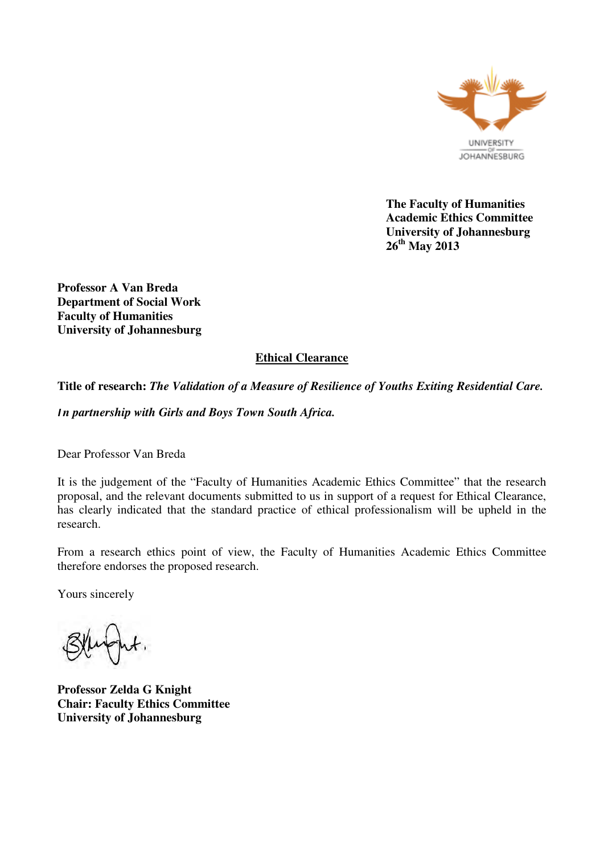

**The Faculty of Humanities Academic Ethics Committee University of Johannesburg 26th May 2013** 

**Professor A Van Breda Department of Social Work Faculty of Humanities University of Johannesburg** 

# **Ethical Clearance**

## **Title of research:** *The Validation of a Measure of Resilience of Youths Exiting Residential Care.*

**I** *n partnership with Girls and Boys Town South Africa.* 

Dear Professor Van Breda

It is the judgement of the "Faculty of Humanities Academic Ethics Committee" that the research proposal, and the relevant documents submitted to us in support of a request for Ethical Clearance, has clearly indicated that the standard practice of ethical professionalism will be upheld in the research.

From a research ethics point of view, the Faculty of Humanities Academic Ethics Committee therefore endorses the proposed research.

Yours sincerely

**Professor Zelda G Knight Chair: Faculty Ethics Committee University of Johannesburg**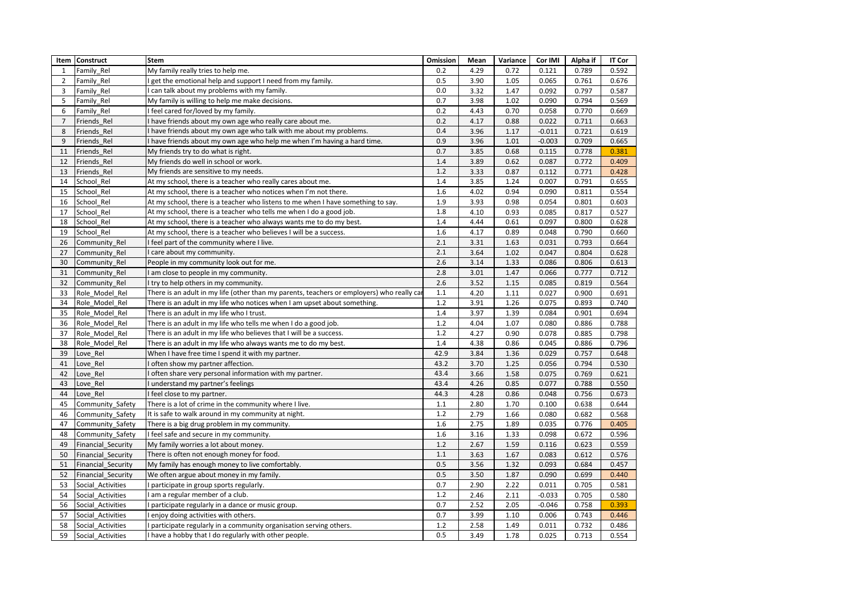|                | Item Construct            | Stem                                                                                      | Omission | Mean | Variance | Cor IMI  | Alpha if | <b>IT Cor</b> |
|----------------|---------------------------|-------------------------------------------------------------------------------------------|----------|------|----------|----------|----------|---------------|
| $\mathbf{1}$   | Family Rel                | My family really tries to help me.                                                        | 0.2      | 4.29 | 0.72     | 0.121    | 0.789    | 0.592         |
| $\overline{2}$ | Family Rel                | get the emotional help and support I need from my family.                                 | 0.5      | 3.90 | 1.05     | 0.065    | 0.761    | 0.676         |
| 3              | Family Rel                | can talk about my problems with my family.                                                | 0.0      | 3.32 | 1.47     | 0.092    | 0.797    | 0.587         |
| 5              | Family Rel                | My family is willing to help me make decisions.                                           | 0.7      | 3.98 | 1.02     | 0.090    | 0.794    | 0.569         |
| 6              | Family Rel                | I feel cared for/loved by my family.                                                      | 0.2      | 4.43 | 0.70     | 0.058    | 0.770    | 0.669         |
| $\overline{7}$ | Friends Rel               | I have friends about my own age who really care about me.                                 | 0.2      | 4.17 | 0.88     | 0.022    | 0.711    | 0.663         |
| 8              | Friends Rel               | I have friends about my own age who talk with me about my problems.                       | 0.4      | 3.96 | 1.17     | $-0.011$ | 0.721    | 0.619         |
| 9              | Friends Rel               | I have friends about my own age who help me when I'm having a hard time.                  | 0.9      | 3.96 | 1.01     | $-0.003$ | 0.709    | 0.665         |
| 11             | Friends Rel               | My friends try to do what is right.                                                       | 0.7      | 3.85 | 0.68     | 0.115    | 0.778    | 0.381         |
| 12             | Friends Rel               | My friends do well in school or work.                                                     | 1.4      | 3.89 | 0.62     | 0.087    | 0.772    | 0.409         |
| 13             | Friends Rel               | My friends are sensitive to my needs.                                                     | 1.2      | 3.33 | 0.87     | 0.112    | 0.771    | 0.428         |
| 14             | School Rel                | At my school, there is a teacher who really cares about me.                               | 1.4      | 3.85 | 1.24     | 0.007    | 0.791    | 0.655         |
| 15             | School Rel                | At my school, there is a teacher who notices when I'm not there.                          | 1.6      | 4.02 | 0.94     | 0.090    | 0.811    | 0.554         |
| 16             | School Rel                | At my school, there is a teacher who listens to me when I have something to say.          | 1.9      | 3.93 | 0.98     | 0.054    | 0.801    | 0.603         |
| 17             | School Rel                | At my school, there is a teacher who tells me when I do a good job.                       | 1.8      | 4.10 | 0.93     | 0.085    | 0.817    | 0.527         |
| 18             | School Rel                | At my school, there is a teacher who always wants me to do my best.                       | 1.4      | 4.44 | 0.61     | 0.097    | 0.800    | 0.628         |
| 19             | School Rel                | At my school, there is a teacher who believes I will be a success.                        | 1.6      | 4.17 | 0.89     | 0.048    | 0.790    | 0.660         |
| 26             | Community Rel             | I feel part of the community where I live.                                                | 2.1      | 3.31 | 1.63     | 0.031    | 0.793    | 0.664         |
| 27             | Community Rel             | I care about my community.                                                                | 2.1      | 3.64 | 1.02     | 0.047    | 0.804    | 0.628         |
| 30             | Community Rel             | People in my community look out for me.                                                   | 2.6      | 3.14 | 1.33     | 0.086    | 0.806    | 0.613         |
| 31             | Community Rel             | I am close to people in my community.                                                     | 2.8      | 3.01 | 1.47     | 0.066    | 0.777    | 0.712         |
| 32             | Community Rel             | I try to help others in my community.                                                     | 2.6      | 3.52 | 1.15     | 0.085    | 0.819    | 0.564         |
| 33             | Role Model Rel            | There is an adult in my life (other than my parents, teachers or employers) who really ca | 1.1      | 4.20 | 1.11     | 0.027    | 0.900    | 0.691         |
| 34             | Role Model Rel            | There is an adult in my life who notices when I am upset about something.                 | 1.2      | 3.91 | 1.26     | 0.075    | 0.893    | 0.740         |
| 35             | Role Model Rel            | There is an adult in my life who I trust.                                                 | 1.4      | 3.97 | 1.39     | 0.084    | 0.901    | 0.694         |
| 36             | Role Model Rel            | There is an adult in my life who tells me when I do a good job.                           | 1.2      | 4.04 | 1.07     | 0.080    | 0.886    | 0.788         |
| 37             | Role Model Rel            | There is an adult in my life who believes that I will be a success.                       | 1.2      | 4.27 | 0.90     | 0.078    | 0.885    | 0.798         |
| 38             | Role Model Rel            | There is an adult in my life who always wants me to do my best.                           | 1.4      | 4.38 | 0.86     | 0.045    | 0.886    | 0.796         |
| 39             | Love Rel                  | When I have free time I spend it with my partner.                                         | 42.9     | 3.84 | 1.36     | 0.029    | 0.757    | 0.648         |
| 41             | Love Rel                  | often show my partner affection.                                                          | 43.2     | 3.70 | 1.25     | 0.056    | 0.794    | 0.530         |
| 42             | Love Rel                  | often share very personal information with my partner.                                    | 43.4     | 3.66 | 1.58     | 0.075    | 0.769    | 0.621         |
| 43             | Love Rel                  | understand my partner's feelings                                                          | 43.4     | 4.26 | 0.85     | 0.077    | 0.788    | 0.550         |
| 44             | Love Rel                  | I feel close to my partner.                                                               | 44.3     | 4.28 | 0.86     | 0.048    | 0.756    | 0.673         |
| 45             | Community Safety          | There is a lot of crime in the community where I live.                                    | 1.1      | 2.80 | 1.70     | 0.100    | 0.638    | 0.644         |
| 46             | Community_Safety          | It is safe to walk around in my community at night.                                       | 1.2      | 2.79 | 1.66     | 0.080    | 0.682    | 0.568         |
| 47             | Community Safety          | There is a big drug problem in my community.                                              | 1.6      | 2.75 | 1.89     | 0.035    | 0.776    | 0.405         |
| 48             | Community Safety          | I feel safe and secure in my community.                                                   | 1.6      | 3.16 | 1.33     | 0.098    | 0.672    | 0.596         |
| 49             | Financial Security        | My family worries a lot about money.                                                      | 1.2      | 2.67 | 1.59     | 0.116    | 0.623    | 0.559         |
| 50             | Financial Security        | There is often not enough money for food.                                                 | 1.1      | 3.63 | 1.67     | 0.083    | 0.612    | 0.576         |
| 51             | <b>Financial Security</b> | My family has enough money to live comfortably.                                           | 0.5      | 3.56 | 1.32     | 0.093    | 0.684    | 0.457         |
| 52             | Financial_Security        | We often argue about money in my family.                                                  | 0.5      | 3.50 | 1.87     | 0.090    | 0.699    | 0.440         |
| 53             | Social Activities         | I participate in group sports regularly.                                                  | 0.7      | 2.90 | 2.22     | 0.011    | 0.705    | 0.581         |
| 54             | Social Activities         | I am a regular member of a club.                                                          | 1.2      | 2.46 | 2.11     | $-0.033$ | 0.705    | 0.580         |
| 56             | Social Activities         | I participate regularly in a dance or music group.                                        | 0.7      | 2.52 | 2.05     | $-0.046$ | 0.758    | 0.393         |
| 57             | Social Activities         | I enjoy doing activities with others.                                                     | 0.7      | 3.99 | 1.10     | 0.006    | 0.743    | 0.446         |
| 58             | Social Activities         | I participate regularly in a community organisation serving others.                       | 1.2      | 2.58 | 1.49     | 0.011    | 0.732    | 0.486         |
| 59             | Social Activities         | I have a hobby that I do regularly with other people.                                     | 0.5      | 3.49 | 1.78     | 0.025    | 0.713    | 0.554         |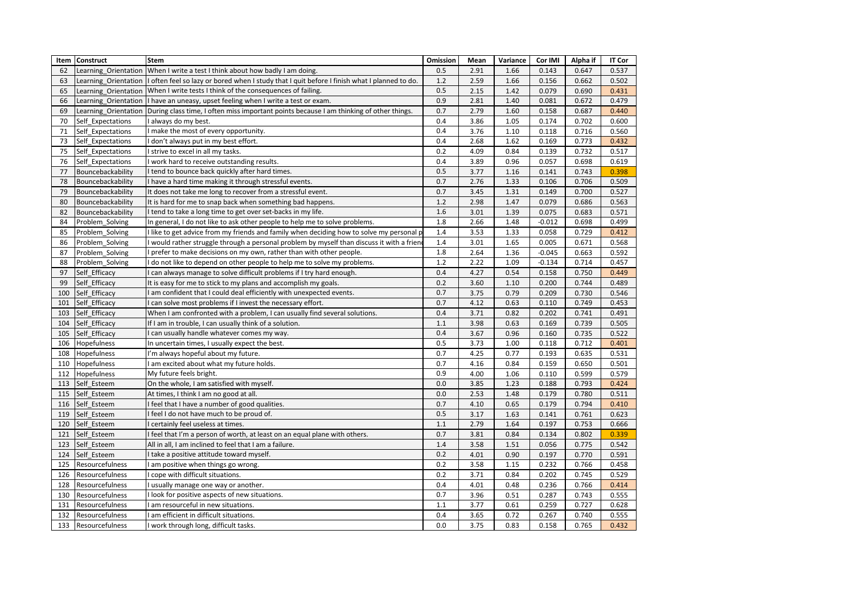| Item | <b>Construct</b>     | <b>Stem</b>                                                                                  | Omission | Mean | Variance | Cor IMI  | Alpha if | <b>IT Cor</b> |
|------|----------------------|----------------------------------------------------------------------------------------------|----------|------|----------|----------|----------|---------------|
| 62   | Learning Orientation | When I write a test I think about how badly I am doing.                                      | 0.5      | 2.91 | 1.66     | 0.143    | 0.647    | 0.537         |
| 63   | Learning Orientation | I often feel so lazy or bored when I study that I quit before I finish what I planned to do. | 1.2      | 2.59 | 1.66     | 0.156    | 0.662    | 0.502         |
| 65   | Learning Orientation | When I write tests I think of the consequences of failing.                                   | 0.5      | 2.15 | 1.42     | 0.079    | 0.690    | 0.431         |
| 66   | Learning Orientation | I have an uneasy, upset feeling when I write a test or exam.                                 | 0.9      | 2.81 | 1.40     | 0.081    | 0.672    | 0.479         |
| 69   | Learning Orientation | During class time, I often miss important points because I am thinking of other things.      | 0.7      | 2.79 | 1.60     | 0.158    | 0.687    | 0.440         |
| 70   | Self Expectations    | always do my best.                                                                           | 0.4      | 3.86 | 1.05     | 0.174    | 0.702    | 0.600         |
| 71   | Self Expectations    | I make the most of every opportunity.                                                        | 0.4      | 3.76 | 1.10     | 0.118    | 0.716    | 0.560         |
| 73   | Self Expectations    | don't always put in my best effort.                                                          | 0.4      | 2.68 | 1.62     | 0.169    | 0.773    | 0.432         |
| 75   | Self Expectations    | strive to excel in all my tasks.                                                             | 0.2      | 4.09 | 0.84     | 0.139    | 0.732    | 0.517         |
| 76   | Self Expectations    | work hard to receive outstanding results.                                                    | 0.4      | 3.89 | 0.96     | 0.057    | 0.698    | 0.619         |
| 77   | Bouncebackability    | I tend to bounce back quickly after hard times.                                              | 0.5      | 3.77 | 1.16     | 0.141    | 0.743    | 0.398         |
| 78   | Bouncebackability    | I have a hard time making it through stressful events.                                       | 0.7      | 2.76 | 1.33     | 0.106    | 0.706    | 0.509         |
| 79   | Bouncebackability    | It does not take me long to recover from a stressful event.                                  | 0.7      | 3.45 | 1.31     | 0.149    | 0.700    | 0.527         |
| 80   | Bouncebackability    | It is hard for me to snap back when something bad happens.                                   | 1.2      | 2.98 | 1.47     | 0.079    | 0.686    | 0.563         |
| 82   | Bouncebackability    | I tend to take a long time to get over set-backs in my life.                                 | 1.6      | 3.01 | 1.39     | 0.075    | 0.683    | 0.571         |
| 84   | Problem Solving      | In general, I do not like to ask other people to help me to solve problems.                  | 1.8      | 2.66 | 1.48     | $-0.012$ | 0.698    | 0.499         |
| 85   | Problem Solving      | I like to get advice from my friends and family when deciding how to solve my personal p     | 1.4      | 3.53 | 1.33     | 0.058    | 0.729    | 0.412         |
| 86   | Problem Solving      | I would rather struggle through a personal problem by myself than discuss it with a frien    | 1.4      | 3.01 | 1.65     | 0.005    | 0.671    | 0.568         |
| 87   | Problem Solving      | I prefer to make decisions on my own, rather than with other people.                         | 1.8      | 2.64 | 1.36     | $-0.045$ | 0.663    | 0.592         |
| 88   | Problem Solving      | I do not like to depend on other people to help me to solve my problems.                     | 1.2      | 2.22 | 1.09     | $-0.134$ | 0.714    | 0.457         |
| 97   | Self Efficacy        | can always manage to solve difficult problems if I try hard enough.                          | 0.4      | 4.27 | 0.54     | 0.158    | 0.750    | 0.449         |
| 99   | Self Efficacy        | It is easy for me to stick to my plans and accomplish my goals.                              | 0.2      | 3.60 | 1.10     | 0.200    | 0.744    | 0.489         |
| 100  | Self Efficacy        | am confident that I could deal efficiently with unexpected events.                           | 0.7      | 3.75 | 0.79     | 0.209    | 0.730    | 0.546         |
| 101  | Self Efficacy        | can solve most problems if I invest the necessary effort.                                    | 0.7      | 4.12 | 0.63     | 0.110    | 0.749    | 0.453         |
| 103  | Self Efficacy        | When I am confronted with a problem, I can usually find several solutions.                   | 0.4      | 3.71 | 0.82     | 0.202    | 0.741    | 0.491         |
| 104  | Self Efficacy        | If I am in trouble, I can usually think of a solution.                                       | 1.1      | 3.98 | 0.63     | 0.169    | 0.739    | 0.505         |
| 105  | Self Efficacy        | can usually handle whatever comes my way.                                                    | 0.4      | 3.67 | 0.96     | 0.160    | 0.735    | 0.522         |
| 106  | Hopefulness          | In uncertain times, I usually expect the best.                                               | 0.5      | 3.73 | 1.00     | 0.118    | 0.712    | 0.401         |
| 108  | Hopefulness          | I'm always hopeful about my future.                                                          | 0.7      | 4.25 | 0.77     | 0.193    | 0.635    | 0.531         |
| 110  | Hopefulness          | am excited about what my future holds.                                                       | 0.7      | 4.16 | 0.84     | 0.159    | 0.650    | 0.501         |
| 112  | Hopefulness          | My future feels bright.                                                                      | 0.9      | 4.00 | 1.06     | 0.110    | 0.599    | 0.579         |
| 113  | Self Esteem          | On the whole, I am satisfied with myself.                                                    | 0.0      | 3.85 | 1.23     | 0.188    | 0.793    | 0.424         |
| 115  | Self Esteem          | At times, I think I am no good at all.                                                       | 0.0      | 2.53 | 1.48     | 0.179    | 0.780    | 0.511         |
| 116  | Self Esteem          | feel that I have a number of good qualities.                                                 | 0.7      | 4.10 | 0.65     | 0.179    | 0.794    | 0.410         |
| 119  | Self Esteem          | I feel I do not have much to be proud of.                                                    | 0.5      | 3.17 | 1.63     | 0.141    | 0.761    | 0.623         |
| 120  | Self Esteem          | certainly feel useless at times.                                                             | 1.1      | 2.79 | 1.64     | 0.197    | 0.753    | 0.666         |
| 121  | Self Esteem          | feel that I'm a person of worth, at least on an equal plane with others.                     | 0.7      | 3.81 | 0.84     | 0.134    | 0.802    | 0.339         |
| 123  | Self Esteem          | All in all, I am inclined to feel that I am a failure.                                       | 1.4      | 3.58 | 1.51     | 0.056    | 0.775    | 0.542         |
| 124  | Self Esteem          | I take a positive attitude toward myself.                                                    | 0.2      | 4.01 | 0.90     | 0.197    | 0.770    | 0.591         |
| 125  | Resourcefulness      | am positive when things go wrong.                                                            | 0.2      | 3.58 | 1.15     | 0.232    | 0.766    | 0.458         |
| 126  | Resourcefulness      | I cope with difficult situations.                                                            | 0.2      | 3.71 | 0.84     | 0.202    | 0.745    | 0.529         |
| 128  | Resourcefulness      | I usually manage one way or another.                                                         | 0.4      | 4.01 | 0.48     | 0.236    | 0.766    | 0.414         |
| 130  | Resourcefulness      | I look for positive aspects of new situations.                                               | 0.7      | 3.96 | 0.51     | 0.287    | 0.743    | 0.555         |
| 131  | Resourcefulness      | am resourceful in new situations.                                                            | 1.1      | 3.77 | 0.61     | 0.259    | 0.727    | 0.628         |
| 132  | Resourcefulness      | am efficient in difficult situations.                                                        | 0.4      | 3.65 | 0.72     | 0.267    | 0.740    | 0.555         |
| 133  | Resourcefulness      | I work through long, difficult tasks.                                                        | 0.0      | 3.75 | 0.83     | 0.158    | 0.765    | 0.432         |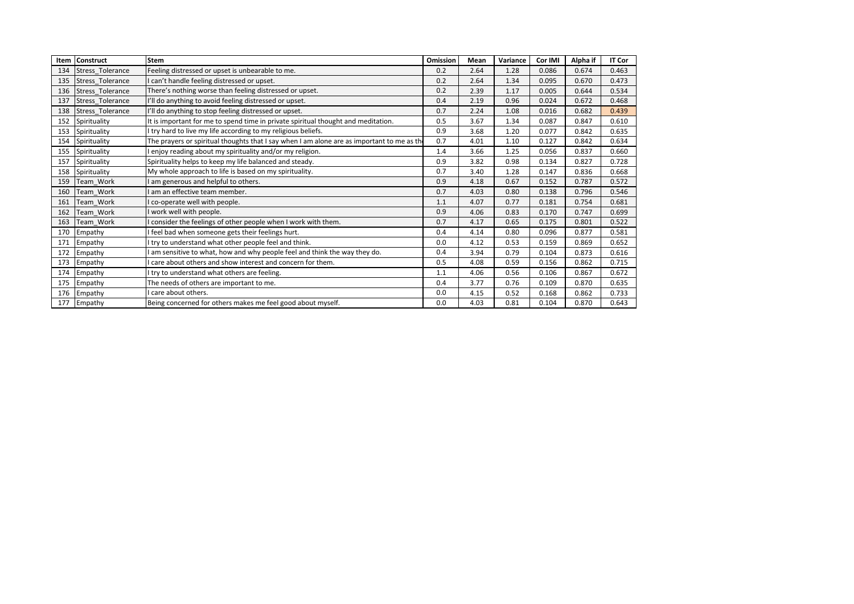| Item | Construct               | <b>Stem</b>                                                                                | Omission | Mean | Variance | Cor IMI | Alpha if | <b>IT Cor</b> |
|------|-------------------------|--------------------------------------------------------------------------------------------|----------|------|----------|---------|----------|---------------|
| 134  | Stress Tolerance        | Feeling distressed or upset is unbearable to me.                                           | 0.2      | 2.64 | 1.28     | 0.086   | 0.674    | 0.463         |
| 135  | Stress Tolerance        | I can't handle feeling distressed or upset.                                                | 0.2      | 2.64 | 1.34     | 0.095   | 0.670    | 0.473         |
| 136  | <b>Stress Tolerance</b> | There's nothing worse than feeling distressed or upset.                                    | 0.2      | 2.39 | 1.17     | 0.005   | 0.644    | 0.534         |
| 137  | Stress Tolerance        | I'll do anything to avoid feeling distressed or upset.                                     | 0.4      | 2.19 | 0.96     | 0.024   | 0.672    | 0.468         |
| 138  | Stress Tolerance        | I'll do anything to stop feeling distressed or upset.                                      | 0.7      | 2.24 | 1.08     | 0.016   | 0.682    | 0.439         |
| 152  | Spirituality            | It is important for me to spend time in private spiritual thought and meditation.          | 0.5      | 3.67 | 1.34     | 0.087   | 0.847    | 0.610         |
| 153  | Spirituality            | try hard to live my life according to my religious beliefs.                                | 0.9      | 3.68 | 1.20     | 0.077   | 0.842    | 0.635         |
| 154  | Spirituality            | The prayers or spiritual thoughts that I say when I am alone are as important to me as the | 0.7      | 4.01 | 1.10     | 0.127   | 0.842    | 0.634         |
| 155  | Spirituality            | enjoy reading about my spirituality and/or my religion.                                    | 1.4      | 3.66 | 1.25     | 0.056   | 0.837    | 0.660         |
| 157  | Spirituality            | Spirituality helps to keep my life balanced and steady.                                    | 0.9      | 3.82 | 0.98     | 0.134   | 0.827    | 0.728         |
| 158  | Spirituality            | My whole approach to life is based on my spirituality.                                     | 0.7      | 3.40 | 1.28     | 0.147   | 0.836    | 0.668         |
| 159  | Team Work               | am generous and helpful to others.                                                         | 0.9      | 4.18 | 0.67     | 0.152   | 0.787    | 0.572         |
| 160  | Team Work               | am an effective team member.                                                               | 0.7      | 4.03 | 0.80     | 0.138   | 0.796    | 0.546         |
| 161  | Team Work               | co-operate well with people.                                                               | 1.1      | 4.07 | 0.77     | 0.181   | 0.754    | 0.681         |
| 162  | Team Work               | work well with people.                                                                     | 0.9      | 4.06 | 0.83     | 0.170   | 0.747    | 0.699         |
| 163  | Team Work               | consider the feelings of other people when I work with them.                               | 0.7      | 4.17 | 0.65     | 0.175   | 0.801    | 0.522         |
| 170  | Empathy                 | feel bad when someone gets their feelings hurt.                                            | 0.4      | 4.14 | 0.80     | 0.096   | 0.877    | 0.581         |
| 171  | Empathy                 | try to understand what other people feel and think.                                        | 0.0      | 4.12 | 0.53     | 0.159   | 0.869    | 0.652         |
| 172  | Empathy                 | am sensitive to what, how and why people feel and think the way they do.                   | 0.4      | 3.94 | 0.79     | 0.104   | 0.873    | 0.616         |
| 173  | Empathy                 | care about others and show interest and concern for them.                                  | 0.5      | 4.08 | 0.59     | 0.156   | 0.862    | 0.715         |
| 174  | Empathy                 | try to understand what others are feeling.                                                 | 1.1      | 4.06 | 0.56     | 0.106   | 0.867    | 0.672         |
| 175  | Empathy                 | The needs of others are important to me.                                                   | 0.4      | 3.77 | 0.76     | 0.109   | 0.870    | 0.635         |
| 176  | Empathy                 | care about others.                                                                         | 0.0      | 4.15 | 0.52     | 0.168   | 0.862    | 0.733         |
| 177  | Empathy                 | Being concerned for others makes me feel good about myself.                                | 0.0      | 4.03 | 0.81     | 0.104   | 0.870    | 0.643         |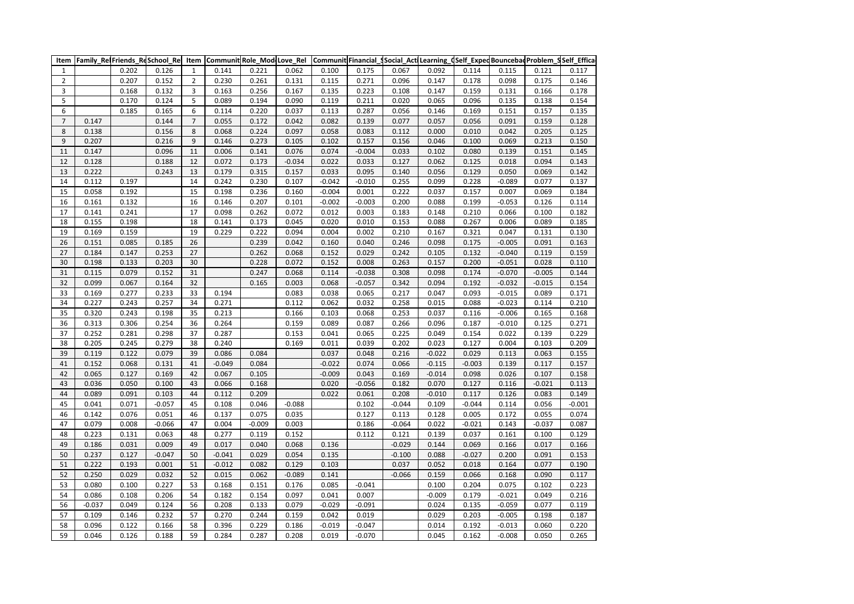| Item             | Family_Re Friends_ReSchool_Rel |       |          | Item                     |          | Communit Role_Mod Love_Rel |          |          |          | Communit Financial_Social_ActiLearning_dSelf_ExpedBouncebadProblem_SSelf_Effica |          |          |          |          |          |
|------------------|--------------------------------|-------|----------|--------------------------|----------|----------------------------|----------|----------|----------|---------------------------------------------------------------------------------|----------|----------|----------|----------|----------|
| $\mathbf 1$      |                                | 0.202 | 0.126    | $\mathbf 1$              | 0.141    | 0.221                      | 0.062    | 0.100    | 0.175    | 0.067                                                                           | 0.092    | 0.114    | 0.115    | 0.121    | 0.117    |
| $\mathbf 2$      |                                | 0.207 | 0.152    | $\overline{2}$           | 0.230    | 0.261                      | 0.131    | 0.115    | 0.271    | 0.096                                                                           | 0.147    | 0.178    | 0.098    | 0.175    | 0.146    |
| 3                |                                | 0.168 | 0.132    | 3                        | 0.163    | 0.256                      | 0.167    | 0.135    | 0.223    | 0.108                                                                           | 0.147    | 0.159    | 0.131    | 0.166    | 0.178    |
| 5                |                                | 0.170 | 0.124    | 5                        | 0.089    | 0.194                      | 0.090    | 0.119    | 0.211    | 0.020                                                                           | 0.065    | 0.096    | 0.135    | 0.138    | 0.154    |
| 6                |                                | 0.185 | 0.165    | 6                        | 0.114    | 0.220                      | 0.037    | 0.113    | 0.287    | 0.056                                                                           | 0.146    | 0.169    | 0.151    | 0.157    | 0.135    |
| $\boldsymbol{7}$ | 0.147                          |       | 0.144    | $\overline{\phantom{a}}$ | 0.055    | 0.172                      | 0.042    | 0.082    | 0.139    | 0.077                                                                           | 0.057    | 0.056    | 0.091    | 0.159    | 0.128    |
| 8                | 0.138                          |       | 0.156    | 8                        | 0.068    | 0.224                      | 0.097    | 0.058    | 0.083    | 0.112                                                                           | 0.000    | 0.010    | 0.042    | 0.205    | 0.125    |
| 9                | 0.207                          |       | 0.216    | 9                        | 0.146    | 0.273                      | 0.105    | 0.102    | 0.157    | 0.156                                                                           | 0.046    | 0.100    | 0.069    | 0.213    | 0.150    |
| 11               | 0.147                          |       | 0.096    | 11                       | 0.006    | 0.141                      | 0.076    | 0.074    | $-0.004$ | 0.033                                                                           | 0.102    | 0.080    | 0.139    | 0.151    | 0.145    |
| 12               | 0.128                          |       | 0.188    | 12                       | 0.072    | 0.173                      | $-0.034$ | 0.022    | 0.033    | 0.127                                                                           | 0.062    | 0.125    | 0.018    | 0.094    | 0.143    |
| 13               | 0.222                          |       | 0.243    | 13                       | 0.179    | 0.315                      | 0.157    | 0.033    | 0.095    | 0.140                                                                           | 0.056    | 0.129    | 0.050    | 0.069    | 0.142    |
| 14               | 0.112                          | 0.197 |          | 14                       | 0.242    | 0.230                      | 0.107    | $-0.042$ | $-0.010$ | 0.255                                                                           | 0.099    | 0.228    | $-0.089$ | 0.077    | 0.137    |
| 15               | 0.058                          | 0.192 |          | 15                       | 0.198    | 0.236                      | 0.160    | $-0.004$ | 0.001    | 0.222                                                                           | 0.037    | 0.157    | 0.007    | 0.069    | 0.184    |
| 16               | 0.161                          | 0.132 |          | 16                       | 0.146    | 0.207                      | 0.101    | $-0.002$ | $-0.003$ | 0.200                                                                           | 0.088    | 0.199    | $-0.053$ | 0.126    | 0.114    |
| 17               | 0.141                          | 0.241 |          | 17                       | 0.098    | 0.262                      | 0.072    | 0.012    | 0.003    | 0.183                                                                           | 0.148    | 0.210    | 0.066    | 0.100    | 0.182    |
| 18               | 0.155                          | 0.198 |          | 18                       | 0.141    | 0.173                      | 0.045    | 0.020    | 0.010    | 0.153                                                                           | 0.088    | 0.267    | 0.006    | 0.089    | 0.185    |
| 19               | 0.169                          | 0.159 |          | 19                       | 0.229    | 0.222                      | 0.094    | 0.004    | 0.002    | 0.210                                                                           | 0.167    | 0.321    | 0.047    | 0.131    | 0.130    |
| 26               | 0.151                          | 0.085 | 0.185    | 26                       |          | 0.239                      | 0.042    | 0.160    | 0.040    | 0.246                                                                           | 0.098    | 0.175    | $-0.005$ | 0.091    | 0.163    |
| 27               | 0.184                          | 0.147 | 0.253    | 27                       |          | 0.262                      | 0.068    | 0.152    | 0.029    | 0.242                                                                           | 0.105    | 0.132    | $-0.040$ | 0.119    | 0.159    |
| 30               | 0.198                          | 0.133 | 0.203    | 30                       |          | 0.228                      | 0.072    | 0.152    | 0.008    | 0.263                                                                           | 0.157    | 0.200    | $-0.051$ | 0.028    | 0.110    |
| 31               | 0.115                          | 0.079 | 0.152    | 31                       |          | 0.247                      | 0.068    | 0.114    | $-0.038$ | 0.308                                                                           | 0.098    | 0.174    | $-0.070$ | $-0.005$ | 0.144    |
| 32               | 0.099                          | 0.067 | 0.164    | 32                       |          | 0.165                      | 0.003    | 0.068    | $-0.057$ | 0.342                                                                           | 0.094    | 0.192    | $-0.032$ | $-0.015$ | 0.154    |
| 33               | 0.169                          | 0.277 | 0.233    | 33                       | 0.194    |                            | 0.083    | 0.038    | 0.065    | 0.217                                                                           | 0.047    | 0.093    | $-0.015$ | 0.089    | 0.171    |
| 34               | 0.227                          | 0.243 | 0.257    | 34                       | 0.271    |                            | 0.112    | 0.062    | 0.032    | 0.258                                                                           | 0.015    | 0.088    | $-0.023$ | 0.114    | 0.210    |
| 35               | 0.320                          | 0.243 | 0.198    | 35                       | 0.213    |                            | 0.166    | 0.103    | 0.068    | 0.253                                                                           | 0.037    | 0.116    | $-0.006$ | 0.165    | 0.168    |
| 36               | 0.313                          | 0.306 | 0.254    | 36                       | 0.264    |                            | 0.159    | 0.089    | 0.087    | 0.266                                                                           | 0.096    | 0.187    | $-0.010$ | 0.125    | 0.271    |
| 37               | 0.252                          | 0.281 | 0.298    | 37                       | 0.287    |                            | 0.153    | 0.041    | 0.065    | 0.225                                                                           | 0.049    | 0.154    | 0.022    | 0.139    | 0.229    |
| 38               | 0.205                          | 0.245 | 0.279    | 38                       | 0.240    |                            | 0.169    | 0.011    | 0.039    | 0.202                                                                           | 0.023    | 0.127    | 0.004    | 0.103    | 0.209    |
| 39               | 0.119                          | 0.122 | 0.079    | 39                       | 0.086    | 0.084                      |          | 0.037    | 0.048    | 0.216                                                                           | $-0.022$ | 0.029    | 0.113    | 0.063    | 0.155    |
| 41               | 0.152                          | 0.068 | 0.131    | 41                       | $-0.049$ | 0.084                      |          | $-0.022$ | 0.074    | 0.066                                                                           | $-0.115$ | $-0.003$ | 0.139    | 0.117    | 0.157    |
| 42               | 0.065                          | 0.127 | 0.169    | 42                       | 0.067    | 0.105                      |          | $-0.009$ | 0.043    | 0.169                                                                           | $-0.014$ | 0.098    | 0.026    | 0.107    | 0.158    |
| 43               | 0.036                          | 0.050 | 0.100    | 43                       | 0.066    | 0.168                      |          | 0.020    | $-0.056$ | 0.182                                                                           | 0.070    | 0.127    | 0.116    | $-0.021$ | 0.113    |
| 44               | 0.089                          | 0.091 | 0.103    | 44                       | 0.112    | 0.209                      |          | 0.022    | 0.061    | 0.208                                                                           | $-0.010$ | 0.117    | 0.126    | 0.083    | 0.149    |
| 45               | 0.041                          | 0.071 | $-0.057$ | 45                       | 0.108    | 0.046                      | $-0.088$ |          | 0.102    | $-0.044$                                                                        | 0.109    | $-0.044$ | 0.114    | 0.056    | $-0.001$ |
| 46               | 0.142                          | 0.076 | 0.051    | 46                       | 0.137    | 0.075                      | 0.035    |          | 0.127    | 0.113                                                                           | 0.128    | 0.005    | 0.172    | 0.055    | 0.074    |
| 47               | 0.079                          | 0.008 | $-0.066$ | 47                       | 0.004    | $-0.009$                   | 0.003    |          | 0.186    | $-0.064$                                                                        | 0.022    | $-0.021$ | 0.143    | $-0.037$ | 0.087    |
| 48               | 0.223                          | 0.131 | 0.063    | 48                       | 0.277    | 0.119                      | 0.152    |          | 0.112    | 0.121                                                                           | 0.139    | 0.037    | 0.161    | 0.100    | 0.129    |
| 49               | 0.186                          | 0.031 | 0.009    | 49                       | 0.017    | 0.040                      | 0.068    | 0.136    |          | $-0.029$                                                                        | 0.144    | 0.069    | 0.166    | 0.017    | 0.166    |
| 50               | 0.237                          | 0.127 | $-0.047$ | 50                       | $-0.041$ | 0.029                      | 0.054    | 0.135    |          | $-0.100$                                                                        | 0.088    | $-0.027$ | 0.200    | 0.091    | 0.153    |
| 51               | 0.222                          | 0.193 | 0.001    | 51                       | $-0.012$ | 0.082                      | 0.129    | 0.103    |          | 0.037                                                                           | 0.052    | 0.018    | 0.164    | 0.077    | 0.190    |
| 52               | 0.250                          | 0.029 | 0.032    | 52                       | 0.015    | 0.062                      | $-0.089$ | 0.141    |          | $-0.066$                                                                        | 0.159    | 0.066    | 0.168    | 0.090    | 0.117    |
| 53               | 0.080                          | 0.100 | 0.227    | 53                       | 0.168    | 0.151                      | 0.176    | 0.085    | $-0.041$ |                                                                                 | 0.100    | 0.204    | 0.075    | 0.102    | 0.223    |
| 54               | 0.086                          | 0.108 | 0.206    | 54                       | 0.182    | 0.154                      | 0.097    | 0.041    | 0.007    |                                                                                 | $-0.009$ | 0.179    | $-0.021$ | 0.049    | 0.216    |
| 56               | $-0.037$                       | 0.049 | 0.124    | 56                       | 0.208    | 0.133                      | 0.079    | $-0.029$ | $-0.091$ |                                                                                 | 0.024    | 0.135    | $-0.059$ | 0.077    | 0.119    |
| 57               | 0.109                          | 0.146 | 0.232    | 57                       | 0.270    | 0.244                      | 0.159    | 0.042    | 0.019    |                                                                                 | 0.029    | 0.203    | $-0.005$ | 0.198    | 0.187    |
| 58               | 0.096                          | 0.122 | 0.166    | 58                       | 0.396    | 0.229                      | 0.186    | $-0.019$ | $-0.047$ |                                                                                 | 0.014    | 0.192    | $-0.013$ | 0.060    | 0.220    |
| 59               | 0.046                          | 0.126 | 0.188    | 59                       | 0.284    | 0.287                      | 0.208    | 0.019    | $-0.070$ |                                                                                 | 0.045    | 0.162    | $-0.008$ | 0.050    | 0.265    |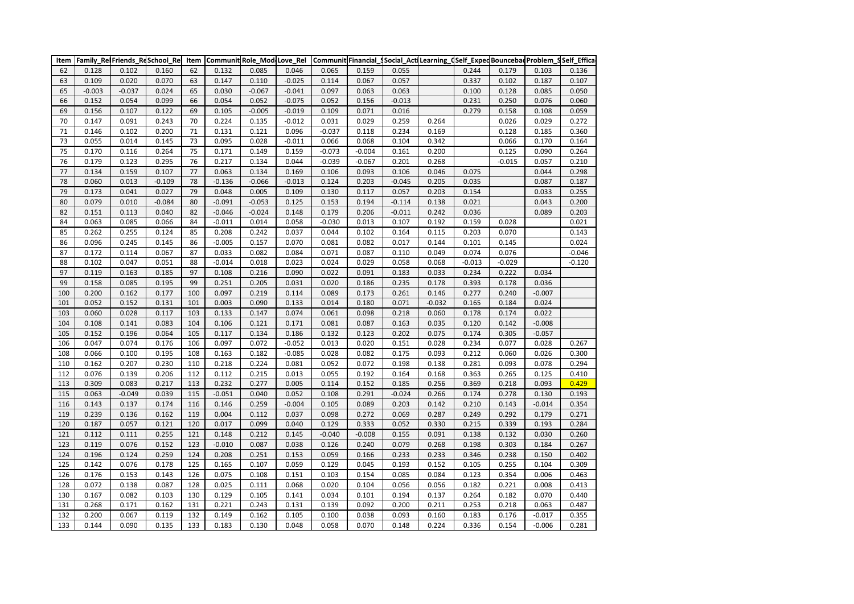| Item | Family RelFriends ReSchool Rel |          |          | Item | Communit Role ModeLove Rel |          |          |          |          | Communit Financial_Social_ActiLearning_dSelf_ExpedBouncebadProblem_SSelf_Effica |          |          |          |          |          |
|------|--------------------------------|----------|----------|------|----------------------------|----------|----------|----------|----------|---------------------------------------------------------------------------------|----------|----------|----------|----------|----------|
| 62   | 0.128                          | 0.102    | 0.160    | 62   | 0.132                      | 0.085    | 0.046    | 0.065    | 0.159    | 0.055                                                                           |          | 0.244    | 0.179    | 0.103    | 0.136    |
| 63   | 0.109                          | 0.020    | 0.070    | 63   | 0.147                      | 0.110    | $-0.025$ | 0.114    | 0.067    | 0.057                                                                           |          | 0.337    | 0.102    | 0.187    | 0.107    |
| 65   | $-0.003$                       | $-0.037$ | 0.024    | 65   | 0.030                      | $-0.067$ | $-0.041$ | 0.097    | 0.063    | 0.063                                                                           |          | 0.100    | 0.128    | 0.085    | 0.050    |
| 66   | 0.152                          | 0.054    | 0.099    | 66   | 0.054                      | 0.052    | $-0.075$ | 0.052    | 0.156    | $-0.013$                                                                        |          | 0.231    | 0.250    | 0.076    | 0.060    |
| 69   | 0.156                          | 0.107    | 0.122    | 69   | 0.105                      | $-0.005$ | $-0.019$ | 0.109    | 0.071    | 0.016                                                                           |          | 0.279    | 0.158    | 0.108    | 0.059    |
| 70   | 0.147                          | 0.091    | 0.243    | 70   | 0.224                      | 0.135    | $-0.012$ | 0.031    | 0.029    | 0.259                                                                           | 0.264    |          | 0.026    | 0.029    | 0.272    |
| 71   | 0.146                          | 0.102    | 0.200    | 71   | 0.131                      | 0.121    | 0.096    | $-0.037$ | 0.118    | 0.234                                                                           | 0.169    |          | 0.128    | 0.185    | 0.360    |
| 73   | 0.055                          | 0.014    | 0.145    | 73   | 0.095                      | 0.028    | $-0.011$ | 0.066    | 0.068    | 0.104                                                                           | 0.342    |          | 0.066    | 0.170    | 0.164    |
| 75   | 0.170                          | 0.116    | 0.264    | 75   | 0.171                      | 0.149    | 0.159    | $-0.073$ | $-0.004$ | 0.161                                                                           | 0.200    |          | 0.125    | 0.090    | 0.264    |
| 76   | 0.179                          | 0.123    | 0.295    | 76   | 0.217                      | 0.134    | 0.044    | $-0.039$ | $-0.067$ | 0.201                                                                           | 0.268    |          | $-0.015$ | 0.057    | 0.210    |
| 77   | 0.134                          | 0.159    | 0.107    | 77   | 0.063                      | 0.134    | 0.169    | 0.106    | 0.093    | 0.106                                                                           | 0.046    | 0.075    |          | 0.044    | 0.298    |
| 78   | 0.060                          | 0.013    | $-0.109$ | 78   | $-0.136$                   | $-0.066$ | $-0.013$ | 0.124    | 0.203    | $-0.045$                                                                        | 0.205    | 0.035    |          | 0.087    | 0.187    |
| 79   | 0.173                          | 0.041    | 0.027    | 79   | 0.048                      | 0.005    | 0.109    | 0.130    | 0.117    | 0.057                                                                           | 0.203    | 0.154    |          | 0.033    | 0.255    |
| 80   | 0.079                          | 0.010    | $-0.084$ | 80   | $-0.091$                   | $-0.053$ | 0.125    | 0.153    | 0.194    | $-0.114$                                                                        | 0.138    | 0.021    |          | 0.043    | 0.200    |
| 82   | 0.151                          | 0.113    | 0.040    | 82   | $-0.046$                   | $-0.024$ | 0.148    | 0.179    | 0.206    | $-0.011$                                                                        | 0.242    | 0.036    |          | 0.089    | 0.203    |
| 84   | 0.063                          | 0.085    | 0.066    | 84   | $-0.011$                   | 0.014    | 0.058    | $-0.030$ | 0.013    | 0.107                                                                           | 0.192    | 0.159    | 0.028    |          | 0.021    |
| 85   | 0.262                          | 0.255    | 0.124    | 85   | 0.208                      | 0.242    | 0.037    | 0.044    | 0.102    | 0.164                                                                           | 0.115    | 0.203    | 0.070    |          | 0.143    |
| 86   | 0.096                          | 0.245    | 0.145    | 86   | $-0.005$                   | 0.157    | 0.070    | 0.081    | 0.082    | 0.017                                                                           | 0.144    | 0.101    | 0.145    |          | 0.024    |
| 87   | 0.172                          | 0.114    | 0.067    | 87   | 0.033                      | 0.082    | 0.084    | 0.071    | 0.087    | 0.110                                                                           | 0.049    | 0.074    | 0.076    |          | $-0.046$ |
| 88   | 0.102                          | 0.047    | 0.051    | 88   | $-0.014$                   | 0.018    | 0.023    | 0.024    | 0.029    | 0.058                                                                           | 0.068    | $-0.013$ | $-0.029$ |          | $-0.120$ |
| 97   | 0.119                          | 0.163    | 0.185    | 97   | 0.108                      | 0.216    | 0.090    | 0.022    | 0.091    | 0.183                                                                           | 0.033    | 0.234    | 0.222    | 0.034    |          |
| 99   | 0.158                          | 0.085    | 0.195    | 99   | 0.251                      | 0.205    | 0.031    | 0.020    | 0.186    | 0.235                                                                           | 0.178    | 0.393    | 0.178    | 0.036    |          |
| 100  | 0.200                          | 0.162    | 0.177    | 100  | 0.097                      | 0.219    | 0.114    | 0.089    | 0.173    | 0.261                                                                           | 0.146    | 0.277    | 0.240    | $-0.007$ |          |
| 101  | 0.052                          | 0.152    | 0.131    | 101  | 0.003                      | 0.090    | 0.133    | 0.014    | 0.180    | 0.071                                                                           | $-0.032$ | 0.165    | 0.184    | 0.024    |          |
| 103  | 0.060                          | 0.028    | 0.117    | 103  | 0.133                      | 0.147    | 0.074    | 0.061    | 0.098    | 0.218                                                                           | 0.060    | 0.178    | 0.174    | 0.022    |          |
| 104  | 0.108                          | 0.141    | 0.083    | 104  | 0.106                      | 0.121    | 0.171    | 0.081    | 0.087    | 0.163                                                                           | 0.035    | 0.120    | 0.142    | $-0.008$ |          |
| 105  | 0.152                          | 0.196    | 0.064    | 105  | 0.117                      | 0.134    | 0.186    | 0.132    | 0.123    | 0.202                                                                           | 0.075    | 0.174    | 0.305    | $-0.057$ |          |
| 106  | 0.047                          | 0.074    | 0.176    | 106  | 0.097                      | 0.072    | $-0.052$ | 0.013    | 0.020    | 0.151                                                                           | 0.028    | 0.234    | 0.077    | 0.028    | 0.267    |
| 108  | 0.066                          | 0.100    | 0.195    | 108  | 0.163                      | 0.182    | $-0.085$ | 0.028    | 0.082    | 0.175                                                                           | 0.093    | 0.212    | 0.060    | 0.026    | 0.300    |
| 110  | 0.162                          | 0.207    | 0.230    | 110  | 0.218                      | 0.224    | 0.081    | 0.052    | 0.072    | 0.198                                                                           | 0.138    | 0.281    | 0.093    | 0.078    | 0.294    |
| 112  | 0.076                          | 0.139    | 0.206    | 112  | 0.112                      | 0.215    | 0.013    | 0.055    | 0.192    | 0.164                                                                           | 0.168    | 0.363    | 0.265    | 0.125    | 0.410    |
| 113  | 0.309                          | 0.083    | 0.217    | 113  | 0.232                      | 0.277    | 0.005    | 0.114    | 0.152    | 0.185                                                                           | 0.256    | 0.369    | 0.218    | 0.093    | 0.429    |
| 115  | 0.063                          | $-0.049$ | 0.039    | 115  | $-0.051$                   | 0.040    | 0.052    | 0.108    | 0.291    | $-0.024$                                                                        | 0.266    | 0.174    | 0.278    | 0.130    | 0.193    |
| 116  | 0.143                          | 0.137    | 0.174    | 116  | 0.146                      | 0.259    | $-0.004$ | 0.105    | 0.089    | 0.203                                                                           | 0.142    | 0.210    | 0.143    | $-0.014$ | 0.354    |
| 119  | 0.239                          | 0.136    | 0.162    | 119  | 0.004                      | 0.112    | 0.037    | 0.098    | 0.272    | 0.069                                                                           | 0.287    | 0.249    | 0.292    | 0.179    | 0.271    |
| 120  | 0.187                          | 0.057    | 0.121    | 120  | 0.017                      | 0.099    | 0.040    | 0.129    | 0.333    | 0.052                                                                           | 0.330    | 0.215    | 0.339    | 0.193    | 0.284    |
| 121  | 0.112                          | 0.111    | 0.255    | 121  | 0.148                      | 0.212    | 0.145    | $-0.040$ | $-0.008$ | 0.155                                                                           | 0.091    | 0.138    | 0.132    | 0.030    | 0.260    |
| 123  | 0.119                          | 0.076    | 0.152    | 123  | $-0.010$                   | 0.087    | 0.038    | 0.126    | 0.240    | 0.079                                                                           | 0.268    | 0.198    | 0.303    | 0.184    | 0.267    |
| 124  | 0.196                          | 0.124    | 0.259    | 124  | 0.208                      | 0.251    | 0.153    | 0.059    | 0.166    | 0.233                                                                           | 0.233    | 0.346    | 0.238    | 0.150    | 0.402    |
| 125  | 0.142                          | 0.076    | 0.178    | 125  | 0.165                      | 0.107    | 0.059    | 0.129    | 0.045    | 0.193                                                                           | 0.152    | 0.105    | 0.255    | 0.104    | 0.309    |
| 126  | 0.176                          | 0.153    | 0.143    | 126  | 0.075                      | 0.108    | 0.151    | 0.103    | 0.154    | 0.085                                                                           | 0.084    | 0.123    | 0.354    | 0.006    | 0.463    |
| 128  | 0.072                          | 0.138    | 0.087    | 128  | 0.025                      | 0.111    | 0.068    | 0.020    | 0.104    | 0.056                                                                           | 0.056    | 0.182    | 0.221    | 0.008    | 0.413    |
| 130  | 0.167                          | 0.082    | 0.103    | 130  | 0.129                      | 0.105    | 0.141    | 0.034    | 0.101    | 0.194                                                                           | 0.137    | 0.264    | 0.182    | 0.070    | 0.440    |
| 131  | 0.268                          | 0.171    | 0.162    | 131  | 0.221                      | 0.243    | 0.131    | 0.139    | 0.092    | 0.200                                                                           | 0.211    | 0.253    | 0.218    | 0.063    | 0.487    |
| 132  | 0.200                          | 0.067    | 0.119    | 132  | 0.149                      | 0.162    | 0.105    | 0.100    | 0.038    | 0.093                                                                           | 0.160    | 0.183    | 0.176    | $-0.017$ | 0.355    |
| 133  | 0.144                          | 0.090    | 0.135    | 133  | 0.183                      | 0.130    | 0.048    | 0.058    | 0.070    | 0.148                                                                           | 0.224    | 0.336    | 0.154    | $-0.006$ | 0.281    |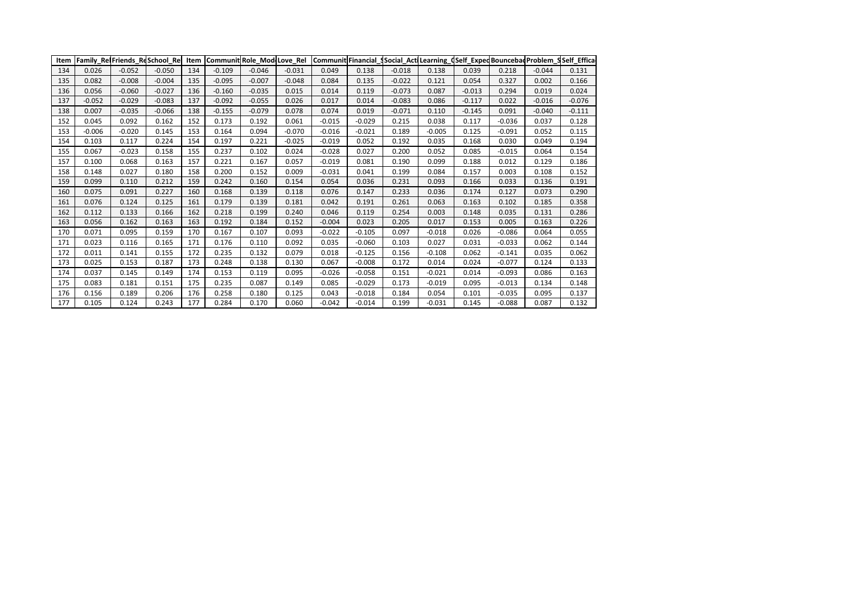| Item |          |          | Family RelFriends ReSchool Rel |     |          |          |          |          |          |          |          |          |          |          | Item Communit Role Mod Love Rel Communit Financial Social Act Learning (Self Exped Bouncebad Problem SSelf Effical |
|------|----------|----------|--------------------------------|-----|----------|----------|----------|----------|----------|----------|----------|----------|----------|----------|--------------------------------------------------------------------------------------------------------------------|
| 134  | 0.026    | $-0.052$ | $-0.050$                       | 134 | $-0.109$ | $-0.046$ | $-0.031$ | 0.049    | 0.138    | $-0.018$ | 0.138    | 0.039    | 0.218    | $-0.044$ | 0.131                                                                                                              |
| 135  | 0.082    | $-0.008$ | $-0.004$                       | 135 | $-0.095$ | $-0.007$ | $-0.048$ | 0.084    | 0.135    | $-0.022$ | 0.121    | 0.054    | 0.327    | 0.002    | 0.166                                                                                                              |
| 136  | 0.056    | $-0.060$ | $-0.027$                       | 136 | $-0.160$ | $-0.035$ | 0.015    | 0.014    | 0.119    | $-0.073$ | 0.087    | $-0.013$ | 0.294    | 0.019    | 0.024                                                                                                              |
| 137  | $-0.052$ | $-0.029$ | $-0.083$                       | 137 | $-0.092$ | $-0.055$ | 0.026    | 0.017    | 0.014    | $-0.083$ | 0.086    | $-0.117$ | 0.022    | $-0.016$ | $-0.076$                                                                                                           |
| 138  | 0.007    | $-0.035$ | $-0.066$                       | 138 | $-0.155$ | $-0.079$ | 0.078    | 0.074    | 0.019    | $-0.071$ | 0.110    | $-0.145$ | 0.091    | $-0.040$ | $-0.111$                                                                                                           |
| 152  | 0.045    | 0.092    | 0.162                          | 152 | 0.173    | 0.192    | 0.061    | $-0.015$ | $-0.029$ | 0.215    | 0.038    | 0.117    | $-0.036$ | 0.037    | 0.128                                                                                                              |
| 153  | $-0.006$ | $-0.020$ | 0.145                          | 153 | 0.164    | 0.094    | $-0.070$ | $-0.016$ | $-0.021$ | 0.189    | $-0.005$ | 0.125    | $-0.091$ | 0.052    | 0.115                                                                                                              |
| 154  | 0.103    | 0.117    | 0.224                          | 154 | 0.197    | 0.221    | $-0.025$ | $-0.019$ | 0.052    | 0.192    | 0.035    | 0.168    | 0.030    | 0.049    | 0.194                                                                                                              |
| 155  | 0.067    | $-0.023$ | 0.158                          | 155 | 0.237    | 0.102    | 0.024    | $-0.028$ | 0.027    | 0.200    | 0.052    | 0.085    | $-0.015$ | 0.064    | 0.154                                                                                                              |
| 157  | 0.100    | 0.068    | 0.163                          | 157 | 0.221    | 0.167    | 0.057    | $-0.019$ | 0.081    | 0.190    | 0.099    | 0.188    | 0.012    | 0.129    | 0.186                                                                                                              |
| 158  | 0.148    | 0.027    | 0.180                          | 158 | 0.200    | 0.152    | 0.009    | $-0.031$ | 0.041    | 0.199    | 0.084    | 0.157    | 0.003    | 0.108    | 0.152                                                                                                              |
| 159  | 0.099    | 0.110    | 0.212                          | 159 | 0.242    | 0.160    | 0.154    | 0.054    | 0.036    | 0.231    | 0.093    | 0.166    | 0.033    | 0.136    | 0.191                                                                                                              |
| 160  | 0.075    | 0.091    | 0.227                          | 160 | 0.168    | 0.139    | 0.118    | 0.076    | 0.147    | 0.233    | 0.036    | 0.174    | 0.127    | 0.073    | 0.290                                                                                                              |
| 161  | 0.076    | 0.124    | 0.125                          | 161 | 0.179    | 0.139    | 0.181    | 0.042    | 0.191    | 0.261    | 0.063    | 0.163    | 0.102    | 0.185    | 0.358                                                                                                              |
| 162  | 0.112    | 0.133    | 0.166                          | 162 | 0.218    | 0.199    | 0.240    | 0.046    | 0.119    | 0.254    | 0.003    | 0.148    | 0.035    | 0.131    | 0.286                                                                                                              |
| 163  | 0.056    | 0.162    | 0.163                          | 163 | 0.192    | 0.184    | 0.152    | $-0.004$ | 0.023    | 0.205    | 0.017    | 0.153    | 0.005    | 0.163    | 0.226                                                                                                              |
| 170  | 0.071    | 0.095    | 0.159                          | 170 | 0.167    | 0.107    | 0.093    | $-0.022$ | $-0.105$ | 0.097    | $-0.018$ | 0.026    | $-0.086$ | 0.064    | 0.055                                                                                                              |
| 171  | 0.023    | 0.116    | 0.165                          | 171 | 0.176    | 0.110    | 0.092    | 0.035    | $-0.060$ | 0.103    | 0.027    | 0.031    | $-0.033$ | 0.062    | 0.144                                                                                                              |
| 172  | 0.011    | 0.141    | 0.155                          | 172 | 0.235    | 0.132    | 0.079    | 0.018    | $-0.125$ | 0.156    | $-0.108$ | 0.062    | $-0.141$ | 0.035    | 0.062                                                                                                              |
| 173  | 0.025    | 0.153    | 0.187                          | 173 | 0.248    | 0.138    | 0.130    | 0.067    | $-0.008$ | 0.172    | 0.014    | 0.024    | $-0.077$ | 0.124    | 0.133                                                                                                              |
| 174  | 0.037    | 0.145    | 0.149                          | 174 | 0.153    | 0.119    | 0.095    | $-0.026$ | $-0.058$ | 0.151    | $-0.021$ | 0.014    | $-0.093$ | 0.086    | 0.163                                                                                                              |
| 175  | 0.083    | 0.181    | 0.151                          | 175 | 0.235    | 0.087    | 0.149    | 0.085    | $-0.029$ | 0.173    | $-0.019$ | 0.095    | $-0.013$ | 0.134    | 0.148                                                                                                              |
| 176  | 0.156    | 0.189    | 0.206                          | 176 | 0.258    | 0.180    | 0.125    | 0.043    | $-0.018$ | 0.184    | 0.054    | 0.101    | $-0.035$ | 0.095    | 0.137                                                                                                              |
| 177  | 0.105    | 0.124    | 0.243                          | 177 | 0.284    | 0.170    | 0.060    | $-0.042$ | $-0.014$ | 0.199    | $-0.031$ | 0.145    | $-0.088$ | 0.087    | 0.132                                                                                                              |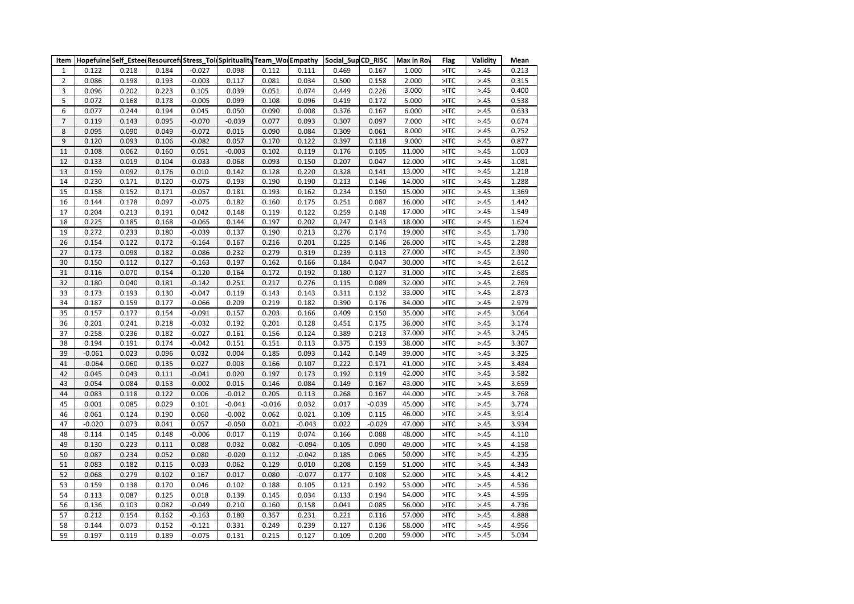|                  |          |       |       |          |          |          |          | Item  Hopefulne Self_Estee ResourcefuStress_Tol(Spirituality Team_Wo Empathy  Social_Sup CD_RISC |          | Max in Roy | <b>Flag</b>      | Validity | Mean  |
|------------------|----------|-------|-------|----------|----------|----------|----------|--------------------------------------------------------------------------------------------------|----------|------------|------------------|----------|-------|
| $\mathbf{1}$     | 0.122    | 0.218 | 0.184 | $-0.027$ | 0.098    | 0.112    | 0.111    | 0.469                                                                                            | 0.167    | 1.000      | $>$ ITC          | > 0.45   | 0.213 |
| $\mathbf 2$      | 0.086    | 0.198 | 0.193 | $-0.003$ | 0.117    | 0.081    | 0.034    | 0.500                                                                                            | 0.158    | 2.000      | $>$ TC           | > 0.45   | 0.315 |
| 3                | 0.096    | 0.202 | 0.223 | 0.105    | 0.039    | 0.051    | 0.074    | 0.449                                                                                            | 0.226    | 3.000      | $>$ ITC          | > 0.45   | 0.400 |
| 5                | 0.072    | 0.168 | 0.178 | $-0.005$ | 0.099    | 0.108    | 0.096    | 0.419                                                                                            | 0.172    | 5.000      | $>$ TC           | > 0.45   | 0.538 |
| 6                | 0.077    | 0.244 | 0.194 | 0.045    | 0.050    | 0.090    | 0.008    | 0.376                                                                                            | 0.167    | 6.000      | $>$ TC           | > 0.45   | 0.633 |
| $\overline{7}$   | 0.119    | 0.143 | 0.095 | $-0.070$ | $-0.039$ | 0.077    | 0.093    | 0.307                                                                                            | 0.097    | 7.000      | $>$ ITC          | > 0.45   | 0.674 |
| 8                | 0.095    | 0.090 | 0.049 | $-0.072$ | 0.015    | 0.090    | 0.084    | 0.309                                                                                            | 0.061    | 8.000      | $>$ ITC          | > 0.45   | 0.752 |
| $\boldsymbol{9}$ | 0.120    | 0.093 | 0.106 | $-0.082$ | 0.057    | 0.170    | 0.122    | 0.397                                                                                            | 0.118    | 9.000      | $>$ ITC          | > 0.45   | 0.877 |
| $11\,$           | 0.108    | 0.062 | 0.160 | 0.051    | $-0.003$ | 0.102    | 0.119    | 0.176                                                                                            | 0.105    | 11.000     | $>$ TC           | > 0.45   | 1.003 |
| 12               | 0.133    | 0.019 | 0.104 | $-0.033$ | 0.068    | 0.093    | 0.150    | 0.207                                                                                            | 0.047    | 12.000     | $>$ ITC          | > 0.45   | 1.081 |
| 13               | 0.159    | 0.092 | 0.176 | 0.010    | 0.142    | 0.128    | 0.220    | 0.328                                                                                            | 0.141    | 13.000     | $>$ TC           | > 0.45   | 1.218 |
| 14               | 0.230    | 0.171 | 0.120 | $-0.075$ | 0.193    | 0.190    | 0.190    | 0.213                                                                                            | 0.146    | 14.000     | $>$ TC           | > 0.45   | 1.288 |
| 15               | 0.158    | 0.152 | 0.171 | $-0.057$ | 0.181    | 0.193    | 0.162    | 0.234                                                                                            | 0.150    | 15.000     | $>$ TC           | > 0.45   | 1.369 |
| 16               | 0.144    | 0.178 | 0.097 | $-0.075$ | 0.182    | 0.160    | 0.175    | 0.251                                                                                            | 0.087    | 16.000     | $>$ TC           | > 0.45   | 1.442 |
| 17               | 0.204    | 0.213 | 0.191 | 0.042    | 0.148    | 0.119    | 0.122    | 0.259                                                                                            | 0.148    | 17.000     | $>$ TC           | > 0.45   | 1.549 |
| 18               | 0.225    | 0.185 | 0.168 | $-0.065$ | 0.144    | 0.197    | 0.202    | 0.247                                                                                            | 0.143    | 18.000     | $>$ ITC          | > 0.45   | 1.624 |
| 19               | 0.272    | 0.233 | 0.180 | $-0.039$ | 0.137    | 0.190    | 0.213    | 0.276                                                                                            | 0.174    | 19.000     | $>$ ITC          | > 0.45   | 1.730 |
| 26               | 0.154    | 0.122 | 0.172 | $-0.164$ | 0.167    | 0.216    | 0.201    | 0.225                                                                                            | 0.146    | 26.000     | >10 <sub>1</sub> | > 0.45   | 2.288 |
| 27               | 0.173    | 0.098 | 0.182 | $-0.086$ | 0.232    | 0.279    | 0.319    | 0.239                                                                                            | 0.113    | 27.000     | $>$ ITC          | > 0.45   | 2.390 |
| 30               | 0.150    | 0.112 | 0.127 | $-0.163$ | 0.197    | 0.162    | 0.166    | 0.184                                                                                            | 0.047    | 30.000     | $>$ TC           | > 0.45   | 2.612 |
| 31               | 0.116    | 0.070 | 0.154 | $-0.120$ | 0.164    | 0.172    | 0.192    | 0.180                                                                                            | 0.127    | 31.000     | $>$ ITC          | > 0.45   | 2.685 |
| 32               | 0.180    | 0.040 | 0.181 | $-0.142$ | 0.251    | 0.217    | 0.276    | 0.115                                                                                            | 0.089    | 32.000     | $>$ TC           | > 0.45   | 2.769 |
| 33               | 0.173    | 0.193 | 0.130 | $-0.047$ | 0.119    | 0.143    | 0.143    | 0.311                                                                                            | 0.132    | 33.000     | $>$ ITC          | > 0.45   | 2.873 |
| 34               | 0.187    | 0.159 | 0.177 | $-0.066$ | 0.209    | 0.219    | 0.182    | 0.390                                                                                            | 0.176    | 34.000     | $>$ ITC          | > 0.45   | 2.979 |
| 35               | 0.157    | 0.177 | 0.154 | $-0.091$ | 0.157    | 0.203    | 0.166    | 0.409                                                                                            | 0.150    | 35.000     | $>$ TC           | > 0.45   | 3.064 |
| 36               | 0.201    | 0.241 | 0.218 | $-0.032$ | 0.192    | 0.201    | 0.128    | 0.451                                                                                            | 0.175    | 36.000     | $>$ ITC          | > 0.45   | 3.174 |
| 37               | 0.258    | 0.236 | 0.182 | $-0.027$ | 0.161    | 0.156    | 0.124    | 0.389                                                                                            | 0.213    | 37.000     | $>$ ITC          | > 0.45   | 3.245 |
| 38               | 0.194    | 0.191 | 0.174 | $-0.042$ | 0.151    | 0.151    | 0.113    | 0.375                                                                                            | 0.193    | 38.000     | $>$ ITC          | > 0.45   | 3.307 |
| 39               | $-0.061$ | 0.023 | 0.096 | 0.032    | 0.004    | 0.185    | 0.093    | 0.142                                                                                            | 0.149    | 39.000     | $>$ ITC          | > 0.45   | 3.325 |
| 41               | $-0.064$ | 0.060 | 0.135 | 0.027    | 0.003    | 0.166    | 0.107    | 0.222                                                                                            | 0.171    | 41.000     | $>$ ITC          | > 0.45   | 3.484 |
| 42               | 0.045    | 0.043 | 0.111 | $-0.041$ | 0.020    | 0.197    | 0.173    | 0.192                                                                                            | 0.119    | 42.000     | $>$ ITC          | > 0.45   | 3.582 |
| 43               | 0.054    | 0.084 | 0.153 | $-0.002$ | 0.015    | 0.146    | 0.084    | 0.149                                                                                            | 0.167    | 43.000     | $>$ TC           | > 0.45   | 3.659 |
| 44               | 0.083    | 0.118 | 0.122 | 0.006    | $-0.012$ | 0.205    | 0.113    | 0.268                                                                                            | 0.167    | 44.000     | $>$ ITC          | > 0.45   | 3.768 |
| 45               | 0.001    | 0.085 | 0.029 | 0.101    | $-0.041$ | $-0.016$ | 0.032    | 0.017                                                                                            | $-0.039$ | 45.000     | $>$ TC           | > 0.45   | 3.774 |
| 46               | 0.061    | 0.124 | 0.190 | 0.060    | $-0.002$ | 0.062    | 0.021    | 0.109                                                                                            | 0.115    | 46.000     | $>$ ITC          | > 0.45   | 3.914 |
| 47               | $-0.020$ | 0.073 | 0.041 | 0.057    | $-0.050$ | 0.021    | $-0.043$ | 0.022                                                                                            | $-0.029$ | 47.000     | $>$ ITC          | > 0.45   | 3.934 |
| 48               | 0.114    | 0.145 | 0.148 | $-0.006$ | 0.017    | 0.119    | 0.074    | 0.166                                                                                            | 0.088    | 48.000     | $>$ ITC          | > 45     | 4.110 |
| 49               | 0.130    | 0.223 | 0.111 | 0.088    | 0.032    | 0.082    | $-0.094$ | 0.105                                                                                            | 0.090    | 49.000     | $>$ TC           | > 0.45   | 4.158 |
| 50               | 0.087    | 0.234 | 0.052 | 0.080    | $-0.020$ | 0.112    | $-0.042$ | 0.185                                                                                            | 0.065    | 50.000     | $>$ ITC          | > 0.45   | 4.235 |
| 51               | 0.083    | 0.182 | 0.115 | 0.033    | 0.062    | 0.129    | 0.010    | 0.208                                                                                            | 0.159    | 51.000     | $>$ ITC          | > 0.45   | 4.343 |
| 52               | 0.068    | 0.279 | 0.102 | 0.167    | 0.017    | 0.080    | $-0.077$ | 0.177                                                                                            | 0.108    | 52.000     | $>$ TC           | > 0.45   | 4.412 |
| 53               | 0.159    | 0.138 | 0.170 | 0.046    | 0.102    | 0.188    | 0.105    | 0.121                                                                                            | 0.192    | 53.000     | $>$ ITC          | > 0.45   | 4.536 |
| 54               | 0.113    | 0.087 | 0.125 | 0.018    | 0.139    | 0.145    | 0.034    | 0.133                                                                                            | 0.194    | 54.000     | $>$ ITC          | > 0.45   | 4.595 |
| 56               | 0.136    | 0.103 | 0.082 | $-0.049$ | 0.210    | 0.160    | 0.158    | 0.041                                                                                            | 0.085    | 56.000     | $>$ ITC          | > 0.45   | 4.736 |
| 57               | 0.212    | 0.154 | 0.162 | $-0.163$ | 0.180    | 0.357    | 0.231    | 0.221                                                                                            | 0.116    | 57.000     | $>$ TC           | > 0.45   | 4.888 |
| 58               | 0.144    | 0.073 | 0.152 | $-0.121$ | 0.331    | 0.249    | 0.239    | 0.127                                                                                            | 0.136    | 58.000     | $>$ ITC          | > 0.45   | 4.956 |
| 59               | 0.197    | 0.119 | 0.189 | $-0.075$ | 0.131    | 0.215    | 0.127    | 0.109                                                                                            | 0.200    | 59.000     | $>$ TC           | > 0.45   | 5.034 |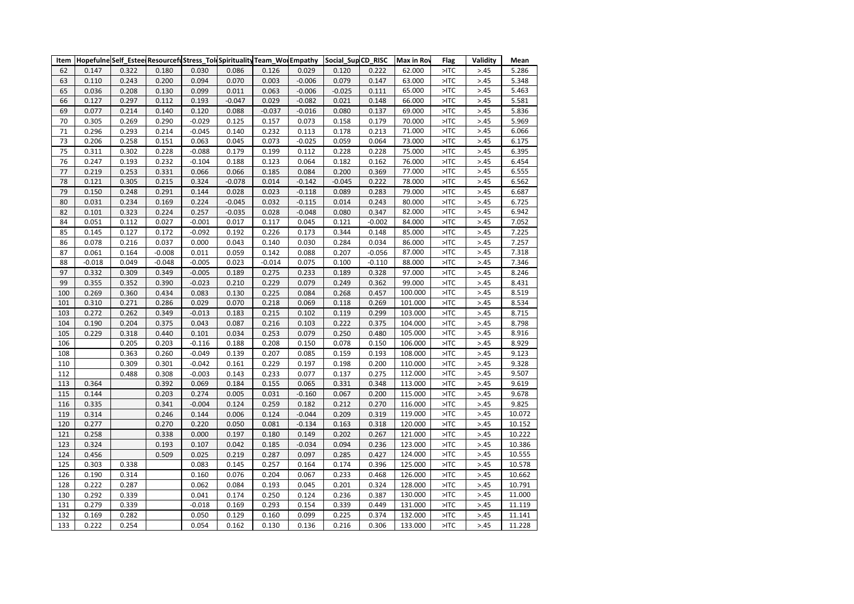| 0.029<br>62.000<br>$>$ ITC<br>> 0.45<br>62<br>0.147<br>0.322<br>0.180<br>0.030<br>0.086<br>0.126<br>0.120<br>0.222<br>63<br>0.110<br>0.243<br>0.200<br>0.094<br>0.070<br>0.003<br>$-0.006$<br>0.079<br>63.000<br>$>$ ITC<br>> 0.45<br>0.147<br>65.000<br>$>$ ITC<br>65<br>0.036<br>0.208<br>0.099<br>0.011<br>0.063<br>$-0.006$<br>$-0.025$<br>0.111<br>> 0.45<br>0.130<br>66<br>0.127<br>0.297<br>0.112<br>0.193<br>$-0.047$<br>0.029<br>$-0.082$<br>0.021<br>0.148<br>66.000<br>$>$ ITC<br>> 0.45 | 5.286<br>5.348<br>5.463<br>5.581<br>5.836<br>5.969 |
|-----------------------------------------------------------------------------------------------------------------------------------------------------------------------------------------------------------------------------------------------------------------------------------------------------------------------------------------------------------------------------------------------------------------------------------------------------------------------------------------------------|----------------------------------------------------|
|                                                                                                                                                                                                                                                                                                                                                                                                                                                                                                     |                                                    |
|                                                                                                                                                                                                                                                                                                                                                                                                                                                                                                     |                                                    |
|                                                                                                                                                                                                                                                                                                                                                                                                                                                                                                     |                                                    |
|                                                                                                                                                                                                                                                                                                                                                                                                                                                                                                     |                                                    |
| 0.077<br>0.120<br>69<br>0.214<br>0.140<br>0.088<br>$-0.037$<br>$-0.016$<br>0.080<br>0.137<br>69.000<br>$>$ ITC<br>> 45                                                                                                                                                                                                                                                                                                                                                                              |                                                    |
| 70.000<br>0.305<br>$-0.029$<br>$>$ ITC<br>> 0.45<br>70<br>0.269<br>0.290<br>0.125<br>0.157<br>0.073<br>0.158<br>0.179                                                                                                                                                                                                                                                                                                                                                                               |                                                    |
| 71<br>0.296<br>0.293<br>0.214<br>$-0.045$<br>0.140<br>0.232<br>0.113<br>0.178<br>0.213<br>71.000<br>$>$ ITC<br>> 0.45                                                                                                                                                                                                                                                                                                                                                                               | 6.066                                              |
| 73.000<br>$>$ ITC<br>73<br>0.206<br>0.258<br>0.063<br>0.073<br>$-0.025$<br>> 0.45<br>0.151<br>0.045<br>0.059<br>0.064                                                                                                                                                                                                                                                                                                                                                                               | 6.175                                              |
| 75<br>0.311<br>0.228<br>$-0.088$<br>0.199<br>0.112<br>0.228<br>0.228<br>75.000<br>$>$ ITC<br>0.302<br>0.179<br>> 45                                                                                                                                                                                                                                                                                                                                                                                 | 6.395                                              |
| 76.000<br>$>$ ITC<br>76<br>0.247<br>0.193<br>0.232<br>$-0.104$<br>0.188<br>0.123<br>0.064<br>0.182<br>0.162<br>> 45                                                                                                                                                                                                                                                                                                                                                                                 | 6.454                                              |
| 77<br>0.219<br>0.253<br>0.331<br>0.066<br>0.185<br>0.084<br>0.200<br>0.369<br>77.000<br>0.066<br>$>$ ITC<br>> 0.45                                                                                                                                                                                                                                                                                                                                                                                  | 6.555                                              |
| 78<br>0.121<br>0.215<br>0.324<br>$>$ TC<br>0.305<br>$-0.078$<br>0.014<br>$-0.142$<br>$-0.045$<br>0.222<br>78.000<br>> 0.45                                                                                                                                                                                                                                                                                                                                                                          | 6.562                                              |
| 79<br>79.000<br>$>$ ITC<br>> 0.45<br>0.150<br>0.248<br>0.291<br>0.144<br>0.028<br>0.023<br>$-0.118$<br>0.089<br>0.283                                                                                                                                                                                                                                                                                                                                                                               | 6.687                                              |
| 80<br>0.031<br>0.234<br>0.169<br>0.224<br>$-0.045$<br>0.032<br>$-0.115$<br>0.014<br>0.243<br>80.000<br>$>$ ITC<br>> 0.45                                                                                                                                                                                                                                                                                                                                                                            | 6.725                                              |
| 82.000<br>$>$ ITC<br>> 0.45<br>82<br>0.101<br>0.323<br>0.224<br>0.257<br>$-0.035$<br>0.028<br>$-0.048$<br>0.080<br>0.347                                                                                                                                                                                                                                                                                                                                                                            | 6.942                                              |
| 84<br>0.051<br>$-0.001$<br>0.117<br>0.045<br>0.121<br>$-0.002$<br>84.000<br>$>$ TC<br>0.112<br>0.027<br>0.017<br>> 0.45                                                                                                                                                                                                                                                                                                                                                                             | 7.052                                              |
| 85.000<br>0.145<br>0.172<br>$-0.092$<br>0.173<br>0.344<br>$>$ ITC<br>> 0.45<br>85<br>0.127<br>0.192<br>0.226<br>0.148                                                                                                                                                                                                                                                                                                                                                                               | 7.225                                              |
| 0.078<br>0.000<br>0.140<br>0.030<br>86<br>0.216<br>0.037<br>0.043<br>0.284<br>0.034<br>86.000<br>$>$ ITC<br>> 0.45                                                                                                                                                                                                                                                                                                                                                                                  | 7.257                                              |
| 87<br>0.061<br>0.164<br>$-0.008$<br>0.011<br>0.059<br>0.142<br>0.088<br>0.207<br>$-0.056$<br>87.000<br>$>$ ITC<br>> 0.45                                                                                                                                                                                                                                                                                                                                                                            | 7.318                                              |
| 0.075<br>88.000<br>$>$ ITC<br>88<br>$-0.018$<br>0.049<br>$-0.048$<br>$-0.005$<br>0.023<br>$-0.014$<br>0.100<br>$-0.110$<br>> 0.45                                                                                                                                                                                                                                                                                                                                                                   | 7.346                                              |
| 97<br>0.332<br>0.349<br>0.233<br>0.309<br>$-0.005$<br>0.189<br>0.275<br>0.189<br>0.328<br>97.000<br>$>$ ITC<br>> 0.45                                                                                                                                                                                                                                                                                                                                                                               | 8.246                                              |
| 99.000<br>99<br>0.355<br>0.229<br>0.079<br>$>$ ITC<br>> 0.45<br>0.352<br>0.390<br>$-0.023$<br>0.210<br>0.249<br>0.362                                                                                                                                                                                                                                                                                                                                                                               | 8.431                                              |
| 100<br>0.269<br>0.434<br>0.083<br>0.130<br>0.225<br>0.084<br>0.457<br>100.000<br>$>$ ITC<br>0.360<br>0.268<br>> 0.45                                                                                                                                                                                                                                                                                                                                                                                | 8.519                                              |
| 0.029<br>0.070<br>0.218<br>101<br>0.310<br>0.271<br>0.286<br>0.069<br>0.118<br>0.269<br>101.000<br>$>$ ITC<br>> 45                                                                                                                                                                                                                                                                                                                                                                                  | 8.534                                              |
| 103<br>0.272<br>0.262<br>0.349<br>$-0.013$<br>0.183<br>0.215<br>0.102<br>0.119<br>0.299<br>103.000<br>$>$ ITC<br>> 0.45                                                                                                                                                                                                                                                                                                                                                                             | 8.715                                              |
| 104<br>0.190<br>0.204<br>0.375<br>0.043<br>0.087<br>0.216<br>0.103<br>0.222<br>0.375<br>104.000<br>$>$ ITC<br>> 0.45                                                                                                                                                                                                                                                                                                                                                                                | 8.798                                              |
| 105.000<br>$>$ ITC<br>105<br>0.229<br>0.318<br>0.440<br>0.101<br>0.034<br>0.253<br>0.079<br>0.250<br>0.480<br>> 0.45                                                                                                                                                                                                                                                                                                                                                                                | 8.916                                              |
| 0.205<br>0.203<br>$-0.116$<br>0.208<br>0.150<br>0.078<br>0.150<br>106.000<br>106<br>0.188<br>$>$ TC<br>> 0.45                                                                                                                                                                                                                                                                                                                                                                                       | 8.929                                              |
| $>$ TC<br>> 0.45<br>0.363<br>0.260<br>$-0.049$<br>0.207<br>0.085<br>0.159<br>0.193<br>108.000<br>108<br>0.139                                                                                                                                                                                                                                                                                                                                                                                       | 9.123                                              |
| 110<br>0.309<br>0.301<br>$-0.042$<br>0.161<br>0.229<br>0.197<br>0.198<br>0.200<br>110.000<br>$>$ ITC<br>> 0.45                                                                                                                                                                                                                                                                                                                                                                                      | 9.328                                              |
| 112<br>0.488<br>0.308<br>$-0.003$<br>0.143<br>0.233<br>0.077<br>0.137<br>0.275<br>112.000<br>$>$ ITC<br>> 0.45                                                                                                                                                                                                                                                                                                                                                                                      | 9.507                                              |
| 0.364<br>0.392<br>0.069<br>0.184<br>0.155<br>0.065<br>0.348<br>113.000<br>$>$ ITC<br>113<br>0.331<br>> 0.45                                                                                                                                                                                                                                                                                                                                                                                         | 9.619                                              |
| 0.203<br>0.274<br>$-0.160$<br>0.200<br>115<br>0.144<br>0.005<br>0.031<br>0.067<br>115.000<br>$>$ TC<br>> 0.45                                                                                                                                                                                                                                                                                                                                                                                       | 9.678<br>9.825                                     |
| 0.341<br>$-0.004$<br>0.259<br>0.182<br>0.270<br>116.000<br>$>$ ITC<br>> 0.45<br>116<br>0.335<br>0.124<br>0.212<br>0.314<br>$-0.044$                                                                                                                                                                                                                                                                                                                                                                 |                                                    |
| 0.246<br>0.124<br>0.319<br>119<br>0.144<br>0.006<br>0.209<br>119.000<br>$>$ ITC<br>> 0.45<br>$>$ ITC                                                                                                                                                                                                                                                                                                                                                                                                | 10.072<br>10.152                                   |
| 120<br>0.277<br>0.270<br>0.220<br>0.050<br>$-0.134$<br>0.163<br>0.318<br>120.000<br>> 45<br>0.081<br>0.258<br>0.338<br>0.000<br>0.149<br>0.267<br>121<br>0.197<br>0.180<br>0.202<br>121.000<br>$>$ ITC<br>> 0.45                                                                                                                                                                                                                                                                                    | 10.222                                             |
| 0.324<br>123<br>0.193<br>0.107<br>0.042<br>0.185<br>$-0.034$<br>0.094<br>0.236<br>123.000<br>$>$ ITC<br>> 0.45                                                                                                                                                                                                                                                                                                                                                                                      | 10.386                                             |
| 124<br>0.456<br>0.509<br>0.025<br>0.219<br>0.287<br>0.097<br>0.285<br>0.427<br>124.000<br>$>$ ITC<br>> 0.45                                                                                                                                                                                                                                                                                                                                                                                         | 10.555                                             |
| 0.083<br>0.257<br>125<br>0.303<br>0.338<br>0.145<br>0.164<br>0.174<br>0.396<br>125.000<br>$>$ ITC<br>> 0.45                                                                                                                                                                                                                                                                                                                                                                                         | 10.578                                             |
| $>$ ITC<br>0.160<br>0.076<br>0.204<br>0.067<br>0.233<br>126.000<br>> 0.45<br>126<br>0.190<br>0.314<br>0.468                                                                                                                                                                                                                                                                                                                                                                                         | 10.662                                             |
| 128<br>0.222<br>0.287<br>0.062<br>0.084<br>0.193<br>0.045<br>0.201<br>0.324<br>128.000<br>$>$ ITC<br>> 0.45                                                                                                                                                                                                                                                                                                                                                                                         | 10.791                                             |
| 130.000<br>$>$ ITC<br>> 0.45<br>130<br>0.292<br>0.339<br>0.041<br>0.174<br>0.250<br>0.124<br>0.236<br>0.387                                                                                                                                                                                                                                                                                                                                                                                         | 11.000                                             |
| 0.279<br>131<br>0.339<br>$-0.018$<br>0.169<br>0.293<br>0.154<br>0.339<br>0.449<br>131.000<br>$>$ ITC<br>> 0.45                                                                                                                                                                                                                                                                                                                                                                                      | 11.119                                             |
| 132<br>0.169<br>0.050<br>0.099<br>0.225<br>0.374<br>0.282<br>0.129<br>0.160<br>132.000<br>$>$ ITC<br>> 0.45                                                                                                                                                                                                                                                                                                                                                                                         | 11.141                                             |
| 133<br>0.222<br>0.054<br>> 0.45<br>0.254<br>0.162<br>0.130<br>0.136<br>0.216<br>0.306<br>133.000<br>$>$ TC                                                                                                                                                                                                                                                                                                                                                                                          | 11.228                                             |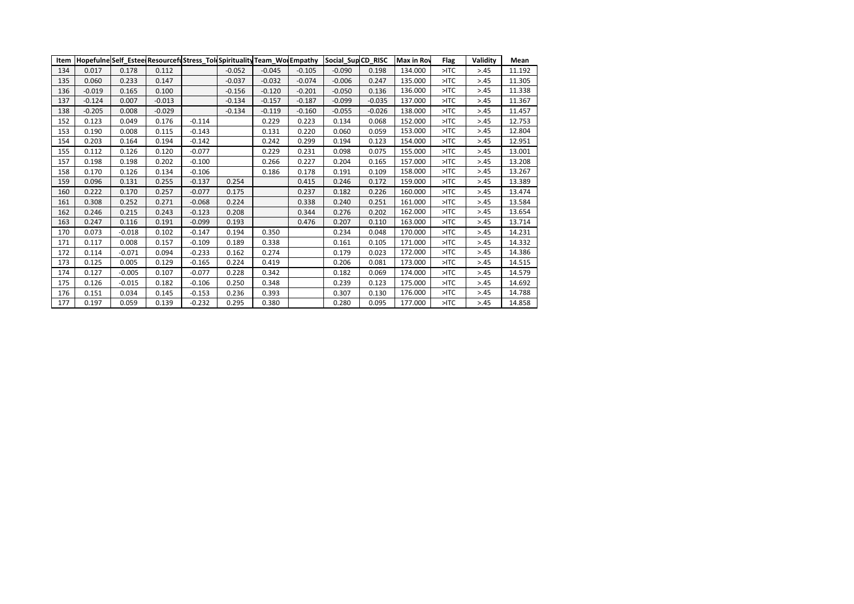| Item |          |          |          |          |          |          |          | Hopefulne Self Estee Resourcefustress Tol Spirituality Team Wolempathy Social Sup CD RISC |          | <b>Max in Roy</b> | Flag   | Validity | Mean   |
|------|----------|----------|----------|----------|----------|----------|----------|-------------------------------------------------------------------------------------------|----------|-------------------|--------|----------|--------|
| 134  | 0.017    | 0.178    | 0.112    |          | $-0.052$ | $-0.045$ | $-0.105$ | $-0.090$                                                                                  | 0.198    | 134.000           | $>$ TC | > 0.45   | 11.192 |
| 135  | 0.060    | 0.233    | 0.147    |          | $-0.037$ | $-0.032$ | $-0.074$ | $-0.006$                                                                                  | 0.247    | 135.000           | $>$ TC | > 0.45   | 11.305 |
| 136  | $-0.019$ | 0.165    | 0.100    |          | $-0.156$ | $-0.120$ | $-0.201$ | $-0.050$                                                                                  | 0.136    | 136.000           | $>$ TC | > 0.45   | 11.338 |
| 137  | $-0.124$ | 0.007    | $-0.013$ |          | $-0.134$ | $-0.157$ | $-0.187$ | $-0.099$                                                                                  | $-0.035$ | 137.000           | $>$ TC | > 0.45   | 11.367 |
| 138  | $-0.205$ | 0.008    | $-0.029$ |          | $-0.134$ | $-0.119$ | $-0.160$ | $-0.055$                                                                                  | $-0.026$ | 138.000           | $>$ TC | > 0.45   | 11.457 |
| 152  | 0.123    | 0.049    | 0.176    | $-0.114$ |          | 0.229    | 0.223    | 0.134                                                                                     | 0.068    | 152.000           | $>$ TC | > 0.45   | 12.753 |
| 153  | 0.190    | 0.008    | 0.115    | $-0.143$ |          | 0.131    | 0.220    | 0.060                                                                                     | 0.059    | 153.000           | $>$ TC | > 0.45   | 12.804 |
| 154  | 0.203    | 0.164    | 0.194    | $-0.142$ |          | 0.242    | 0.299    | 0.194                                                                                     | 0.123    | 154.000           | $>$ TC | > 0.45   | 12.951 |
| 155  | 0.112    | 0.126    | 0.120    | $-0.077$ |          | 0.229    | 0.231    | 0.098                                                                                     | 0.075    | 155.000           | $>$ TC | > 0.45   | 13.001 |
| 157  | 0.198    | 0.198    | 0.202    | $-0.100$ |          | 0.266    | 0.227    | 0.204                                                                                     | 0.165    | 157.000           | $>$ TC | > 0.45   | 13.208 |
| 158  | 0.170    | 0.126    | 0.134    | $-0.106$ |          | 0.186    | 0.178    | 0.191                                                                                     | 0.109    | 158.000           | $>$ TC | > 0.45   | 13.267 |
| 159  | 0.096    | 0.131    | 0.255    | $-0.137$ | 0.254    |          | 0.415    | 0.246                                                                                     | 0.172    | 159.000           | $>$ TC | > 0.45   | 13.389 |
| 160  | 0.222    | 0.170    | 0.257    | $-0.077$ | 0.175    |          | 0.237    | 0.182                                                                                     | 0.226    | 160.000           | $>$ TC | > 0.45   | 13.474 |
| 161  | 0.308    | 0.252    | 0.271    | $-0.068$ | 0.224    |          | 0.338    | 0.240                                                                                     | 0.251    | 161.000           | $>$ TC | > 0.45   | 13.584 |
| 162  | 0.246    | 0.215    | 0.243    | $-0.123$ | 0.208    |          | 0.344    | 0.276                                                                                     | 0.202    | 162.000           | $>$ TC | > 0.45   | 13.654 |
| 163  | 0.247    | 0.116    | 0.191    | $-0.099$ | 0.193    |          | 0.476    | 0.207                                                                                     | 0.110    | 163.000           | $>$ TC | > 0.45   | 13.714 |
| 170  | 0.073    | $-0.018$ | 0.102    | $-0.147$ | 0.194    | 0.350    |          | 0.234                                                                                     | 0.048    | 170.000           | $>$ TC | > 0.45   | 14.231 |
| 171  | 0.117    | 0.008    | 0.157    | $-0.109$ | 0.189    | 0.338    |          | 0.161                                                                                     | 0.105    | 171.000           | $>$ TC | > 0.45   | 14.332 |
| 172  | 0.114    | $-0.071$ | 0.094    | $-0.233$ | 0.162    | 0.274    |          | 0.179                                                                                     | 0.023    | 172.000           | $>$ TC | > 0.45   | 14.386 |
| 173  | 0.125    | 0.005    | 0.129    | $-0.165$ | 0.224    | 0.419    |          | 0.206                                                                                     | 0.081    | 173.000           | $>$ TC | > 0.45   | 14.515 |
| 174  | 0.127    | $-0.005$ | 0.107    | $-0.077$ | 0.228    | 0.342    |          | 0.182                                                                                     | 0.069    | 174.000           | $>$ TC | > 0.45   | 14.579 |
| 175  | 0.126    | $-0.015$ | 0.182    | $-0.106$ | 0.250    | 0.348    |          | 0.239                                                                                     | 0.123    | 175.000           | $>$ TC | > 0.45   | 14.692 |
| 176  | 0.151    | 0.034    | 0.145    | $-0.153$ | 0.236    | 0.393    |          | 0.307                                                                                     | 0.130    | 176.000           | $>$ TC | > 0.45   | 14.788 |
| 177  | 0.197    | 0.059    | 0.139    | $-0.232$ | 0.295    | 0.380    |          | 0.280                                                                                     | 0.095    | 177.000           | $>$ TC | > 0.45   | 14.858 |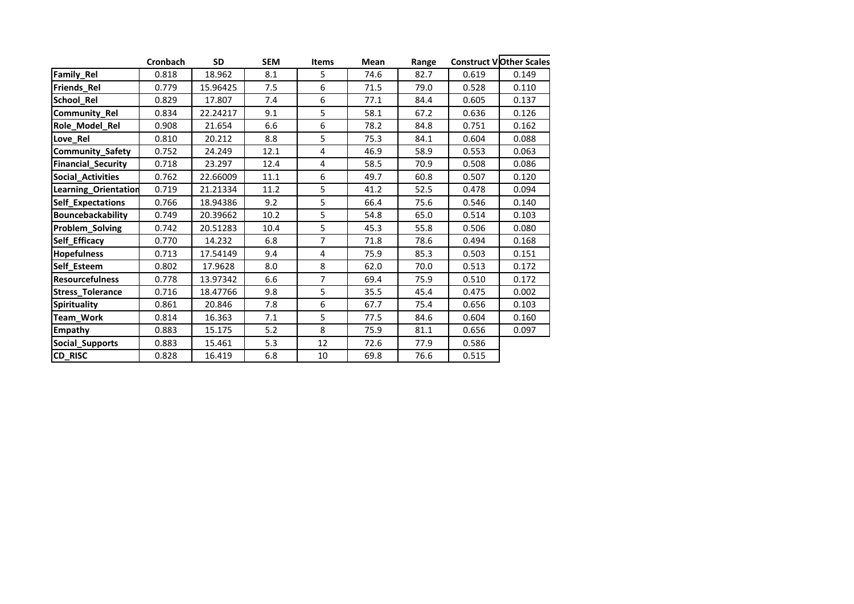|                           | <b>Cronbach</b> | <b>SD</b> | SEM  | <b>Items</b>   | Mean | Range |       | <b>Construct VOther Scales</b> |
|---------------------------|-----------------|-----------|------|----------------|------|-------|-------|--------------------------------|
| Family_Rel                | 0.818           | 18.962    | 8.1  | 5              | 74.6 | 82.7  | 0.619 | 0.149                          |
| Friends_Rel               | 0.779           | 15.96425  | 7.5  | 6              | 71.5 | 79.0  | 0.528 | 0.110                          |
| School_Rel                | 0.829           | 17.807    | 7.4  | 6              | 77.1 | 84.4  | 0.605 | 0.137                          |
| Community_Rel             | 0.834           | 22.24217  | 9.1  | 5              | 58.1 | 67.2  | 0.636 | 0.126                          |
| Role_Model_Rel            | 0.908           | 21.654    | 6.6  | 6              | 78.2 | 84.8  | 0.751 | 0.162                          |
| Love_Rel                  | 0.810           | 20.212    | 8.8  | 5              | 75.3 | 84.1  | 0.604 | 0.088                          |
| Community_Safety          | 0.752           | 24.249    | 12.1 | 4              | 46.9 | 58.9  | 0.553 | 0.063                          |
| <b>Financial_Security</b> | 0.718           | 23.297    | 12.4 | 4              | 58.5 | 70.9  | 0.508 | 0.086                          |
| <b>Social Activities</b>  | 0.762           | 22.66009  | 11.1 | 6              | 49.7 | 60.8  | 0.507 | 0.120                          |
| Learning_Orientation      | 0.719           | 21.21334  | 11.2 | 5              | 41.2 | 52.5  | 0.478 | 0.094                          |
| Self_Expectations         | 0.766           | 18.94386  | 9.2  | 5              | 66.4 | 75.6  | 0.546 | 0.140                          |
| <b>Bouncebackability</b>  | 0.749           | 20.39662  | 10.2 | 5              | 54.8 | 65.0  | 0.514 | 0.103                          |
| Problem_Solving           | 0.742           | 20.51283  | 10.4 | 5              | 45.3 | 55.8  | 0.506 | 0.080                          |
| Self_Efficacy             | 0.770           | 14.232    | 6.8  | $\overline{7}$ | 71.8 | 78.6  | 0.494 | 0.168                          |
| <b>Hopefulness</b>        | 0.713           | 17.54149  | 9.4  | 4              | 75.9 | 85.3  | 0.503 | 0.151                          |
| Self_Esteem               | 0.802           | 17.9628   | 8.0  | 8              | 62.0 | 70.0  | 0.513 | 0.172                          |
| <b>Resourcefulness</b>    | 0.778           | 13.97342  | 6.6  | $\overline{7}$ | 69.4 | 75.9  | 0.510 | 0.172                          |
| Stress_Tolerance          | 0.716           | 18.47766  | 9.8  | 5              | 35.5 | 45.4  | 0.475 | 0.002                          |
| <b>Spirituality</b>       | 0.861           | 20.846    | 7.8  | 6              | 67.7 | 75.4  | 0.656 | 0.103                          |
| Team_Work                 | 0.814           | 16.363    | 7.1  | 5              | 77.5 | 84.6  | 0.604 | 0.160                          |
| Empathy                   | 0.883           | 15.175    | 5.2  | 8              | 75.9 | 81.1  | 0.656 | 0.097                          |
| Social_Supports           | 0.883           | 15.461    | 5.3  | 12             | 72.6 | 77.9  | 0.586 |                                |
| CD_RISC                   | 0.828           | 16.419    | 6.8  | 10             | 69.8 | 76.6  | 0.515 |                                |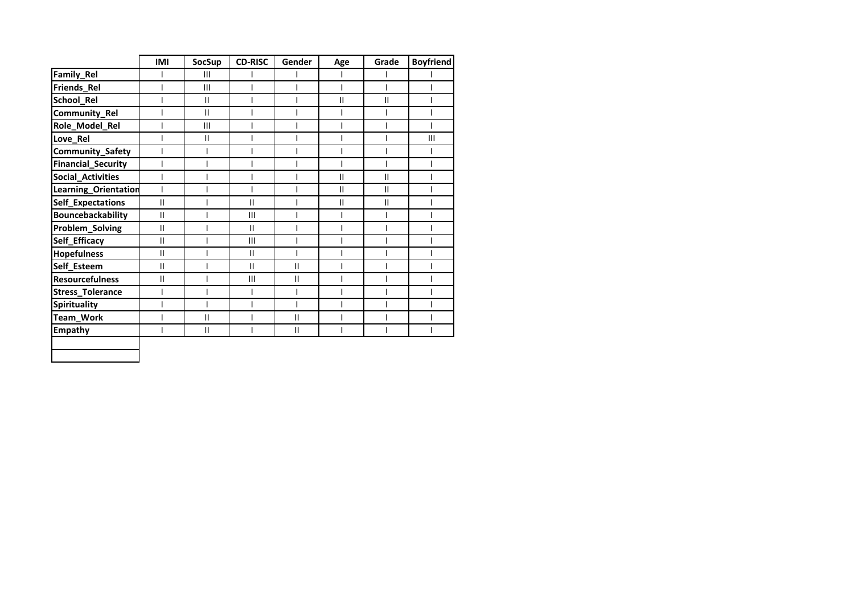|                           | <b>IMI</b>               | <b>SocSup</b> | <b>CD-RISC</b> | Gender        | Age           | Grade                                 | <b>Boyfriend</b> |
|---------------------------|--------------------------|---------------|----------------|---------------|---------------|---------------------------------------|------------------|
| Family_Rel                |                          | Ш             |                |               |               |                                       |                  |
| Friends_Rel               |                          | III           |                |               |               |                                       |                  |
| School_Rel                |                          | $\mathbf{H}$  |                |               | $\mathsf{II}$ | $\mathsf{II}$                         |                  |
| Community_Rel             |                          | $\mathbf{II}$ |                |               |               |                                       |                  |
| Role_Model_Rel            |                          | III           |                |               |               |                                       |                  |
| Love_Rel                  |                          | $\mathbf{H}$  |                |               |               |                                       | III              |
| Community_Safety          |                          |               |                |               |               |                                       |                  |
| <b>Financial_Security</b> | I                        |               |                |               |               |                                       |                  |
| <b>Social_Activities</b>  | I                        |               |                |               | $\mathbf{I}$  | $\mathbf{I}$                          |                  |
| Learning_Orientation      | $\overline{\phantom{a}}$ |               |                |               | $\mathbf{I}$  | $\begin{array}{c} \hline \end{array}$ |                  |
| Self_Expectations         | $\mathbf{II}$            |               | $\mathbf{I}$   |               | $\mathbf{I}$  | $\mathsf{II}$                         |                  |
| <b>Bouncebackability</b>  | $\mathbf{I}$             |               | $\mathbf{III}$ |               |               |                                       |                  |
| Problem_Solving           | $\mathbf{I}$             |               | $\mathbf{I}$   |               |               |                                       |                  |
| Self_Efficacy             | $\mathbf{II}$            |               | $\mathbf{III}$ |               |               |                                       |                  |
| <b>Hopefulness</b>        | $\mathbf{I}$             |               | $\mathbf{I}$   |               |               |                                       |                  |
| Self_Esteem               | $\mathbf{I}$             |               | $\mathbf{I}$   | $\mathbf{I}$  |               |                                       |                  |
| <b>Resourcefulness</b>    | $\mathbf{II}$            |               | $\mathbf{III}$ | $\mathbf{I}$  |               |                                       |                  |
| Stress_Tolerance          | I                        |               |                | I             |               |                                       |                  |
| <b>Spirituality</b>       |                          |               |                |               |               |                                       |                  |
| Team_Work                 |                          | $\mathbf{I}$  |                | $\mathbf{II}$ |               |                                       |                  |
| <b>Empathy</b>            |                          | $\mathbf{H}$  |                | $\mathbf{I}$  |               |                                       |                  |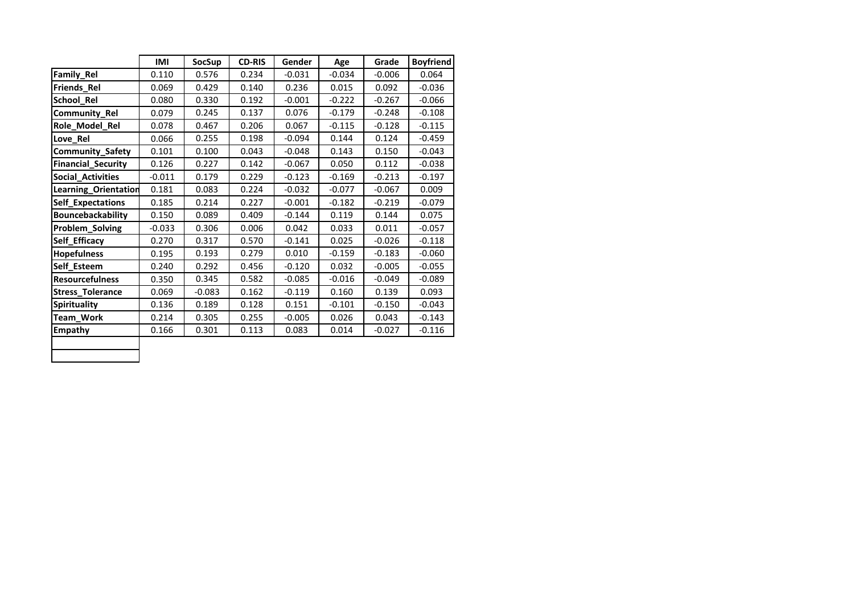|                           | <b>IMI</b> | <b>SocSup</b> | <b>CD-RIS</b> | Gender   | Age      | Grade    | <b>Boyfriend</b> |
|---------------------------|------------|---------------|---------------|----------|----------|----------|------------------|
| <b>Family Rel</b>         | 0.110      | 0.576         | 0.234         | $-0.031$ | $-0.034$ | $-0.006$ | 0.064            |
| Friends_Rel               | 0.069      | 0.429         | 0.140         | 0.236    | 0.015    | 0.092    | $-0.036$         |
| School Rel                | 0.080      | 0.330         | 0.192         | $-0.001$ | $-0.222$ | $-0.267$ | $-0.066$         |
| Community_Rel             | 0.079      | 0.245         | 0.137         | 0.076    | $-0.179$ | $-0.248$ | $-0.108$         |
| Role_Model_Rel            | 0.078      | 0.467         | 0.206         | 0.067    | $-0.115$ | $-0.128$ | $-0.115$         |
| Love Rel                  | 0.066      | 0.255         | 0.198         | $-0.094$ | 0.144    | 0.124    | $-0.459$         |
| Community_Safety          | 0.101      | 0.100         | 0.043         | $-0.048$ | 0.143    | 0.150    | $-0.043$         |
| <b>Financial_Security</b> | 0.126      | 0.227         | 0.142         | $-0.067$ | 0.050    | 0.112    | $-0.038$         |
| Social_Activities         | $-0.011$   | 0.179         | 0.229         | $-0.123$ | $-0.169$ | $-0.213$ | $-0.197$         |
| Learning_Orientation      | 0.181      | 0.083         | 0.224         | $-0.032$ | $-0.077$ | $-0.067$ | 0.009            |
| Self_Expectations         | 0.185      | 0.214         | 0.227         | $-0.001$ | $-0.182$ | $-0.219$ | $-0.079$         |
| <b>Bouncebackability</b>  | 0.150      | 0.089         | 0.409         | $-0.144$ | 0.119    | 0.144    | 0.075            |
| Problem_Solving           | $-0.033$   | 0.306         | 0.006         | 0.042    | 0.033    | 0.011    | $-0.057$         |
| Self Efficacy             | 0.270      | 0.317         | 0.570         | $-0.141$ | 0.025    | $-0.026$ | $-0.118$         |
| <b>Hopefulness</b>        | 0.195      | 0.193         | 0.279         | 0.010    | $-0.159$ | $-0.183$ | $-0.060$         |
| Self_Esteem               | 0.240      | 0.292         | 0.456         | $-0.120$ | 0.032    | $-0.005$ | $-0.055$         |
| <b>Resourcefulness</b>    | 0.350      | 0.345         | 0.582         | $-0.085$ | $-0.016$ | $-0.049$ | $-0.089$         |
| Stress_Tolerance          | 0.069      | $-0.083$      | 0.162         | $-0.119$ | 0.160    | 0.139    | 0.093            |
| Spirituality              | 0.136      | 0.189         | 0.128         | 0.151    | $-0.101$ | $-0.150$ | $-0.043$         |
| Team_Work                 | 0.214      | 0.305         | 0.255         | $-0.005$ | 0.026    | 0.043    | $-0.143$         |
| Empathy                   | 0.166      | 0.301         | 0.113         | 0.083    | 0.014    | $-0.027$ | $-0.116$         |
|                           |            |               |               |          |          |          |                  |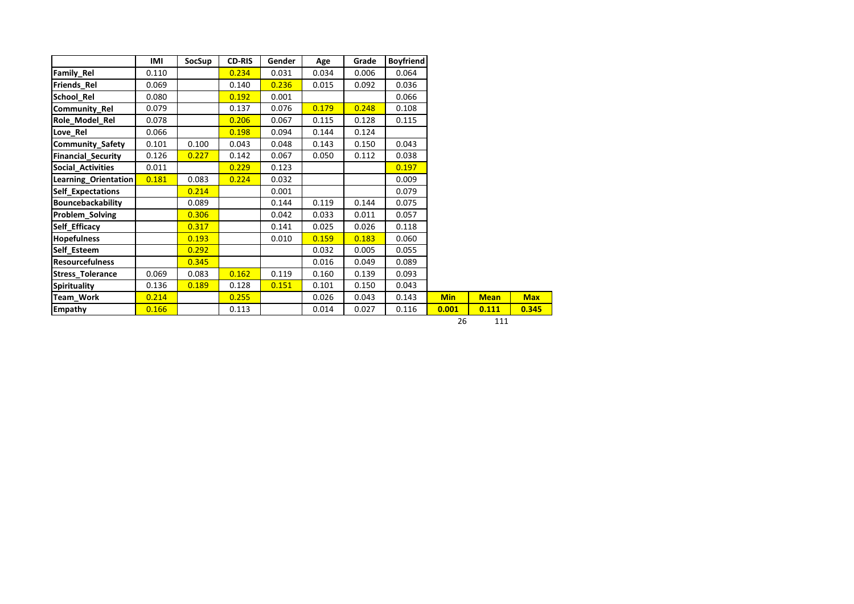|                           | IMI   | SocSup | <b>CD-RIS</b> | Gender | Age   | Grade | <b>Boyfriend</b> |            |
|---------------------------|-------|--------|---------------|--------|-------|-------|------------------|------------|
| <b>Family Rel</b>         | 0.110 |        | 0.234         | 0.031  | 0.034 | 0.006 | 0.064            |            |
| <b>Friends Rel</b>        | 0.069 |        | 0.140         | 0.236  | 0.015 | 0.092 | 0.036            |            |
| School Rel                | 0.080 |        | 0.192         | 0.001  |       |       | 0.066            |            |
| <b>Community Rel</b>      | 0.079 |        | 0.137         | 0.076  | 0.179 | 0.248 | 0.108            |            |
| Role_Model_Rel            | 0.078 |        | 0.206         | 0.067  | 0.115 | 0.128 | 0.115            |            |
| Love Rel                  | 0.066 |        | 0.198         | 0.094  | 0.144 | 0.124 |                  |            |
| <b>Community Safety</b>   | 0.101 | 0.100  | 0.043         | 0.048  | 0.143 | 0.150 | 0.043            |            |
| <b>Financial Security</b> | 0.126 | 0.227  | 0.142         | 0.067  | 0.050 | 0.112 | 0.038            |            |
| Social Activities         | 0.011 |        | 0.229         | 0.123  |       |       | 0.197            |            |
| Learning Orientation      | 0.181 | 0.083  | 0.224         | 0.032  |       |       | 0.009            |            |
| Self Expectations         |       | 0.214  |               | 0.001  |       |       | 0.079            |            |
| Bouncebackability         |       | 0.089  |               | 0.144  | 0.119 | 0.144 | 0.075            |            |
| Problem Solving           |       | 0.306  |               | 0.042  | 0.033 | 0.011 | 0.057            |            |
| Self Efficacy             |       | 0.317  |               | 0.141  | 0.025 | 0.026 | 0.118            |            |
| <b>Hopefulness</b>        |       | 0.193  |               | 0.010  | 0.159 | 0.183 | 0.060            |            |
| Self Esteem               |       | 0.292  |               |        | 0.032 | 0.005 | 0.055            |            |
| <b>Resourcefulness</b>    |       | 0.345  |               |        | 0.016 | 0.049 | 0.089            |            |
| <b>Stress Tolerance</b>   | 0.069 | 0.083  | 0.162         | 0.119  | 0.160 | 0.139 | 0.093            |            |
| Spirituality              | 0.136 | 0.189  | 0.128         | 0.151  | 0.101 | 0.150 | 0.043            |            |
| <b>Team Work</b>          | 0.214 |        | 0.255         |        | 0.026 | 0.043 | 0.143            | <b>Min</b> |
| <b>Empathy</b>            | 0.166 |        | 0.113         |        | 0.014 | 0.027 | 0.116            | 0.001      |

26 111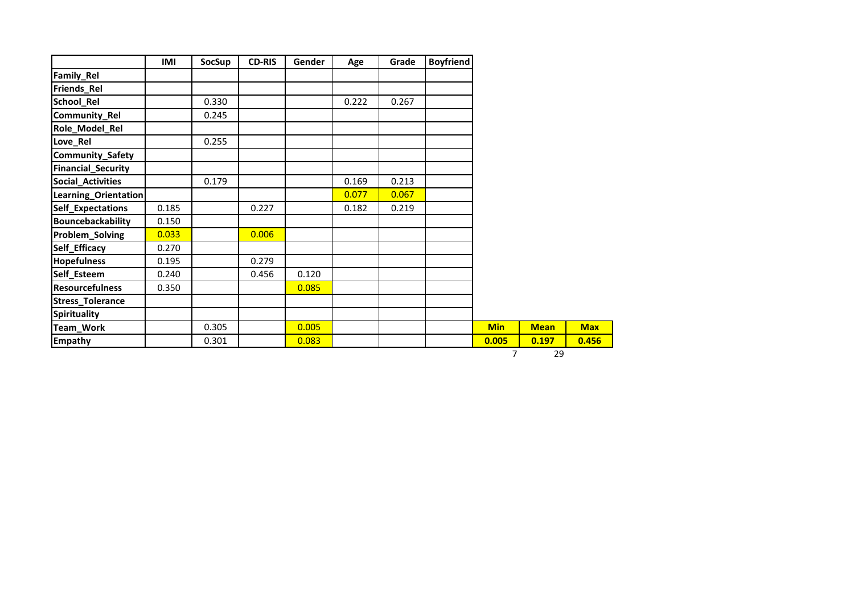|                           | IMI   | SocSup | <b>CD-RIS</b> | Gender | Age   | Grade | <b>Boyfriend</b> |            |             |  |
|---------------------------|-------|--------|---------------|--------|-------|-------|------------------|------------|-------------|--|
| <b>Family_Rel</b>         |       |        |               |        |       |       |                  |            |             |  |
| Friends_Rel               |       |        |               |        |       |       |                  |            |             |  |
| School_Rel                |       | 0.330  |               |        | 0.222 | 0.267 |                  |            |             |  |
| Community_Rel             |       | 0.245  |               |        |       |       |                  |            |             |  |
| Role_Model_Rel            |       |        |               |        |       |       |                  |            |             |  |
| Love_Rel                  |       | 0.255  |               |        |       |       |                  |            |             |  |
| Community_Safety          |       |        |               |        |       |       |                  |            |             |  |
| <b>Financial_Security</b> |       |        |               |        |       |       |                  |            |             |  |
| <b>Social_Activities</b>  |       | 0.179  |               |        | 0.169 | 0.213 |                  |            |             |  |
| Learning_Orientation      |       |        |               |        | 0.077 | 0.067 |                  |            |             |  |
| <b>Self_Expectations</b>  | 0.185 |        | 0.227         |        | 0.182 | 0.219 |                  |            |             |  |
| Bouncebackability         | 0.150 |        |               |        |       |       |                  |            |             |  |
| Problem_Solving           | 0.033 |        | 0.006         |        |       |       |                  |            |             |  |
| Self_Efficacy             | 0.270 |        |               |        |       |       |                  |            |             |  |
| <b>Hopefulness</b>        | 0.195 |        | 0.279         |        |       |       |                  |            |             |  |
| Self_Esteem               | 0.240 |        | 0.456         | 0.120  |       |       |                  |            |             |  |
| <b>Resourcefulness</b>    | 0.350 |        |               | 0.085  |       |       |                  |            |             |  |
| <b>Stress_Tolerance</b>   |       |        |               |        |       |       |                  |            |             |  |
| Spirituality              |       |        |               |        |       |       |                  |            |             |  |
| Team_Work                 |       | 0.305  |               | 0.005  |       |       |                  | <b>Min</b> | <b>Mean</b> |  |
| <b>Empathy</b>            |       | 0.301  |               | 0.083  |       |       |                  | 0.005      | 0.197       |  |
|                           |       |        |               |        |       |       |                  | 7          | 29          |  |